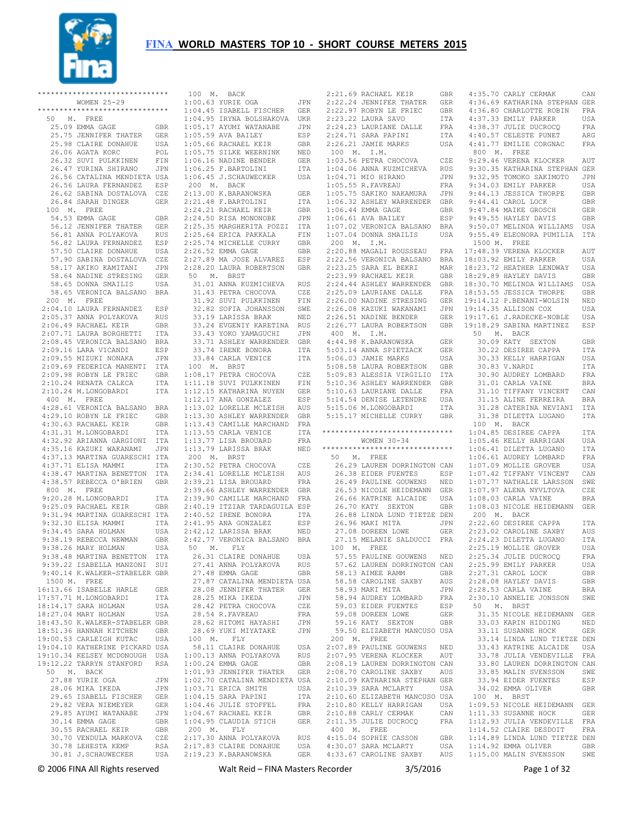

\*\*\*\*\*\*\*\*\*\*\*\*\*\*\*\*\*\*\*\*\*\*\*\*\*\*\*\*\*\* WOMEN 25-29 \*\*\*\*\*\*\*\*\*\*\*\*\*\*\*\*\*\*\*\*\*\*\*\*\*\*\*\*\*\* 50 M. FREE 25.09 EMMA GAGE GBR 25.75 JENNIFER THATER GER 25.98 CLAIRE DONAHUE USA 26.06 AGATA KORC POL 26.32 SUVI PULKKINEN FIN 26.47 YURINA SHIRANO JPN 26.56 CATALINA MENDIETA USA 26.56 LAURA FERNANDEZ ESP 26.62 SABINA DOSTALOVA CZE 26.84 SARAH DINGER GER 100 M. FREE 54.53 EMMA GAGE GBR 56.12 JENNIFER THATER GER 56.81 ANNA POLYAKOVA RUS 56.82 LAURA FERNANDEZ ESP 57.50 CLAIRE DONAHUE USA 57.90 SABINA DOSTALOVA CZE 58.17 AKIKO KAMITANI JPN 58.64 NADINE STRESING GER 58.65 DONNA SMATLIS USA 58.65 VERONICA BALSANO BRA 200 M. FREE 2:04.10 LAURA FERNANDEZ ESP 2:05.37 ANNA POLYAKOVA RUS 2:06.49 RACHAEL KEIR GBR 2:07.71 LAURA BORGHETTI ITA 2:08.45 VERONICA BALSANO BRA 2:09.16 LARA VICANDI ESP 2:09.55 MIZUKI NONAKA JPN 2:09.69 FEDERICA MANENTI ITA 2:09.98 ROBYN LE FRIEC GBR 2:10.24 RENATA CALECA ITA<br>2:10.24 M.LONGOBARDI ITA  $2:10.24$  M.LONGOBARDI 400 M. FREE 4:28.61 VERONICA BALSANO BRA 4:29.10 ROBYN LE FRIEC GBR 4:30.63 RACHAEL KEIR GBR 4:31.31 M.LONGOBARDI ITA 4:32.92 ARIANNA GARGIONI ITA 4:35.16 KAZUKI WAKANAMI JPN 4:37.13 MARTINA GUARESCHI ITA 4:37.71 ELISA MAMMI ITA 4:38.47 MARTINA BENETTON ITA 4:38.57 REBECCA O'BRIEN GBR 800 M. FREE 9:20.28 M.LONGOBARDI ITA 9:25.09 RACHAEL KEIR GBR 9:31.94 MARTINA GUARESCHI ITA 9:32.30 ELISA MAMMI ITA 9:34 45 SARA HOLMAN USA 9:38.19 REBECCA NEWMAN GBR 9:38 26 MARY HOLMAN USA 9:38.48 MARTINA BENETTON ITA 9:39.22 ISABELLA MANZONI SUI 9:40.14 K.WALKER-STABELER GBR 1500 M. FREE<br>16:13 66 ISABELLE HARLE 16:13.66 ISABELLE HARLE GER 17:57.71 M.LONGOBARDI ITA 18:14.17 SARA HOLMAN USA 18:27.04 MARY HOLMAN USA 18:43.50 K.WALKER-STABELER GBR 18:51.36 HANNAH KITCHEN GBR 19:00.53 CARLEIGH KUTAC USA 19:04.10 KATHERINE PICKARD USA 19:10.34 KELSEY MCDONOUGH USA 19:12.22 TARRYN STANFORD RSA 50 M. BACK 27.88 YURIE OGA JPN 28.06 MIKA IKEDA JPN 29.65 ISABELL FISCHER GER 29.82 VERA NIEMEYER GER 29.85 AYUMI WATANABE JPN 30.14 EMMA GAGE GBR 30.55 RACHAEL KEIR GBR 30.70 VENDULA MARKOVA CZE 30.78 LEHESTA KEMP RSA

 30.81 J.SCHAUWECKER USA 2:19.23 K.BARANOWSKA GER 100 M. BACK 1:00.63 YURIE OGA JPN 2:21.69 RACHAEL KEIR GBR 2:22.24 JENNIFER THATER GER 1:04.45 ISABELL FISCHER GER 1:04.95 IRYNA BOLSHAKOVA UKR 1:05.17 AYUMI WATANABE JPN 1:05.59 AVA BAILEY ESP 1:05.66 RACHAEL KEIR GBR 1:05.75 SILKE WEERNINK NED<br>1:06.16 NADINE BENDER GER  $1:06.16$  NADINE BENDER 1:06.25 F.BARTOLINI ITA 1:06.45 J.SCHAUWECKER USA 200 M. BACK 2:13.00 K.BARANOWSKA GER 2:21.48 F.BARTOLINI ITA 2:24.21 RACHAEL KEIR GBR 2:24.50 RISA MONONOBE JPN 2:25.35 MARGHERITA POZZI ITA 2:25.64 ERICA PAKKALA FIN 2:25.74 MICHELLE CURRY GBR 2:26.52 EMMA GAGE GBR 2:27.89 MA JOSE ALVAREZ ESP 2:28.20 LAURA ROBERTSON GBR 50 M. BRST 31.01 ANNA KUZMICHEVA RUS 31.01 ANNA AVALLALLET .<br>31.43 PETRA CHOCOVA CZE 31.92 SUVI PULKKINEN FIN 32.82 SOFIA JOHANSSON SWE 33.19 LARISSA BRAK NED 33.24 EVGENIY KARETINA RUS 33.43 YOKO YAMAGUCHI JPN 33.71 ASHLEY WARRENDER GBR 33.74 IRENE BONORA ITA 33.84 CARLA VENICE ITA 100 M. BRST 1:08.17 PETRA CHOCOVA CZE 1:11.18 SUVI PULKKINEN FIN 1:12.15 KATHARINA NUYEN GER 1:12.17 ANA GONZALEZ ESP 1:13.02 LORELLE MCLEISH AUS 1:13.30 ASHLEY WARRENDER GBR 1:13.43 CAMILLE MARCHAND FRA 1:13.55 CARLA VENICE ITA 1:13.77 LISA BROUARD FRA 1:13.79 LARISSA BRAK NED 200 M. BRST 2:30.52 PETRA CHOCOVA CZE 2:34.41 LORELLE MCLEISH AUS 2:39.21 LISA BROUARD FRA 2:39.66 ASHLEY WARRENDER GBR 2:39.90 CAMILLE MARCHAND FRA 2:40.19 ITZIAR TARDAGUILA ESP 2:40.52 IRENE BONORA ITA 2:41.95 ANA GONZALEZ ESP 2:42.12 LARISSA BRAK NED 2:42.77 VERONICA BALSANO BRA 50 M. FLY 26.31 CLAIRE DONAHUE USA 27.41 ANNA POLYAKOVA RUS 27.48 EMMA GAGE GBR 27.87 CATALINA MENDIETA USA 28.08 JENNIFER THATER GER 28.25 MIKA IKEDA JPN 28.42 PETRA CHOCOVA CZE 28.54 R.FAVREAU FRA 28.62 HITOMI HAYASHI JPN 28.69 YUKI MIYATAKE JPN 100 M. FLY 58.11 CLAIRE DONAHUE USA 1:00.13 ANNA POLYAKOVA RUS 1:00.24 EMMA GAGE GBR 1:01.93 JENNIFER THATER GER 1:02.70 CATALINA MENDIETA USA 1:03.71 ERICA SMITH USA<br>1·04.15 SARA PAPINI ITA  $1:04.15$  SARA PAPINI 1:04.46 JULIE STOFFEL FRA 1:04.67 RACHAEL KEIR GBR 1:04.95 CLAUDIA STICH GER 200 M. FLY 2:17.30 ANNA POLYAKOVA RUS 2:17.83 CLAIRE DONAHUE USA

 2:22.97 ROBYN LE FRIEC GBR 2:23.22 LAURA SAVO ITA 2:24.23 LAURIANE DALLE FRA 2:24.71 SARA PAPINI ITA 2:26.21 JAMIE MARKS USA 100 M. I.M. 1:03.56 PETRA CHOCOVA CZE 1:04.06 ANNA KUZMICHEVA RUS 1:04.71 MIO HIRANO JPN<br>1:05.55 R.FAVREAU FRA  $1:05.55$  R.FAVREAU 1:05.75 SAKIKO NAKAMURA JPN 1:06.32 ASHLEY WARRENDER GBR 1:06.44 EMMA GAGE GBR 1:06.61 AVA BAILEY ESP 1:07.02 VERONICA BALSANO BRA 1:07.04 DONNA SMAILIS USA 200 M. I.M. 2:20.88 MAGALI ROUSSEAU 2:23.99 RACHAEL KEIR GBR 2:24.44 ASHLEY WARRENDER GBR  $2:25.09$  LAURIANE DALLE 2:26.00 NADINE STRESING 2:26.08 KAZUKI WAKANAMI JPN 2:26.51 NADINE BENDER 400 M. I.M. 4:44.98 K.BARANOWSKA GER 5:03.14 ANNA SPIETZACK GER 5:06.03 JAMIE MARKS USA 5:08.58 LAURA ROBERTSON GBR 5:09.83 ALESSIA VIRGILIO ITA 5:10.36 ASHLEY WARRENDER GBR 5:10.63 LAURIANE DALLE FRA 5:14.54 DENISE LETENDRE USA 5:15.06 M.LONGOBARDI ITA 5:15.17 MICHELLE CURRY GBR \*\*\*\*\*\*\*\*\*\*\*\*\*\*\*\*\*\*\*\*\*\*\*\*\*\*\*\*\*\* WOMEN 30-34 \*\*\*\*\*\*\*\*\*\*\*\*\*\*\*\*\*\*\*\*\*\*\*\*\*\*\*\*\*\* 50 M. FREE 26.29 LAUREN DORRINGTON CAN 26.38 EIDER FUENTES ESP 26.49 PAULLINE GOUWENS NED 26.53 NICOLE HEIDEMANN GER 26.66 KATRINE ALCAIDE USA 26.70 KATY SEXTON GBR 26.88 LINDA LUND TIETZE DEN 26.96 MAKI MITA JPN 27.08 DOREEN LOWE GER 27.15 MELANIE SALDUCCI FRA 100 M. FREE 57.55 PAULINE GOUWENS NED 57.62 LAUREN DORRINGTON CAN<br>58.13 AIMEE RAMM GBR 58.13 AIMEE RAMM GBR 58.58 CAROLINE SAXBY AUS 58.93 MAKI MITA JPN 58.94 AUDREY LOMBARD FRA 59.03 EIDER FUENTES ESP 59.08 DOREEN LOWE GER 59.16 KATY SEXTON GBR 59.50 ELIZABETH MANCUSO USA 200 M. FREE 2:07.89 PAULINE GOUWENS NED 2:07.95 VERENA KLOCKER AUT 2:08.19 LAUREN DORRINGTON CAN 2:08.70 CAROLINE SAXBY AUS 2:10.09 KATHARINA STEPHAN GER<br>2.10.39 SARA MCLARTY USA  $2:10.39$  SARA MCLARTY 2:10.60 ELIZABETH MANCUSO USA 2:10.80 KELLY HARRIGAN USA 2:10.88 CARLY CERMAK CAN 2:11.35 JULIE DUCROCQ FRA 400 M. FREE 4:15.04 SOPHIE CASSON GBR 4:30.07 SARA MCLARTY USA

 2:22.56 VERONICA BALSANO BRA 2:23.25 SARA EL BEKRI MAR 18:03.92 EMILY PARKER USA 18:23.72 HEATHER LENDWAY USA 2:26.77 LAURA ROBERTSON GBR 19:18.29 SABINA MARTINEZ ESP 4:33.67 CAROLINE SAXBY AUS 1:15.00 MALIN SVENSSON SWE 4:35.70 CARLY CERMAK CAN 4:36.69 KATHARINA STEPHAN GER 4:36.80 CHARLOTTE ROBIN FRA 4:37.33 EMILY PARKER USA 4:38.37 JULIE DUCROCQ FRA 4:40.57 CELESTE PUNET ARG 4:41.77 EMILIE CORGNAC FRA 800 M. FREE 9:29.46 VERENA KLOCKER AUT 9:30.35 KATHARINA STEPHAN GER<br>9·32.95 TOMOKO SAKIMOTO JPN 9:32.95 TOMOKO SAKIMOTO 9:34.03 EMILY PARKER USA 9:44.13 JESSICA THORPE GBR 9:44.41 CAROL LOCK GBR 9:47.84 MAIKE GROSCH GER 9:49.55 HAYLEY DAVIS GBR 9:50.07 MELINDA WILLIAMS USA 9:55.49 ELEONORA PUMILIA ITA 1500 M. FREE FRA 17:48.39 VERENA KLOCKER AUT 18:29.89 HAYLEY DAVIS GBR GBR 18:30.70 MELINDA WILLIAMS USA 18:53.55 JESSICA THORPE GBR 19:14.12 P.BENANI-WOLSIN NED 19:14.35 ALLISON COX USA 19:17.61 J.RADECKE-NOBLE USA 50 M. BACK 30.09 KATY SEXTON GBR 30.22 DESIREE CAPPA ITA 30.33 KELLY HARRIGAN USA 30.83 V.NARDI ITA 30.90 AUDREY LOMBARD FRA 31.01 CARLA VAINE BRA 31.10 TIFFANY VINCENT CAN 31.15 ALINE FERREIRA BRA 31.28 CATERINA NEVIANI ITA 31.38 DILETTA LUGANO ITA 100 M. BACK 1:04.85 DESIREE CAPPA ITA 1:05.46 KELLY HARRIGAN USA 1:06.41 DILETTA LUGANO ITA 1:06.61 AUDREY LOMBARD FRA 1:07.09 MOLLIE GROVER USA 1:07.42 TIFFANY VINCENT CAN 1:07.77 NATHALIE LARSSON SWE 1:07.97 ALENA NYVLTOVA CZE 1:08.03 CARLA VAINE BRA 1:08.03 NICOLE HEIDEMANN GER 200 M. BACK 2:22.60 DESIREE CAPPA ITA 2:23.02 CAROLINE SAXBY AUS 2:24.23 DILETTA LUGANO ITA 2:25.19 MOLLIE GROVER USA 2:25.34 JULIE DUCROCQ FRA 2:25.99 EMILY PARKER USA 2:27.31 CAROL LOCK GBR 2:28.08 HAYLEY DAVIS GBR 2:28.53 CARLA VAINE BRA 2:30.10 ANNELIE JONSSON SWE 50 M. BRST 31.35 NICOLE HEIDEMANN GER 33.03 KARIN HIDDING NED 33.11 SUSANNE HOCK GER 33.14 LINDA LUND TIETZE DEN 33.43 KATRINE ALCAIDE USA 33.78 JULIA VENDEVILLE FRA 33.80 LAUREN DORRINGTON CAN 33.85 MALIN SVENSSON SWE 33.94 EIDER FUENTES ESP 34.02 EMMA OLIVER GBR 34.02 EMMA OLIVER<br>100 M. BRST 1:09.53 NICOLE HEIDEMANN GER 1:11.33 SUSANNE HOCK GER 1:12.93 JULIA VENDEVILLE FRA 1:14.52 CLAIRE DESDOIT FRA 1:14.89 LINDA LUND TIETZE DEN 1:14.92 EMMA OLIVER GBR

© 2006 FINA All Rights reserved Walt Reid – FINA Masters Recorder 3/5/2016 Page 1 of 32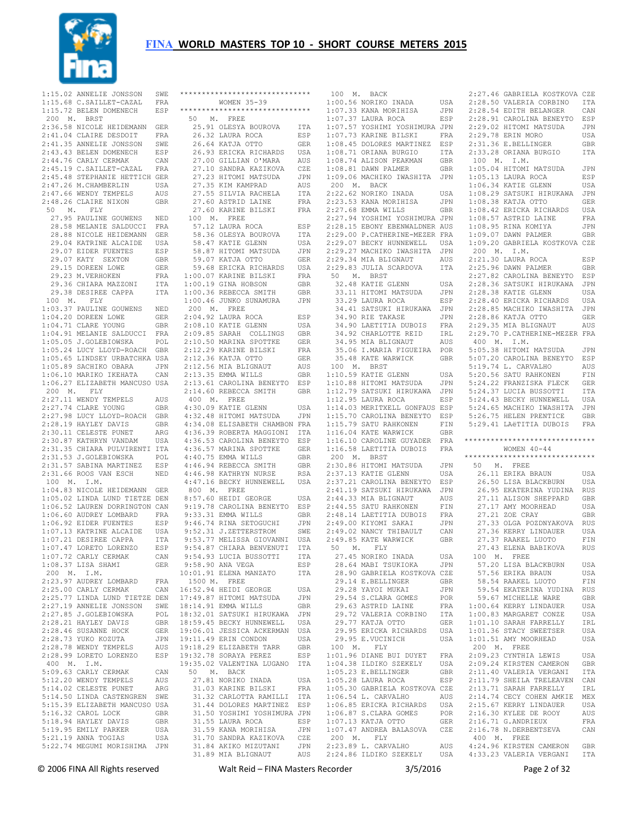

1:15.02 ANNELIE JONSSON SWE<br>1:15.68 C SAILLET-CAZAL FRA  $1:15.68$  C.SAILLET-CAZAL 1:15.72 BELEN DOMENECH ESP 200 M. BRST 2:36.58 NICOLE HEIDEMANN GER 2:41.04 CLAIRE DESDOIT FRA 2:41.35 ANNELIE JONSSON SWE 2:43.43 BELEN DOMENECH ESP 2:44.76 CARLY CERMAK CAN 2:45.19 C.SAILLET-CAZAL FRA 2:45.48 STEPHANIE HETTICH GER 2:47.26 M.CHAMBERLIN USA 2:47.66 WENDY TEMPELS AUS 2:48.26 CLAIRE NIXON GBR 50 M. FLY 27.95 PAULINE GOUWENS NED 28.58 MELANIE SALDUCCI FRA 28.88 NICOLE HEIDEMANN GER 29.04 KATRINE ALCAIDE USA 29.07 EIDER FUENTES ESP 29.07 KATY SEXTON GBR 29.15 DOREEN LOWE GER 29.23 M.VERHOKEN FRA 29.36 CHIARA MAZZONI ITA 29.38 DESIREE CAPPA ITA 100 M. FLY 1:03.37 PAULINE GOUWENS NED 1:04.20 DOREEN LOWE GER  $1 \cdot 04$  71 CLARE YOUNG GBR 1:04.91 MELANIE SALDUCCI FRA 1:05.05 J.GOLEBIOWSKA POL 1:05.24 LUCY LLOYD-ROACH GBR 1:05.65 LINDSEY URBATCHKA USA 1:05.89 SACHIKO OBARA JPN 1:06.10 MARIKO IKEHATA CAN 1:06.27 ELIZABETH MANCUSO USA 200 M. FLY 2:27.11 WENDY TEMPELS AUS 2:27.74 CLARE YOUNG GBR 2:27.98 LUCY LLOYD-ROACH GBR 2:28.19 HAYLEY DAVIS GBR 2:30.11 CELESTE PUNET ARG 2:30.87 KATHRYN VANDAM USA 2:31.35 CHIARA PULVIRENTI ITA 2:31.53 J.GOLEBIOWSKA POL 2:31.57 SABINA MARTINEZ ESP 2:31.66 ROOS VAN ESCH NED 100 M. I.M. 1:04.83 NICOLE HEIDEMANN GER 1:05.02 LINDA LUND TIETZE DEN 1:06.52 LAUREN DORRINGTON CAN 1:06.60 AUDREY LOMBARD FRA 1:06.92 EIDER FUENTES ESP 1:07.13 KATRINE ALCAIDE USA 1:07.21 DESIREE CAPPA ITA 1:07.47 LORETO LORENZO ESP 1:07.72 CARLY CERMAK CAN 1:08.37 LISA SHAMI GER 200 M. I.M. 2:23.97 AUDREY LOMBARD FRA 2:25.00 CARLY CERMAK CAN 2:25.77 LINDA LUND TIETZE DEN 2:27.19 ANNELIE JONSSON SWE 2:27.85 J.GOLEBIOWSKA POL 2:28.21 HAYLEY DAVIS GBR 2:28.46 SUSANNE HOCK GER 2:28.73 YUKO KOZUTA JPN 2:28.78 WENDY TEMPELS AUS 2:28.99 LORETO LORENZO ESP 400 M. I.M. 5:09.63 CARLY CERMAK CAN 5:12.20 WENDY TEMPELS AUS 5:14.02 CELESTE PUNET ARG 5:14.50 LINDA CASTENGREN SWE 5:15.39 ELIZABETH MANCUSO USA 5:16.32 CAROL LOCK GBR 5:18.94 HAYLEY DAVIS GBR 5:19.95 EMILY PARKER USA 5:21.19 ANNA TOGTAS USA 5:22.74 MEGUMI MORISHIMA JPN

| *****************************                                                                                        |                   |
|----------------------------------------------------------------------------------------------------------------------|-------------------|
| WOMEN 35-39<br>******************************                                                                        |                   |
| 50 M. FREE                                                                                                           |                   |
| 25.91 OLESYA BOUROVA                                                                                                 | ITA               |
| 26.32 LAURA ROCA                                                                                                     | ESP               |
|                                                                                                                      | GER               |
| 26.64 KATJA OTTO<br>26.93 ERICKA RICHARDS<br>27.00 GILLIAN O'MARA                                                    | USA               |
|                                                                                                                      | AUS               |
| 27.10 SANDRA KAZIKOVA<br>27.23 HITOMI MATSUDA<br>27.25 HITOMI MATSUDA                                                | CZE               |
| 27.35 KIM KAMPRAD                                                                                                    | JPN<br>AUS        |
| 27.55 SILVIA RACHELA                                                                                                 | ITA               |
| 27.60 ASTRID LAINE                                                                                                   | ${\tt FRA}$       |
| 27.60 KARINE BILSKI                                                                                                  | FRA               |
| 100 M. FREE                                                                                                          |                   |
| 57.12 LAURA ROCA                                                                                                     | ESP               |
| 58.36 OLESYA BOUROVA<br>58.47 KATIE GLENN                                                                            | ITA<br>USA        |
|                                                                                                                      | JPN               |
| 58.87 HITOMI MATSUDA<br>59.07 KATJA OTTO<br>59.68 ERICKA RICHARDS                                                    | GER               |
|                                                                                                                      | USA               |
| $1:00.07$ KARINE BILSKI                                                                                              | FRA               |
| $1:00.19$ GINA HOBSON                                                                                                | GBR               |
| 1:00.36 REBECCA SMITH                                                                                                | GBR               |
| 1:00.46 JUNKO SUNAMURA<br>200 M. FREE                                                                                | JPN               |
| 2:04.92 LAURA ROCA                                                                                                   | ESP               |
| $2:08.10$ KATIE GLENN                                                                                                | USA               |
|                                                                                                                      | GBR               |
| -<br>2:09.85 SARAH COLLINGS<br>2:10.50 MARINA SPOTTKE                                                                | GER               |
| 2:12.29 KARINE BILSKI<br>2·12 36 KATJA OTTO                                                                          | FRA               |
| 2:12.36 KATJA OTTO                                                                                                   | GER               |
| $2:12.56$ MIA BLIGNAUT                                                                                               | AUS               |
| 2:13.35 EMMA WILLS<br>2:13.61 CAROLINA BENEYTO                                                                       | GBR               |
| 2:14.60 REBECCA SMITH                                                                                                | ESP<br><b>GBR</b> |
| $400$ $\,$ M. $\,$ FREE                                                                                              |                   |
| 4:30.09 KATIE GLENN                                                                                                  | USA               |
| 4:32.48 HITOMI MATSUDA                                                                                               | JPN               |
| 4:34.08 ELISABETH CHAMBON FRA                                                                                        |                   |
| 4:36.39 ROBERTA MAGGIONI ITA<br>4:36.53 CAROLINA BENEYTO ESP<br>4:36.57 MARINA SPOTTKE GER<br>4:40 75 EMMA WILLS GER |                   |
|                                                                                                                      |                   |
| 4:40.75 EMMA WILLS                                                                                                   | GBR               |
|                                                                                                                      | GBR               |
| 4:46.94 REBECCA SMITH<br>4:46.98 KATHRYN NURSE                                                                       | RSA               |
| 4:47.16 BECKY HUNNEWELL                                                                                              | USA               |
| 800 M. FREE                                                                                                          |                   |
| 8:57.60 HEIDI GEORGE                                                                                                 | USA               |
| 9:19.78 CAROLINA BENEYTO                                                                                             | ESP<br>GBR        |
| 9:33.31 EMMA WILLS<br>9:46.74 RINA SETOGUCHI                                                                         | JPN               |
| 9:52.31 J.ZETTERSTROM SWE<br>9:53.77 MELISSA GIOVANNI USA<br>9:54.87 CHIARA BENVENUTI ITA                            |                   |
|                                                                                                                      |                   |
|                                                                                                                      |                   |
| 9:54.93 LUCIA BUSSOTTI                                                                                               | $_{\tt ITA}$      |
| 9:58.90 ANA VEGA                                                                                                     | ESP               |
| 10:01.91 ELENA MANZATO<br>1500 M. FREE                                                                               | ITA               |
|                                                                                                                      | USA               |
| 16:52.94 HEIDI GEORGE<br>17:49.87 HITOMI MATSUDA                                                                     | JPN               |
| 18:14.91 EMMA WILLS<br>18:32.01 SATSUKI HIRUKAWA<br>18:59.45 BECKY HUNNEWELL                                         | GBR               |
|                                                                                                                      | JPN               |
|                                                                                                                      |                   |
| 19:06.01 JESSICA ACKERMAN<br>19:11.49 ERIN CONDON                                                                    | USA<br>USA<br>USA |
| 19:18.29 ELIZABETH TARR                                                                                              | GBR               |
| 19:32.78 SORAYA PEREZ                                                                                                | ESP               |
| 19:35.02 VALENTINA LUGANO                                                                                            | <b>ITA</b>        |
| 50 M. BACK                                                                                                           |                   |
| 27.81 NORIKO INADA                                                                                                   | USA               |
| 31.03 KARINE BILSKI                                                                                                  | <b>FRA</b>        |
| 31.32 CARLOTTA RAMILLI<br>31.44 DOLORES MARTINEZ                                                                     | ITA               |
| 31.50 YOSHIMI YOSHIMURA JPN                                                                                          | ESP               |
| 31.55 LAURA ROCA                                                                                                     | ESP               |
| E LIBRA KUCA<br>31.59 KANA MORIHISA<br>31.70 SANDDE                                                                  | JPN               |
| 31.70 SANDRA KAZIKOVA                                                                                                | CZE               |
| 31.84 AKIKO MIZUTANI                                                                                                 | JPN               |
| 31.89 MIA BLIGNAUT                                                                                                   | AUS               |

| 100<br>М. | BACK                          |            | 2:27.46 GABRIELA KOSTKOVA CZE  |            |
|-----------|-------------------------------|------------|--------------------------------|------------|
|           | 1:00.56 NORIKO INADA          | USA        | 2:28.50 VALERIA CORBINO        | ITA        |
|           | 1:07.33 KANA MORIHISA         | JPN        | 2:28.54 EDITH BELANGER         | CAN        |
|           |                               |            |                                |            |
|           | $1:07.37$ LAURA ROCA          | ESP        | 2:28.91 CAROLINA BENEYTO       | ESP        |
|           | 1:07.57 YOSHIMI YOSHIMURA JPN |            | 2:29.02 HITOMI MATSUDA         | JPN        |
|           | 1:07.73 KARINE BILSKI         | FRA        | 2:29.78 ERIN MORO              | USA        |
|           | 1:08.45 DOLORES MARTINEZ      | ESP        | 2:31.36 E.BELLINGER            | GBR        |
|           |                               |            |                                |            |
|           | 1:08.71 ORIANA BURGIO         | ITA        | 2:33.28 ORIANA BURGIO          | ITA        |
|           | 1:08.74 ALISON PEAKMAN        | GBR        | 100 M.<br>I.M.                 |            |
|           | 1:08.81 DAWN PALMER           | GBR        | 1:05.04 HITOMI MATSUDA         |            |
|           |                               |            |                                | JPN        |
|           | 1:09.06 MACHIKO IWASHITA      | JPN        | $1:05.13$ LAURA ROCA           | ESP        |
| 200 M.    | <b>BACK</b>                   |            | 1:06.34 KATIE GLENN            | USA        |
|           |                               |            |                                |            |
|           | 2:22.62 NORIKO INADA          | USA        | 1:08.29 SATSUKI HIRUKAWA       | JPN        |
|           | 2:23.53 KANA MORIHISA         | JPN        | 1:08.38 KATJA OTTO             | GER        |
|           | 2:27.68 EMMA WILLS            | GBR        | 1:08.42 ERICKA RICHARDS        | USA        |
|           |                               |            |                                |            |
|           | 2:27.94 YOSHIMI YOSHIMURA JPN |            | 1:08.57 ASTRID LAINE           | FRA        |
|           | 2:28.15 EBONY EBENWALDNER AUS |            | 1:08.95 RINA KOMIYA            | JPN        |
|           |                               |            |                                |            |
|           | 2:29.00 P.CATHERINE-MEZER FRA |            | 1:09.07 DAWN PALMER            | GBR        |
|           | 2:29.07 BECKY HUNNEWELL       | USA        | 1:09.20 GABRIELA KOSTKOVA CZE  |            |
|           | 2:29.27 MACHIKO IWASHITA      | JPN        | 200<br>Μ.<br>I.M.              |            |
|           |                               |            |                                |            |
|           | 2:29.34 MIA BLIGNAUT          | AUS        | 2:21.30 LAURA ROCA             | ESP        |
|           | 2:29.83 JULIA SCARDOVA        | ITA        | 2:25.96 DAWN PALMER            | GBR        |
| 50<br>Μ.  | BRST                          |            | 2:27.82 CAROLINA BENEYTO       | ESP        |
|           |                               |            |                                |            |
|           | 32.48 KATIE GLENN             | USA        | 2:28.36 SATSUKI HIRUKAWA       | JPN        |
|           | 33.11 HITOMI MATSUDA          | JPN        | 2:28.38 KATIE GLENN            | USA        |
|           | 33.29 LAURA ROCA              | ESP        | 2:28.40 ERICKA RICHARDS        | USA        |
|           |                               |            |                                |            |
|           | 34.41 SATSUKI HIRUKAWA        | JPN        | 2:28.85 MACHIKO IWASHITA       | JPN        |
|           | 34.90 RIE TAKASE              | JPN        | 2:28.86 KATJA OTTO             | GER        |
|           |                               |            |                                |            |
|           | 34.90 LAETITIA DUBOIS         | FRA        | 2:29.35 MIA BLIGNAUT           | AUS        |
|           | 34.92 CHARLOTTE REID          | IRL        | 2:29.70 P.CATHERINE-MEZER FRA  |            |
|           | 34.95 MIA BLIGNAUT            | AUS        | 400<br>М.<br>I.M.              |            |
|           |                               |            |                                |            |
|           | 35.06 I.MARIA FIGUEIRA        | POR        | 5:05.38 HITOMI MATSUDA         | JPN        |
|           | 35.48 KATE WARWICK            | GBR        | 5:07.20 CAROLINA BENEYTO       | ESP        |
|           |                               |            |                                |            |
| 100<br>М. | BRST                          |            | 5:19.74 L. CARVALHO            | AUS        |
|           | 1:10.59 KATIE GLENN           | USA        | 5:20.56 SATU RAHKONEN          | FIN        |
|           | 1:10.88 HITOMI MATSUDA        | JPN        | 5:24.22 FRANZISKA FLECK        | <b>GER</b> |
|           |                               |            |                                |            |
|           | 1:12.79 SATSUKI HIRUKAWA      | JPN        | 5:24.37 LUCIA BUSSOTTI         | ITA        |
|           | 1:12.95 LAURA ROCA            | ESP        | 5:24.43 BECKY HUNNEWELL        | USA        |
|           | 1:14.03 MERITXELL GONFAUS ESP |            | 5:24.65 MACHIKO IWASHITA       | JPN        |
|           |                               |            |                                |            |
|           | 1:15.70 CAROLINA BENEYTO      | ESP        | 5:26.75 HELEN PRENTICE         | GBR        |
|           | 1:15.79 SATU RAHKONEN         |            |                                |            |
|           |                               |            |                                |            |
|           |                               | FIN        | 5:29.41 LAëTITIA DUBOIS        | FRA        |
|           | 1:16.04 KATE WARWICK          | GBR        |                                |            |
|           | 1:16.10 CAROLINE GUYADER      | FRA        | ****************************** |            |
|           |                               |            |                                |            |
|           | 1:16.58 LAETITIA DUBOIS       | FRA        | WOMEN $40 - 44$                |            |
| 200<br>М. | BRST                          |            | ****************************** |            |
|           |                               |            | 50<br>М.<br>FREE               |            |
|           | 2:30.86 HITOMI MATSUDA        | JPN        |                                |            |
|           | 2:37.13 KATIE GLENN           | USA        | 26.11 ERIKA BRAUN              | USA        |
|           | 2:37.21 CAROLINA BENEYTO      | ESP        | 26.50 LISA BLACKBURN           | USA        |
|           |                               |            |                                |            |
|           | 2:41.19 SATSUKI HIRUKAWA      | JPN        | 26.95 EKATERINA YUDINA         | RUS        |
|           | 2:44.33 MIA BLIGNAUT          | AUS        | 27.11 ALISON SHEPPARD          | GBR        |
|           | 2:44.55 SATU RAHKONEN         | FIN        | 27.17 AMY MOORHEAD             | USA        |
|           |                               |            |                                |            |
|           | 2:48.14 LAETITIA DUBOIS       | FRA        | 27.21 ZOE CRAY                 | GBR        |
|           | 2:49.00 KIYOMI SAKAI          | JPN        | 27.33 OLGA POZDNYAKOVA         | RUS        |
|           |                               |            |                                | USA        |
|           | 2:49.02 NANCY THIBAULT        | CAN        | 27.36 KERRY LINDAUER           |            |
|           | 2:49.85 KATE WARWICK          | GBR        | 27.37 RAAKEL LUOTO             | FIN        |
| 50<br>М.  | FLY                           |            | 27.43 ELENA BABIKOVA           | RUS        |
|           | 27.45 NORIKO INADA            |            | IOO M. FREE                    |            |
|           |                               | USA        |                                |            |
|           | 28.64 MABI TSUKIOKA           | JPN        | 57.20 LISA BLACKBURN           | USA        |
|           | 28.90 GABRIELA KOSTKOVA CZE   |            | 57.56 ERIKA BRAUN              | USA        |
|           |                               |            |                                |            |
|           | 29.14 E.BELLINGER             | GBR        | 58.54 RAAKEL LUOTO             | FIN        |
|           | 29.28 YAYOI MUKAI             | JPN        | 59.54 EKATERINA YUDINA         | <b>RUS</b> |
|           | 29.54 S.CLARA GOMES           |            | 59.67 MICHELLE WARE            |            |
|           |                               | POR        |                                | GBR        |
|           | 29.63 ASTRID LAINE            | FRA        | 1:00.64 KERRY LINDAUER         | USA        |
|           | 29.72 VALERIA CORBINO         | ITA        | 1:00.83 MARGARET CONZE         | USA        |
|           |                               |            |                                |            |
|           | 29.77 KATJA OTTO              | GER        | 1:01.10 SARAH FARRELLY         | IRL        |
|           | 29.95 ERICKA RICHARDS         | USA        | 1:01.36 STACY SWEETSER         | USA        |
|           | 29.95 E.VUCINICH              | USA        | 1:01.51 AMY MOORHEAD           | USA        |
|           |                               |            |                                |            |
| 100 M.    | FLY                           |            | 200 M.<br>FREE                 |            |
|           | 1:01.96 DIANE BUI DUYET       | FRA        | 2:09.23 CYNTHIA LEWIS          | USA        |
|           | 1:04.38 ILDIKO SZEKELY        |            |                                |            |
|           |                               | USA        | 2:09.24 KIRSTEN CAMERON        | GBR        |
|           | 1:05.23 E.BELLINGER           | <b>GBR</b> | 2:11.40 VALERIA VERGANI        | ITA        |
|           | 1:05.28 LAURA ROCA            | ESP        | 2:11.79 SHEILA TRELEAVEN       | CAN        |
|           |                               |            |                                |            |
|           | 1:05.30 GABRIELA KOSTKOVA CZE |            | 2:13.71 SARAH FARRELLY         | IRL        |
|           | 1:06.54 L. CARVALHO           | AUS        | 2:14.74 CECY COHEN AMKIE       | MEX        |
|           | 1:06.85 ERICKA RICHARDS       | USA        | 2:15.67 KERRY LINDAUER         | USA        |
|           |                               |            |                                |            |
|           | 1:06.87 S.CLARA GOMES         | POR        | 2:16.30 KYLEE DE ROOY          | AUS        |
|           | 1:07.13 KATJA OTTO            | GER        | 2:16.71 G.ANDRIEUX             | FRA        |
|           | 1:07.47 ANDREA BALASOVA       | CZE        | 2:16.78 N.DERBENTSEVA          |            |
|           |                               |            |                                | CAN        |
| 200 M.    | ${\rm FLY}$                   |            | 400 M. FREE                    |            |
|           | 2:23.89 L. CARVALHO           | AUS        | 4:24.96 KIRSTEN CAMERON        | GBR        |
|           | 2:24.86 ILDIKO SZEKELY        | USA        | 4:33.23 VALERIA VERGANI        | ITA        |

© 2006 FINA All Rights reserved Walt Reid – FINA Masters Recorder 3/5/2016 Page 2 of 32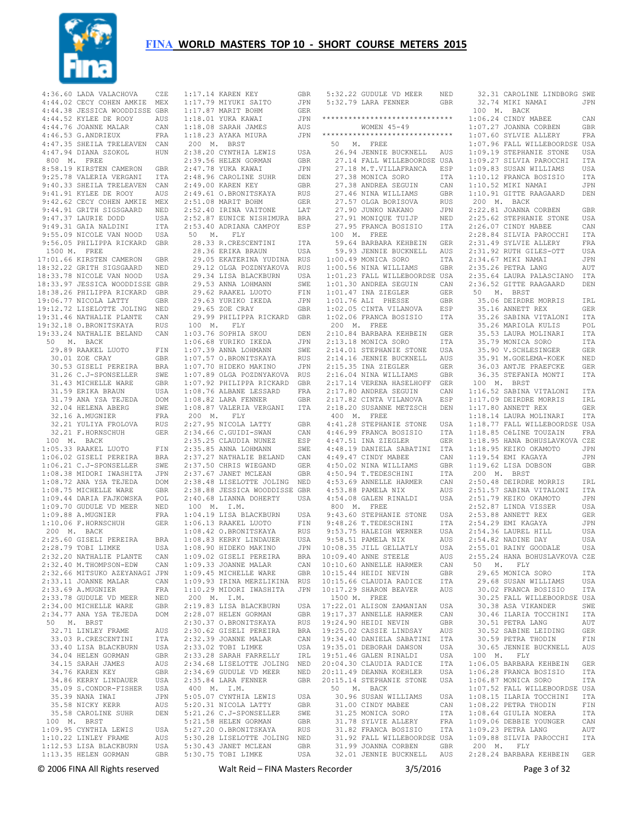

|             | 4:36.60 LADA VALACHOVA         | CZE        | 1                       |
|-------------|--------------------------------|------------|-------------------------|
|             | 4:44.02 CECY COHEN AMKIE       | MEX        | 1                       |
|             | 4:44.38 JESSICA WOODDISSE GBR  |            | $\mathbf 1$             |
|             | 4:44.52 KYLEE DE ROOY          | AUS        | 1                       |
|             | 4:44.76 JOANNE MALAR           | CAN        | 1                       |
|             | 4:46.53 G.ANDRIEUX             |            | 1                       |
|             |                                | FRA        |                         |
|             | 4:47.35 SHEILA TRELEAVEN       | CAN        | í                       |
|             | 4:47.94 DIANA SZOKOL           | HUN        | 2                       |
| 800 M. FREE |                                |            | 2                       |
|             | 8:58.19 KIRSTEN CAMERON        | GBR        | 2                       |
|             | 9:25.78 VALERIA VERGANI        | ITA        | 2                       |
|             | 9:40.33 SHEILA TRELEAVEN       | CAN        | 2                       |
|             | 9:41.91 KYLEE DE ROOY          | AUS        | 2                       |
|             | 9:42.62 CECY COHEN AMKIE       | MEX        | 2                       |
|             | 9:44.91 GRITH SIGSGAARD        | <b>NED</b> | 2                       |
|             | 9:47.37 LAURIE DODD            | USA        | $\overline{c}$          |
|             | 9:49.31 GAIA NALDINI           | ITA        | $\overline{c}$          |
|             | 9:55.09 NICOLE VAN NOOD        | USA        |                         |
|             | 9:56.05 PHILIPPA RICKARD       | GBR        |                         |
|             | 1500 M. FREE                   |            |                         |
|             | 17:01.66 KIRSTEN CAMERON       | GBR        |                         |
|             |                                |            |                         |
|             | 18:32.22 GRITH SIGSGAARD       | NED        |                         |
|             | 18:33.78 NICOLE VAN NOOD       | USA        |                         |
|             | 18:33.97 JESSICA WOODDISSE GBR |            |                         |
|             | 18:38.26 PHILIPPA RICKARD      | GBR        |                         |
|             | 19:06.77 NICOLA LATTY          | GBR        |                         |
|             | 19:12.72 LISELOTTE JOLING      | NED        |                         |
|             | 19:31.46 NATHALIE PLANTE       | CAN        |                         |
|             | 19:32.18 O.BRONITSKAYA         | RUS        |                         |
|             | 19:33.24 NATHALIE BELAND       | CAN        | 1                       |
|             | 50 M. BACK                     |            | 1                       |
|             | 29.89 RAAKEL LUOTO             | FIN        | $\mathbf{1}$            |
|             | 30.01 ZOE CRAY                 | GBR        | $\mathbf 1$             |
|             | 30.53 GISELI PEREIRA           |            |                         |
|             |                                | BRA        | 1                       |
|             | 31.26 C.J-SPONSELLER           | SWE        | $\mathbf 1$             |
|             | 31.43 MICHELLE WARE            | GBR        | $\mathbf 1$             |
|             | 31.59 ERIKA BRAUN              | USA        | 1                       |
|             | 31.79 ANA YSA TEJEDA           | DOM        | 1                       |
|             | 32.04 HELENA ABERG             | SWE        | 1                       |
|             | 32.16 A.MUGNIER                | FRA        | $\ddot{\phantom{0}}$    |
|             | 32.21 YULIYA FROLOVA           | RUS        | 2                       |
|             | 32.21 F.HORNSCHUH              | <b>GER</b> | 2                       |
|             | 100 M. BACK                    |            | 2                       |
|             | 1:05.33 RAAKEL LUOTO           | FIN        | $\mathbf{2}$            |
|             | 1:06.02 GISELI PEREIRA         | BRA        | 2                       |
|             |                                |            |                         |
|             | 1:06.21 C.J-SPONSELLER         | SWE        | 2                       |
|             | 1:08.38 MIDORI IWASHITA        | JPN        | 2                       |
|             | 1:08.72 ANA YSA TEJEDA         | DOM        | $\overline{\mathbf{c}}$ |
|             | 1:08.75 MICHELLE WARE          | GBR        | $\overline{c}$          |
|             | 1:09.44 DARIA FAJKOWSKA        | POL        | 2                       |
|             | 1:09.70 GUDULE VD MEER         | NED        |                         |
|             | 1:09.88 A.MUGNIER              | FRA        | 1                       |
|             | 1:10.06 F.HORNSCHUH            | <b>GER</b> | 1                       |
|             | 200 M. BACK                    |            | 1                       |
|             | 2:25.60 GISELI PEREIRA         | BRA        | 1                       |
|             | 2:28.79 TOBI LIMKE             | USA        | 1                       |
|             | 2:32.20 NATHALIE PLANTE        | CAN        | 1                       |
|             | 2:32.40 M.THOMPSON-EDW         | CAN        | 1                       |
|             | 2:32.66 MITSUKO AZEYANAGI JPN  |            | 1                       |
|             | 2:33.11 JOANNE MALAR           | CAN        | 1                       |
|             | 2:33.69 A.MUGNIER              | FRA        | 1                       |
|             | 2:33.78 GUDULE VD MEER         |            | j                       |
|             |                                | NED        |                         |
|             | 2:34.00 MICHELLE WARE          | GBR        | 2                       |
|             | 2:34.77 ANA YSA TEJEDA         | DOM        | 2                       |
|             | 50 M. BRST                     |            | 2                       |
|             | 32.71 LINLEY FRAME             | AUS        | 2                       |
|             | 33.03 R.CRESCENTINI            | ITA        | 2                       |
|             | 33.40 LISA BLACKBURN           | USA        | 2                       |
|             | 34.04 HELEN GORMAN             | GBR        | 2                       |
|             | 34.15 SARAH JAMES              | AUS        | 2                       |
|             | 34.76 KAREN KEY                | GBR        | 2                       |
|             | 34.86 KERRY LINDAUER           | USA        | 2                       |
|             | 35.09 S.CONDOR-FISHER          | USA        |                         |
|             | 35.39 NANA IWAI                | JPN        | 5                       |
|             | 35.58 NICKY KERR               | AUS        | 5                       |
|             | 35.58 CAROLINE SUHR            | DEN        | 5                       |
|             |                                |            | 5                       |
|             | 100 M. BRST                    |            | 5                       |
|             | 1:09.95 CYNTHIA LEWIS          | USA        |                         |
|             | 1:10.22 LINLEY FRAME           | AUS        | 5                       |
|             | 1:12.53 LISA BLACKBURN         | USA        | 5                       |

1:13.35 HELEN GORMAN

|                                                                                                                                                                                                          | GBR          |
|----------------------------------------------------------------------------------------------------------------------------------------------------------------------------------------------------------|--------------|
|                                                                                                                                                                                                          |              |
|                                                                                                                                                                                                          | JPN          |
| 1:17.14 KAREN KEI<br>1:17.79 MIYUKI SAITO<br>10 10 10 11 ROHM<br>$1:17.87$ MARIT BOHM                                                                                                                    | GER          |
| $1:18.01$ YUKA KAWAI                                                                                                                                                                                     | JPN          |
|                                                                                                                                                                                                          |              |
| $1:18.08$ SARAH JAMES                                                                                                                                                                                    | AUS          |
| 1:18.23 AYAKA MIURA                                                                                                                                                                                      | JPN          |
|                                                                                                                                                                                                          |              |
| 200 M. BRST                                                                                                                                                                                              |              |
| 2:38.20 CYNTHIA LEWIS<br>2:39.56 HELEN GORMAN<br>2:47.78 YUKA KAWAI                                                                                                                                      | USA          |
|                                                                                                                                                                                                          | GBR          |
|                                                                                                                                                                                                          |              |
|                                                                                                                                                                                                          | JPN          |
|                                                                                                                                                                                                          | DEN          |
| 2.47.70 IONA NAWAI<br>2:48.96 CAROLINE SUHR<br>2:49.00 KAREN KEY                                                                                                                                         |              |
| 2:49.00 KAREN KEY                                                                                                                                                                                        | GBR          |
| 2:49.61 O.BRONITSKAYA                                                                                                                                                                                    | RUS          |
|                                                                                                                                                                                                          |              |
| 2:51.08 MARIT BOHM<br>2:51.08 MARIT BOHM GER<br>2:52.40 IRINA VAITONE LAT<br>2:52.87 EUNICE NISHIMURA BRA                                                                                                | ${\tt GER}$  |
|                                                                                                                                                                                                          |              |
|                                                                                                                                                                                                          |              |
|                                                                                                                                                                                                          |              |
| 2:53.40 ADRIANA CAMPOY                                                                                                                                                                                   | ESP          |
| 50 M. FLY                                                                                                                                                                                                |              |
|                                                                                                                                                                                                          |              |
| 28.33 R.CRESCENTINI<br>28.36 ERIKA BRAUN                                                                                                                                                                 | ITA          |
|                                                                                                                                                                                                          | USA          |
| 29.05 EKATERINA YUDINA                                                                                                                                                                                   | RUS          |
|                                                                                                                                                                                                          |              |
| 29.12 OLGA POZDNYAKOVA                                                                                                                                                                                   | RUS<br>USA   |
|                                                                                                                                                                                                          |              |
|                                                                                                                                                                                                          |              |
|                                                                                                                                                                                                          | SWE          |
|                                                                                                                                                                                                          | ${\rm FIN}$  |
|                                                                                                                                                                                                          | JPN          |
|                                                                                                                                                                                                          |              |
| 29.34 LISA BLACKBURN<br>29.53 ANNA LOHMANN<br>29.62 RAAKEL LUOTO<br>29.63 YURIKO IKEDA<br>29.65 ZOE CRAY<br>29.65 ZOE CRAY                                                                               | GBR          |
| 29.99 PHILIPPA RICKARD GBR                                                                                                                                                                               |              |
| $100$ $\,$ M. $\,$ FLY                                                                                                                                                                                   |              |
|                                                                                                                                                                                                          |              |
| 1:03.76 SOPHIA SKOU<br>1:06.68 YURIKO IKEDA<br>1:07.39 ANNA LOHMANN                                                                                                                                      | DEN          |
|                                                                                                                                                                                                          | JPN          |
|                                                                                                                                                                                                          |              |
|                                                                                                                                                                                                          | SWE          |
|                                                                                                                                                                                                          |              |
|                                                                                                                                                                                                          |              |
|                                                                                                                                                                                                          |              |
|                                                                                                                                                                                                          |              |
|                                                                                                                                                                                                          | GBR          |
|                                                                                                                                                                                                          | FRA          |
| 1:07.92 PHILIPPA RICKARD<br>1:08.76 ALBANE LESSARD<br>1:08.82 LARA FENNER                                                                                                                                |              |
|                                                                                                                                                                                                          | GBR<br>ITA   |
| 1:08.87 VALERIA VERGANI                                                                                                                                                                                  |              |
| 200 M. FLY                                                                                                                                                                                               |              |
|                                                                                                                                                                                                          |              |
|                                                                                                                                                                                                          |              |
|                                                                                                                                                                                                          | GBR          |
|                                                                                                                                                                                                          |              |
| 2:27.95 NICOLA LATTY<br>2:34.66 C.GUIDI-SWAN                                                                                                                                                             | CAN          |
|                                                                                                                                                                                                          |              |
|                                                                                                                                                                                                          |              |
|                                                                                                                                                                                                          |              |
|                                                                                                                                                                                                          |              |
|                                                                                                                                                                                                          |              |
|                                                                                                                                                                                                          |              |
|                                                                                                                                                                                                          |              |
| 2:34.66 C.GUIDI-SWAN CAN<br>2:35.85 ANNA LOHMARZ ESP<br>2:35.85 ANNA LOHMANN SWE<br>2:37.27 NATHALIE BELAND CAN<br>2:37.50 CHRIS WIEGAND GER<br>2:37.67 JANET MCLEAN GER<br>2:38.48 LISELOTTE JOLING NED |              |
| 2:38.88 JESSICA WOODDISSE GBR                                                                                                                                                                            |              |
| 2:40.68 LIANNA DOHERTY USA                                                                                                                                                                               |              |
|                                                                                                                                                                                                          |              |
|                                                                                                                                                                                                          |              |
|                                                                                                                                                                                                          | USA          |
|                                                                                                                                                                                                          | FTN          |
|                                                                                                                                                                                                          |              |
| 100 M. I.M.<br>1:04.19 LISA BLACKBURN<br>1:06.13 RAAKEL LUOTO<br>1:08.42 O.BRONITSKAYA                                                                                                                   | <b>RUS</b>   |
|                                                                                                                                                                                                          | USA          |
|                                                                                                                                                                                                          | <b>JPN</b>   |
| $1:08.90$ HIDEKO MAKINO                                                                                                                                                                                  |              |
| 1:09.02 GISELI PEREIRA                                                                                                                                                                                   | BRA          |
| $1:09.33$ JOANNE MALAR                                                                                                                                                                                   | CAN          |
| 1:09.45 MICHELLE WARE                                                                                                                                                                                    |              |
|                                                                                                                                                                                                          |              |
| 1:09.45 MICHELLE WARE GBR<br>1:09.93 IRINA MERZLIKINA RUS                                                                                                                                                |              |
| 1:10.29 MIDORI IWASHITA                                                                                                                                                                                  | JPN          |
| 200 M. I.M.                                                                                                                                                                                              |              |
|                                                                                                                                                                                                          | USA          |
| 2:19.83 LISA BLACKBURN                                                                                                                                                                                   |              |
|                                                                                                                                                                                                          | GBR          |
|                                                                                                                                                                                                          | RUS          |
|                                                                                                                                                                                                          | <b>BRA</b>   |
| 2:28.07 HELEN GORMAN<br>2:30.37 O.BRONITSKAYA<br>2:30.62 GISELI PEREIRA                                                                                                                                  |              |
|                                                                                                                                                                                                          | CAN          |
| 2:32.39 JOANNE MALAR<br>2:33.02 TOBI LIMKE                                                                                                                                                               | USA          |
|                                                                                                                                                                                                          | IRL          |
| 2:33.28 SARAH FARRELLY                                                                                                                                                                                   |              |
| 2:34.68 LISELOTTE JOLING                                                                                                                                                                                 | $_{\rm NED}$ |
|                                                                                                                                                                                                          | NED          |
| $2:34.69$ GUDULE VD MEER<br>2:35.84 LARA FENNER                                                                                                                                                          | GBR          |
|                                                                                                                                                                                                          |              |
|                                                                                                                                                                                                          |              |
|                                                                                                                                                                                                          | USA          |
|                                                                                                                                                                                                          | GBR          |
| 400 M. I.M.<br>5:05.07 CYNTHIA LEWIS<br>5:20.31 NICOLA LATTY                                                                                                                                             |              |
| 5:21.26 C.J-SPONSELLER                                                                                                                                                                                   | SWE          |
| 5:21.58 HELEN GORMAN                                                                                                                                                                                     | GBR          |
| 5:27.20 O.BRONITSKAYA                                                                                                                                                                                    |              |
| 5:30.28 LISELOTTE JOLING<br>5:30.43 JANET MCLEAN                                                                                                                                                         | RUS<br>NED   |

GBR 5:30.75 TOBI LIMKE USA

|             | 5:32.22 GUDULE VD MEER NED                                                                                                                                                                  |            |
|-------------|---------------------------------------------------------------------------------------------------------------------------------------------------------------------------------------------|------------|
|             | 5:32.79 LARA FENNER                                                                                                                                                                         | GBR        |
|             |                                                                                                                                                                                             |            |
|             | ******************************                                                                                                                                                              |            |
|             | WOMEN $45 - 49$                                                                                                                                                                             |            |
|             | ******************************                                                                                                                                                              |            |
|             | 50 M. FREE                                                                                                                                                                                  |            |
|             | 26.94 JENNIE BUCKNELL AUS                                                                                                                                                                   |            |
|             | 27.14 FALL WILLEBOORDSE USA                                                                                                                                                                 |            |
|             |                                                                                                                                                                                             |            |
|             |                                                                                                                                                                                             |            |
|             | 27.18 M.T.VILLAFRANCA ESP<br>27.18 M.T.VILLAFRANCA ESP<br>27.38 MONICA SORO ITA<br>27.38 ANDREA SEGUIN CAN<br>27.46 NINA WILLIAMS GBR<br>27.57 OLGA BORISOVA RUS<br>27.57 OLGA BORISOVA RUS |            |
|             |                                                                                                                                                                                             |            |
|             |                                                                                                                                                                                             |            |
|             | 27.90 JUNKO NAKANO                                                                                                                                                                          | JPN        |
|             | 27.91 MONIQUE TUIJP                                                                                                                                                                         | NED        |
|             | 27.95 FRANCA BOSISIO                                                                                                                                                                        | ITA        |
|             | 100 M. FREE                                                                                                                                                                                 |            |
|             | 59.64 BARBARA KEHBEIN GER<br>59.93 JENNIE BUCKNELL AUS                                                                                                                                      |            |
|             |                                                                                                                                                                                             |            |
|             | 1:00.49 MONICA SORO ITA<br>1:00.56 NINA WILLIAMS GBR<br>1:01.23 FALL WILLEBOORDSE USA                                                                                                       |            |
|             |                                                                                                                                                                                             |            |
|             |                                                                                                                                                                                             |            |
|             | 1:01.30 ANDREA SEGUIN<br>1:01.47 INA ZIEGLER<br>1:01.76 ALI PHESSE                                                                                                                          | CAN        |
|             |                                                                                                                                                                                             | GER        |
|             |                                                                                                                                                                                             | GBR        |
|             | 1:02.05 CINTA VILANOVA                                                                                                                                                                      | ESP        |
|             | 1:02.06 FRANCA BOSISIO                                                                                                                                                                      | ITA        |
|             | 200 M. FREE                                                                                                                                                                                 |            |
|             | 2:10.84 BARBARA KEHBEIN GER<br>2:13.18 MONICA SORO ITA                                                                                                                                      |            |
|             |                                                                                                                                                                                             |            |
|             | 2:14.01 STEPHANIE STONE USA<br>2:14.16 JENNIE BUCKNELL AUS                                                                                                                                  |            |
|             |                                                                                                                                                                                             |            |
|             |                                                                                                                                                                                             |            |
|             |                                                                                                                                                                                             |            |
|             | 2:15.35 INA ZIEGLER GER<br>2:16.04 NINA WILLIAMS GER<br>2:17.14 VERENA HASELHOFF GER<br>2:17.80 ANDREA SEGUIN CAN                                                                           |            |
|             |                                                                                                                                                                                             |            |
|             | 2:17.82 CINTA VILANOVA ESP<br>2:18.20 SUSANNE METZSCH DEN                                                                                                                                   |            |
| 400 M. FREE |                                                                                                                                                                                             |            |
|             | 400 F. FALL<br>4:41.28 STEPHANIE STONE USA<br>4:46.99 FRANCA BOSISIO ITA<br>4:47.51 INA ZIEGLER GER<br>4:48.19 DANIELA SABATINI ITA<br>12 CANIELA SABATINI ITA                              |            |
|             |                                                                                                                                                                                             |            |
|             |                                                                                                                                                                                             |            |
|             |                                                                                                                                                                                             |            |
|             | 4:49.47 CINDY MABEE                                                                                                                                                                         | CAN        |
|             | 4:50.02 NINA WILLIAMS<br>4:50.94 T.TEDESCHINI<br>4:53.69 ANNELLE HARMER                                                                                                                     | GBR        |
|             |                                                                                                                                                                                             | ITA        |
|             |                                                                                                                                                                                             | CAN<br>AUS |
|             | 4:53.88 PAMELA NIX<br>4:54.08 GALEN RINALDI                                                                                                                                                 | USA        |
| 800 M. FREE |                                                                                                                                                                                             |            |
|             |                                                                                                                                                                                             |            |
|             |                                                                                                                                                                                             |            |
|             |                                                                                                                                                                                             |            |
|             |                                                                                                                                                                                             |            |
|             | 9.43.60 STEPHANIE STONE USA<br>9.48.26 T.TEDESCHINI ITA<br>9.53.75 HALEIGH WERNER USA<br>9.58.51 PAMELA NIX AUS<br>10.08.35 JILL GELLATLY USA                                               |            |
|             | 10:09.40 ANNE STEELE                                                                                                                                                                        | AUS        |
|             | 10:10.60 ANNELLE HARMER                                                                                                                                                                     | CAN        |
|             | 10:15.44 HEIDI NEVIN                                                                                                                                                                        | GBR        |
|             | 10:15.66 CLAUDIA RADICE                                                                                                                                                                     | ITA        |
|             | 10:17.29 SHARON BEAVER                                                                                                                                                                      | AUS        |
|             | 1500 M. FREE                                                                                                                                                                                |            |
|             | 17:22.01 ALISON ZAMANIAN<br>19:17.37 ANNELLE HARMER                                                                                                                                         | USA        |
|             | 19:24.90 HEIDI NEVIN                                                                                                                                                                        | CAN        |
|             | 19:25.02 CASSIE LINDSAY                                                                                                                                                                     | GBR<br>AUS |
|             |                                                                                                                                                                                             | ITA        |
|             | 19:34.40 DANIELA SABATINI<br>19:35.01 DEBORAH DAWSON                                                                                                                                        | USA        |
|             | 19:51.46 GALEN RINALDI                                                                                                                                                                      | USA        |
|             | 20:04.30 CLAUDIA RADICE                                                                                                                                                                     | ITA        |
|             | 20:11.49 DEANNA KOEHLER                                                                                                                                                                     | USA        |
|             | 20:15.14 STEPHANIE STONE                                                                                                                                                                    | USA        |
|             | 50 M. BACK                                                                                                                                                                                  |            |
|             | 30.96 SUSAN WILLIAMS                                                                                                                                                                        | USA        |
|             | 31.00 CINDY MABEE                                                                                                                                                                           | CAN        |
|             | 31.25 MONICA SORO                                                                                                                                                                           | ITA        |
|             | 31.78 SYLVIE ALLERY                                                                                                                                                                         | FRA        |
|             |                                                                                                                                                                                             |            |
|             | 31.82 FRANCA BOSISIO ITA<br>31.92 FALL WILLEBOORDSE USA<br>31.99 JOANNA CORBEN GBR                                                                                                          |            |
|             |                                                                                                                                                                                             |            |

© 2006 FINA All Rights reserved Walt Reid – FINA Masters Recorder 3/5/2016 Page 3 of 32 32.01 JENNIE BUCKNELL AUS 2:28.24 BARBARA KEHBEIN GER 32.31 CAROLINE LINDBORG SWE 32.74 MIKI NAMAI JPN 100 M. BACK 1:06.24 CINDY MABEE CAN 1:07.27 JOANNA CORBEN GBR 1:07.60 SYLVIE ALLERY FRA 1:07.96 FALL WILLEBOORDSE USA 1:09.19 STEPHANIE STONE USA 1:09.27 SILVIA PAROCCHI ITA 1:09.83 SUSAN WILLIAMS USA 1:10.12 FRANCA BOSISIO ITA 1:10.52 MIKI NAMAI JPN 1:10.91 GITTE RAAGAARD DEN 200 M. BACK 2:22.81 JOANNA CORBEN GBR 2:25.62 STEPHANIE STONE USA 2:26.07 CINDY MABEE CAN 2:28.84 SILVIA PAROCCHI ITA 2:31.49 SYLVIE ALLERY FRA 2:31.92 RUTH GILES-OTT USA 2:34.67 MIKI NAMAI JPN 2:35.26 PETRA LANG AUT 2:35.64 LAURA PALASCIANO ITA 2:36.52 GITTE RAAGAARD DEN 50 M. BRST 35.06 DEIRDRE MORRIS IRL 35.16 ANNETT REX GER 35.26 SABINA VITALONI ITA 35.26 MARIOLA KULIS POL 35.53 LAURA MOLINARI ITA 35.79 MONICA SORO ITA 35.90 V.SCHLESINGER GER 35.91 M. GOELEMA-KOEK 36.03 ANTJE PRAEFCKE GER 36.35 STEFANIA MONTI ITA 100 M. BRST 1:16.52 SABINA VITALONI ITA 1:17.09 DEIRDRE MORRIS IRL 1:17.80 ANNETT REX GER 1:18.14 LAURA MOLINARI ITA 1:18.77 FALL WILLEBOORDSE USA 1:18.85 CéLINE TOUZAIN FRA 1:18.95 HANA BOHUSLAVKOVA CZE 1:18.95 KEIKO OKAMOTO JPN 1:19.54 EMI KAGAYA JPN 1:19.62 LISA DOBSON GBR 200 M. BRST 2:50.48 DEIRDRE MORRIS IRL 2:51.57 SABINA VITALONI TTA 2:51.79 KEIKO OKAMOTO JPN 2:52.87 LINDA VISSER USA 2:53.88 ANNETT REX GER 2:54.29 EMI KAGAYA JPN 2:54.36 LAUREL HILL USA 2:54.82 NADINE DAY USA 2:55.01 RAINY GOODALE USA 2:55.24 HANA BOHUSLAVKOVA CZE 50 M. FLY 29.65 MONICA SORO ITA 29.68 SUSAN WILLIAMS USA 30.02 FRANCA BOSISIO ITA 30.25 FALL WILLEBOORDSE USA 30.38 ASA VIKANDER SWE 30.46 ILARIA TOCCHINI ITA 30.51 PETRA LANG AUT 30.52 SABINE LEIDING GER 30.59 PETRA THODIN FIN 30.65 JENNIE BUCKNELL AUS 100 M. FLY 1:06.05 BARBARA KEHBEIN GER  $1:06.28$  FRANCA BOSISIO 1:06.87 MONICA SORO ITA 1:07.52 FALL WILLEBOORDSE USA 1:08.15 ILARIA TOCCHINI ITA 1:08.22 PETRA THODIN FIN 1:08.64 GIULIA NOERA ITA 1:09.06 DEBBIE YOUNGER CAN 1:09.23 PETRA LANG AUT 1:09.88 SILVIA PAROCCHI ITA 200 M. FLY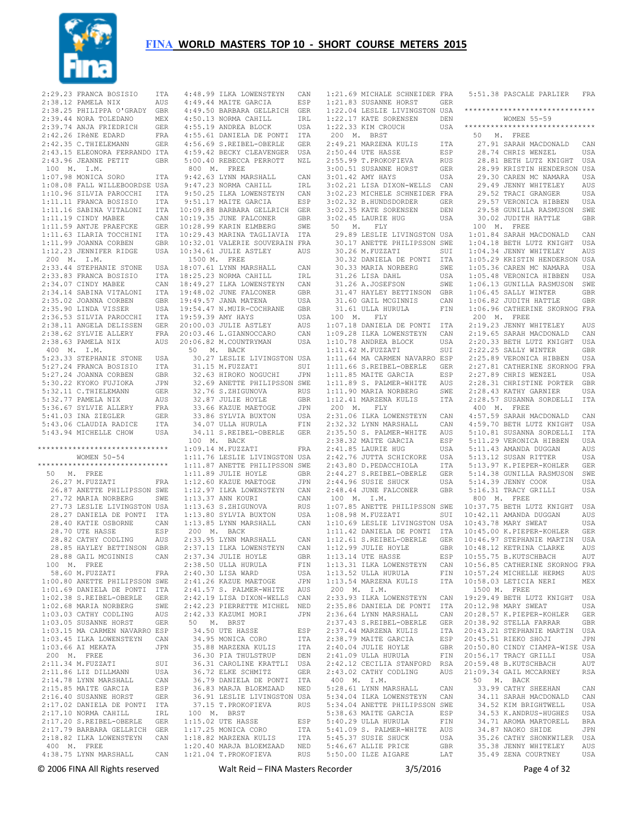

|             | 2:29.23 FRANCA BOSISIO         | ITA          | 4:48.9               |
|-------------|--------------------------------|--------------|----------------------|
|             | 2:38.12 PAMELA NIX             | AUS          | 4:49.4               |
|             | 2:38.25 PHILIPPA O'GRADY       | GBR          | 4:49.5               |
|             |                                |              |                      |
|             | 2:39.44 NORA TOLEDANO          | MEX          | 4:50.1               |
|             | 2:39.74 ANJA FRIEDRICH         | GER          | 4:55.1               |
|             | 2:42.26 IRÈNE EDARD            | FRA          | 4:55.6               |
|             | 2:42.35 C. THIELEMANN          | ${\tt GER}$  | 4:56.6               |
|             | 2:43.15 ELEONORA FERRANDO ITA  |              | 4:59.4               |
| 2:43.96     | JEANNE PETIT                   | GBR          | 5:00.4               |
| 100 M.      | I.M.                           |              | 800 I                |
|             | 1:07.98 MONICA SORO            | ITA          | 9:42.6               |
|             |                                |              |                      |
|             | 1:08.08 FALL WILLEBOORDSE      | USA          | 9:47.2               |
|             | 1:10.96 SILVIA PAROCCHI        | ITA          | 9:50.2               |
|             | 1:11.11 FRANCA BOSISIO         | ITA          | 9:51.1               |
|             | 1:11.16 SABINA VITALONI        | ITA          | 10:09.8              |
|             | 1:11.19 CINDY MABEE            | CAN          | 10:19.3              |
|             | 1:11.59 ANTJE PRAEFCKE         | GER          | 10:28.9              |
|             | 1:11.63 ILARIA TOCCHINI        | ITA          | 10:29.4              |
|             | 1:11.99 JOANNA CORBEN          | GBR          | 10:32.01             |
|             |                                |              |                      |
|             | 1:12.23 JENNIFER RIDGE         | USA          | 10:34.6              |
| 200 M. I.M. |                                |              | 1500 I               |
|             | 2:33.44 STEPHANIE STONE        | USA          | 18:07.6              |
|             | 2:33.83 FRANCA BOSISIO         | ITA          | 18:25.2              |
|             | 2:34.07 CINDY MABEE            | CAN          | 18:49.2              |
|             | 2:34.14 SABINA VITALONI        | ITA          | 19:48.03             |
| 2:35.02     | JOANNA CORBEN                  | <b>GBR</b>   | 19:49.5              |
|             | 2:35.90 LINDA VISSER           | USA          | 19:54.4              |
|             |                                |              |                      |
|             | 2:36.53 SILVIA PAROCCHI        | ITA          | 19:59.3              |
| 2:38.11     | ANGELA DELISSEN                | <b>GER</b>   | 20:00.01             |
|             | 2:38.62 SYLVIE ALLERY          | FRA          | 20:03.4              |
| 2:38.63     | PAMELA NIX                     | AUS          | 20:06.8              |
| 400 M. I.M. |                                |              | 50<br>$\blacksquare$ |
|             | 5:23.33 STEPHANIE STONE        | USA          | 30.2'                |
|             | 5:27.24 FRANCA BOSISIO         | ITA          | 31.1                 |
|             |                                |              |                      |
|             | 5:27.24 JOANNA CORBEN          | GBR          | 32.6                 |
|             | 5:30.22 KYOKO FUJIOKA          | JPN          | 32.6                 |
|             | 5:32.11 C.THIELEMANN           | GER          | 32.7                 |
|             | 5:32.77 PAMELA NIX             | AUS          | 32.8'                |
|             | 5:36.67 SYLVIE ALLERY          | FRA          | 33.6                 |
|             | 5:41.03 INA ZIEGLER            | GER          | 33.8                 |
|             | 5:43.06 CLAUDIA RADICE         | ITA          | 34.0                 |
|             | 5:43.94 MICHELLE CHOW          | USA          | 34.1                 |
|             |                                |              |                      |
|             | ****************************** |              | 100 I                |
|             |                                |              | 1:09.1               |
|             | WOMEN 50-54                    |              | 1:11.7               |
|             | *****************************  |              | 1:11.8               |
| 50 M.       | FREE                           |              | 1:11.8               |
|             | 26.27 M.FUZZATI                | FRA          | 1:12.6               |
|             | 26.87 ANETTE PHILIPSSON SWE    |              | 1:12.9               |
|             | 27.72 MARIA NORBERG            | SWE          | 1:13.3               |
|             |                                |              |                      |
|             | 27.73 LESLIE LIVINGSTON USA    |              | 1:13.6               |
|             | 28.27 DANIELA DE PONTI         | ITA          | 1:13.8               |
|             | 28.40 KATIE OSBORNE            | CAN          | 1:13.8               |
|             | 28.70 UTE HASSE                | ESP          | 200 <sub>1</sub>     |
|             | 28.82 CATHY CODLING            | AUS          | 2:33.9               |
|             | 28.85 HAYLEY BETTINSON         | GBR          | 2:37.1               |
|             | 28.88 GAIL MCGINNIS            | CAN          | 2:37.3               |
|             | 100 M. FREE                    |              | 2:38.5               |
|             | 58.60 M.FUZZATI                | FRA          | 2:40.3               |
|             |                                |              |                      |
|             | 1:00.80 ANETTE PHILIPSSON      | SWE          | 2:41.2               |
|             | 1:01.69 DANIELA DE PONTI       | ITA          | 2:41.5               |
|             | 1:02.38 S.REIBEL-OBERLE        | GER          | 2:42.1               |
|             | 1:02.68 MARIA NORBERG          | SWE          | 2:42.2               |
|             | 1:03.03 CATHY CODLING          | AUS          | 2:42.3               |
|             | 1:03.05 SUSANNE HORST          | GER          | 50 I                 |
|             | 1:03.15 MA CARMEN NAVARRO ESP  |              | 34.5                 |
|             |                                |              | 34.9                 |
|             | 1:03.45 ILKA LOWENSTEYN        | CAN          |                      |
|             | 1:03.66 AI MEKATA              | JPN          | 35.81                |
|             | 200 M. FREE                    |              | 36.31                |
|             | 2:11.34 M.FUZZATI              | SUI          | 36.31                |
|             | 2:11.86 LIZ DILLMANN           | USA          | 36.7                 |
|             | 2:14.78 LYNN MARSHALL          | $_{\rm CAN}$ | 36.7                 |
|             | 2:15.85 MAITE GARCIA           | ESP          | 36.8                 |
|             | 2:16.40 SUSANNE HORST          | GER          | 36.9                 |
|             |                                |              | 37.1                 |
|             | 2:17.02 DANIELA DE PONTI       | ITA          |                      |
|             | 2:17.10 NORMA CAHILL           | IRL          | 100 I                |
|             | 2:17.20 S.REIBEL-OBERLE GER    |              | 1:15.0               |
|             | 2:17.79 BARBARA GELLRICH       | GER          | 1:17.2               |
|             | 2:18.82 ILKA LOWENSTEYN CAN    |              | 1:18.8               |
| 400 M.      | FREE                           |              | 1:20.4               |
|             | 4:38.75 LYNN MARSHALL CAN      |              | 1:21.0               |
|             |                                |              |                      |

| 4:48.99 ILKA LOWENSTEYN                                                                                 | CAN        |
|---------------------------------------------------------------------------------------------------------|------------|
| 4:49.44 MAITE GARCIA                                                                                    |            |
|                                                                                                         | ESP        |
| 4:49.50 BARBARA GELLRICH GER                                                                            |            |
| 4:50.13 NORMA CAHILL                                                                                    | IRL        |
| 4:55.19 ANDREA BLOCK                                                                                    | USA        |
| 4:33.19 ANDREA BLOCK 05A<br>4:55.61 DANIELA DE PONTI ITA                                                |            |
|                                                                                                         |            |
| 4:56.69 S.REIBEL-OBERLE                                                                                 | GER        |
| 4:59.42 BECKY CLEAVENGER                                                                                | USA        |
| 5:00.40 REBECCA PERROTT NZL                                                                             |            |
| 800 M. FREE                                                                                             |            |
|                                                                                                         |            |
| $9:42.63$ LYNN MARSHALL                                                                                 | CAN        |
| 9:47.23 NORMA CAHILL                                                                                    | IRL        |
| 9:50.25 ILKA LOWENSTEYN                                                                                 | CAN        |
| 9:51.17 MAITE GARCIA                                                                                    | ESP        |
|                                                                                                         |            |
| 10:09.88 BARBARA GELLRICH GER                                                                           |            |
| 10:19.35 JUNE FALCONER                                                                                  | GBR        |
| 10:28.99 KARIN ELMBERG                                                                                  | SWE        |
| 10:29.43 MARINA TAGLIAVIA                                                                               | ITA        |
| 10:32.01 VALERIE SOUVERAIN FRA                                                                          |            |
|                                                                                                         |            |
| 10:34.61 JULIE ASTLEY                                                                                   | AUS        |
| 1500 M. FREE                                                                                            |            |
| 18:07.61 LYNN MARSHALL                                                                                  | CAN        |
| 18:25.23 NORMA CAHILL                                                                                   | IRL        |
|                                                                                                         |            |
| 18:49.27 ILKA LOWENSTEYN<br>19:48.02 JUNE FALCONER<br>19:48.02 JUNE FALCONER                            | CAN        |
|                                                                                                         | GBR        |
| 19:49.57 JANA MATENA                                                                                    | USA        |
| 19:54.47 N.MUIR-COCHRANE                                                                                | GBR        |
| 19:59.39 AMY HAYS                                                                                       | <b>USA</b> |
|                                                                                                         |            |
| 20:00.03 JULIE ASTLEY                                                                                   | AUS        |
|                                                                                                         | CAN        |
| 20:03.46 L.GIANNOCCARO<br>20:06.82 M.COUNTRYMAN                                                         | USA        |
| 50 M. BACK                                                                                              |            |
|                                                                                                         |            |
| 30.27 LESLIE LIVINGSTON USA                                                                             |            |
| 31.15 M.FUZZATI                                                                                         | SUI        |
| 32.63 HIROKO NOGUCHI                                                                                    | JPN        |
| 32.69 ANETTE PHILIPSSON SWE                                                                             |            |
|                                                                                                         |            |
| 32.76 S.ZHIGUNOVA<br>32.87 JULIE HOYLE                                                                  | RUS        |
|                                                                                                         | GBR        |
| 33.66 KAZUE MAETOGE                                                                                     | JPN        |
| 33.86 SYLVIA BUXTON<br>24.07 ULLA UUPULA                                                                | USA        |
|                                                                                                         |            |
|                                                                                                         |            |
| 34.07 ULLA HURULA                                                                                       | FIN        |
| 34.11 S.REIBEL-OBERLE                                                                                   | GER        |
|                                                                                                         |            |
| 100 M. BACK                                                                                             |            |
| 1:09.14 M.FUZZATI                                                                                       | FRA        |
|                                                                                                         |            |
|                                                                                                         |            |
| 1:11.76 LESLIE LIVINGSTON USA<br>1:11.87 ANETTE PHILIPSSON SWE                                          | GBR        |
| 1:11.89 JULIE HOYLE                                                                                     |            |
| 1:12.60 KAZUE MAETOGE                                                                                   | JPN        |
|                                                                                                         |            |
| $\begin{tabular}{llll} 1:12.97 & ILKA & LOWENSTEYN & CAN \\ 1:13.37 & ANN KOURI & CAN \\ \end{tabular}$ |            |
|                                                                                                         | RUS        |
| 1:13.63 S.ZHIGUNOVA<br>1:13.80 SYLVIA BUXTON                                                            | USA        |
|                                                                                                         |            |
| $1:13.85$ LYNN MARSHALL                                                                                 | CAN        |
| 200 M. BACK                                                                                             |            |
| 2:33.95 LYNN MARSHALL                                                                                   | CAN        |
|                                                                                                         | CAN        |
| 2:37.13 ILKA LOWENSTEYN<br>2:37.34 JUKA LOWENSTEYN<br>2:37.34 JULIE HOYLE                               | GBR        |
|                                                                                                         |            |
| 2:38.50 ULLA HURULA                                                                                     | FIN        |
| 2:40.30 LISA WARD                                                                                       | USA        |
| 2:41.26 KAZUE MAETOGE                                                                                   | JPN        |
| 2:41.57 S. PALMER-WHITE                                                                                 | AUS        |
| 2:42.19 LISA DIXON-WELLS                                                                                | CAN        |
|                                                                                                         |            |
| 2:42.23 PIERRETTE MICHEL                                                                                | NED        |
| 2:42.33 KAZUMI MORI                                                                                     | JPN        |
| 50 M. BRST                                                                                              |            |
| 34.50 UTE HASSE                                                                                         | ESP        |
| 34.95 MONICA CORO                                                                                       | ITA        |
|                                                                                                         |            |
| 35.88 MARZENA KULIS                                                                                     | ITA        |
| 36.30 PIA THULSTRUP                                                                                     | DEN        |
| 36.31 CAROLINE KRATTLI                                                                                  | USA        |
| 36.72 ELKE SCHMITZ                                                                                      | <b>GER</b> |
|                                                                                                         |            |
| 36.79 DANIELA DE PONTI                                                                                  | ITA        |
| 36.83 MARJA BLOEMZAAD                                                                                   | NED        |
| 36.91 LESLIE LIVINGSTON USA                                                                             |            |
| 37.15 T. PROKOFIEVA                                                                                     | <b>RUS</b> |
|                                                                                                         |            |
| 100 M. BRST                                                                                             |            |
| 1:15.02 UTE HASSE                                                                                       | ESP        |
| 1:17.25 MONICA CORO                                                                                     | ITA        |
| 1:18.82 MARZENA KULIS                                                                                   | ITA        |
| 1:20.40 MARJA BLOEMZAAD<br>1:21.04 T.PROKOFIEVA                                                         | NED        |

|                | 1:21.69 MICHALE SCHNEIDER FRA |                             | 5:51.3    |
|----------------|-------------------------------|-----------------------------|-----------|
|                | 1:21.83 SUSANNE HORST         | GER                         |           |
|                | 1:22.04 LESLIE LIVINGSTON USA |                             | *******   |
|                | 1:22.17 KATE SORENSEN         | $\mathop{\rm DEN}\nolimits$ |           |
|                |                               |                             | *******   |
|                | 1:22.33 KIM CROUCH            | USA                         |           |
| 200 M.         | <b>BRST</b>                   |                             | 50 1      |
| 2:49.21        | MARZENA KULIS                 | ITA                         | 27.9      |
|                | 2:50.44 UTE HASSE             | ESP                         | 28.7      |
|                | 2:55.99 T.PROKOFIEVA          | RUS                         | 28.8      |
| 3:00.51        | SUSANNE HORST                 | GER                         | 28.9      |
|                | 3:01.42 AMY HAYS              | USA                         | 29.3      |
|                |                               |                             |           |
|                | 3:02.21 LISA DIXON-WELLS      | CAN                         | 29.4      |
|                | 3:02.23 MICHELE SCHNEIDER FRA |                             | 29.5      |
|                | 3:02.32 B.HUNDSDORDER         | GER                         | 29.5      |
|                | 3:02.35 KATE SORENSEN         | DEN                         | 29.5      |
| 3:02.45        | LAURIE<br>HUG                 | USA                         | 30.0      |
| 50 M.          | FLY                           |                             | 100 1     |
|                | 29.89 LESLIE LIVINGSTON USA   |                             | 1:01.8    |
|                |                               |                             |           |
|                | 30.17 ANETTE PHILIPSSON SWE   |                             | 1:04.1    |
|                | 30.26 M.FUZZATI               | SUI                         | 1:04.3    |
|                | 30.32 DANIELA DE PONTI        | ITA                         | 1:05.2    |
|                | 30.33 MARIA NORBERG           | SWE                         | 1:05.3    |
|                | 31.26 LISA DAHL               | USA                         | 1:05.4    |
|                | 31.26 A.JOSEFSON              | SWE                         | 1:06.1    |
|                |                               |                             |           |
|                | 31.47 HAYLEY BETTINSON        | GBR                         | 1:06.4    |
|                | 31.60 GAIL MCGINNIS           | CAN                         | 1:06.8    |
|                | 31.61 ULLA HURULA             | FIN                         | 1:06.9    |
| 100 M. FLY     |                               |                             | $200$ 1   |
|                | 1:07.18 DANIELA DE PONTI      | ITA                         | 2:19.2    |
|                | 1:09.28 ILKA LOWENSTEYN       | CAN                         | 2:19.6    |
|                | 1:10.78 ANDREA BLOCK          | USA                         | 2:20.3    |
|                | 1:11.42 M.FUZZATI             |                             | 2:22.2    |
|                |                               | SUI                         |           |
|                | 1:11.64 MA CARMEN NAVARRO ESP |                             | 2:25.8    |
|                | 1:11.66 S.REIBEL-OBERLE       | GER                         | 2:27.8    |
|                | 1:11.85 MAITE GARCIA          | ESP                         | 2:27.8    |
|                | 1:11.89 S. PALMER-WHITE       | AUS                         | 2:28.3    |
|                | 1:11.90 MARIA NORBERG         | SWE                         | 2:28.4    |
|                | 1:12.41 MARZENA KULIS         | ITA                         | 2:28.5    |
| 200 M. FLY     |                               |                             | 400 1     |
|                | 2:31.06 ILKA LOWENSTEYN       | CAN                         | 4:57.5    |
|                | 2:32.32 LYNN MARSHALL         | CAN                         | 4:59.7    |
|                | 2:35.50 S. PALMER-WHITE       | AUS                         | 5:10.8    |
|                | 2:38.32 MAITE GARCIA          | ESP                         | 5:11.2    |
| 2:41.85        | LAURIE HUG                    | USA                         | 5:11.4    |
|                | 2:42.76 JUTTA SCHICKORE       | USA                         | 5:13.1    |
|                | 2:43.80 D.PEDACCHIOLA         | ITA                         | 5:13.9    |
| 2:44.27        | S.REIBEL-OBERLE               |                             | 5:14.3    |
|                |                               | GER                         |           |
| 2:44.96        | SUSIE SHUCK                   | USA                         | 5:14.3    |
| 2:48.44        | JUNE FALCONER                 | GBR                         | 5:16.3    |
| 100 M.         | I.M.                          |                             | 800 1     |
|                | 1:07.85 ANETTE PHILIPSSON SWE |                             | 10:37.7   |
|                | 1:08.98 M.FUZZATI             | SUI                         | 10:42.1   |
|                | 1:10.69 LESLIE LIVINGSTON USA |                             | 10:43.7   |
|                | 1:11.42 DANIELA DE PONTI      | ITA                         | 10:45.0   |
|                | 1:12.61 S.REIBEL-OBERLE       | GER                         | 10:46.9   |
|                | 1:12.99 JULIE HOYLE           | GBR                         | 10:48.1   |
|                | $1:13.14$ UTE HASSE           |                             |           |
|                |                               | ESP                         | 10:55.7   |
| 1:13.31        | ILKA LOWENSTEYN               | CAN                         | 10:56.8   |
|                | 1:13.52 ULLA HURULA           | FIN                         | 10:57.2   |
| 1:13.54        | MARZENA KULIS                 | ITA                         | 10:58.0   |
| 200 M. I.M.    |                               |                             | 1500 1    |
|                | 2:33.93 ILKA LOWENSTEYN       | CAN                         | 19:29.4   |
|                | 2:35.86 DANIELA DE PONTI      | ITA                         | 20:12.9   |
|                | 2:36.64 LYNN MARSHALL         | CAN                         | 20:28.5   |
|                | 2:37.43 S.REIBEL-OBERLE       | GER                         | 20:38.9   |
|                | 2:37.44 MARZENA KULIS         | ITA                         | 20:43.2   |
|                | 2:38.79 MAITE GARCIA          | ESP                         | 20:45.5   |
|                | 2:40.04 JULIE HOYLE           | GBR                         | 20:50.8   |
|                | 2:41.09 ULLA HURULA           | FIN                         | 20:56.1   |
|                |                               |                             | 20:59.4   |
|                | 2:42.12 CECILIA STANFORD      | RSA                         |           |
|                | 2:43.02 CATHY CODLING         | AUS                         | 21:09.3   |
| 400 M.         | I.M.                          |                             | 50<br>- 1 |
|                | 5:28.61 LYNN MARSHALL         | CAN                         | 33.9      |
|                | 5:34.04 ILKA LOWENSTEYN       | CAN                         | 34.1      |
| 5:34.04 ANETTE | PHILIPSSON SWE                |                             | 34.5      |
|                | 5:38.63 MAITE GARCIA          | ESP                         | 34.5      |
|                | 5:40.29 ULLA HURULA           | FIN                         | 34.7      |
|                | 5:41.09 S. PALMER-WHITE       | AUS                         | 34.8      |
|                | 5:45.37 SUSIE SHUCK           | USA                         | 35.2      |
|                |                               |                             |           |
|                |                               |                             |           |
|                | 5:46.67 ALLIE PRICE           | GBR                         | 35.3      |
|                | 5:50.00 ILZE AIGARE           | LAT                         | 35.4      |

| 2:29.23 FRANCA BOSISIO                                | ITA               |                   | 4:48.99 ILKA LOWENSTEYN                              | CAN               |             | 1:21.69 MICHALE SCHNEIDER FRA                       |                   | 5:51.38 PASCALE PARLIER                                 | FRA               |
|-------------------------------------------------------|-------------------|-------------------|------------------------------------------------------|-------------------|-------------|-----------------------------------------------------|-------------------|---------------------------------------------------------|-------------------|
| 2:38.12 PAMELA NIX                                    | AUS               |                   | 4:49.44 MAITE GARCIA                                 | ESP               |             | 1:21.83 SUSANNE HORST                               | <b>GER</b>        |                                                         |                   |
| 2:38.25 PHILIPPA O'GRADY                              | <b>GBR</b>        |                   | 4:49.50 BARBARA GELLRICH                             | GER               |             | 1:22.04 LESLIE LIVINGSTON USA                       |                   | ******************************                          |                   |
| 2:39.44 NORA TOLEDANO<br>2:39.74 ANJA FRIEDRICH       | MEX               |                   | 4:50.13 NORMA CAHILL                                 | IRL               |             | 1:22.17 KATE SORENSEN                               | DEN               | WOMEN 55-59<br>******************************           |                   |
| 2:42.26 IRÈNE EDARD                                   | <b>GER</b><br>FRA |                   | 4:55.19 ANDREA BLOCK<br>4:55.61 DANIELA DE PONTI     | USA<br>ITA        |             | 1:22.33 KIM CROUCH<br>200 M. BRST                   | USA               | M. FREE<br>50                                           |                   |
| 2:42.35 C. THIELEMANN                                 | <b>GER</b>        |                   | 4:56.69 S.REIBEL-OBERLE                              | <b>GER</b>        |             | 2:49.21 MARZENA KULIS                               | ITA               | 27.91 SARAH MACDONALD                                   | CAN               |
| 2:43.15 ELEONORA FERRANDO ITA                         |                   |                   | 4:59.42 BECKY CLEAVENGER                             | USA               |             | 2:50.44 UTE HASSE                                   | ESP               | 28.74 CHRIS WENZEL                                      | USA               |
| 2:43.96 JEANNE PETIT                                  | <b>GBR</b>        |                   | 5:00.40 REBECCA PERROTT                              | NZL               |             | 2:55.99 T.PROKOFIEVA                                | <b>RUS</b>        | 28.81 BETH LUTZ KNIGHT                                  | USA               |
| 100 M. I.M.<br>1:07.98 MONICA SORO                    | ITA               | 800 M. FREE       | 9:42.63 LYNN MARSHALL                                | CAN               |             | 3:00.51 SUSANNE HORST<br>3:01.42 AMY HAYS           | <b>GER</b><br>USA | 28.99 KRISTIN HENDERSON USA<br>29.30 CAREN MC NAMARA    | USA               |
| 1:08.08 FALL WILLEBOORDSE USA                         |                   |                   | 9:47.23 NORMA CAHILL                                 | IRL               |             | 3:02.21 LISA DIXON-WELLS                            | CAN               | 29.49 JENNY WHITELEY                                    | AUS               |
| 1:10.96 SILVIA PAROCCHI                               | ITA               |                   | 9:50.25 ILKA LOWENSTEYN                              | CAN               |             | 3:02.23 MICHELE SCHNEIDER FRA                       |                   | 29.52 TRACI GRANGER                                     | USA               |
| 1:11.11 FRANCA BOSISIO                                | ITA               |                   | 9:51.17 MAITE GARCIA                                 | ESP               |             | 3:02.32 B.HUNDSDORDER                               | <b>GER</b>        | 29.57 VERONICA HIBBEN                                   | <b>USA</b>        |
| 1:11.16 SABINA VITALONI                               | ITA               |                   | 10:09.88 BARBARA GELLRICH                            | GER               |             | 3:02.35 KATE SORENSEN                               | DEN               | 29.58 GUNILLA RASMUSON                                  | SWE               |
| 1:11.19 CINDY MABEE<br>1:11.59 ANTJE PRAEFCKE         | CAN<br><b>GER</b> |                   | 10:19.35 JUNE FALCONER<br>10:28.99 KARIN ELMBERG     | GBR<br>SWE        | 50<br>М.    | 3:02.45 LAURIE HUG<br>FLY                           | USA               | 30.02 JUDITH HATTLE<br>100 M. FREE                      | <b>GBR</b>        |
| 1:11.63 ILARIA TOCCHINI                               | ITA               |                   | 10:29.43 MARINA TAGLIAVIA                            | ITA               |             | 29.89 LESLIE LIVINGSTON USA                         |                   | 1:01.84 SARAH MACDONALD                                 | CAN               |
| 1:11.99 JOANNA CORBEN                                 | <b>GBR</b>        |                   | 10:32.01 VALERIE SOUVERAIN FRA                       |                   |             | 30.17 ANETTE PHILIPSSON SWE                         |                   | 1:04.18 BETH LUTZ KNIGHT                                | USA               |
| 1:12.23 JENNIFER RIDGE                                | USA               |                   | 10:34.61 JULIE ASTLEY                                | AUS               |             | 30.26 M.FUZZATI                                     | SUI               | 1:04.34 JENNY WHITELEY                                  | AUS               |
| 200 M. I.M.                                           |                   | 1500 M. FREE      |                                                      |                   |             | 30.32 DANIELA DE PONTI                              | ITA               | 1:05.29 KRISTIN HENDERSON USA                           |                   |
| 2:33.44 STEPHANIE STONE<br>2:33.83 FRANCA BOSISIO     | USA<br>ITA        |                   | 18:07.61 LYNN MARSHALL<br>18:25.23 NORMA CAHILL      | CAN<br>IRL        |             | 30.33 MARIA NORBERG<br>31.26 LISA DAHL              | SWE<br>USA        | 1:05.36 CAREN MC NAMARA<br>1:05.48 VERONICA HIBBEN      | USA<br>USA        |
| 2:34.07 CINDY MABEE                                   | CAN               |                   | 18:49.27 ILKA LOWENSTEYN                             | CAN               |             | 31.26 A.JOSEFSON                                    | SWE               | 1:06.13 GUNILLA RASMUSON                                | SWE               |
| 2:34.14 SABINA VITALONI                               | ITA               |                   | 19:48.02 JUNE FALCONER                               | GBR               |             | 31.47 HAYLEY BETTINSON                              | <b>GBR</b>        | 1:06.45 SALLY WINTER                                    | <b>GBR</b>        |
| 2:35.02 JOANNA CORBEN                                 | <b>GBR</b>        |                   | 19:49.57 JANA MATENA                                 | USA               |             | 31.60 GAIL MCGINNIS                                 | CAN               | 1:06.82 JUDITH HATTLE                                   | <b>GBR</b>        |
| 2:35.90 LINDA VISSER                                  | USA               |                   | 19:54.47 N.MUIR-COCHRANE                             | <b>GBR</b>        |             | 31.61 ULLA HURULA                                   | FIN               | 1:06.96 CATHERINE SKORNOG FRA                           |                   |
| 2:36.53 SILVIA PAROCCHI<br>2:38.11 ANGELA DELISSEN    | ITA               | 19:59.39 AMY HAYS |                                                      | USA               | 100 M.      | FLY                                                 |                   | 200 M. FREE                                             |                   |
| 2:38.62 SYLVIE ALLERY                                 | <b>GER</b><br>FRA |                   | 20:00.03 JULIE ASTLEY<br>20:03.46 L.GIANNOCCARO      | AUS<br>CAN        |             | 1:07.18 DANIELA DE PONTI<br>1:09.28 ILKA LOWENSTEYN | ITA<br>CAN        | 2:19.23 JENNY WHITELEY<br>2:19.65 SARAH MACDONALD       | AUS<br>CAN        |
| 2:38.63 PAMELA NIX                                    | AUS               |                   | 20:06.82 M.COUNTRYMAN                                | USA               |             | 1:10.78 ANDREA BLOCK                                | USA               | 2:20.33 BETH LUTZ KNIGHT                                | USA               |
| 400 M. I.M.                                           |                   | 50                | M. BACK                                              |                   |             | 1:11.42 M. FUZZATI                                  | SUI               | 2:22.25 SALLY WINTER                                    | <b>GBR</b>        |
| 5:23.33 STEPHANIE STONE                               | USA               |                   | 30.27 LESLIE LIVINGSTON USA                          |                   |             | 1:11.64 MA CARMEN NAVARRO ESP                       |                   | 2:25.89 VERONICA HIBBEN                                 | USA               |
| 5:27.24 FRANCA BOSISIO                                | ITA               |                   | 31.15 M.FUZZATI                                      | SUI               |             | 1:11.66 S.REIBEL-OBERLE                             | <b>GER</b>        | 2:27.81 CATHERINE SKORNOG FRA                           |                   |
| 5:27.24 JOANNA CORBEN<br>5:30.22 KYOKO FUJIOKA        | <b>GBR</b><br>JPN |                   | 32.63 HIROKO NOGUCHI<br>32.69 ANETTE PHILIPSSON SWE  | JPN               |             | 1:11.85 MAITE GARCIA<br>1:11.89 S. PALMER-WHITE     | ESP<br>AUS        | 2:27.89 CHRIS WENZEL<br>2:28.31 CHRISTINE PORTER        | USA<br><b>GBR</b> |
| 5:32.11 C. THIELEMANN                                 | <b>GER</b>        |                   | 32.76 S.ZHIGUNOVA                                    | <b>RUS</b>        |             | 1:11.90 MARIA NORBERG                               | SWE               | 2:28.43 KATHY GARNIER                                   | <b>USA</b>        |
| 5:32.77 PAMELA NIX                                    | AUS               |                   | 32.87 JULIE HOYLE                                    | <b>GBR</b>        |             | 1:12.41 MARZENA KULIS                               | ITA               | 2:28.57 SUSANNA SORDELLI                                | ITA               |
| 5:36.67 SYLVIE ALLERY                                 | FRA               |                   | 33.66 KAZUE MAETOGE                                  | JPN               | 200 M.      | FLY                                                 |                   | 400 M. FREE                                             |                   |
| 5:41.03 INA ZIEGLER<br>5:43.06 CLAUDIA RADICE         | GER<br>ITA        |                   | 33.86 SYLVIA BUXTON<br>34.07 ULLA HURULA             | USA<br>FIN        |             | 2:31.06 ILKA LOWENSTEYN<br>2:32.32 LYNN MARSHALL    | CAN<br>CAN        | 4:57.59 SARAH MACDONALD<br>4:59.70 BETH LUTZ KNIGHT     | CAN<br>USA        |
| 5:43.94 MICHELLE CHOW                                 | USA               |                   | 34.11 S.REIBEL-OBERLE                                | <b>GER</b>        |             | 2:35.50 S. PALMER-WHITE                             | AUS               | 5:10.81 SUSANNA SORDELLI                                | ITA               |
|                                                       |                   |                   | 100 M. BACK                                          |                   |             | 2:38.32 MAITE GARCIA                                | ESP               | 5:11.29 VERONICA HIBBEN                                 | USA               |
| ******************************                        |                   |                   | 1:09.14 M.FUZZATI                                    | FRA               |             | 2:41.85 LAURIE HUG                                  | USA               | 5:11.43 AMANDA DUGGAN                                   | AUS               |
| WOMEN $50-54$                                         |                   |                   | 1:11.76 LESLIE LIVINGSTON USA                        |                   |             | 2:42.76 JUTTA SCHICKORE                             | USA               | 5:13.12 SUSAN RITTER                                    | <b>USA</b>        |
| ******************************<br>50 M. FREE          |                   |                   | 1:11.87 ANETTE PHILIPSSON SWE<br>1:11.89 JULIE HOYLE | GBR               |             | 2:43.80 D.PEDACCHIOLA<br>2:44.27 S.REIBEL-OBERLE    | ITA<br>GER        | 5:13.97 K.PIEPER-KOHLER<br>5:14.38 GUNILLA RASMUSON     | <b>GER</b><br>SWE |
| 26.27 M.FUZZATI                                       | FRA               |                   | 1:12.60 KAZUE MAETOGE                                | JPN               |             | 2:44.96 SUSIE SHUCK                                 | USA               | 5:14.39 JENNY COOK                                      | <b>USA</b>        |
| 26.87 ANETTE PHILIPSSON SWE                           |                   |                   | 1:12.97 ILKA LOWENSTEYN                              | CAN               |             | 2:48.44 JUNE FALCONER                               | <b>GBR</b>        | 5:16.31 TRACY GRILLI                                    | USA               |
| 27.72 MARIA NORBERG                                   | SWE               |                   | 1:13.37 ANN KOURI                                    | CAN               | 100 M. I.M. |                                                     |                   | 800 M. FREE                                             |                   |
| 27.73 LESLIE LIVINGSTON USA<br>28.27 DANIELA DE PONTI | ITA               |                   | 1:13.63 S.ZHIGUNOVA<br>1:13.80 SYLVIA BUXTON         | <b>RUS</b><br>USA |             | 1:07.85 ANETTE PHILIPSSON SWE<br>1:08.98 M. FUZZATI | SUI               | 10:37.75 BETH LUTZ KNIGHT<br>10:42.11 AMANDA DUGGAN     | USA<br>AUS        |
| 28.40 KATIE OSBORNE                                   | CAN               |                   | 1:13.85 LYNN MARSHALL                                | CAN               |             | 1:10.69 LESLIE LIVINGSTON USA                       |                   | 10:43.78 MARY SWEAT                                     | USA               |
| 28.70 UTE HASSE                                       | ESP               | 200 M. BACK       |                                                      |                   |             | 1:11.42 DANIELA DE PONTI ITA                        |                   | 10:45.00 K.PIEPER-KOHLER                                | <b>GER</b>        |
| 28.82 CATHY CODLING                                   | AUS               |                   | 2:33.95 LYNN MARSHALL                                | CAN               |             | 1:12.61 S.REIBEL-OBERLE                             | <b>GER</b>        | 10:46.97 STEPHANIE MARTIN                               | USA               |
| 28.85 HAYLEY BETTINSON                                | GBR               |                   | 2:37.13 ILKA LOWENSTEYN                              | CAN               |             | 1:12.99 JULIE HOYLE                                 | <b>GBR</b>        | 10:48.12 KETRINA CLARKE                                 | AUS               |
| 28.88 GAIL MCGINNIS<br>100 M. FREE                    | CAN               |                   | 2:37.34 JULIE HOYLE<br>2:38.50 ULLA HURULA           | GBR<br>FIN        |             | 1:13.14 UTE HASSE<br>1:13.31 ILKA LOWENSTEYN        | ESP<br>CAN        | 10:55.75 B.KUTSCHBACH<br>10:56.85 CATHERINE SKORNOG FRA | AUT               |
| 58.60 M.FUZZATI                                       | FRA               |                   | 2:40.30 LISA WARD                                    | USA               |             | 1:13.52 ULLA HURULA                                 | FIN               | 10:57.24 MICHELLE HERMS                                 | AUS               |
| 1:00.80 ANETTE PHILIPSSON SWE                         |                   |                   | 2:41.26 KAZUE MAETOGE                                | JPN               |             | 1:13.54 MARZENA KULIS                               | ITA               | 10:58.03 LETICIA NERI                                   | MEX               |
| 1:01.69 DANIELA DE PONTI                              | ITA               |                   | 2:41.57 S. PALMER-WHITE                              | AUS               | 200 M. I.M. |                                                     |                   | 1500 M. FREE                                            |                   |
| 1:02.38 S.REIBEL-OBERLE<br>1:02.68 MARIA NORBERG      | <b>GER</b><br>SWE |                   | 2:42.19 LISA DIXON-WELLS<br>2:42.23 PIERRETTE MICHEL | CAN<br>NED        |             | 2:33.93 ILKA LOWENSTEYN<br>2:35.86 DANIELA DE PONTI | CAN<br>ITA        | 19:29.49 BETH LUTZ KNIGHT<br>20:12.98 MARY SWEAT        | USA<br>USA        |
| 1:03.03 CATHY CODLING                                 | AUS               |                   | 2:42.33 KAZUMI MORI                                  | JPN               |             | 2:36.64 LYNN MARSHALL                               | CAN               | 20:28.57 K.PIEPER-KOHLER                                | GER               |
| 1:03.05 SUSANNE HORST                                 | <b>GER</b>        | 50 M. BRST        |                                                      |                   |             | 2:37.43 S.REIBEL-OBERLE                             | GER               | 20:38.92 STELLA FARRAR                                  | GBR               |
| 1:03.15 MA CARMEN NAVARRO ESP                         |                   |                   | 34.50 UTE HASSE                                      | ESP               |             | 2:37.44 MARZENA KULIS                               | ITA               | 20:43.21 STEPHANIE MARTIN                               | USA               |
| 1:03.45 ILKA LOWENSTEYN                               | CAN               |                   | 34.95 MONICA CORO                                    | ITA               |             | 2:38.79 MAITE GARCIA<br>2:40.04 JULIE HOYLE         | ESP               | 20:45.51 RIEKO SHOJI                                    | JPN               |
| 1:03.66 AI MEKATA<br>200 M. FREE                      | JPN               |                   | 35.88 MARZENA KULIS<br>36.30 PIA THULSTRUP           | ITA<br>DEN        |             | 2:41.09 ULLA HURULA                                 | GBR<br>FIN        | 20:50.80 CINDY CIAMPA-WISE USA<br>20:56.17 TRACY GRILLI | USA               |
| 2:11.34 M. FUZZATI                                    | SUI               |                   | 36.31 CAROLINE KRATTLI                               | USA               |             | 2:42.12 CECILIA STANFORD                            | RSA               | 20:59.48 B.KUTSCHBACH                                   | AUT               |
| 2:11.86 LIZ DILLMANN                                  | USA               |                   | 36.72 ELKE SCHMITZ                                   | GER               |             | 2:43.02 CATHY CODLING                               | AUS               | 21:09.34 GAIL MCCARNEY                                  | <b>RSA</b>        |
| 2:14.78 LYNN MARSHALL                                 | CAN               |                   | 36.79 DANIELA DE PONTI                               | ITA               | 400 M. I.M. |                                                     |                   | 50 M. BACK                                              |                   |
| 2:15.85 MAITE GARCIA<br>2:16.40 SUSANNE HORST         | ESP<br>GER        |                   | 36.83 MARJA BLOEMZAAD<br>36.91 LESLIE LIVINGSTON USA | NED               |             | 5:28.61 LYNN MARSHALL<br>5:34.04 ILKA LOWENSTEYN    | CAN<br>CAN        | 33.99 CATHY SHEEHAN<br>34.11 SARAH MACDONALD            | CAN<br>CAN        |
| 2:17.02 DANIELA DE PONTI                              | ITA               |                   | 37.15 T.PROKOFIEVA                                   | <b>RUS</b>        |             | 5:34.04 ANETTE PHILIPSSON SWE                       |                   | 34.52 KIM BRIGHTWELL                                    | USA               |
| 2:17.10 NORMA CAHILL                                  | IRL               | 100 M. BRST       |                                                      |                   |             | 5:38.63 MAITE GARCIA                                | ESP               | 34.53 K.ANDRUS-HUGHES                                   | USA               |
| 2:17.20 S.REIBEL-OBERLE                               | GER               |                   | 1:15.02 UTE HASSE                                    | ESP               |             | 5:40.29 ULLA HURULA                                 | FIN               | 34.71 AROMA MARTORELL                                   | BRA               |
| 2:17.79 BARBARA GELLRICH<br>2:18.82 ILKA LOWENSTEYN   | GER               |                   | 1:17.25 MONICA CORO<br>1:18.82 MARZENA KULIS         | ITA               |             | 5:41.09 S. PALMER-WHITE<br>5:45.37 SUSIE SHUCK      | AUS               | 34.87 NAOKO SHIDE<br>35.26 CATHY SHONKWILER             | JPN               |
| 400 M. FREE                                           | CAN               |                   | 1:20.40 MARJA BLOEMZAAD                              | ITA<br>NED        |             | 5:46.67 ALLIE PRICE                                 | USA<br>GBR        | 35.38 JENNY WHITELEY                                    | USA<br>AUS        |
| 4:38.75 LYNN MARSHALL                                 | CAN               |                   | 1:21.04 T.PROKOFIEVA                                 | <b>RUS</b>        |             | 5:50.00 ILZE AIGARE                                 | LAT               | 35.49 ZENA COURTNEY                                     | USA               |
| © 2006 FINA All Rights reserved                       |                   |                   | Walt Reid - FINA Masters Recorder                    |                   |             | 3/5/2016                                            |                   | Page 4 of 32                                            |                   |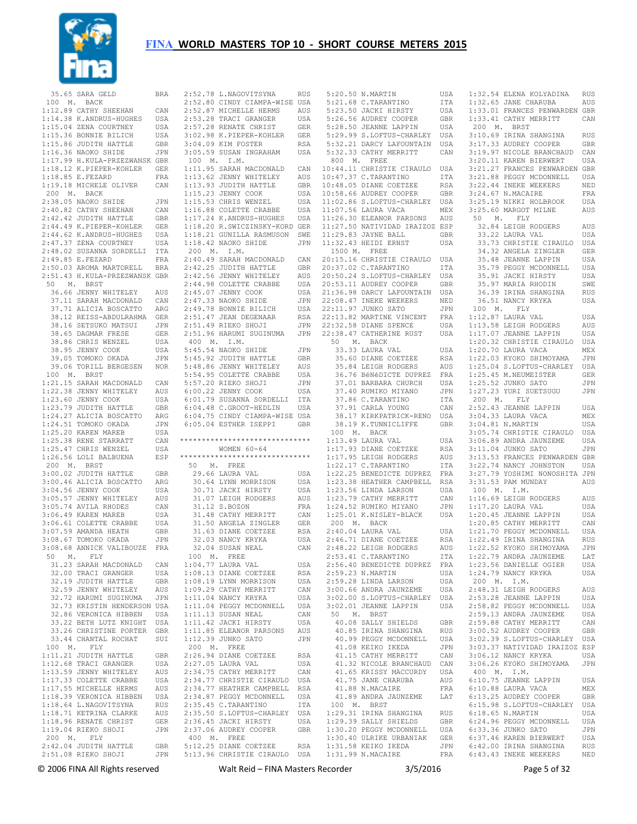

| 35.65 SARA GELD               | <b>BRA</b> | 2:52.78 L.NAGOVITSYNA          | <b>RUS</b> |                       | 5:20.50 N.MARTIN                                                                                          | USA        |
|-------------------------------|------------|--------------------------------|------------|-----------------------|-----------------------------------------------------------------------------------------------------------|------------|
| 100<br>M. BACK                |            | 2:52.80 CINDY CIAMPA-WISE USA  |            |                       | 5:21.68 C. TARANTINO                                                                                      | ITA        |
| 1:12.89 CATHY SHEEHAN         | CAN        | 2:52.87 MICHELLE HERMS         | AUS        |                       | 5:23.50 JACKI HIRSTY                                                                                      | USA        |
| 1:14.38 K.ANDRUS-HUGHES       | USA        | 2:53.28 TRACI GRANGER          | USA        |                       | 5:26.56 AUDREY COOPER                                                                                     | <b>GBR</b> |
|                               |            |                                |            |                       |                                                                                                           |            |
| 1:15.04 ZENA COURTNEY         | USA        | 2:57.28 RENATE CHRIST          | GER        |                       | 5:28.50 JEANNE LAPPIN                                                                                     | USA        |
| 1:15.36 BONNIE BILICH         | USA        | 3:02.98 K.PIEPER-KOHLER        | GER        |                       | 5:29.99 S.LOFTUS-CHARLEY                                                                                  | USA        |
| 1:15.86 JUDITH HATTLE         | GBR        | 3:04.09 KIM FOSTER             | RSA        |                       | 5:32.21 DARCY LAFOUNTAIN                                                                                  | USA        |
| 1:16.36 NAOKO SHIDE           |            | 3:05.59 SUSAN INGRAHAM         |            |                       | 5:32.33 CATHY MERRITT                                                                                     |            |
|                               | JPN        |                                | USA        |                       |                                                                                                           | CAN        |
| 1:17.99 H.KULA-PRZEZWANSK GBR |            | 100<br>M <sub>z</sub><br>I.M.  |            | 800<br>M <sub>z</sub> | FREE                                                                                                      |            |
| 1:18.12 K.PIEPER-KOHLER       | <b>GER</b> | 1:11.95 SARAH MACDONALD        | CAN        |                       | 10:44.11 CHRISTIE CIRAULO                                                                                 | USA        |
| 1:18.85 E.FEZARD              | FRA        | 1:13.62 JENNY WHITELEY         | AUS        |                       | 10:47.37 C. TARANTINO                                                                                     | ITA        |
|                               |            |                                |            |                       |                                                                                                           |            |
| 1:19.18 MICHELE OLIVER        | CAN        | 1:13.93 JUDITH HATTLE          | GBR        |                       | 10:48.05 DIANE COETZEE                                                                                    | RSA        |
| 200 M.<br>BACK                |            | 1:15.23 JENNY COOK             | USA        |                       | 10:58.66 AUDREY COOPER                                                                                    | <b>GBR</b> |
| 2:38.05 NAOKO SHIDE           | JPN        | 1:15.53 CHRIS WENZEL           | USA        |                       | 11:02.86 S.LOFTUS-CHARLEY                                                                                 | USA        |
| 2:40.82 CATHY SHEEHAN         | CAN        | 1:16.88 COLETTE CRABBE         | USA        |                       | 11:07.56 LAURA VACA                                                                                       | MEX        |
|                               |            |                                |            |                       |                                                                                                           |            |
| 2:42.42 JUDITH HATTLE         | <b>GBR</b> | 1:17.24 K.ANDRUS-HUGHES        | USA        |                       | 11:26.30 ELEANOR PARSONS                                                                                  | AUS        |
| 2:44.49 K.PIEPER-KOHLER       | GER        | 1:18.20 R.SWICZINSKY-KORD GER  |            |                       | 11:27.50 NATIVIDAD IRAIZOZ ESP                                                                            |            |
| 2:44.62 K.ANDRUS-HUGHES       | USA        | 1:18.21 GUNILLA RASMUSON       | SWE        |                       | 11:29.83 JAYNE BALL                                                                                       | GBR        |
| 2:47.37 ZENA COURTNEY         | USA        | 1:18.42 NAOKO SHIDE            | JPN        |                       | 11:32.43 HEIDI ERNST                                                                                      | USA        |
|                               |            |                                |            |                       |                                                                                                           |            |
| 2:48.02 SUSANNA SORDELLI      | ITA        | 200 M.<br>I.M.                 |            | 1500 M.               | FREE                                                                                                      |            |
| 2:49.85 E.FEZARD              | FRA        | 2:40.49 SARAH MACDONALD        | CAN        |                       | 20:15.16 CHRISTIE CIRAULO                                                                                 | USA        |
| 2:50.03 AROMA MARTORELL       | <b>BRA</b> | 2:42.25 JUDITH HATTLE          | GBR        |                       | 20:37.02 C. TARANTINO                                                                                     | ITA        |
| 2:51.43 H.KULA-PRZEZWANSK GBR |            | 2:42.56 JENNY WHITELEY         | AUS        |                       | 20:50.24 S.LOFTUS-CHARLEY                                                                                 | USA        |
| 50<br>Μ.<br>BRST              |            | 2:44.98 COLETTE CRABBE         |            |                       |                                                                                                           | GBR        |
|                               |            |                                | USA        |                       | 20:53.11 AUDREY COOPER                                                                                    |            |
| 36.66 JENNY WHITELEY          | AUS        | 2:45.07 JENNY COOK             | USA        |                       | 21:36.98 DARCY LAFOUNTAIN                                                                                 | USA        |
| 37.11 SARAH MACDONALD         | CAN        | 2:47.33 NAOKO SHIDE            | JPN        |                       | 22:08.47 INEKE WEEKERS                                                                                    | NED        |
| 37.71 ALICIA BOSCATTO         | ARG        | 2:49.78 BONNIE BILICH          | USA        |                       | 22:11.97 JUNKO SATO                                                                                       | JPN        |
| 38.12 REISS-ABDULRAHMA        | <b>GER</b> | 2:51.47 JEAN DEGENAAR          | RSA        |                       | 22:13.82 MARTINE VINCENT                                                                                  | FRA        |
|                               |            |                                |            |                       |                                                                                                           |            |
| 38.16 SETSUKO MATSUI          | JPN        | 2:51.49 RIEKO SHOJI            | JPN        |                       | 22:32.58 DIANE SPENCE                                                                                     | USA        |
| 38.65 DAGMAR FRESE            | <b>GER</b> | 2:51.96 HARUMI SUGINUMA        | JPN        |                       | 22:38.47 CATHERINE RUST                                                                                   | USA        |
| 38.86 CHRIS WENZEL            | USA        | 400 M.<br>I.M.                 |            | 50                    | M. BACK                                                                                                   |            |
| 38.95 JENNY COOK              | USA        | 5:45.54 NAOKO SHIDE            | JPN        |                       | 33.33 LAURA VAL                                                                                           | USA        |
|                               |            |                                |            |                       |                                                                                                           |            |
| 39.05 TOMOKO OKADA            | JPN        | 5:45.92 JUDITH HATTLE          | GBR        |                       | 35.60 DIANE COETZEE                                                                                       | <b>RSA</b> |
| 39.06 TORILL BERGESEN         | <b>NOR</b> | 5:48.86 JENNY WHITELEY         | AUS        |                       | 35.84 LEIGH RODGERS                                                                                       | AUS        |
| 100 M.<br><b>BRST</b>         |            | 5:54.95 COLETTE CRABBE         | USA        |                       | 36.76 BéNéDICTE DUPREZ                                                                                    | FRA        |
| 1:21.15 SARAH MACDONALD       | CAN        | 5:57.20 RIEKO SHOJI            | JPN        |                       | 37.01 BARBARA CHURCH                                                                                      | USA        |
|                               |            |                                |            |                       |                                                                                                           |            |
| 1:22.38 JENNY WHITELEY        | AUS        | 6:00.22 JENNY COOK             | USA        |                       | 37.40 RUMIKO MIYANO                                                                                       | JPN        |
| 1:23.60 JENNY COOK            | USA        | 6:01.79 SUSANNA SORDELLI       | ITA        |                       | 37.86 C. TARANTINO                                                                                        | ITA        |
| 1:23.79 JUDITH HATTLE         | GBR        | 6:04.48 C.GROOT-HEDLIN         | USA        |                       | 37.91 CARLA YOUNG                                                                                         | CAN        |
| 1:24.27 ALICIA BOSCATTO       | ARG        | 6:04.75 CINDY CIAMPA-WISE USA  |            |                       | 38.17 KIRKPATRICK-RENO                                                                                    | USA        |
|                               |            |                                |            |                       |                                                                                                           |            |
|                               |            |                                |            |                       |                                                                                                           |            |
| 1:24.51 TOMOKO OKADA          | JPN        | 6:05.04 ESTHER ISEPPI          | GBR        |                       | 38.19 K.TUNNICLIFFE                                                                                       | <b>GBR</b> |
| 1:25.20 KAREN MAREB           | USA        |                                |            | 100 M.                | <b>BACK</b>                                                                                               |            |
| 1:25.38 RENE STARRATT         | CAN        | ****************************** |            |                       | 1:13.49 LAURA VAL                                                                                         | USA        |
|                               |            |                                |            |                       |                                                                                                           |            |
| 1:25.47 CHRIS WENZEL          | USA        | WOMEN $60 - 64$                |            |                       | 1:17.93 DIANE COETZEE                                                                                     | <b>RSA</b> |
| 1:26.56 LOLI BALBUENA         | ESP        | ****************************** |            |                       | 1:17.95 LEIGH RODGERS                                                                                     | AUS        |
| 200 M. BRST                   |            | 50<br>FREE<br>Μ.               |            |                       | $1:22.17$ C. TARANTINO                                                                                    | ITA        |
| 3:00.02 JUDITH HATTLE         | <b>GBR</b> | 29.66 LAURA VAL                | USA        |                       | 1:22.25 BENEDICTE DUPREZ                                                                                  | FRA        |
|                               | ARG        |                                |            |                       | 1:23.38 HEATHER CAMPBELL                                                                                  |            |
| 3:00.46 ALICIA BOSCATTO       |            | 30.64 LYNN MORRISON            | USA        |                       |                                                                                                           | <b>RSA</b> |
| 3:04.56 JENNY COOK            | USA        | 30.71 JACKI HIRSTY             | USA        |                       | 1:23.56 LINDA LARSON                                                                                      | USA        |
| 3:05.57 JENNY WHITELEY        | AUS        | 31.07 LEIGH RODGERS            | AUS        |                       | 1:23.79 CATHY MERRITT                                                                                     | CAN        |
| 3:05.74 AVILA RHODES          | CAN        | 31.12 S.BOZON                  | FRA        |                       | 1:24.52 RUMIKO MIYANO                                                                                     | JPN        |
| 3:06.49 KAREN MAREB           | USA        | 31.48 CATHY MERRITT            | CAN        |                       | 1:25.01 K.NISLEY-BLACK                                                                                    | USA        |
|                               |            |                                |            |                       |                                                                                                           |            |
| 3:06.61 COLETTE CRABBE        | USA        | 31.50 ANGELA ZINGLER           | GER        | 200<br>Μ.             | <b>BACK</b>                                                                                               |            |
| 3:07.59 AMANDA HEATH          | GBR        | 31.63 DIANE COETZEE            | RSA        |                       | 2:40.04 LAURA VAL                                                                                         | USA        |
| 3:08.67 TOMOKO OKADA          | JPN        | 32.03 NANCY KRYKA              | USA        |                       | 2:46.71 DIANE COETZEE                                                                                     | <b>RSA</b> |
| 3:08.68 ANNICK VALIBOUZE      | FRA        | 32.04 SUSAN NEAL               | CAN        |                       | 2:48.22 LEIGH RODGERS                                                                                     | AUS        |
| 50 M. FLY                     |            | 100 M. FREE                    |            |                       | 2:53.41 C.TARANTINO                                                                                       | ITA        |
|                               |            |                                |            |                       |                                                                                                           |            |
| 31.23 SARAH MACDONALD         | CAN        | 1:04.77 LAURA VAL              | USA        |                       | 2:56.40 BENEDICTE DUPREZ FRA                                                                              |            |
| 32.00 TRACI GRANGER USA       |            | 1:08.13 DIANE COETZEE          | RSA        |                       | 2:59.23 N.MARTIN                                                                                          | USA        |
| 32.19 JUDITH HATTLE           | GBR        | 1:08.19 LYNN MORRISON          | USA        |                       | 2:59.28 LINDA LARSON                                                                                      | USA        |
| 32.59 JENNY WHITELEY          | AUS        | 1:09.29 CATHY MERRITT          | CAN        |                       | 3:00.66 ANDRA JAUNZEME                                                                                    | USA        |
| 32.72 HARUMI SUGINUMA         | JPN        | 1:11.04 NANCY KRYKA            |            |                       | 3:02.00 S.LOFTUS-CHARLEY                                                                                  | USA        |
|                               |            |                                | USA        |                       |                                                                                                           |            |
| 32.73 KRISTIN HENDERSON USA   |            | 1:11.04 PEGGY MCDONNELL        | USA        |                       | 3:02.01 JEANNE LAPPIN                                                                                     | USA        |
| 32.86 VERONICA HIBBEN         | USA        | 1:11.13 SUSAN NEAL             | CAN        | 50 M. BRST            |                                                                                                           |            |
| 33.22 BETH LUTZ KNIGHT USA    |            | 1:11.42 JACKI HIRSTY           | USA        |                       | 40.08 SALLY SHIELDS                                                                                       | GBR        |
| 33.26 CHRISTINE PORTER GBR    |            | 1:11.85 ELEANOR PARSONS        | AUS        |                       | 40.85 IRINA SHANGINA                                                                                      | RUS        |
|                               |            |                                |            |                       | 40.99 PEGGY MCDONNELL                                                                                     |            |
| 33.44 CHANTAL ROCHAT          | SUI        | 1:12.39 JUNKO SATO             | JPN        |                       |                                                                                                           | USA        |
| 100 M. FLY                    |            | 200 M. FREE                    |            |                       | 41.08 KEIKO IKEDA                                                                                         | JPN        |
| 1:11.21 JUDITH HATTLE         | GBR        | 2:26.94 DIANE COETZEE          | RSA        |                       |                                                                                                           |            |
| 1:12.68 TRACI GRANGER         | USA        | 2:27.05 LAURA VAL              | USA        |                       |                                                                                                           |            |
| 1:13.59 JENNY WHITELEY        | AUS        | 2:34.75 CATHY MERRITT          | CAN        |                       |                                                                                                           |            |
|                               |            |                                |            |                       | 41.15 CATHY MERRITT LAN 41.32 NICOLE BRANCHAUD CAN 41.65 KRISSY MACCURDY USA<br>41.65 KRISSY MACCURDY USA |            |
| 1:17.33 COLETTE CRABBE        | USA        | 2:34.77 CHRISTIE CIRAULO USA   |            |                       | 41.75 JANE CHARUBA                                                                                        | AUS        |
| 1:17.55 MICHELLE HERMS        | AUS        | 2:34.77 HEATHER CAMPBELL RSA   |            |                       | 41.88 N.MACAIRE                                                                                           | FRA        |
| 1:18.39 VERONICA HIBBEN USA   |            | 2:34.87 PEGGY MCDONNELL        | USA        |                       | 41.89 ANDRA JAUNZEME                                                                                      | LAT        |
| 1:18.64 L.NAGOVITSYNA         | RUS        | 2:35.45 C.TARANTINO            | ITA        | 100 M. BRST           |                                                                                                           |            |
|                               |            |                                |            |                       |                                                                                                           |            |
| 1:18.71 KETRINA CLARKE        | AUS        | 2:35.50 S.LOFTUS-CHARLEY USA   |            |                       | 1:29.31 IRINA SHANGINA                                                                                    | RUS        |
| 1:18.96 RENATE CHRIST         | GER        | 2:36.45 JACKI HIRSTY           | USA        |                       | 1:29.39 SALLY SHIELDS                                                                                     | GBR        |
| 1:19.04 RIEKO SHOJI           | JPN        | 2:37.06 AUDREY COOPER          | GBR        |                       | 1:30.20 PEGGY MCDONNELL                                                                                   | USA        |
| 200 M. FLY                    |            | 400 M. FREE                    |            |                       | 1:30.40 ULRIKE URBANIAK                                                                                   | GER        |
| 2:42.04 JUDITH HATTLE GBR     |            | 5:12.25 DIANE COETZEE          | RSA        |                       | 1:31.58 KEIKO IKEDA                                                                                       | JPN        |

| 2:52.78 L.NAGOVITSYNA                                                                                                                                                         | RUS                         |
|-------------------------------------------------------------------------------------------------------------------------------------------------------------------------------|-----------------------------|
| 2:52.80 CINDY CIAMPA-WISE USA                                                                                                                                                 |                             |
|                                                                                                                                                                               | AUS                         |
|                                                                                                                                                                               |                             |
|                                                                                                                                                                               | USA                         |
|                                                                                                                                                                               | GER                         |
|                                                                                                                                                                               | GER                         |
| 2:52.87 MICHELLE HERMS<br>2:53.28 TRACI GRANGER<br>2:57.28 RENATE CHRIST<br>3:02.98 K.PIEPER-KOHLER<br>202.98 K.PIEPER-KOHLER                                                 |                             |
| 3:04.09 KIM FOSTER                                                                                                                                                            | <b>RSA</b>                  |
| 3:05.59 SUSAN INGRAHAM                                                                                                                                                        | USA                         |
| 100 M. I.M.                                                                                                                                                                   |                             |
| 1:11.95 SARAH MACDONALD<br>1:13.62 JENNY WHITELEY<br>1:13.93 JUDITH HATTLE<br>1:15.23 JENNY COOK                                                                              | CAN                         |
|                                                                                                                                                                               |                             |
|                                                                                                                                                                               | AUS                         |
|                                                                                                                                                                               | GBR                         |
| 1:15.23 JENNY COOK                                                                                                                                                            | USA                         |
| 1:15.53 CHRIS WENZEL                                                                                                                                                          | USA                         |
|                                                                                                                                                                               |                             |
| 1:16.88 COLETTE CRABBE                                                                                                                                                        | USA                         |
| 1:17.24 K.ANDRUS-HUGHES USA<br>1:18.20 R.SWICZINSKY-KORD GER                                                                                                                  |                             |
|                                                                                                                                                                               |                             |
| 1:18.21 GUNILLA RASMUSON                                                                                                                                                      | SWE                         |
|                                                                                                                                                                               |                             |
| 1:18.42 NAOKO SHIDE                                                                                                                                                           | JPN                         |
| 200 M. I.M.                                                                                                                                                                   |                             |
|                                                                                                                                                                               | CAN                         |
| 2:40.49 SARAH MACDONALD<br>2:42.25 JUDITH HATTLE<br>2:42.25 JUDITH HATTLE                                                                                                     | GBR                         |
|                                                                                                                                                                               |                             |
| 2:42.56 JENNY WHITELEY                                                                                                                                                        | AUS                         |
| 2:44.98 COLETTE CRABBE                                                                                                                                                        | USA                         |
| 2:45.07 JENNY COOK                                                                                                                                                            | USA                         |
| 2:47.33 NAOKO SHIDE<br>2:49.78 BONNIE BILICH                                                                                                                                  | JPN                         |
|                                                                                                                                                                               | USA                         |
|                                                                                                                                                                               |                             |
|                                                                                                                                                                               | RSA                         |
| 2:51.47 JEAN DEGENAAR<br>2:51.49 RIEKO SHOJI                                                                                                                                  | $\mathtt{JPN}$              |
| 2:51.96 HARUMI SUGINUMA                                                                                                                                                       | JPN                         |
|                                                                                                                                                                               |                             |
| 400 M. I.M.                                                                                                                                                                   |                             |
| 5:45.54 NAOKO SHIDE<br>5:45.92 JUDITH HATTLE                                                                                                                                  | JPN                         |
|                                                                                                                                                                               | GBR                         |
| 5:48.86 JENNY WHITELEY                                                                                                                                                        | AUS                         |
| 5:54.95 COLETTE CRABBE                                                                                                                                                        | USA                         |
| 5:54.53 CODD----<br>5:57.20 RIEKO SHOJI<br>------- COOK                                                                                                                       |                             |
|                                                                                                                                                                               | <b>JPN</b>                  |
| 6:00.22 JENNY COOK                                                                                                                                                            | USA                         |
| 6:01.79 SUSANNA SORDELLI ITA<br>6:04.48 C.GROOT-HEDLIN USA                                                                                                                    |                             |
|                                                                                                                                                                               |                             |
| 6:04.75 CINDY CIAMPA-WISE USA                                                                                                                                                 |                             |
|                                                                                                                                                                               |                             |
|                                                                                                                                                                               |                             |
| 6:05.04 ESTHER ISEPPI                                                                                                                                                         | GBR                         |
|                                                                                                                                                                               |                             |
| ******************************                                                                                                                                                |                             |
|                                                                                                                                                                               |                             |
| WOMEN 60-64                                                                                                                                                                   |                             |
| ******************************                                                                                                                                                |                             |
| 50 M. FREE                                                                                                                                                                    |                             |
| 29.66 LAURA VAL                                                                                                                                                               | USA                         |
|                                                                                                                                                                               | USA                         |
| 30.64 LYNN MORRISON                                                                                                                                                           |                             |
|                                                                                                                                                                               | USA                         |
|                                                                                                                                                                               | AUS                         |
| 30.71 JACKI HIRSTY<br>31.07 LEIGH RODGERS<br>31.12 S.BOZON                                                                                                                    | FRA                         |
| 31.48 CATHY MERRITT                                                                                                                                                           | CAN                         |
|                                                                                                                                                                               |                             |
|                                                                                                                                                                               | GER                         |
|                                                                                                                                                                               | RSA                         |
| 31.50 ANGELA ZINGLER<br>31.63 DIANE COETZEE<br>32.03 NANCY KRYKA                                                                                                              | USA                         |
| 32.04 SUSAN NEAL                                                                                                                                                              | CAN                         |
|                                                                                                                                                                               |                             |
| 100 M. FREE                                                                                                                                                                   |                             |
|                                                                                                                                                                               | USA                         |
| 1:04.77 LAURA VAL<br>1:08.13 DIANE COETZEE                                                                                                                                    | RSA                         |
| 1:08.19 LYNN MORRISON                                                                                                                                                         | USA                         |
| 1:09.29 CATHY MERRITT                                                                                                                                                         | CAN                         |
|                                                                                                                                                                               |                             |
| $1:11.04$ NANCY KRYKA                                                                                                                                                         | USA                         |
|                                                                                                                                                                               | USA                         |
| 1:11.04 PEGGY MCDONNELL<br>1:11.13 SUSAN NEAL                                                                                                                                 | CAN                         |
| 1:11.42 JACKI HIRSTY                                                                                                                                                          | USA                         |
|                                                                                                                                                                               |                             |
| 1:11.85 ELEANOR PARSONS                                                                                                                                                       | $\mathop{\rm AUS}\nolimits$ |
| 1:12.39 JUNKO SATO                                                                                                                                                            | JPN                         |
| 200 M. FREE                                                                                                                                                                   |                             |
|                                                                                                                                                                               | RSA                         |
|                                                                                                                                                                               | USA                         |
| 2:26.94 DIANE COETZEE<br>2:27.05 LAURA VAL                                                                                                                                    |                             |
|                                                                                                                                                                               | CAN                         |
|                                                                                                                                                                               | USA                         |
|                                                                                                                                                                               | RSA                         |
|                                                                                                                                                                               | USA                         |
| 2:27.05 LAUKA VAL<br>2:34.75 CATHY MERRITT<br>2:34.77 CHRISTIE CIRAULO<br>2:34.87 HEATHER CAMPBELL<br>2:34.87 PEGGY MCDONNELL<br>34.87 PEGGY MCDONNELL<br>2:35.45 C.TARANTINO | ITA                         |
|                                                                                                                                                                               |                             |
| 2:35.50 S.LOFTUS-CHARLEY USA                                                                                                                                                  |                             |
| 2:36.45 JACKI HIRSTY                                                                                                                                                          | USA                         |
| 2:37.06 AUDREY COOPER                                                                                                                                                         | GBR                         |
| $400$ $\,$ M. $\,$ FREE<br>5:12.25 DIANE COETZEE                                                                                                                              |                             |

| 5:20.50 N.MARTIN                                                                                                   | USA         |
|--------------------------------------------------------------------------------------------------------------------|-------------|
|                                                                                                                    |             |
|                                                                                                                    | ITA         |
| 5:21.68 C.TARANTINO<br>5:23.50 JACKI HIRSTY                                                                        | USA         |
|                                                                                                                    |             |
| 5:26.56 AUDREY COOPER<br>5:28.50 JEANNE LAPPIN<br>5:28.50 JEANNE LAPPIN<br>5:29 99 0 10000                         | GBR         |
|                                                                                                                    | USA         |
|                                                                                                                    |             |
| 5:29.99 S.LOFTUS-CHARLEY                                                                                           | USA         |
| 5:32.21 DARCY LAFOUNTAIN                                                                                           | USA         |
|                                                                                                                    |             |
| 5:32.33 CATHY MERRITT                                                                                              | CAN         |
| 800 M. FREE                                                                                                        |             |
| 10:44.11 CHRISTIE CIRAULO                                                                                          |             |
|                                                                                                                    | USA         |
|                                                                                                                    | ITA         |
| 10:47.37 C.TARANTINO<br>10:48.05 DIANE COETZEE                                                                     | <b>RSA</b>  |
|                                                                                                                    |             |
| 10:58.66 AUDREY COOPER                                                                                             | GBR         |
|                                                                                                                    | USA         |
| 11:02.86 S.LOFTUS-CHARLEY<br>11:07.56 LAURA VACA                                                                   |             |
|                                                                                                                    | MEX         |
| 11:26.30 ELEANOR PARSONS                                                                                           | AUS         |
|                                                                                                                    |             |
| 11:27.50 NATIVIDAD IRAIZOZ ESP                                                                                     |             |
| 11:29.83 JAYNE BALL                                                                                                | <b>GBR</b>  |
|                                                                                                                    |             |
| 11:32.43 HEIDI ERNST                                                                                               | USA         |
| 1500 M. FREE                                                                                                       |             |
|                                                                                                                    |             |
| 20:15.16 CHRISTIE CIRAULO                                                                                          | USA         |
| 20:37.02 C.TARANTINO                                                                                               | ITA         |
|                                                                                                                    |             |
| 20:50.24 S.LOFTUS-CHARLEY USA                                                                                      |             |
| 20:53.11 AUDREY COOPER                                                                                             | GBR         |
|                                                                                                                    |             |
|                                                                                                                    | USA         |
|                                                                                                                    | NED         |
| 21:36.98 DARCY LAFOUNTAIN<br>22:08.47 INEKE WEEKERS<br>22:11.97 JUNKO SATO                                         |             |
|                                                                                                                    | JPN         |
|                                                                                                                    | FRA         |
| 22:13.82 MARTINE VINCENT<br>22:32.58 DIANE SPENCE                                                                  |             |
|                                                                                                                    | USA         |
| 22:38.47 CATHERINE RUST                                                                                            | USA         |
| 50 M. BACK                                                                                                         |             |
|                                                                                                                    |             |
| 33.33 LAURA VAL                                                                                                    | USA         |
|                                                                                                                    | RSA         |
| 35.60 DIANE COETZEE<br>35.84 LEIGH RODGERS                                                                         |             |
| 35.84 LEIGH RODGERS<br>36.76 BéNéDICTE DUPREZ<br>37.01 BARBARA CHURCH                                              | AUS         |
|                                                                                                                    | FRA         |
|                                                                                                                    |             |
|                                                                                                                    | USA         |
|                                                                                                                    | JPN         |
|                                                                                                                    | ITA         |
|                                                                                                                    |             |
|                                                                                                                    | CAN         |
| 37.40 RUMIKO MIYANO<br>37.86 C.TARANTINO<br>37.91 CARLA YOUNG<br>38.17 KIRKPATRICK-RENO                            | USA         |
| 38.19 K.TUNNICLIFFE                                                                                                | GBR         |
|                                                                                                                    |             |
| 100 M. BACK                                                                                                        |             |
| 1:13.49 LAURA VAL                                                                                                  | USA         |
| 1:17.93 DIANE COETZEE                                                                                              |             |
|                                                                                                                    | RSA         |
| 1:17.95 LEIGH RODGERS<br>1:22.17 C.TARANTINO                                                                       | AUS         |
|                                                                                                                    | ITA         |
|                                                                                                                    |             |
| 1:22.25 BENEDICTE DUPREZ                                                                                           | FRA         |
|                                                                                                                    |             |
|                                                                                                                    |             |
|                                                                                                                    |             |
|                                                                                                                    |             |
|                                                                                                                    |             |
| 1:23.38 HEATHER CAMPBELL RSA<br>1:23.56 LINDA LARSON USA<br>1:23.79 CATHY MERRITT CAN<br>1:24.52 RUMIKO MIYANO JPN |             |
| 1:25.01 K.NISLEY-BLACK                                                                                             | USA         |
| 200 M. BACK                                                                                                        |             |
|                                                                                                                    |             |
| 2:40.04 LAURA VAL<br>2:46.71 DIANE COETZEE                                                                         |             |
|                                                                                                                    | USA         |
|                                                                                                                    | <b>RSA</b>  |
| 2:48.22 LEIGH RODGERS                                                                                              |             |
| 2:53.41 C.TARANTINO                                                                                                | AUS         |
| 2:56.40 BENEDICTE DUPREZ                                                                                           | ITA         |
|                                                                                                                    |             |
|                                                                                                                    | FRA         |
|                                                                                                                    | USA         |
|                                                                                                                    |             |
|                                                                                                                    | USA         |
|                                                                                                                    | USA         |
| 2:59.23 N.MARTIN<br>2:59.28 LINDA LARSON<br>3:00.66 ANDRA JAUNZEME                                                 |             |
| $3:02.00$ S.LOFTUS-CHARLEY                                                                                         | USA         |
| 3:02.01 JEANNE LAPPIN                                                                                              | USA         |
| 50 M. BRST                                                                                                         |             |
|                                                                                                                    |             |
|                                                                                                                    | GBR         |
| 40.08 SALLY SHIELDS<br>40.85 IRINA SHANGINA                                                                        | RUS         |
|                                                                                                                    | USA         |
|                                                                                                                    |             |
| 40.99 PEGGY MCDONNELL<br>41.08 KEIKO IKEDA                                                                         | JPN         |
|                                                                                                                    | CAN         |
| 41.15 CATHY MERRITT                                                                                                |             |
| 41.32 NICOLE BRANCHAUD CAN                                                                                         |             |
| 41.65 KRISSY MACCURDY                                                                                              | USA         |
| 41.75 JANE CHARUBA                                                                                                 | AUS         |
|                                                                                                                    |             |
| 41.88 N.MACAIRE                                                                                                    | ${\rm FRA}$ |
| 41.89 ANDRA JAUNZEME                                                                                               | LAT         |
| 100 M. BRST                                                                                                        |             |
|                                                                                                                    |             |
|                                                                                                                    | RUS         |
| 1:29.31 IRINA SHANGINA<br>1:29.39 SALLY SHIELDS                                                                    | GBR         |
| 1:30.20 PEGGY MCDONNELL                                                                                            | USA         |

 1:30.20 PEGGY MCDONNELL USA 1:30.40 ULRIKE URBANIAK GER 1:31.58 KEIKO IKEDA JPN 6:37.46 KAREN BIERWERT USA 6:42.00 IRINA SHANGINA RUS 1:32.54 ELENA KOLYADINA RUS<br>1:32.65 JANE CHARUBA AUS  $1:32.65$  JANE CHARUBA 1:33.01 FRANCES PENWARDEN GBR 1:33.41 CATHY MERRITT CAN 200 M. BRST 3:10.69 IRINA SHANGINA RUS<br>3:17.33 AUDREY COOPER GBR 3:17.33 AUDREY COOPER 3:19.97 NICOLE BRANCHAUD CAN<br>3:20.11 KAREN BIERWERT USA 3:20.11 KAREN BIERWERT 3:21.27 FRANCES PENWARDEN GBR 3:21.88 PEGGY MCDONNELL USA 3:22.44 INEKE WEEKERS NED 3:24.67 N.MACAIRE FRA 3:25.19 NIKKI HOLBROOK USA 3:25.60 MARGOT MILNE AUS 50 M. FLY 32.84 LEIGH RODGERS AUS 33.22 LAURA VAL USA 33.73 CHRISTIE CIRAULO USA 34.32 ANGELA ZINGLER GER 35.48 JEANNE LAPPIN USA 35.79 PEGGY MCDONNELL USA<br>35.91 JACKI HIRSTY USA 35.91 JACKI HIRSTY 35.97 MARIA RHODIN SWE 36.39 IRINA SHANGINA RUS 36.51 NANCY KRYKA USA 100 M. FLY 1:12.87 LAURA VAL USA 1:13.58 LEIGH RODGERS AUS 1:17.07 JEANNE LAPPIN USA 1:20.32 CHRISTIE CIRAULO USA 1:20.70 LAURA VACA MEX<br>1:22.03 KYOKO SHIMOYAMA JPN 1:22.03 KYOKO SHIMOYAMA 1:25.04 S.LOFTUS-CHARLEY USA 1:25.45 M.NEUMEISTER GER 1:25.52 JUNKO SATO JPN 1:27.23 YURI SUETSUGU JPN 200 M. FLY 2:52.43 JEANNE LAPPIN USA 3:04.33 LAURA VACA MEX 3:04.81 N.MARTIN USA 3:05.74 CHRISTIE CIRAULO USA 3:06.89 ANDRA JAUNZEME USA 3:11.04 JUNKO SATO JPN 3:13.53 FRANCES PENWARDEN GBR 3:22.74 NANCY JOHNSTON USA 3:27.79 YOSHIMI NONOSHITA JPN 3:31.53 PAM MUNDAY AUS 100 M. I.M. 1:16.69 LEIGH RODGERS AUS 1:17.20 LAURA VAL USA 1:20.45 JEANNE LAPPIN USA 1:20.85 CATHY MERRITT CAN 1:21.70 PEGGY MCDONNELL USA 1:22.49 IRINA SHANGINA RUS 1:22.52 KYOKO SHIMOYAMA JPN 1:22.79 ANDRA JAUNZEME LAT 1:23.56 DANIELLE OGIER USA 1:24.79 NANCY KRYKA USA 200 M. I.M. 2:48.31 LEIGH RODGERS AUS 2:53.28 JEANNE LAPPIN USA 2:58.82 PEGGY MCDONNELL USA 2:59.13 ANDRA JAUNZEME USA 2:59.88 CATHY MERRITT CAN 3:00.52 AUDREY COOPER GBR 3:02.39 S.LOFTUS-CHARLEY USA 3:03.37 NATIVIDAD IRAIZOZ ESP 3:06.12 NANCY KRYKA USA 3:06.26 KYOKO SHIMOYAMA JPN 400 M. I.M. 6:10.75 JEANNE LAPPIN USA 6:10.88 LAURA VACA MEX 6:13.25 AUDREY COOPER GBR 6:15.98 S.LOFTUS-CHARLEY USA 6:18.65 N.MARTIN USA 6:24.96 PEGGY MCDONNELL USA 6:33.36 JUNKO SATO JPN 6:43.43 INEKE WEEKERS NED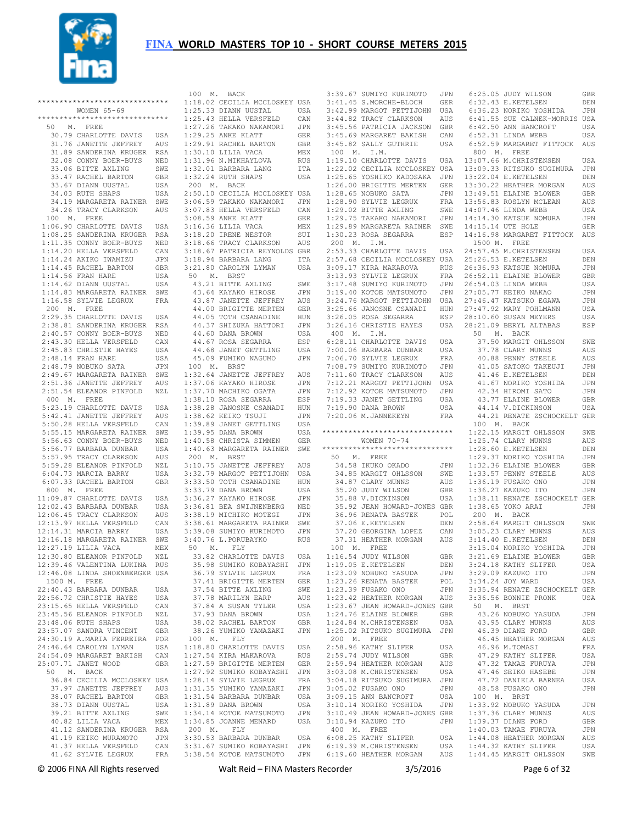

 \*\*\*\*\*\*\*\*\*\*\*\*\*\*\*\*\*\*\*\*\*\*\*\*\*\*\*\*\*\* 1:18.02 CECILIA MCCLOSKEY USA 3:41.45 S.MORCHE-BLOCH GER WOMEN 65-69 \*\*\*\*\*\*\*\*\*\*\*\*\*\*\*\*\*\*\*\*\*\*\*\*\*\*\*\*\*\* 50 M. FREE 30.79 CHARLOTTE DAVIS USA 31.76 JANETTE JEFFREY AUS 31.89 SANDERINA KRUGER RSA 32.08 CONNY BOER-BUYS NED 33.06 BITTE AXLING SWE 33.47 RACHEL BARTON GBR 33.67 DIANN UUSTAL USA 34.03 RUTH SHAPS USA 34.19 MARGARETA RAINER SWE 34.26 TRACY CLARKSON AUS 100 M. FREE 1:06.90 CHARLOTTE DAVIS USA 1:08.25 SANDERINA KRUGER RSA 1:11.35 CONNY BOER-BUYS NED 1:14.20 HELLA VERSFELD CAN 1:14.24 AKIKO IWAMIZU JPN 1:14.45 RACHEL BARTON GBR 1:14.56 FRAN HARE USA 1:14.62 DIANN UUSTAL USA 1:14.83 MARGARETA RAINER SWE 1:16.58 SYLVIE LEGRUX FRA 200 M. FREE 2:29.35 CHARLOTTE DAVIS USA 2:38.81 SANDERINA KRUGER RSA 2:40.57 CONNY BOER-BUYS NED 2:43.30 HELLA VERSFELD CAN 2:45.83 CHRISTIE HAYES USA 2:48.14 FRAN HARE USA 2:48.79 NOBUKO SATA JPN 2:49.67 MARGARETA RAINER SWE 2:51.36 JANETTE JEFFREY AUS 2:51.54 ELEANOR PINFOLD NZL 400 M. FREE 5:23.19 CHARLOTTE DAVIS USA 5:42.41 JANETTE JEFFREY AUS 5:50.28 HELLA VERSFELD CAN 5:55.15 MARGARETA RAINER SWE 5:56.63 CONNY BOER-BUYS NED 5:56.77 BARBARA DUNBAR USA 5:57.95 TRACY CLARKSON AUS 5:59.28 ELEANOR PINFOLD NZL 6:04.73 MARCIA BARRY USA 6:07.33 RACHEL BARTON GBR 800 M. FREE 11:09.87 CHARLOTTE DAVIS USA 12:02.43 BARBARA DUNBAR USA 12:06.45 TRACY CLARKSON AUS 12:13.97 HELLA VERSFELD CAN 12:14.31 MARCIA BARRY USA 12:16.18 MARGARETA RAINER SWE 12:27.19 LILIA VACA MEX 12:30.80 ELEANOR PINFOLD NZL 12:39.46 VALENTINA LUKINA RUS 12:46.08 LINDA SHOENBERGER USA 1500 M. FREE 22:40.43 BARBARA DUNBAR USA 22:56.72 CHRISTIE HAYES USA 23:15.65 HELLA VERSFELD CAN 23:45.56 ELEANOR PINFOLD NZL  $23 \cdot 48$  06 RUTH SHAPS USA 23:57.07 SANDRA VINCENT GBR 24:30.19 A.MARIA FERREIRA POR 24:46.64 CAROLYN LYMAN USA 24:54.09 MARGARET BAKISH CAN 25:07.71 JANET WOOD GBR 50 M. BACK 36.84 CECILIA MCCLOSKEY USA 37.97 JANETTE JEFFREY AUS 38.07 RACHEL BARTON GBR 38.73 DIANN UUSTAL USA 39.21 BITTE AXLING SWE 40.82 LILIA VACA MEX 41.12 SANDERINA KRUGER RSA 41.19 KEIKO MURAMOTO JPN 41.37 HELLA VERSFELD CAN

 100 M. BACK 1:25.33 DIANN UUSTAL USA 1:25.43 HELLA VERSFELD CAN 1:27.26 TAKAKO NAKAMORI JPN 1:29.25 ANKE KLATT GER<br>1:29.91 RACHEL BARTON GBR 1:29.91 RACHEL BARTON 1:30.10 LILIA VACA MEX<br>1:31.96 N.MIKHAYLOVA RUS  $1:31.96$  N.MIKHAYLOVA 1:32.01 BARBARA LANG ITA 1:32.24 RUTH SHAPS USA 200 M. BACK 2:50.10 CECILIA MCCLOSKEY USA 3:06.59 TAKAKO NAKAMORI JPN 3:07.83 HELLA VERSFELD CAN 3:08.59 ANKE KLATT GER 3:16.36 LILIA VACA MEX 3:18.20 IRENE NESTOR SUI 3:18.66 TRACY CLARKSON AUS 3:18.67 PATRICIA REYNOLDS GBR 3:18.94 BARBARA LANG ITA 3:21.80 CAROLYN LYMAN USA 50 M. BRST 43.21 BITTE AXLING SWE 43.64 KAYAKO HIROSE JPN 43.87 JANETTE JEFFREY AUS 44.00 BRIGITTE MERTEN GER 44.05 TOTH CSANADINE HUN 44.37 SHIZUKA HATTORI JPN 44.60 DANA BROWN USA 44.67 ROSA SEGARRA ESP 44.68 JANET GETTLING USA 45.09 FUMIKO NAGUMO JPN 100 M. BRST 1:32.64 JANETTE JEFFREY AUS 1:37.06 KAYAKO HIROSE JPN 1:37.70 MACHIKO OGATA JPN 1:38.10 ROSA SEGARRA ESP 1:38.28 JANOSNE CSANADI HUN 1:38.62 KEIKO TSUJI JPN 1:39.89 JANET GETTLING USA 1:39.95 DANA BROWN USA 1:40.58 CHRISTA SIMMEN GER 1:40.63 MARGARETA RAINER SWE 200 M. BRST 3:10.75 JANETTE JEFFREY AUS 3:32.79 MARGOT PETTIJOHN USA 3:33.50 TOTH CSANADINE HUN 3:33.79 DANA BROWN USA 3:36.27 KAYAKO HIROSE JPN 3:36.81 BEA SWIJNENBERG NED 3:38.19 MICHIKO MOTEGI JPN 3:38.61 MARGARETA RAINER SWE 3:39.08 SUMIYO KURIMOTO JPN 3:40.76 L.PORUBAYKO RUS 50 M. FLY 33.82 CHARLOTTE DAVIS USA 35.98 SUMIKO KOBAYASHI JPN 36.79 SYLVIE LEGRUX FRA 37.41 BRIGITTE MERTEN GER 37.54 BITTE AXLING SWE 37.78 MARILYN EARP AUS 37.84 A SUSAN TYLER USA 37.93 DANA BROWN USA 38.02 RACHEL BARTON GBR 38.26 YUMIKO YAMAZAKI JPN 100 M. FLY 1:18.80 CHARLOTTE DAVIS USA 1:27.54 KIRA MAKAROVA RUS 1:27.59 BRIGITTE MERTEN GER 1:27.92 SUMIKO KOBAYASHI JPN 1:28.14 SYLVIE LEGRUX FRA 1:31.35 YUMIKO YAMAZAKI JPN 1:31.54 BARBARA DUNBAR USA 1:31.89 DANA BROWN USA 1:34.14 KOTOE MATSUMOTO JPN 1:34.85 JOANNE MENARD USA 200 M. FLY 3:30.53 BARBARA DUNBAR USA 3:31.67 SUMIKO KOBAYASHI JPN

 41.62 SYLVIE LEGRUX FRA 3:38.54 KOTOE MATSUMOTO JPN 6:19.60 HEATHER MORGAN AUS 1:44.45 MARGIT OHLSSON SWE 3:39.67 SUMIYO KURIMOTO 3:42.99 MARGOT PETTIJOHN USA 3:44.82 TRACY CLARKSON AUS 3:45.56 PATRICIA JACKSON GBR 3:45.69 MARGARET BAKISH CAN 3:45.82 SALLY GUTHRIE USA 100 M. I.M. 1:19.10 CHARLOTTE DAVIS USA 1:22.02 CECILIA MCCLOSKEY USA 13:07.66 M.CHRISTENSEN USA 13:09.33 RITSUKO SUGIMURA JPN 1:25.65 YOSHIKO KADOSAKA JPN 1:26.00 BRIGITTE MERTEN GER  $1:28.65$  NOBUKO SATA  $1:28.90$  SYLVIE LEGRUX 1:29.02 BITTE AXLING SWE 1:29.75 TAKAKO NAKAMORI JPN 14:14.30 KATSUE NOMURA JPN 1:29.89 MARGARETA RAINER SWE 1:30.23 ROSA SEGARRA ESP 14:15.14 UTE HOLE GER 14:16.98 MARGARET FITTOCK AUS 200 M. I.M. 2:53.33 CHARLOTTE DAVIS USA 24:57.45 M.CHRISTENSEN USA 2:57.68 CECILIA MCCLOSKEY USA 3:09.17 KIRA MAKAROVA RUS 25:26.53 E.KETELSEN DEN 26:36.93 KATSUE NOMURA JPN 3:13.93 SYLVIE LEGRUX FRA 3:17.48 SUMIYO KURIMOTO 3:19.40 KOTOE MATSUMOTO JPN 27:05.77 KEIKO NAKAO JPN<br>3:24.76 MARGOT PETTIJOHN USA 27:46.47 KATSUKO EGAWA JPN 3:25.66 JANOSNE CSANADI HUN 3:26.05 ROSA SEGARRA ESP 3:26.16 CHRISTIE HAYES USA 28:21.09 BERYL ALTABAS ESP 400 M. I.M. 6:28.11 CHARLOTTE DAVIS USA 7:00.06 BARBARA DUNBAR USA 7:06.70 SYLVIE LEGRUX FRA 7:08.79 SUMIYO KURIMOTO JPN 7:11.60 TRACY CLARKSON AUS 7:12.21 MARGOT PETTIJOHN USA 7:12.92 KOTOE MATSUMOTO JPN 7:19.33 JANET GETTLING USA 7:19.90 DANA BROWN USA 7:20.06 M.JANNEKEYN FRA \*\*\*\*\*\*\*\*\*\*\*\*\*\*\*\*\*\*\*\*\*\*\*\*\*\*\*\*\*\* 1:22.15 MARGIT OHLSSON SWE WOMEN 70-74 \*\*\*\*\*\*\*\*\*\*\*\*\*\*\*\*\*\*\*\*\*\*\*\*\*\*\*\*\*\* 50 M. FREE 34.58 IKUKO OKADO JPN<br>34.05 M\*\*\*\*\* 34.85 MARGIT OHLSSON SWE 34.87 CLARY MUNNS AUS 34.87 CLARY MUNNS AUS<br>35.20 JUDY WILSON GBR 35.88 V.DICKINSON USA 35.92 JEAN HOWARD-JONES GBR 36.96 RENATA BASTEK POL<br>37.06 E.KETELSEN DEN 37.06 E.KETELSEN 37.20 GEORGINA LOPEZ CAN 37.31 HEATHER MORGAN AUS 100 M. FREE 1:16.54 JUDY WILSON GBR<br>1:19.05 E.KETELSEN DEN  $1:19.05$  E.KETELSEN 1:23.09 NOBUKO YASUDA JPN 1:23.26 RENATA BASTEK POL 1:23.39 FUSAKO ONO JPN 1:23.42 HEATHER MORGAN AUS 1:23.67 JEAN HOWARD-JONES GBR 1:24.76 ELAINE BLOWER GBR 1:24.84 M.CHRISTENSEN USA 1:25.02 RITSUKO SUGIMURA JPN 200 M. FREE 2:58.96 KATHY SLIFER USA 2:59.74 JUDY WILSON GBR 2:59.94 HEATHER MORGAN AUS<br>3:03.08 M.CHRISTENSEN USA 3:03.08 M.CHRISTENSEN 3:04.18 RITSUKO SUGIMURA JPN 3:04.10 .....<br>3:05.02 FUSAKO ONO JPN<br>3·09.15 ANN BANCROFT USA 3:09.15 ANN BANCROFT USA<br>
3:10.14 NORIKO YOSHIDA JPN<br>
3:10.49 JEAN HOWARD-JONES GBR<br>
3:10.94 KAZUKO ITO JPN<br>
400 M. FREE 6:08.25 KATHY SLIFER USA 6:19.39 M.CHRISTENSEN USA

 6:25.05 JUDY WILSON GBR 6:32.43 E.KETELSEN DEN 6:36.23 NORIKO YOSHIDA JPN 6:41.55 SUE CALNEK-MORRIS USA  $6:42.50$  ANN BANCROFT USA 6:52.31 LINDA WEBB USA 6:52.59 MARGARET FITTOCK AUS 800 M. FREE 13:22.04 E.KETELSEN DEN 13:30.22 HEATHER MORGAN AUS 13:49.51 ELAINE BLOWER GBR 13:56.83 ROSLYN MCLEAN AUS  $14 \cdot 07$  46 LINDA WEBB USA 1500 M. FREE 26:52.11 ELAINE BLOWER GBR 26:54.03 LINDA WEBB USA 27:47.92 MARY POHLMANN USA 28:10.60 SUSAN MEYERS USA 50 M. BACK 37.50 MARGIT OHLSSON SWE 37.78 CLARY MUNNS AUS 40.88 PENNY STEELE AUS 41.05 SATOKO TAKEUJI JPN 41.46 E.KETELSEN DEN 41.67 NORIKO YOSHIDA JPN 42.34 HIROMI SATO JPN 43.77 ELAINE BLOWER GBR 44.14 V.DICKINSON USA 44.21 RENATE ZSCHOCKELT GER 100 M. BACK 1:25.74 CLARY MUNNS AUS 1:28.60 E.KETELSEN DEN 1:29.37 NORIKO YOSHIDA JPN 1:32.36 ELAINE BLOWER GBR 1:33.57 PENNY STEELE AUS 1:36.19 FUSAKO ONO JPN 1:36.27 KAZUKO ITO JPN 1:38.11 RENATE ZSCHOCKELT GER 1:38.65 YOKO ARAI JPN 200 M. BACK 2:58.64 MARGIT OHLSSON SWE 3:05.23 CLARY MUNNS AUS 3:14.40 E.KETELSEN DEN 3:15.04 NORIKO YOSHIDA JPN 3:21.69 ELAINE BLOWER GBR 3:24.18 KATHY SLIFER USA 3:29.09 KAZUKO ITO JPN 3:34.24 JOY WARD USA 3:35.94 RENATE ZSCHOCKELT GER 3:36.56 BONNIE PRONK USA 50 M. BRST 43.26 NOBUKO YASUDA JPN 43.95 CLARY MUNNS AUS 46.39 DIANE FORD GBR 46.45 HEATHER MORGAN AUS 46.96 M.TOMASI FRA 47.29 KATHY SLIFER USA 47.32 TAMAE FURUYA JPN 47.46 SEIKO HASEBE JPN 47.72 DANIELA BARNEA USA 48.58 FUSAKO ONO JPN 100 M. BRST<br>
1:33.92 NOBUKO YASUDA JPN<br>
1:37.36 CLARY MUNNS AUS<br>
1:39.37 DIANE FURUYA GBR<br>
1:40.03 TAMAE FURUYA JPN 1:44.08 HEATHER MORGAN AUS 1:44.32 KATHY SLIFER USA

© 2006 FINA All Rights reserved Walt Reid – FINA Masters Recorder 3/5/2016 Page 6 of 32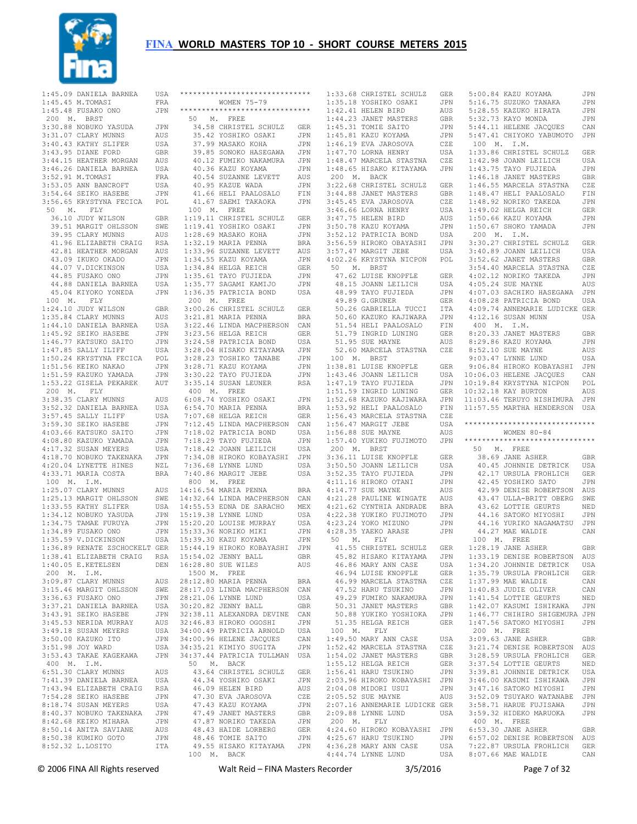

| $1:45.09$ DANIELA BARNEA                                                                                                                                                                                                                                                                                                                          | USA                         |
|---------------------------------------------------------------------------------------------------------------------------------------------------------------------------------------------------------------------------------------------------------------------------------------------------------------------------------------------------|-----------------------------|
| $1:45.45$ M.TOMASI                                                                                                                                                                                                                                                                                                                                | FRA                         |
|                                                                                                                                                                                                                                                                                                                                                   |                             |
| 1:45.48 FUSAKO ONO                                                                                                                                                                                                                                                                                                                                | JPN                         |
| 200 M. BRST                                                                                                                                                                                                                                                                                                                                       |                             |
| 3:30.88 NOBUKO YASUDA                                                                                                                                                                                                                                                                                                                             | JPN                         |
| 3:31.07 CLARY MUNNS                                                                                                                                                                                                                                                                                                                               | AUS                         |
|                                                                                                                                                                                                                                                                                                                                                   |                             |
|                                                                                                                                                                                                                                                                                                                                                   | USA                         |
|                                                                                                                                                                                                                                                                                                                                                   | <b>GBR</b>                  |
|                                                                                                                                                                                                                                                                                                                                                   | $\mathop{\rm AUS}\nolimits$ |
|                                                                                                                                                                                                                                                                                                                                                   | USA                         |
| <b>3:40.43 KATHY MUNNS<br/>3:40.43 KATHY SLIFER<br/>3:43.95 DIANE FORD<br/>3:44.15 HEATHER MORGAN<br/>3:52.91 M.TOMASI<br/>3:53.05 ANN TALLOR SERIES</b>                                                                                                                                                                                          |                             |
|                                                                                                                                                                                                                                                                                                                                                   | $_{\rm FRA}$                |
|                                                                                                                                                                                                                                                                                                                                                   | USA                         |
|                                                                                                                                                                                                                                                                                                                                                   |                             |
| m.TOMASI<br>3:53.05 ANN BANCROFT<br>3:54.64 SEIKO HASEBE<br>3:56.65 KPV0mvvr<br>3:53.05 ANN BANCROFT USA<br>3:54.64 SEIKO HASEBE JPN<br>3:56.65 KRYSTYNA FECICA POL                                                                                                                                                                               |                             |
|                                                                                                                                                                                                                                                                                                                                                   |                             |
| 50 M. FLY                                                                                                                                                                                                                                                                                                                                         |                             |
| 36.10 JUDY WILSON                                                                                                                                                                                                                                                                                                                                 | GBR                         |
| 39.51 MARGIT OHLSSON                                                                                                                                                                                                                                                                                                                              | SWE                         |
| 39.95 CLARY MUNNS                                                                                                                                                                                                                                                                                                                                 |                             |
|                                                                                                                                                                                                                                                                                                                                                   | AUS                         |
| 41.96 ELIZABETH CRAIG<br>42.81 HEATHER MORGAN<br>43.09 IKUKO OKADO                                                                                                                                                                                                                                                                                | RSA                         |
|                                                                                                                                                                                                                                                                                                                                                   | $\mathop{\rm AUS}\nolimits$ |
|                                                                                                                                                                                                                                                                                                                                                   | JPN                         |
| 43.09 IKUKO OKADO<br>44.07 V.DICKINSON<br>44.85 FUSAKO ONO<br>44.88 DANIELA BARNEA                                                                                                                                                                                                                                                                |                             |
|                                                                                                                                                                                                                                                                                                                                                   | USA                         |
|                                                                                                                                                                                                                                                                                                                                                   | JPN                         |
|                                                                                                                                                                                                                                                                                                                                                   | USA                         |
|                                                                                                                                                                                                                                                                                                                                                   | JPN                         |
| 45.04 KIYOKO YONEDA                                                                                                                                                                                                                                                                                                                               |                             |
| 100 M. FLY                                                                                                                                                                                                                                                                                                                                        |                             |
| 1:24.10 JUDY WILSON GBR<br>1:35.84 CLARY MUNNS AUS<br>1:44.10 DANIELA BARNEA USA<br>1:45.92 SEIKO HASEBE JPN                                                                                                                                                                                                                                      |                             |
|                                                                                                                                                                                                                                                                                                                                                   |                             |
|                                                                                                                                                                                                                                                                                                                                                   |                             |
|                                                                                                                                                                                                                                                                                                                                                   |                             |
|                                                                                                                                                                                                                                                                                                                                                   |                             |
|                                                                                                                                                                                                                                                                                                                                                   |                             |
| 1:46.77 KATSUKO SAITO JPN<br>1:47.85 SALLY ILIFF USA<br>1:50.24 KRYSTYNA FECICA POL<br>1:50.24 KRYSTYNA FECICA POL                                                                                                                                                                                                                                |                             |
|                                                                                                                                                                                                                                                                                                                                                   |                             |
|                                                                                                                                                                                                                                                                                                                                                   |                             |
|                                                                                                                                                                                                                                                                                                                                                   | $_{\rm JPN}$                |
| 1:51.56 KEIKO NAKAO<br>1:51.59 KAZUKO YAMADA                                                                                                                                                                                                                                                                                                      | JPN                         |
| 1:53.22 GISELA PEKAREK AUT                                                                                                                                                                                                                                                                                                                        |                             |
|                                                                                                                                                                                                                                                                                                                                                   |                             |
| 200 M. FLY                                                                                                                                                                                                                                                                                                                                        |                             |
| 3:38.35 CLARY MUNNS<br>3:52.32 DANIELA BARNEA                                                                                                                                                                                                                                                                                                     | AUS                         |
|                                                                                                                                                                                                                                                                                                                                                   | USA                         |
|                                                                                                                                                                                                                                                                                                                                                   | USA                         |
|                                                                                                                                                                                                                                                                                                                                                   |                             |
|                                                                                                                                                                                                                                                                                                                                                   | JPN                         |
| 3:57.45 SALLY ILIFF<br>3:59.30 SEIKO HASEBE<br>4:03.66 KATSUKO SAITO                                                                                                                                                                                                                                                                              | JPN                         |
|                                                                                                                                                                                                                                                                                                                                                   |                             |
|                                                                                                                                                                                                                                                                                                                                                   |                             |
|                                                                                                                                                                                                                                                                                                                                                   |                             |
|                                                                                                                                                                                                                                                                                                                                                   |                             |
|                                                                                                                                                                                                                                                                                                                                                   |                             |
|                                                                                                                                                                                                                                                                                                                                                   |                             |
| $\begin{tabular}{lllllllllll} 4:03.00 &\text{M}4:000 &\text{M}4:000 \\ 4:08.80 &\text{K}820\text{K}0 &\text{YAMADA} &&\text{JPN} \\ 4:17.32 &\text{SUSAN} &\text{MEYERS} &&\text{USA} \\ 4:18.70 &\text{NOBUKO TAKENAKA} &&\text{JPN} \\ 4:20.04 &\text{LYNETTE HINES} &&\text{NZL} \\ 4:33.71 &\text{MARIA COSTA} &&\text{BRA} \\ \end{tabular}$ |                             |
| 100 M. I.M.                                                                                                                                                                                                                                                                                                                                       |                             |
| 1:25.07 CLARY MUNNS                                                                                                                                                                                                                                                                                                                               | AUS                         |
|                                                                                                                                                                                                                                                                                                                                                   | SWE                         |
|                                                                                                                                                                                                                                                                                                                                                   | USA                         |
|                                                                                                                                                                                                                                                                                                                                                   |                             |
|                                                                                                                                                                                                                                                                                                                                                   | JPN                         |
|                                                                                                                                                                                                                                                                                                                                                   |                             |
|                                                                                                                                                                                                                                                                                                                                                   | JPN                         |
|                                                                                                                                                                                                                                                                                                                                                   | JPN                         |
|                                                                                                                                                                                                                                                                                                                                                   |                             |
| 1.23.17 MARGI MONNS<br>1:33.55 KATHY SLIFER<br>1:33.55 KATHY SLIFER<br>1:34.12 NOBUKO YASUDA<br>1:34.75 TAMAE FURUYA<br>1:35.59 V.DICKINSON<br>1:35.59 V.DICKINSON                                                                                                                                                                                | USA                         |
| 1:36.89 RENATE ZSCHOCKELT GER                                                                                                                                                                                                                                                                                                                     |                             |
| 1:38.41 ELIZABETH CRAIG                                                                                                                                                                                                                                                                                                                           | RSA                         |
|                                                                                                                                                                                                                                                                                                                                                   |                             |
| 1:40.05 E.KETELSEN                                                                                                                                                                                                                                                                                                                                | $_{\rm DEN}$                |
| 200 M. I.M.                                                                                                                                                                                                                                                                                                                                       |                             |
| $3:09.87$ CLARY MUNNS                                                                                                                                                                                                                                                                                                                             | AUS                         |
| 3:15.46 MARGIT OHLSSON                                                                                                                                                                                                                                                                                                                            | SWE                         |
|                                                                                                                                                                                                                                                                                                                                                   | JPN                         |
|                                                                                                                                                                                                                                                                                                                                                   |                             |
|                                                                                                                                                                                                                                                                                                                                                   | USA                         |
|                                                                                                                                                                                                                                                                                                                                                   | JPN                         |
|                                                                                                                                                                                                                                                                                                                                                   | AUS                         |
|                                                                                                                                                                                                                                                                                                                                                   | USA                         |
|                                                                                                                                                                                                                                                                                                                                                   |                             |
|                                                                                                                                                                                                                                                                                                                                                   | JPN                         |
| 9136.63 FUSARO ONO<br>3:36.63 FUSARO ONO<br>3:37.21 DANIELA BARNEA<br>3:43.91 SEIKO HASEBE<br>3:45.53 NERIDA MURRAY<br>3:51.00 KAZUKO ITO<br>3:51.00 KAZUKO ITO<br>3:51.98 JOY WARD                                                                                                                                                               | USA                         |
| 3:53.43 TAKAE KAGEKAWA                                                                                                                                                                                                                                                                                                                            | JPN                         |
|                                                                                                                                                                                                                                                                                                                                                   |                             |
| 400 M. I.M.                                                                                                                                                                                                                                                                                                                                       |                             |
| 6:51.30 CLARY MUNNS                                                                                                                                                                                                                                                                                                                               | AUS                         |
| 7:41.39 DANIELA BARNEA                                                                                                                                                                                                                                                                                                                            | USA                         |
| 7:43.94 ELIZABETH CRAIG                                                                                                                                                                                                                                                                                                                           | RSA                         |
|                                                                                                                                                                                                                                                                                                                                                   | JPN                         |
| 7:54.28 SEIKO HASEBE                                                                                                                                                                                                                                                                                                                              |                             |
| 8:18.74 SUSAN MEYERS                                                                                                                                                                                                                                                                                                                              | USA                         |
|                                                                                                                                                                                                                                                                                                                                                   | $\mathtt{JPN}$              |
|                                                                                                                                                                                                                                                                                                                                                   | JPN                         |
| 8:40.37 NOBUKO TAKENAKA<br>8:42.68 KEIKO MIHARA                                                                                                                                                                                                                                                                                                   | AUS                         |
| 8:50.14 ANITA SAVIANE                                                                                                                                                                                                                                                                                                                             |                             |
| 8:50.38 KUMIKO GOTO<br>8:52.32 L.LOSITO                                                                                                                                                                                                                                                                                                           | JPN<br>ITA                  |

| ******************************                                                                                                                   |                      |
|--------------------------------------------------------------------------------------------------------------------------------------------------|----------------------|
| WOMEN 75-79                                                                                                                                      |                      |
| *****************************                                                                                                                    |                      |
| 50 M. FREE                                                                                                                                       |                      |
| -<br>34.58 CHRISTEL SCHULZ<br>35.42 YOSHIKO OSAKI                                                                                                | GER                  |
|                                                                                                                                                  | JPN                  |
| 37.99 MASAKO KOHA<br>39.85 SONOKO HASEGAWA                                                                                                       | JPN                  |
| 40.12 FUMIKO NAKAMURA                                                                                                                            | JPN<br>JPN           |
| 40.36 KAZU KOYAMA                                                                                                                                | JPN                  |
|                                                                                                                                                  | AUS                  |
| 10.54 SUZANNE LEVETT<br>40 95 KAZUE WADA<br>40.95 KAZUE WADA                                                                                     | JPN                  |
| 41.66 HELI PAALOSALO                                                                                                                             | FIN                  |
| 41.67 SAEMI TAKAOKA                                                                                                                              | JPN                  |
| 100 M. FREE                                                                                                                                      |                      |
| 1:19.11 CHRISTEL SCHULZ GER                                                                                                                      |                      |
| 1:19.41 YOSHIKO OSAKI<br>1:28.69 MASAKO KOHA<br>1:32.19 MARIA PENNA                                                                              | JPN                  |
|                                                                                                                                                  | JPN                  |
|                                                                                                                                                  | <b>BRA</b>           |
| 1:33.96 SUZANNE LEVETT<br>1:34.55 KAZU KOYAMA                                                                                                    | AUS                  |
| $1:34.55$ KAZU KOYAMA                                                                                                                            | JPN                  |
| $1:34.84$ HELGA REICH<br>1:34.84 HELGA REICH<br>1:35.61 TAYO FUJIEDA<br>1:35.77 SAGAMI KAMIJO                                                    | GER                  |
|                                                                                                                                                  | $_{\rm JPN}$<br>JPN  |
| 1:36.35 PATRICIA BOND                                                                                                                            | USA                  |
| 200 M. FREE                                                                                                                                      |                      |
| 3:00.26 CHRISTEL SCHULZ                                                                                                                          | GER                  |
| 3:21.81 MARIA PENNA                                                                                                                              | <b>BRA</b>           |
| 3:22.46 LINDA MACPHERSON                                                                                                                         | CAN                  |
| 3:23.56 HELGA REICH                                                                                                                              | GER                  |
|                                                                                                                                                  | USA                  |
|                                                                                                                                                  | JPN                  |
|                                                                                                                                                  | JPN                  |
| 3:23.30 BELGA KELCH<br>3:28.58 PATRICIA BOND<br>3:28.04 HISAKO KITAYAMA<br>3:28.23 TOSHIKO TANABE<br>3:28.71 KAZU KOYAMA<br>3:30.22 TAYO FUJIEDA | JPN                  |
| 3:30.22 TAYO FUJIEDA                                                                                                                             | JPN                  |
| $3:35.14$ SUSAN LEUNER                                                                                                                           | <b>RSA</b>           |
| 400 M. FREE<br>6:08.74 YOSHIKO OSAKI                                                                                                             |                      |
|                                                                                                                                                  | JPN                  |
| $6:54.70$ MARIA PENNA                                                                                                                            | BRA                  |
| 7:07.68 HELGA REICH<br>7:07.68 HELGA REICH<br>7:12.45 LINDA MACPHERSON                                                                           | GER<br>CAN           |
| 7:18.02 PATRICIA BOND                                                                                                                            | USA                  |
| 7:18.29 TAYO FUJIEDA                                                                                                                             | JPN                  |
| $7:18.42$ JOANN LEILICH                                                                                                                          | USA                  |
| 7:34.08 HIROKO KOBAYASHI                                                                                                                         | JPN                  |
| 7:36.68 LYNNE LUND                                                                                                                               | USA                  |
| $7:40.86$ MARGIT JEBE                                                                                                                            | USA                  |
| 800 M. FREE                                                                                                                                      |                      |
| 14:16.54 MARIA PENNA                                                                                                                             | BRA                  |
| 14:32.64 LINDA MACPHERSON CAN                                                                                                                    |                      |
| 14:55.53 EDNA DE SARACHO                                                                                                                         | MEX                  |
| 15:19.38 LYNNE LUND                                                                                                                              | USA                  |
|                                                                                                                                                  | USA                  |
| 15:20.20 LOUISE MURRAY<br>15:33.36 NORIKO MIKI<br>15:39.30 KAZU KOYAMA                                                                           | JPN                  |
| 15:44.19 HIROKO KOBAYASHI JPN                                                                                                                    | JPN                  |
| 15:54.02 JENNY BALL                                                                                                                              | GBR                  |
| 16:28.80 SUE WILES                                                                                                                               | AUS                  |
| 1500 M. FREE                                                                                                                                     |                      |
| 28:12.80 MARIA PENNA                                                                                                                             | BRA                  |
| 28:17.03 LINDA MACPHERSON                                                                                                                        | CAN                  |
|                                                                                                                                                  | USA                  |
| 28:21.06 LYNNE LUND<br>30:20.82 JENNY BALL                                                                                                       | GBR                  |
| 32:38.11 ALEXANDRA DEVINE                                                                                                                        | CAN                  |
| 32:46.83 HIROKO OGOSHI                                                                                                                           | JPN                  |
| 34:00.49 PATRICIA ARNOLD                                                                                                                         | USA                  |
| 34:00.96 HELENE JACQUES<br>34:35.21 KIMIYO SUGITA                                                                                                | $_{\rm CAN}$         |
|                                                                                                                                                  | JPN                  |
| 34:37.44 PATRICIA TULLMAN<br>50 M. BACK                                                                                                          | USA                  |
|                                                                                                                                                  |                      |
| 43.64 CHRISTEL SCHULZ GER<br>44.34 YOSHIKO OSAKI JPN                                                                                             |                      |
| 46.09 HELEN BIRD                                                                                                                                 | AUS                  |
| 47.30 EVA JAROSOVA                                                                                                                               | CZE                  |
| 47.43 KAZU KOYAMA                                                                                                                                | JPN                  |
| 47.49 JANET MASTERS                                                                                                                              | $\operatorname{GBR}$ |
| 47.87 NORIKO TAKEDA                                                                                                                              | JPN                  |
| 48.43 HAIDE LORBERG                                                                                                                              | GER                  |
| 48.46 TOMIE SAITO                                                                                                                                | JPN                  |
| 49.55 HISAKO KITAYAMA JPN                                                                                                                        |                      |
| 100 M. BACK                                                                                                                                      |                      |
| $Mol+D \circ id$ FINIA Me                                                                                                                        |                      |

| 1:33.68 CHRISTEL SCHULZ GER                                                                                                                                                                                                                           |                           |
|-------------------------------------------------------------------------------------------------------------------------------------------------------------------------------------------------------------------------------------------------------|---------------------------|
| 1:35.18 YOSHIKO OSAKI<br>1:42.41 HELEN BIRD<br>1:44.23 JANET MASTERS                                                                                                                                                                                  | JPN                       |
|                                                                                                                                                                                                                                                       | AUS                       |
|                                                                                                                                                                                                                                                       | GBR                       |
|                                                                                                                                                                                                                                                       |                           |
|                                                                                                                                                                                                                                                       | JPN                       |
| 1:45.31 TOMIE SAITO<br>1:45.31 TOMIE SAITO<br>1:45.31 TOMIE SAITO<br>1:46.19 EVA JAROSOVA CZE<br>1:47.70 LORNA HENRY USA<br>1:48.47 MARCELA STASTNA CZE<br>1:48.65 HISAKO KITAYAMA JPN                                                                |                           |
|                                                                                                                                                                                                                                                       |                           |
|                                                                                                                                                                                                                                                       |                           |
| 200 M. BACK                                                                                                                                                                                                                                           |                           |
|                                                                                                                                                                                                                                                       |                           |
|                                                                                                                                                                                                                                                       |                           |
|                                                                                                                                                                                                                                                       |                           |
|                                                                                                                                                                                                                                                       | USA                       |
|                                                                                                                                                                                                                                                       |                           |
|                                                                                                                                                                                                                                                       |                           |
|                                                                                                                                                                                                                                                       | USA                       |
|                                                                                                                                                                                                                                                       |                           |
| 3:57.47 MARGIT JEBE                                                                                                                                                                                                                                   | USA                       |
| 4:02.26 KRYSTYNA NICPON<br>50 M. BRST                                                                                                                                                                                                                 | POL                       |
| 17.62 LUISE KNOPFLE<br>48.15 JOANN LEILICH<br>48.99 TAYO FUJIEDA<br>50 TAYO FUJIEDA                                                                                                                                                                   | GER                       |
|                                                                                                                                                                                                                                                       | USA                       |
|                                                                                                                                                                                                                                                       | JPN                       |
| 49.89 G. GRUNER                                                                                                                                                                                                                                       | GER                       |
|                                                                                                                                                                                                                                                       |                           |
|                                                                                                                                                                                                                                                       |                           |
|                                                                                                                                                                                                                                                       |                           |
|                                                                                                                                                                                                                                                       |                           |
|                                                                                                                                                                                                                                                       |                           |
| 49.03 GABRIELLA TUCCI ITA<br>50.26 GABRIELLA TUCCI ITA<br>50.60 KAZUKO KAJIWARA JPN<br>51.54 HELI PAALOSALO FIN<br>51.79 INGRID LUNING GER<br>51.95 SUE MAYNE AUS<br>52.60 MARCELA STASTNA CZE                                                        |                           |
| 100 M. BRST<br>1:38.81 LUISE KNOPFLE GER<br>1:43.46 JOANN LEILICH USA<br>1:47.19 TAYO FUJIEDA JPN<br>1:51.59 INGRID LUNING GER<br>1:52.68 KAZUKO KAJIWARA JPN<br>1:53.92 HELI PAALOSALO FIN<br>1:56.43 MARCEIA STASTNA CZE<br>1:56.47 MARGIT JEBE USA |                           |
|                                                                                                                                                                                                                                                       | GER                       |
|                                                                                                                                                                                                                                                       | $_{\tt USA}$              |
|                                                                                                                                                                                                                                                       |                           |
|                                                                                                                                                                                                                                                       |                           |
|                                                                                                                                                                                                                                                       |                           |
|                                                                                                                                                                                                                                                       |                           |
|                                                                                                                                                                                                                                                       |                           |
| 1:56.88 SUE MAYNE                                                                                                                                                                                                                                     | AUS                       |
| 1:57.40 YUKIKO FUJIMOTO JPN                                                                                                                                                                                                                           |                           |
| $200$ M. BRST                                                                                                                                                                                                                                         |                           |
| 3:36.11 LUISE KNOPFLE<br>3:50.50 JOANN LEILICH<br>3:52.35 TAYO FUJIEDA                                                                                                                                                                                | GER                       |
|                                                                                                                                                                                                                                                       | USA                       |
|                                                                                                                                                                                                                                                       | $\mathtt{JPN}$            |
| 9.9.2.39<br>4:11.16 HIROKO OTANI<br>4:14.77 SUE MAYNE<br>4:21.28 PAULINE WINGATE<br>4:21.62 CYNTHIA ANDRADE                                                                                                                                           | JPN                       |
|                                                                                                                                                                                                                                                       | AUS<br>$\mathop{\rm AUS}$ |
|                                                                                                                                                                                                                                                       | BRA                       |
|                                                                                                                                                                                                                                                       | JPN                       |
| 4:22.38 YUKIKO FUJIMOTO<br>4:23.24 YOKO MIZUNO<br>4:28.35 YAEKO ARASE                                                                                                                                                                                 | JPN                       |
|                                                                                                                                                                                                                                                       | JPN                       |
| 50 M. FLY                                                                                                                                                                                                                                             |                           |
| 41.55 CHRISTEL SCHULZ GER                                                                                                                                                                                                                             |                           |
| 45.82 HISAKO KITAYAMA                                                                                                                                                                                                                                 | JPN                       |
| 46.86 MARY ANN CASE                                                                                                                                                                                                                                   | USA                       |
| 46.94 LUISE KNOPFLE<br>46.94 LUISE KNOPFLE<br>46.99 MARCELA STASTNA                                                                                                                                                                                   | GER                       |
|                                                                                                                                                                                                                                                       | CZE                       |
| 47.52 HARU TSUKINO                                                                                                                                                                                                                                    | JPN                       |
| 49.29 FUMIKO NAKAMURA<br>50.31 JANET MASTERS                                                                                                                                                                                                          | JPN                       |
| 50.88 YUKIKO YOSHIOKA                                                                                                                                                                                                                                 | GBR<br>JPN                |
| 51.35 HELGA REICH                                                                                                                                                                                                                                     | GER                       |
| 100 M. FLY                                                                                                                                                                                                                                            |                           |
| $1:49.50$ MARY ANN CASE                                                                                                                                                                                                                               |                           |
| 1:52.42 MARCELA STASTNA<br>1:54.02 JANET MASTERS                                                                                                                                                                                                      |                           |
|                                                                                                                                                                                                                                                       | USA<br>CZE                |
|                                                                                                                                                                                                                                                       | GBR                       |
| 1:55.12 HELGA REICH                                                                                                                                                                                                                                   | GER                       |
|                                                                                                                                                                                                                                                       |                           |
| 1:56.41 HARU TSUKINO JPN<br>2:03.96 HIROKO KOBAYASHI JPN                                                                                                                                                                                              |                           |
| 2:04.08 MIDORI USUI                                                                                                                                                                                                                                   | JPN                       |
|                                                                                                                                                                                                                                                       |                           |
| 2:05.52 SUE MAYNE AUS<br>2:07.16 ANNEMARIE LUDICKE GER                                                                                                                                                                                                |                           |
| 2:09.88 LYNNE LUND                                                                                                                                                                                                                                    | USA                       |
| 200 M. FLY                                                                                                                                                                                                                                            |                           |
| 4:24.60 HIROKO KOBAYASHI JPN<br>4:25.67 HARU TSUKINO                                                                                                                                                                                                  | JPN                       |
| 4:36.28 MARY ANN CASE                                                                                                                                                                                                                                 | USA                       |

5:00.84 KAZU KOYAMA JPN<br>5:16.75 SUZUKO TANAKA JPN 5:16.75 SUZUKO TANAKA 5:28.55 KAZUKO HIRATA JPN 5:32.73 KAYO MONDA JPN 5:44.11 HELENE JACQUES CAN 5:47.41 CHIYOKO YABUMOTO JPN 100 M. I.M. 1:33.86 CHRISTEL SCHULZ GER 1:42.98 JOANN LEILICH USA -- ------- ------- ---------<br>N 1:43.75 TAYO FUJIEDA - JPN 1:46.18 JANET MASTERS GBR R 1:46.55 MARCELA STASTNA CZE 1:48.47 HELI PAALOSALO FIN 1:48.92 NORIKO TAKEDA JPN 1:49.02 NORTHLY 1.1.1.<br>1:49.02 HELGA REICH GER 1:50.66 KAZU KOYAMA JPN 1:50.67 SHOKO YAMADA JPN 200 M. I.M. 3:30.27 CHRISTEL SCHULZ GER 3:40.89 JOANN LEILICH USA 3:52.62 JANET MASTERS GBR 3:54.40 MARCELA STASTNA CZE 4:02.12 NORIKO TAKEDA JPN  $4 \cdot 05$  24 SUE MAYNE AUS 4:07.03 SACHIKO HASEGAWA JPN 4:08.28 PATRICIA BOND USA 4:09.74 ANNEMARIE LUDICKE GER 4:12.16 SUSAN MUNN USA 400 M. I.M. 8:20.33 JANET MASTERS GBR 8:29.86 KAZU KOYAMA JPN 8:52.10 SUE MAYNE AUS 9:03.47 LYNNE LUND USA 9:06.84 HIROKO KOBAYASHI JPN 10:06.03 HELENE JACQUES CAN 10:19.84 KRYSTYNA NICPON POL 10:32.18 KAY BURTON AUS 11:03.46 TERUYO NISHIMURA JPN 11:57.55 MARTHA HENDERSON USA \*\*\*\*\*\*\*\*\*\*\*\*\*\*\*\*\*\*\*\*\*\*\*\*\*\*\*\*\*\* WOMEN 80-84 \*\*\*\*\*\*\*\*\*\*\*\*\*\*\*\*\*\*\*\*\*\*\*\*\*\*\*\*\*\* 50 M. FREE 38.69 JANE ASHER GBR 40.45 JOHNNIE DETRICK USA 42.17 URSULA FROHLICH GER 42.45 YOSHIKO SATO JPN 42.99 DENISE ROBERTSON AUS 43.47 ULLA-BRITT OBERG SWE 43.62 LOTTIE GEURTS NED 44.16 SATOKO MIYOSHI JPN 44.16 YURIKO NAGAMATSU JPN 44.27 MAE WALDIE CAN 100 M. FREE 1:28.19 JANE ASHER GBR 1:33.19 DENISE ROBERTSON AUS 1:34.20 JOHNNIE DETRICK USA 1:35.79 URSULA FROHLICH GER 1:37.99 MAE WALDIE CAN 1:40.83 JUDIE OLIVER CAN 1:41.54 LOTTIE GEURTS NED 1:42.07 KASUMI ISHIKAWA JPN 1:46.77 CHIHIRO SHIGEMURA JPN 1:47.56 SATOKO MIYOSHI JPN 200 M. FREE 3:09.63 JANE ASHER GBR 3:21.74 DENISE ROBERTSON AUS 3:28.59 URSULA FROHLICH GER 3:37.54 LOTTIE GEURTS NED 3:39.81 JOHNNIE DETRICK USA 3:46.00 KASUMI ISHIKAWA JPN 3:47.16 SATOKO MIYOSHI JPN 3:52.09 TSUYAKO WATANABE JPN 3:58.71 HARUE FUJISAWA JPN 3:59.32 HIDEKO MARUOKA JPN 400 M. FREE 6:53.30 JANE ASHER GBR 6:57.02 DENISE ROBERTSON AUS 7:22.87 URSULA FROHLICH GER 8:07.66 MAE WALDIE CAN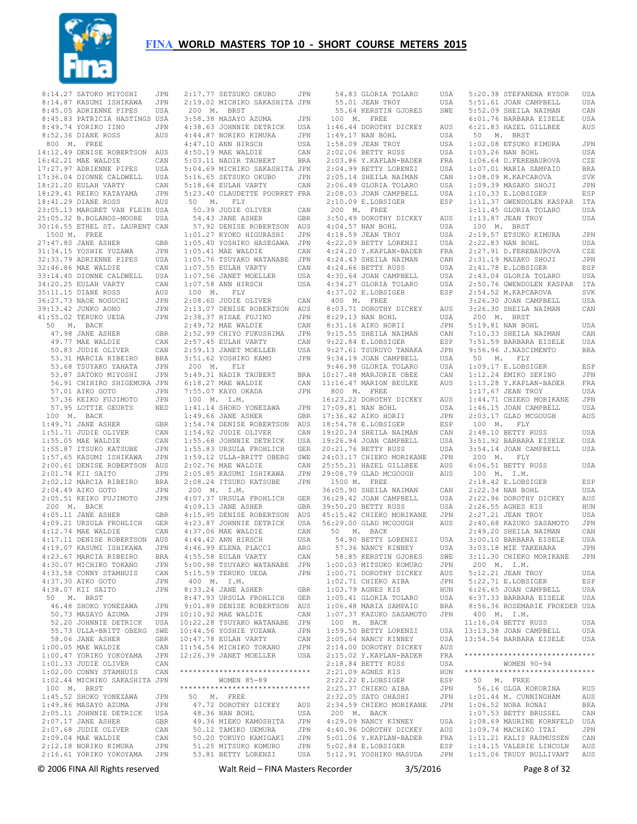

8:14.27 SATOKO MIYOSHI JPN 2:17.77 SETSUKO OKUBO JPN<br>8:14.87 KASUMI ISHIKAWA JPN 2:19.02 MICHIKO SAKASHITA JPN 8:45.05 ADRIENNE PIPES USA 8:45.83 PATRICIA HASTINGS USA 8:49.74 YORIKO IINO JPN 8:52.36 DIANE ROSS AUS 800 M. FREE 14:12.49 DENISE ROBERTSON AUS<br>16:42.21 MAE WALDIE CAN 16:42.21 MAE WALDIE CAN 17:27.97 ADRIENNE PIPES USA 17:36.04 DIONNE CALDWELL USA 18:21.20 EULAH VARTY CAN 18:29.41 REIKO KATAYAMA JPN 18:41.29 DIANE ROSS AUS 23:05.13 MARGRET VAN FLEIN USA 25:05.32 B.BOLANOS-MOORE USA 30:16.55 ETHEL ST. LAURENT CAN 1500 M. FREE 27:47.80 JANE ASHER GBR 31:34.15 YOSHIE YUZAWA JPN 32:33.79 ADRIENNE PIPES USA 32:46.86 MAE WALDIE CAN 33:14.40 DIONNE CALDWELL USA 34:20.25 EULAH VARTY CAN 35:11.15 DIANE ROSS AUS 36:27.73 NAOE NOGUCHI JPN 39:13.42 JUNKO AONO JPN 41:55.02 TERUKO UEDA JPN 50 M. BACK 47.98 JANE ASHER GBR 49.77 MAE WALDIE CAN 50.83 JUDIE OLIVER CAN 53.31 MARCIA RIBEIRO BRA 53.68 TSUYAKO YAHATA JPN 53.87 SATOKO MIYOSHI JPN 56.91 CHIHIRO SHIGEMURA JPN<br>57.01 AIKO GOTO JPN 57.01 AIKO GOTO 57.36 KEIKO FUJIMOTO JPN 57.95 LOTTIE GEURTS NED 100 M. BACK 1:49.71 JANE ASHER GBR 1:51.71 JUDIE OLIVER CAN 1:55.05 MAE WALDIE CAN 1:55.87 ITSUKO KATSUBE JPN 1:57.65 KASUMI ISHIKAWA JPN 2:00.61 DENISE ROBERTSON AUS  $2 \cdot 01$  74 KTT SATTO  $JPN$ 2:02.12 MARCIA RIBEIRO BRA<br>2:04.49 AIKO GOTO JIPN  $2 \cdot 04$  49 AIKO GOTO 2:05.51 KEIKO FUJIMOTO JPN 4:07.37 URSULA FROHLICH GER 200 M. BACK 4:05.11 JANE ASHER GBR 4:09.21 URSULA FROHLICH GER 4:12.74 MAE WALDIE CAN 4:17.11 DENISE ROBERTSON AUS 4:19.07 KASUMI ISHIKAWA JPN 4:23.67 MARCIA RIBEIRO BRA 4:30.07 MICHIKO TOKANO JPN 4:33.58 CONNY STAMHUIS CAN 4:37.30 AIKO GOTO JPN 4:38.07 KII SAITO JPN 50 M. BRST 46.48 SHOKO YONEZAWA JPN 50.73 MASAYO AZUMA 52.20 JOHNNIE DETRICK USA 55.73 ULLA-BRITT OBERG SWE 58.06 JANE ASHER GBR 1:00.05 MAE WALDIE CAN 1:00.47 YORIKO YOKOYAMA JPN 1:01.33 JUDIE OLIVER CAN 1:02.00 CONNY STAMHUIS CAN 1:02.44 MICHIKO SAKASHITA JPN 100 M. BRST<br>1:45.52 SHOKO YONEZAWA 1:45.52 SHOKO YONEZAWA JPN 1:49.86 MASAYO AZUMA JPN 1:05.11 JOHNNIE DETRICK USA 2:05.11 JOHNE ASHER GBR 2:07.68 JUDIE OLIVER CAN 2:09.04 MAE WALDIE CAN 2:16.61 YORIKO YOKOYAMA JPN

 200 M. BRST 3:58.38 MASAYO AZUMA JPN 4:38.63 JOHNNIE DETRICK USA 4:44.87 NORIKO KIMURA JPN 4:47.10 ANN HIRSCH USA 4:50.19 MAE WALDIE CAN 5:03.11 NADIR TAUBERT BRA 5:04.69 MICHIKO SAKASHITA JPN 5:16.65 SETSUKO OKUBO JPN 5:18.64 EULAH VARTY CAN 5:23.40 CLAUDETTE POURRET FRA 50 M. FLY 50.39 JUDIE OLIVER CAN 54.43 JANE ASHER GBR 50.35 JUDIE SEREER<br>54.43 JANE ASHER GBR<br>57.92 DENISE ROBERTSON AUS 1:01.27 KYOKO HIGURASHI JPN 1:05.40 YOSHIKO HASEGAWA JPN 1:05.41 MAE WALDIE CAN 1:05.76 TSUYAKO WATANABE JPN 1:07.55 EULAH VARTY CAN 1:07.56 JANET MOELLER USA 1:07.58 ANN HIRSCH USA 100 M. FLY 2:08.60 JUDIE OLIVER CAN 2:13.07 DENISE ROBERTSON AUS 2:38.37 HISAE FUJINO JPN 2:49.72 MAE WALDIE CAN 2:52.99 CHIYO FUKUSHIMA JPN 2:57.45 EULAH VARTY CAN 2:59.13 JANET MOELLER USA 3:51.62 YOSHIKO KAMO JPN 200 M. FLY 5:49.31 NADIR TAUBERT BRA  $6:18.27$  MAE WALDIE 7:55.07 KAYO OKADA JPN 100 M. I.M. 1:41.14 SHOKO YONEZAWA JPN 1:49.66 JANE ASHER GBR 1:54.74 DENISE ROBERTSON AUS 1:54.92 JUDIE OLIVER CAN 1:55.68 JOHNNIE DETRICK USA 1:55.83 URSULA FROHLICH GER 1:59.12 ULLA-BRITT OBERG SWE 2:02.76 MAE WALDIE CAN<br>2:05.85 KASUMI ISHIKAWA JPN  $2:05.85$  KASUMI ISHIKAWA 2:08.24 ITSUKO KATSUBE JPN 200 M. I.M. 4:09.13 JANE ASHER GBR 4:15.95 DENISE ROBERTSON AUS 4:37.06 MAE WALDIE CAN 4:44.42 ANN HIRSCH USA 4:44.32 ANN MINSTIE<br>4:46.99 ELENA PLACCI ARG 4:55.58 EULAH VARTY CAN 5:00.98 TSUYAKO WATANABE JPN 5:15.59 TERUKO UEDA JPN 400 M. I.M. 8:33.24 JANE ASHER GBR 8:47.93 URSULA FROHLICH GER 9:01.89 DENISE ROBERTSON AUS JPN 10:10.92 MAE WALDIE CAN 10:22.28 TSUYAKO WATANABE JPN 10:44.56 YOSHIE YUZAWA JPN 10:47.78 EULAH VARTY CAN 11:54.54 MICHIKO TOKANO JPN 12:26.39 JANET MOELLER USA \*\*\*\*\*\*\*\*\*\*\*\*\*\*\*\*\*\*\*\*\*\*\*\*\*\*\*\*\*\* WOMEN 85-89 \*\*\*\*\*\*\*\*\*\*\*\*\*\*\*\*\*\*\*\*\*\*\*\*\*\*\*\*\*\* 50 M. FREE 47.72 DOROTHY DICKEY AUS<br>
48.36 NAN BOHL USA<br>
49.36 MIEKO KAMOSHITA JPN<br>
50.12 TAMIKO UEMURA JPN<br>
50.20 TOKUYO KAMIGAKI JPN<br>
51.25 MITSUKO KOMURO JPN<br>
53.81 BETTY LORENZI USA

 54.83 GLORIA TOLARO USA 55.01 JEAN TROY USA 55.64 KERSTIN GJORES SWE 100 M. FREE 1:46.44 DOROTHY DICKEY AUS 1:49.17 NAN BOHL USA 1:58.09 JEAN TROY USA 2:02.06 BETTY RUSS USA<br>2:03.86 Y.KAPLAN-BADER FRA<br>2:04.99 BETTY LORENZI USA  $2:03.86$  Y.KAPLAN-BADER 2:04.99 BETTY LORENZI 2:05.14 SHEILA NAIMAN CAN<br>2:06.49 GLORIA TOLARO USA 2:06.49 GLORIA TOLARO  $2:08.03$  JOAN CAMPBELL  $2:10.09$  E.LOBSIGER 200 M. FREE 3:50.49 DOROTHY DICKEY AUS 4:04.57 NAN BOHL USA 4:18.59 JEAN TROY USA 4:22.09 BETTY LORENZI USA<br>4:24.20 Y.KAPLAN-BADER FRA  $4.24$  20 Y KAPLAN-BADER 4:24.43 SHEILA NAIMAN CAN<br>4:24.66 BETTY RUSS USA  $4.24$  66 BETTY RUSS 4:30.64 JOAN CAMPBELL USA<br>4:34.27 GLORIA TOLARO USA 4:34.27 GLORIA TOLARO  $4:37.02$  E.LOBSIGER 400 M. FREE 8:03.71 DOROTHY DICKEY AUS 8:29.13 NAN BOHL USA 8:31.16 AIKO HORII JPN 9:15.55 SHEILA NAIMAN CAN 9:22.84 E.LOBSIGER ESP 9:27.61 TSURUYO TANAKA JPN 9:34.19 JOAN CAMPBELL USA 9:46.98 GLORIA TOLARO USA 10:17.48 MARJORIE OBEE CAN CAN 11:16.47 MARION BEULKE 800 M. FREE 16:23.22 DOROTHY DICKEY AUS 17:09.81 NAN BOHL USA 17:36.42 AIKO HORII JPN 18:54.78 E.LOBSIGER ESP 19:20.34 SHEILA NAIMAN CAN  $19:26.94$  JOAN CAMPBELL 20:21.76 BETTY RUSS USA 24:03.17 CHIEKO MORIKANE JPN 25:55.31 HAZEL GILLBEE AUS 29:08.79 GLAD MCGOUGH AUS 1500 M. FREE 36:05.90 SHEILA NAIMAN CAN 36:29.42 JOAN CAMPBELL USA 39:50.20 BETTY RUSS USA 45:15.42 CHIEKO MORIKANE JPN 50 M. BACK 54.90 BETTY LORENZI USA 54.90 BETTI DONERLI<br>57.36 NANCY KINNEY USA<br>58.85 KERSTIN GJORES SWE 58.85 KERSTIN GJORES 1:00.03 MITSUKO KOMURO JPN 1:00.71 DOROTHY DICKEY AUS 1:02.71 CHIEKO AIBA JPN<br>1:03.79 AGNES KIS HUN  $1.03$  79 AGNES KIS 1:05.41 GLORIA TOLARO USA 1:06.48 MARIA SAMPAIO BRA 1:07.37 KAZUKO SASAMOTO JPN 100 M. BACK 1:59.50 BETTY LORENZI  $2:05.64$  NANCY KINNEY 2:14.00 DOROTHY DICKEY AUS 2:15.02 Y.KAPLAN-BADER 2:18.84 BETTY RUSS USA 2:21.09 AGNES KIS HUN 2:22.22 E.LOBSIGER ESP 2:25.37 CHIEKO AIBA JPN 2:32.05 SATO OHASHI JPN 2:32.05 SATO MORIKANE JPN 200 M. BACK 4:29.09 NANCY KINNEY USA 4:40.96 DOROTHY DICKEY AUS 5:01.06 Y.KAPLAN-BADER FRA 5:02.84 E.LOBSIGER ESP 5:12.91 YOSHIKO MASUDA JPN

 4:23.87 JOHNNIE DETRICK USA 56:29.00 GLAD MCGOUGH AUS 2:40.68 KAZUKO SASAMOTO JPN 5:20.38 STEFANENA KYSOR USA 5:51.61 JOAN CAMPBELL USA 5:52.09 SHEILA NAIMAN CAN 6:01.76 BARBARA EISELE USA 6:21.83 HAZEL GILLBEE AUS 50 M. BRST 1:02.08 ETSUKO KIMURA JPN  $1:03.26$  NAN BOHL USA<br> $1:06.64$  D FEREBAUROVA CZE  $1:06.64$  D.FEREBAUROVA 1:07.01 MARIA SAMPAIO BRA 1:08.09 M.KAPCAROVA SVK 1:09.39 MASAKO SHOJI JPN 1:10.33 E.LOBSIGER ESP 1:11.37 GWENDOLEN KASPAR ITA 1:11.45 GLORIA TOLARO USA 1:13.87 JEAN TROY USA 100 M. BRST 2:19.57 ETSUKO KIMURA JPN 2:22.83 NAN BOHL USA 2:27.91 D.FEREBAUROVA CZE 2:31.19 MASAKO SHOJI JPN 2:41.78 E.LOBSIGER ESP 2:43.04 GLORIA TOLARO USA 2:50.76 GWENDOLEN KASPAR ITA ESP 2:54.52 M.KAPCAROVA SVK 3:26.30 JOAN CAMPBELL USA 3:26.30 SHEILA NAIMAN CAN 200 M. BRST 5:19.81 NAN BOHL USA 7:10.33 SHEILA NAIMAN CAN 7:51.59 BARBARA EISELE USA 9:56.96 J.NASCIMENTO BRA 50 M. FLY 1:09.17 E.LOBSIGER ESP 1:12.24 EMIKO SEKINO JPN 1:13.28 Y.KAPLAN-BADER FRA 1:17.67 JEAN TROY USA AIIS 1:44 71 CHIEKO MORIKANE JPN 1:46.15 JOAN CAMPBELL USA 2:03.17 GLAD MCGOUGH AUS 100 M. FLY 2:48.10 BETTY RUSS USA 3:51.92 BARBARA EISELE USA 3:54.14 JOAN CAMPBELL USA 200 M. FLY 6:06.51 BETTY RUSS USA 100 M. I.M. 2:18.42 E.LOBSIGER ESP  $2 \cdot 22$  34 NAN BOHL USA 2:22.96 DOROTHY DICKEY AUS 2:26.55 AGNES KIS HUN 2:27.21 JEAN TROY USA 2:49.20 SHEILA NAIMAN CAN 3:00.10 BARBARA EISELE USA 3:03.18 MIE TAKEHARA JPN 3:11.30 CHIEKO MORIKANE JPN 200 M. I.M. 5:12.21 JEAN TROY USA 5:22.71 E.LOBSIGER ESP 6:26.65 JOAN CAMPBELL USA 6:37.33 BARBARA EISELE USA 8:56.36 ROSEMARIE FROEDER USA 400 M. I.M. 11:16.04 BETTY RUSS USA USA 13:13.38 JOAN CAMPBELL USA USA 13:54.54 BARBARA EISELE USA \*\*\*\*\*\*\*\*\*\*\*\*\*\*\*\*\*\*\*\*\*\*\*\*\*\*\*\*\*\* MOMEN 90-94 \*\*\*\*\*\*\*\*\*\*\*\*\*\*\*\*\*\*\*\*\*\*\*\*\*\*\*\*\*\* 50 M. FREE 56.16 OLGA KOKORINA RUS 1:01.44 M. CUNNINGHAM AUS 1:06.52 NORA RONAI BRA 1:07.53 BETTY BRUSSEL CAN 1:08.69 MAURINE KORNFELD USA 1:09.74 MACHIKO ITAI JPN 1:11.21 KALIS RASMUSSEN CAN 1:14.15 VALERIE LINCOLN AUS 1:15.06 TRUDY BULLIVANT AUS

© 2006 FINA All Rights reserved Walt Reid – FINA Masters Recorder 3/5/2016 Page 8 of 32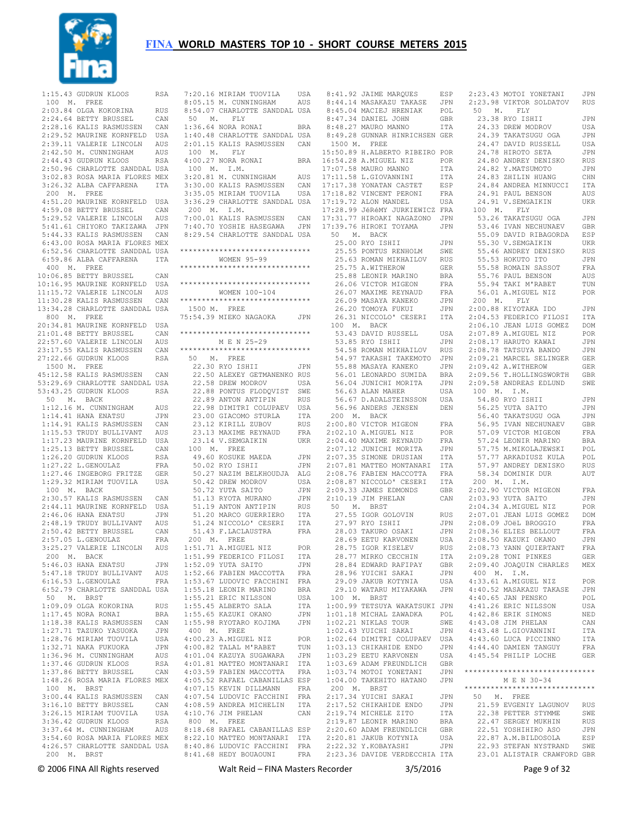

| 100 M. FREE   | 1:15.43 GUDRUN KLOOS                                                                                                                                                                                                                           | RSA        |
|---------------|------------------------------------------------------------------------------------------------------------------------------------------------------------------------------------------------------------------------------------------------|------------|
|               |                                                                                                                                                                                                                                                |            |
|               | 2:03.84 OLGA KOKORINA RUS<br>2:24.64 BETTY BRUSSEL CAN<br>2:28.16 KALIS RASMUSSEN CAN<br>2:29.52 MAURINE KORNEELD USA                                                                                                                          |            |
|               |                                                                                                                                                                                                                                                |            |
|               |                                                                                                                                                                                                                                                |            |
|               |                                                                                                                                                                                                                                                |            |
|               | 2:39.11 VALERIE LINCOLN AUS<br>2:42.50 M. CUNNINGHAM AUS<br>2:44.43 GUDRUN KLOOS RSA                                                                                                                                                           |            |
|               |                                                                                                                                                                                                                                                |            |
|               | 2:50.96 CHARLOTTE SANDDAL USA                                                                                                                                                                                                                  |            |
|               | 3:02.83 ROSA MARIA FLORES MEX                                                                                                                                                                                                                  |            |
|               | 3:26.32 ALBA CAFFARENA                                                                                                                                                                                                                         | ITA        |
| 200 M. FREE   |                                                                                                                                                                                                                                                |            |
|               | 4:51.20 MAURINE KORNFELD USA                                                                                                                                                                                                                   |            |
|               |                                                                                                                                                                                                                                                |            |
|               | 4:59.08 BETTY BRUSSEL<br>5:29.52 VALERIE LINCOLN AUS<br>5:41.61 CHIYOKO TAKIZAWA JPN<br>5:44.33 KALIS RASMUSSEN CAN                                                                                                                            |            |
|               |                                                                                                                                                                                                                                                |            |
|               | 6:43.00 ROSA MARIA FLORES MEX                                                                                                                                                                                                                  |            |
|               |                                                                                                                                                                                                                                                |            |
|               | 6:52.56 CHARLOTTE SANDDAL USA<br>6:59.86 ALBA CAFFARENA ITA                                                                                                                                                                                    |            |
| $400$ M. FREE |                                                                                                                                                                                                                                                |            |
|               | 10:06.85 BETTY BRUSSEL                                                                                                                                                                                                                         | CAN        |
|               |                                                                                                                                                                                                                                                |            |
|               |                                                                                                                                                                                                                                                |            |
|               | 10.16.95 MAURINE KORNFELD USA<br>11:15.72 VALERIE LINCOLN AUS<br>11:30.28 KALIS RASMUSSEN CAN                                                                                                                                                  |            |
|               | 13:34.28 CHARLOTTE SANDDAL USA<br>800 M. FREE                                                                                                                                                                                                  |            |
|               | 800 M. FREE<br>20:34.81 MAURINE KORNFELD USA                                                                                                                                                                                                   |            |
|               |                                                                                                                                                                                                                                                |            |
|               | 21:01.48 BETTY BRUSSEL CAN<br>22:57.60 VALERIE LINCOLN AUS                                                                                                                                                                                     |            |
|               |                                                                                                                                                                                                                                                |            |
|               | 22:57.60 VALERIE LINES<br>23:17.55 KALIS RASMUSSEN CAN<br>23:17.55 CHIPPUN KLOOS RSA                                                                                                                                                           |            |
| 1500 M. FREE  | 27:22.66 GUDRUN KLOOS                                                                                                                                                                                                                          |            |
|               | 45:12.58 KALIS RASMUSSEN CAN                                                                                                                                                                                                                   |            |
|               | 53:29.69 CHARLOTTE SANDDAL USA                                                                                                                                                                                                                 |            |
|               | 53:43.25 GUDRUN KLOOS                                                                                                                                                                                                                          | <b>RSA</b> |
| 50 M. BACK    |                                                                                                                                                                                                                                                |            |
|               | 1:12.16 M. CUNNINGHAM<br>1:14.41 HANA ENATSU                                                                                                                                                                                                   | AUS        |
|               |                                                                                                                                                                                                                                                | JPN        |
|               |                                                                                                                                                                                                                                                |            |
|               | 1:14.41 HANA ENATSU<br>1:15.53 TRUDY BULLIVANT AUS<br>1:15.53 TRUDY BULLIVANT AUS<br>1:17.23 MAURINE KORNFELD USA<br>1:25.13 BETTY BRUSSEL CAN<br>1:26.20 GUDRUN KLOOS RSA<br>1:27.46 INGEBORG FRITZE GER<br>1:27.46 INGEBORG FRITZE GER       |            |
|               |                                                                                                                                                                                                                                                |            |
|               |                                                                                                                                                                                                                                                |            |
|               |                                                                                                                                                                                                                                                |            |
|               |                                                                                                                                                                                                                                                |            |
|               |                                                                                                                                                                                                                                                |            |
| $100$ M. BACK | 1:29.32 MIRIAM TUOVILA                                                                                                                                                                                                                         | USA        |
|               | 100 M. BACK<br>2:44.11 MAURINE KORNFELD USA<br>2:44.11 MAURINE KORNFELD USA<br>2:46.06 HANA ENATSU JPN<br>2:48.19 TRUDY BULLIVANT AUS<br>2:50.42 BETTY BRUSSEL CAN<br>2:57.05 L.GENOULAZ FRA<br>3:25.27 VALERIE LINCOLN AUS<br>3:25.27 VALERIE |            |
|               |                                                                                                                                                                                                                                                |            |
|               |                                                                                                                                                                                                                                                |            |
|               |                                                                                                                                                                                                                                                |            |
|               |                                                                                                                                                                                                                                                |            |
|               |                                                                                                                                                                                                                                                |            |
|               |                                                                                                                                                                                                                                                |            |
| 200           | M. BACK                                                                                                                                                                                                                                        |            |
|               | 5:46.03 HANA ENATSU                                                                                                                                                                                                                            | JPN        |
|               | 5:47.18 TRUDY BULLIVANT AUS                                                                                                                                                                                                                    |            |
|               | $6:16.53$ L.GENOULAZ<br>6:52.79 CHARLOTTE SANDDAL USA                                                                                                                                                                                          | FRA        |
| 50 M. BRST    |                                                                                                                                                                                                                                                |            |
|               | 1:09.09 OLGA KOKORINA                                                                                                                                                                                                                          | <b>RUS</b> |
|               | $1:17.45$ NORA RONAI                                                                                                                                                                                                                           | BRA        |
|               | $1:18.38$ KALIS RASMUSSEN                                                                                                                                                                                                                      | CAN        |
|               | 1:27.71 TAZUKO YASUOKA<br>1:28.76 MIRIAM TUOVILA<br>1:28.76 MIRIAM TUOVILA                                                                                                                                                                     | JPN        |
|               |                                                                                                                                                                                                                                                | USA        |
|               |                                                                                                                                                                                                                                                | JPN        |
|               | 1:32.71 NAKA FUKUOKA<br>1:36.96 M. CUNNINGHAM<br>1:37.46 GUDRUN KLOOS<br>1:37.86 BETTY BRUSSEL                                                                                                                                                 | AUS        |
|               |                                                                                                                                                                                                                                                | <b>RSA</b> |
|               |                                                                                                                                                                                                                                                | CAN        |
|               | 1:48.26 ROSA MARIA FLORES MEX                                                                                                                                                                                                                  |            |
| 100 M. BRST   | 3:00.44 KALIS RASMUSSEN CAN                                                                                                                                                                                                                    |            |
|               | 3:16.10 BETTY BRUSSEL                                                                                                                                                                                                                          | CAN        |
|               | 3:26.15 MIRIAM TUOVILA                                                                                                                                                                                                                         | USA        |
|               |                                                                                                                                                                                                                                                |            |
|               |                                                                                                                                                                                                                                                |            |
|               | 3:36.42 GUDRUN KLOOS RSA<br>3:37.64 M. CUNNINGHAM AUS<br>3:54.60 ROSA MARIA FLORES MEX                                                                                                                                                         |            |
|               | 4:26.57 CHARLOTTE SANDDAL USA                                                                                                                                                                                                                  |            |
| 200 M. BRST   |                                                                                                                                                                                                                                                |            |
|               |                                                                                                                                                                                                                                                |            |

 7:20.16 MIRIAM TUOVILA USA 8:05.15 M. CUNNINGHAM AUS 8:54.07 CHARLOTTE SANDDAL USA 50 M. FLY 1:36.64 NORA RONAI BRA 1:40.48 CHARLOTTE SANDDAL USA 2:01.15 KALIS RASMUSSEN CAN 100 M. FLY 4:00.27 NORA RONAI BRA 100 M. I.M. 3:35.05 MIRIAM TUOVILA USA 3:36.29 CHARLOTTE SANDDAL USA 200 M. I.M. 7:00.01 KALIS RASMUSSEN CAN 7:40.70 YOSHIE HASEGAWA JPN 17:39.76 HIROKI TOYAMA JPN 8:29.54 CHARLOTTE SANDDAL USA \*\*\*\*\*\*\*\*\*\*\*\*\*\*\*\*\*\*\*\*\*\*\*\*\*\*\*\*\*\* WOMEN 95-99 \*\*\*\*\*\*\*\*\*\*\*\*\*\*\*\*\*\*\*\*\*\*\*\*\*\*\*\*\*\* \*\*\*\*\*\*\*\*\*\*\*\*\*\*\*\*\*\*\*\*\*\*\*\*\*\*\*\*\*\* WOMEN 100-104 \*\*\*\*\*\*\*\*\*\*\*\*\*\*\*\*\*\*\*\*\*\*\*\*\*\*\*\*\*\* 1500 M. FREE 75:54.39 MIEKO NAGAOKA JPN \*\*\*\*\*\*\*\*\*\*\*\*\*\*\*\*\*\*\*\*\*\*\*\*\*\*\*\*\*\* M E N 25-29 \*\*\*\*\*\*\*\*\*\*\*\*\*\*\*\*\*\*\*\*\*\*\*\*\*\*\*\*\*\* 50 M. FREE 22.30 RYO ISHII JPN 22.50 ALEXEY GETMANENKO RUS 22.58 DREW MODROV USA 22.88 PONTUS FLODQVIST SWE 22.89 ANTON ANTIPIN RUS 22.98 DIMITRI COLUPAEV USA 23.00 GIACOMO STURLA ITA 23.12 KIRILL ZUBOV 23.13 MAXIME REYNAUD 23.14 V.SEMGAIKIN UKR 2:04.40 MAXIME REYNAUD FRA 100 M. FREE 49.60 KOSUKE MAEDA JPN 50.02 RYO ISHII JPN 50.27 NAZIM BELKHOUDJA ALG 50.42 DREW MODROV USA 50.72 YUTA SAITO JPN 51.13 RYOTA MURANO JPN 51.19 ANTON ANTIPIN RUS 51.20 MARCO GUERRIERO ITA 51.24 NICCOLO' CESERI ITA 51.43 F.LACLAUSTRA FRA 200 M. FREE 1:51.71 A.MIGUEL NIZ POR 1:51.99 FEDERICO FILOSI ITA 1:52.09 YUTA SAITO JPN<br>1:52.66 FABIEN MACCOTTA FRA 1:52.66 FABIEN MACCOTTA FRA 1:53.67 LUDOVIC FACCHINI FRA 1:55.18 LEONIR MARINO BRA 1:55.21 ERIC NILSSON USA 1:55.45 ALBERTO SALA ITA 1:55.65 KAZUKI OKANO JPN 1:55.98 RYOTARO KOJIMA JPN 400 M. FREE 4:00.23 A.MIGUEL NIZ POR 4:00.82 TALAL M'RABET TUN<br>4:01.04 KAZUYA SUGAWARA JPN 4:01.04 KAZUYA SUGAWARA 4:01.81 MATTEO MONTANARI ITA 4:03.59 FABIEN MACCOTTA FRA 4:05.52 RAFAEL CABANILLAS ESP 4:07.15 KEVIN DILLMANN FRA 4:07.54 LUDOVIC FACCHINI FRA 4:08.59 ANDREA MICHELIN ITA 4:10.76 JIM PHELAN CAN 800 M. FREE 8:18.68 RAFAEL CABANILLAS ESP 8:22.10 MATTEO MONTANARI ITA

 3:20.81 M. CUNNINGHAM AUS 3:30.00 KALIS RASMUSSEN CAN 17:11.58 L.GIOVANNINI ITA 17:17.38 YONATAN CASTET ESP 24.83 ZHILIN HUANG CHN 24.84 ANDREA MINNUCCI ITA 8:41.68 HEDY BOUAOUNI FRA 2:23.36 DAVIDE VERDECCHIA ITA 23.01 ALISTAIR CRAWFORD GBR 8:41.92 JAIME MARQUES ESP 8:44.14 MASAKAZU TAKASE JPN 2:23.43 MOTOI YONETANI JPN 2:23.98 VIKTOR SOLDATOV RUS 8:45.04 MACIEJ HRENIAK POL 50 M. FLY 8:47.34 DANIEL JOHN GBR<br>8:48.27 MAURO MANNO ITA 8:48.27 MAURO MANNO ITA 8:49.28 GUNNAR HINRICHSEN GER 1500 M. FREE 15:50.89 H.ALBERTO RIBEIRO POR 16:54.28 A.MIGUEL NIZ POR 17:07.58 MAURO MANNO ITA 17:18.82 VINCENT PERONI FRA<br>17:19.72 ALON MANDEL USA 17:19.72 ALON MANDEL 17:28.99 JéRéMY JURKIEWICZ FRA 100 M. FLY<br>17:31.77 HIROAKI NAGAZONO JPN 53.26 TAKATSU 50 M. BACK 25.00 RYO ISHII JPN<br>25.00 RYO ISHII JPN 25.55 PONTUS RENHOLM SWE 25.63 ROMAN MIKHAILOV RUS<br>25.75 A.WITHEROW GER 25.75 A.WITHEROW GER<br>25.88 LEONIR MARINO BRA 25.88 LEONIR MARINO 26.06 VICTOR MIGEON FRA 26.07 MAXIME REYNAUD  $26.09$  MASAYA KANEKO 26.20 TOMOYA FUKUI JPN 26.31 NICCOLO' CESERI ITA 2:00.88 KIYOTAKA IDO JPN 2:04.53 FEDERICO FILOSI ITA 100 M. BACK<br>53.40 100 M. BACK<br>53.83 DAVID RUSSELL USA<br>53.85 RYO ISHII JPN<br>54.58 ROMAN MIKHAILOV RUS 53.85 RYO ISHII 54.58 ROMAN MIKHAILOV RUS 54.97 TAKASHI TAKEMOTO JPN 55.88 MASAYA KANEKO 56.01 LEONARDO SUMIDA BRA 56.04 JUNICHI MORITA JPN 56.63 ALAN MAHER USA 56.67 D.ADALSTEINSSON USA 56.96 ANDERS JENSEN DEN 200 M. BACK 2:00.80 VICTOR MIGEON FRA 2:02.10 A.MIGUEL NIZ POR 2:07.12 JUNICHI MORITA JPN<br>2:07.35 SIMONE DRUSIAN ITA 2:07.35 SIMONE DRUSIAN ITA 2:07.81 MATTEO MONTANARI ITA 2:08.76 FABIEN MACCOTTA FRA 2:08.87 NICCOLO' CESERI ITA 2:09.33 JAMES EDMONDS GBR 2:10.19 JIM PHELAN CAN 50 M. BRST 27.55 IGOR GOLOVIN RUS 27.97 RYO ISHII 27.37 KIO ISHII<br>28.03 TAKURO OSAKI 28.69 EETU KARVONEN USA 28.75 IGOR KISELEV RUS 28.77 MIRKO CECCHIN ITA 28.84 EDWARD RAFIPAY GBR 28.96 YUICHI SAKAI JPN 29.09 JAKUB KOTYNIA USA 29.10 WATARU MIYAKAWA JPN 4:40.52 MASAKAZU TAKASE JPN 100 M. BRST 1:00.99 TETSUYA WAKATSUKI JPN 1:01.18 MICHAL ZAWADKA POL 1:02.21 NIKLAS TOUR SWE 1:02.43 YUICHI SAKAI JPN 1:02.64 DIMITRI COLUPAEV USA 1:03.13 CHIKAHIDE ENDO JPN 1:03.29 EETU KARVONEN USA 1:03.69 ADAM FREUNDLICH GBR  $1:03.74$  MOTOI YONETANI 1:04.00 TAKEHITO HATANO JPN 200 M. BRST 2:17.34 YUICHI SAKAI JPN 2:17.52 CHIKAHIDE ENDO JPN 2:19.74 MICHELE ZITO ITA 2:19.87 LEONIR MARINO BRA 2:20.60 ADAM FREUNDLICH GBR 2:20.81 JAKUB KOTYNIA USA 2:22.32 Y.KOBAYASHI JPN

 23.38 RYO ISHII JPN 24.33 DREW MODROV USA 24.39 TAKATSUGU OGA JPN 24.47 DAVID RUSSELL USA 24.78 HIROTO SETA JPN 24.80 ANDREY DENISKO RUS 24.82 Y.MATSUMOTO JPN 24.91 PAUL BENSON AUS 24.91 V.SEMGAIKIN UKR 53.26 TAKATSUGU OGA JPN 53.46 IVAN NECHUNAEV GBR 55.09 DAVID RIBAGORDA ESP 55.30 V.SEMGAIKIN UKR 55.46 ANDREY DENISKO RUS 55.53 HOKUTO ITO JPN 55.58 ROMAIN SASSOT FRA 55.76 PAUL BENSON AUS 55.94 TAKI M'RABET TUN 56.01 A.MIGUEL NIZ POR FRA 56.01 A.MIGUE.<br>JPN 200 M. FLY 2:06.10 JEAN LUIS GOMEZ DOM 2:07.89 A.MIGUEL NIZ POR 2:08.17 HARUTO KAWAI JPN 2:08.78 TATSUYA BANDO JPN 2:09.21 MARCEL SELINGER GER 2:09.42 A.WITHEROW GER 2:09.56 T.HOLLINGSWORTH GBR 2:09.58 ANDREAS EDLUND SWE 100 M. I.M. 54.80 RYO ISHII JPN 56.25 YUTA SAITO JPN 56.40 TAKATSUGU OGA JPN 56.95 IVAN NECHUNAEV GBR 57.09 VICTOR MIGEON FRA 57.24 LEONIR MARINO BRA 57.75 M.MIKOLAJEWSKI POL 57.77 ARKADIUSZ KULA POL 57.97 ANDREY DENISKO RUS 58.34 DOMINIK DUR AUT 200 M. I.M. 2:02.90 VICTOR MIGEON FRA 2:03.93 YUTA SAITO JPN 2:04.34 A.MIGUEL NIZ POR 2:07.01 JEAN LUIS GOMEZ DOM 2:08.09 JOëL BROGGIO FRA 2:08.36 ELIES BELLOUT FRA 2:08.50 KAZUKI OKANO JPN 2:08.73 YANN QUIERTANT FRA ITA 2:09.28 TONI PINKES GER<br>GBR 2:09.40 JOAQUIN CHARLES MEX 2:09.40 JOAQUIN CHARLES MEX 400 M. I.M. 4:33.61 A.MIGUEL NIZ POR 4:40.65 JAN PENSKO POL  $4 \cdot 41.26$  ERIC NILSSON USA 4:42.86 ERIK SIMONS NED SWE 4:43.08 JIM PHELAN CAN<br>JPN 4:43.48 L.GIOVANNINI ITA 4:43.48 L.GIOVANNINI ITA 4:43.60 LUCA PICCINNO ITA 4:44.40 DAMIEN TANGUY FRA 4:45.54 PHILIP LOCHE GER \*\*\*\*\*\*\*\*\*\*\*\*\*\*\*\*\*\*\*\*\*\*\*\*\*\*\*\*\*\* M E N 30-34 \*\*\*\*\*\*\*\*\*\*\*\*\*\*\*\*\*\*\*\*\*\*\*\*\*\*\*\*\*\* 50 M. FREE 21.59 EVGENIY LAGUNOV RUS 22.38 PETTER STYMME SWE 22.47 SERGEY MUKHIN RUS 22.51 YOSHTHIRO ASO JPN 22.87 A.M. BILDOSOLA ESP 22.93 STEFAN NYSTRAND SWE

8:40.86 LUDOVIC FACCHINI FRA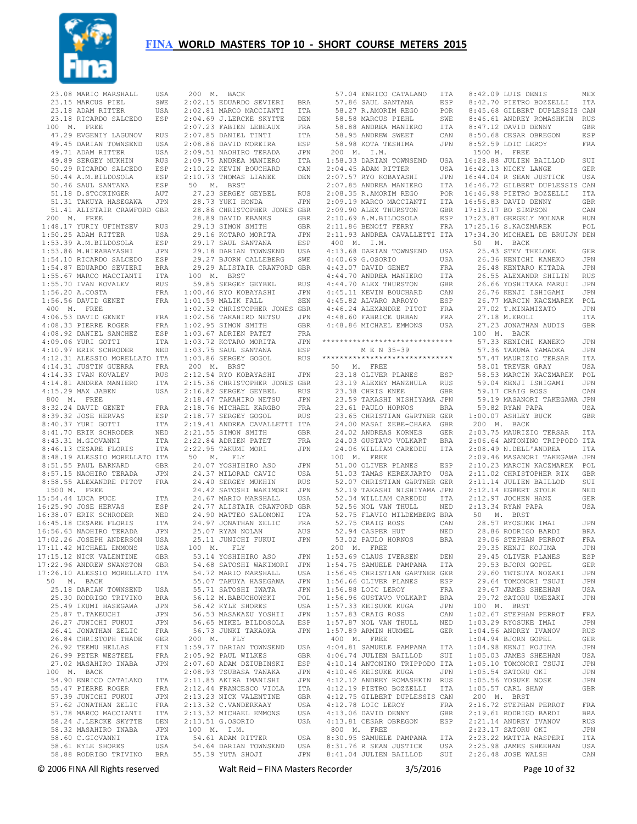

|         | 23.08 MARIO MARSHALL           | USA        | 200 M.       |                     |
|---------|--------------------------------|------------|--------------|---------------------|
|         | 23.15 MARCUS PIEL              | SWE        | 2:02.15 ED   |                     |
|         |                                |            |              |                     |
|         | 23.18 ADAM RITTER              | USA        | 2:02.81 MA   |                     |
|         | 23.18 RICARDO SALCEDO          | ESP        | 2:04.69      | J.                  |
| 100 M.  | FREE                           |            | 2:07.23      | FA                  |
|         |                                |            |              |                     |
|         | 47.29 EVGENIY LAGUNOV          | <b>RUS</b> | 2:07.85      | DA                  |
|         | 49.45 DARIAN TOWNSEND          | USA        | 2:08.86      | DA                  |
|         | 49.71 ADAM RITTER              | USA        | 2:09.51      | NA                  |
|         | 49.89 SERGEY MUKHIN            |            |              | AN                  |
|         |                                | <b>RUS</b> | 2:09.75      |                     |
|         | 50.29 RICARDO SALCEDO          | ESP        | 2:10.22      | KE                  |
|         | 50.44 A.M.BILDOSOLA            | ESP        | 2:10.73      | TH                  |
|         | 50.46 SAUL SANTANA             | ESP        | 50<br>М.     |                     |
|         |                                |            |              |                     |
|         | 51.18 D. STOCKINGER            | AUT        | 27.23        | SE                  |
|         | 51.31 TAKUYA HASEGAWA          | JPN        | 28.73        | YU                  |
|         | 51.41 ALISTAIR CRAWFORD        | GBR        | 28.86        | CH                  |
|         |                                |            |              |                     |
| 200 M.  | FREE                           |            | 28.89        | DA                  |
|         | 1:48.17 YURIY UFIMTSEV         | RUS        | 29.13        | SI                  |
|         | 1:50.25 ADAM RITTER            | USA        | 29.16        | КO                  |
|         | 1:53.39 A.M.BILDOSOLA          | ESP        | 29.17        | SA                  |
|         |                                |            |              |                     |
|         | 1:53.86 M.HIRABAYASHI          | JPN        | 29.18        | DA                  |
|         | 1:54.10 RICARDO SALCEDO        | ESP        | 29.27        | BJ                  |
|         | 1:54.87 EDUARDO SEVIERI        | BRA        | 29.29        | AL                  |
|         |                                |            |              |                     |
|         | 1:55.67 MARCO MACCIANTI        | ITA        | 100 M.       |                     |
|         | 1:55.70 IVAN KOVALEV           | <b>RUS</b> | 59.85        | SE                  |
|         | 1:56.20 A.COSTA                | FRA        | 1:00.46 RY   |                     |
|         | 1:56.56 DAVID GENET            | FRA        | $1:01.59$ MA |                     |
|         |                                |            |              |                     |
| 400 M.  | FREE                           |            | 1:02.32      | CH                  |
|         | 4:06.53 DAVID GENET            | FRA        | 1:02.56      | TA                  |
|         | 4:08.33 PIERRE ROGER           | FRA        | 1:02.95      | SI                  |
|         |                                |            |              | AD                  |
|         | 4:08.92 DANIEL SANCHEZ         | ESP        | 1:03.67      |                     |
|         | 4:09.06 YURI GOTTI             | ITA        | 1:03.72      | KO                  |
|         | 4:10.97 ERIK SCHRODER          | NED        | 1:03.75      | SA                  |
|         | 4:12.31 ALESSIO MORELLATO      | ITA        | 1:03.86      | SE                  |
|         |                                |            |              |                     |
|         | 4:14.31 JUSTIN GUERRA          | FRA        | 200 M.       |                     |
|         | 4:14.33 IVAN KOVALEV           | RUS        | 2:12.54 RY   |                     |
| 4:14.81 | ANDREA MANIERO                 | ITA        | 2:15.36 CH   |                     |
|         | 4:15.29 MAX JABEN              | USA        | 2:16.82      | SE                  |
|         |                                |            |              |                     |
| 800 M.  | FREE                           |            | 2:18.47      | TA                  |
| 8:32.24 | DAVID GENET                    | FRA        | 2:18.76 MI   |                     |
|         | 8:39.32 JOSE HERVAS            | ESP        | 2:18.77      | $\mathbb{SE}% _{0}$ |
|         |                                |            |              |                     |
|         | 8:40.37 YURI GOTTI             | ITA        | 2:19.41      | AN                  |
|         | 8:41.70 ERIK SCHRODER          | NED        | 2:21.55      | SI                  |
|         | 8:43.31 M.GIOVANNI             | ITA        | 2:22.84      | AD                  |
|         | 8:46.13 CESARE FLORIS          | ITA        | 2:22.95 TA   |                     |
|         |                                |            |              |                     |
|         | 8:48.19 ALESSIO MORELLATO      | ITA        | 50<br>Μ.     |                     |
|         | 8:51.55 PAUL BARNARD           | GBR        | 24.07 YO     |                     |
|         | 8:57.15 NAOHIRO TERADA         | JPN        | 24.37 MI     |                     |
|         |                                |            | 24.40        |                     |
|         | 8:58.55 ALEXANDRE PITOT        | FRA        |              | SE                  |
| 1500 M. | FREE                           |            | 24.42        | SA                  |
|         | 15:54.44 LUCA PUCE             | ITA        | 24.67        | MA                  |
|         | 16:25.90 JOSE HERVAS           | ESP        | 24.77        | AL                  |
|         | 16:38.07 ERIK SCHRODER         | NED        | 24.90        | MA                  |
|         |                                |            |              |                     |
|         | 16:45.18 CESARE FLORIS         | ITA        | 24.97        | JO                  |
|         | 16:56.63 NAOHIRO TERADA        | JPN        | 25.07        | RY.                 |
|         | 17:02.26 JOSEPH ANDERSON       | USA        | 25.11        | JU                  |
|         | 17:11.42 MICHAEL EMMONS        | USA        | 100<br>Μ.    |                     |
|         |                                |            |              |                     |
|         | 17:15.12 NICK VALENTINE        | GBR        | 53.14 YO     |                     |
|         | 17:22.96 ANDREW SWANSTON       | GBR        | 54.68 SA     |                     |
|         | 17:26.10 ALESSIO MORELLATO ITA |            | 54.72 MA     |                     |
| 50      |                                |            | 55.07 TA     |                     |
| М.      | BACK                           |            |              |                     |
|         | 25.18 DARIAN TOWNSEND          | USA        | 55.71 SA     |                     |
|         | 25.30 RODRIGO TRIVINO          | <b>BRA</b> | 56.12 M.     |                     |
|         | 25.49 IKUMI HASEGAWA           | JPN        | 56.42 KY     |                     |
|         |                                |            |              |                     |
|         | 25.87 T. TAKEUCHI              | JPN        | 56.53 MA     |                     |
|         | 26.27 JUNICHI FUKUI            | JPN        | 56.65 MI     |                     |
|         | 26.41 JONATHAN ZELIC           | FRA        | 56.73 JU     |                     |
|         | 26.84 CHRISTOPH THADE          | GER        | 200 M.       |                     |
|         |                                |            |              |                     |
|         | 26.92 TEEMU HELLAS             | FIN        | $1:59.77$ DA |                     |
|         | 26.99 PETER WESTEEL            | FRA        | 2:05.92 PA   |                     |
|         | 27.02 MASAHIRO INABA           | JPN        | $2:07.60$ AD |                     |
|         | 100 M. BACK                    |            | 2:08.93 TS   |                     |
|         |                                |            |              |                     |
|         | 54.90 ENRICO CATALANO          | ITA        | 2:11.85 AK   |                     |
|         | 55.47 PIERRE ROGER             | FRA        | 2:12.44 FR   |                     |
|         | 57.39 JUNICHI FUKUI            | JPN        | 2:13.23 NI   |                     |
|         | 57.62 JONATHAN ZELIC           | FRA        | 2:13.32 C.   |                     |
|         |                                |            |              |                     |
|         | 57.78 MARCO MACCIANTI          | ITA        | 2:13.32 MI   |                     |
|         | 58.24 J.LERCKE SKYTTE          | DEN        | $2:13.51$ G. |                     |
|         | 58.32 MASAHIRO INABA           | JPN        | 100 M.       |                     |
|         |                                |            | 54.61 AD     |                     |
|         | 58.60 C.GIOVANNI               | ITA        |              |                     |
|         | 58.61 KYLE SHORES              | USA        | 54.64 DA     |                     |
|         | 58.88 RODRIGO TRIVINO          | BRA        | 55.39 YU     |                     |

| 200 M. BACK |                                                                                                                                                                                                                                            |                       |
|-------------|--------------------------------------------------------------------------------------------------------------------------------------------------------------------------------------------------------------------------------------------|-----------------------|
|             | 2:02.15 EDUARDO SEVIERI BRA<br>2:02.81 MARCO MACCIANTI ITA                                                                                                                                                                                 |                       |
|             |                                                                                                                                                                                                                                            |                       |
|             |                                                                                                                                                                                                                                            |                       |
|             |                                                                                                                                                                                                                                            |                       |
|             |                                                                                                                                                                                                                                            |                       |
|             | 2:04.69 J.LERCKE SKYTTE DEN<br>2:07.23 FABIEN LEBEAUX FRA<br>2:07.23 FABIEN LEBEAUX FRA<br>2:07.85 DANIEL TINTI ITA<br>2:08.86 DAVID MOREIRA ESP<br>2:09.51 NAOHIRO TERADA JPN<br>2:09.75 ANDREA MANIERO ITA<br>2:10.22 KEVIN ROUCHARD CAN |                       |
|             |                                                                                                                                                                                                                                            |                       |
|             |                                                                                                                                                                                                                                            |                       |
|             | 2:10.22 KEVIN BOUCHARD<br>$2:10.73$ THOMAS LIANEE                                                                                                                                                                                          | $\mathtt{CAN}$<br>DEN |
|             | 50 M. BRST                                                                                                                                                                                                                                 |                       |
|             | 27.23 SERGEY GEYBEL RUS                                                                                                                                                                                                                    |                       |
|             | 28.73 YUKI HONDA                                                                                                                                                                                                                           | JPN                   |
|             | 28.86 CHRISTOPHER JONES GBR                                                                                                                                                                                                                |                       |
|             |                                                                                                                                                                                                                                            |                       |
|             |                                                                                                                                                                                                                                            |                       |
|             | 28.89 DAVID EBANKS GER<br>29.13 SIMON SMITH GER<br>29.16 KOTARO MORITA JPN<br>29.17 SAUL SANTANA ESP                                                                                                                                       |                       |
|             |                                                                                                                                                                                                                                            |                       |
|             | 29.18 DARIAN TOWNSEND USA<br>29.27 BJORN CALLEBERG SWE                                                                                                                                                                                     |                       |
|             |                                                                                                                                                                                                                                            |                       |
|             | 29.29 ALISTAIR CRAWFORD GBR                                                                                                                                                                                                                |                       |
|             | 100 M. BRST                                                                                                                                                                                                                                |                       |
|             | 59.85 SERGEY GEYBEL<br>1:00.46 RYO KOBAYASHI<br>1:01.59 MALIK FALL                                                                                                                                                                         | RUS<br>JPN            |
|             |                                                                                                                                                                                                                                            | SEN                   |
|             |                                                                                                                                                                                                                                            |                       |
|             |                                                                                                                                                                                                                                            |                       |
|             |                                                                                                                                                                                                                                            |                       |
|             |                                                                                                                                                                                                                                            |                       |
|             |                                                                                                                                                                                                                                            |                       |
|             |                                                                                                                                                                                                                                            |                       |
|             |                                                                                                                                                                                                                                            |                       |
| 200 M. BRST |                                                                                                                                                                                                                                            |                       |
|             | 2:12.54 RYO KOBAYASHI                                                                                                                                                                                                                      | JPN                   |
|             | 2:15.36 CHRISTOPHER JONES GBR                                                                                                                                                                                                              |                       |
|             | 2:16.82 SERGEY GEYBEL RUS<br>2:18.47 TAKAHIRO NETSU JPN                                                                                                                                                                                    |                       |
|             |                                                                                                                                                                                                                                            |                       |
|             |                                                                                                                                                                                                                                            |                       |
|             | 2:18.76 MICHAEL KARGBO FRA<br>2:18.77 SERGEY GOGOL RUS<br>2:19.41 ANDREA CAVALLETTI ITA                                                                                                                                                    |                       |
|             |                                                                                                                                                                                                                                            |                       |
|             |                                                                                                                                                                                                                                            |                       |
|             |                                                                                                                                                                                                                                            |                       |
|             | 2122.84 ADRIEN PATET GEN.<br>2122.84 ADRIEN PATET FRANCIST STAKUMI MORI JPN JPN 50 M<br>50 M. FLY                                                                                                                                          |                       |
|             | 24.07 YOSHIHIRO ASO JPN<br>24.37 MILORAD CAVIC USA<br>24.40 SERGEY MUKHIN RUS<br>24.42 SATOSHI WAKIMORI JPN<br>24.67 MARIO MARSHALL USA                                                                                                    |                       |
|             |                                                                                                                                                                                                                                            | JPN<br>USA<br>RUS     |
|             |                                                                                                                                                                                                                                            |                       |
|             |                                                                                                                                                                                                                                            |                       |
|             |                                                                                                                                                                                                                                            |                       |
|             | 24.77 ALISTAIR CRAWFORD GBR                                                                                                                                                                                                                |                       |
|             |                                                                                                                                                                                                                                            |                       |
|             | 24.90 MATTEO SALOMONI ITA<br>24.97 JONATHAN ZELIC FRA<br>25.07 RYAN NOLAN AUS                                                                                                                                                              |                       |
|             | 25.07 RYAN NOLAN<br>25.07 Nine News<br>25.11 JUNICHI FUKUI JPN                                                                                                                                                                             | AUS                   |
|             |                                                                                                                                                                                                                                            |                       |
|             | 100 M. FLY<br>53.14 YOSHIHIRO ASO                                                                                                                                                                                                          | JPN                   |
|             | 54.68 SATOSHI WAKIMORI                                                                                                                                                                                                                     | JPN                   |
|             | 54.72 MARIO MARSHALL                                                                                                                                                                                                                       | USA                   |
|             | 55.07 TAKUYA HASEGAWA<br>55.71 SATOSHI IWATA<br>56.12 M.BABUCHOWSKI                                                                                                                                                                        | JPN                   |
|             |                                                                                                                                                                                                                                            | JPN                   |
|             |                                                                                                                                                                                                                                            | POL                   |
|             | 56.42 KYLE SHORES                                                                                                                                                                                                                          | USA                   |
|             | 56.53 MASAKAZU YOSHII<br>56.65 MIKEL BILDOSOLA                                                                                                                                                                                             | JPN                   |
|             |                                                                                                                                                                                                                                            | ESP                   |
|             | 56.73 JUNKI TAKAOKA                                                                                                                                                                                                                        | JPN                   |
|             | 200 M. FLY                                                                                                                                                                                                                                 |                       |
|             | 1:59.77 DARIAN TOWNSEND USA<br>2:05.92 PAUL WILKES GBR                                                                                                                                                                                     |                       |
|             |                                                                                                                                                                                                                                            | ESP                   |
|             | 2:08.93 TSUBASA TANAKA                                                                                                                                                                                                                     | JPN                   |
|             | $2:11.85$ AKIRA IMANISHI                                                                                                                                                                                                                   | JPN                   |
|             | 2:12.44 FRANCESCO VIOLA<br>2:13.23 NICK VALENTINE<br>2:13.32 C.VANDERKAAY<br>2:13.32 C.VANDERKAAY                                                                                                                                          | ITA                   |
|             |                                                                                                                                                                                                                                            | GBR                   |
|             |                                                                                                                                                                                                                                            | USA                   |
|             |                                                                                                                                                                                                                                            |                       |
|             | 2:13.32 MICHAEL EMMONS                                                                                                                                                                                                                     | USA                   |
|             | 2:13.51 G.OSORIO                                                                                                                                                                                                                           | USA                   |
| 100 M. I.M. |                                                                                                                                                                                                                                            |                       |
|             | 54.61 ADAM RITTER                                                                                                                                                                                                                          | USA                   |
|             | 54.64 DARIAN TOWNSEND<br>55.39 YUTA SHOJI                                                                                                                                                                                                  | USA<br>JPN            |

|                    | 57.04 ENRICO CATALANO          | ITA        |             | 8:42.09 LUIS DENIS             | MEX        |
|--------------------|--------------------------------|------------|-------------|--------------------------------|------------|
|                    |                                |            |             |                                |            |
|                    | 57.86 SAUL SANTANA             | ESP        |             | 8:42.70 PIETRO BOZZELLI        | ITA        |
|                    | 58.27 R.AMORIM REGO            | POR        |             | 8:45.68 GILBERT DUPLESSIS CAN  |            |
|                    | 58.58 MARCUS PIEHL             | SWE        |             | 8:46.61 ANDREY ROMASHKIN       | RUS        |
|                    | 58.88 ANDREA MANIERO           | ITA        |             | 8:47.12 DAVID DENNY            | GBR        |
|                    | 58.95 ANDREW SWEET             | CAN        |             | 8:50.68 CESAR OBREGON          | ESP        |
|                    |                                |            |             |                                |            |
|                    | 58.98 KOTA TESHIMA             | JPN        |             | 8:52.59 LOIC LEROY             | FRA        |
| 200<br>М.          | I.M.                           |            |             | 1500 M. FREE                   |            |
|                    | 1:58.33 DARIAN TOWNSEND        | USA        |             | 16:28.88 JULIEN BAILLOD        | SUI        |
|                    | 2:04.45 ADAM RITTER            | USA        |             | 16:42.13 NICKY LANGE           | <b>GER</b> |
|                    |                                |            |             |                                |            |
|                    | 2:07.57 RYO KOBAYASHI          | JPN        |             | 16:44.04 R SEAN JUSTICE        | USA        |
|                    | 2:07.85 ANDREA MANIERO         | ITA        |             | 16:46.72 GILBERT DUPLESSIS CAN |            |
|                    | 2:08.35 R.AMORIM REGO          | POR        |             | 16:46.98 PIETRO BOZZELLI       | ITA        |
|                    | 2:09.19 MARCO MACCIANTI        | ITA        |             | 16:56.83 DAVID DENNY           | GBR        |
|                    | 2:09.90 ALEX THURSTON          |            |             | 17:13.17 BO SIMPSON            | CAN        |
|                    |                                | GBR        |             |                                |            |
|                    | 2:10.69 A.M. BILDOSOLA         | ESP        |             | 17:23.87 GERGELY MOLNAR        | HUN        |
|                    | 2:11.86 BENOîT FERRY           | FRA        |             | 17:25.16 S.KACZMAREK           | POL        |
|                    | 2:11.93 ANDREA CAVALLETTI ITA  |            |             | 17:34.30 MICHAEL DE BRUIJN DEN |            |
|                    | 400 M. I.M.                    |            | 50<br>М.    | BACK                           |            |
|                    |                                |            |             |                                |            |
|                    | 4:13.68 DARIAN TOWNSEND        | USA        |             | 25.43 STEV THELOKE             | GER        |
|                    | 4:40.69 G.OSORIO               | USA        |             | 26.36 KENICHI KANEKO           | JPN        |
|                    | 4:43.07 DAVID GENET            | FRA        |             | 26.48 KENTARO KITADA           | JPN        |
|                    | 4:44.70 ANDREA MANIERO         | ITA        |             | 26.55 ALEXANDR SHILIN          | RUS        |
|                    | 4:44.70 ALEX THURSTON          | GBR        |             | 26.66 YOSHITAKA MARUI          | JPN        |
|                    |                                |            |             |                                |            |
|                    | 4:45.11 KEVIN BOUCHARD         | CAN        |             | 26.76 KENJI ISHIGAMI           | JPN        |
|                    | 4:45.82 ALVARO ARROYO          | ESP        |             | 26.77 MARCIN KACZMAREK         | POL        |
|                    | 4:46.24 ALEXANDRE PITOT        | FRA        |             | 27.02 T.MINAMIZATO             | JPN        |
|                    | 4:48.60 FABRICE URBAN          | FRA        |             | 27.18 M.EROLI                  | ITA        |
|                    |                                |            |             |                                |            |
|                    | 4:48.86 MICHAEL EMMONS         | USA        |             | 27.23 JONATHAN AUDIS           | GBR        |
|                    |                                |            | 100         | M. BACK                        |            |
|                    | ****************************** |            |             | 57.33 KENICHI KANEKO           | JPN        |
|                    | M E N 35-39                    |            |             | 57.36 TAKUMA YAMAOKA           | JPN        |
|                    |                                |            |             |                                |            |
|                    | ****************************** |            |             | 57.47 MAURIZIO TERSAR          | ITA        |
| 50<br>М.           | FREE                           |            |             | 58.01 TREVER GRAY              | USA        |
|                    | 23.18 OLIVER PLANES            | ESP        |             | 58.53 MARCIN KACZMAREK         | POL        |
|                    | 23.19 ALEXEY MANZHULA          | RUS        |             | 59.04 KENJI ISHIGAMI           | JPN        |
|                    |                                |            |             |                                |            |
|                    | 23.38 CHRIS KNEE               | GBR        |             | 59.17 CRAIG ROSS               | CAN        |
|                    | 23.59 TAKASHI NISHIYAMA JPN    |            |             | 59.19 MASANORI TAKEGAWA JPN    |            |
|                    | 23.61 PAULO HORNOS             | BRA        |             | 59.82 RYAN PAPA                | USA        |
|                    | 23.65 CHRISTIAN GÄRTNER GER    |            |             | 1:00.07 ASHLEY BUCK            | GBR        |
|                    |                                |            |             |                                |            |
|                    | 24.00 MASAI ZEBE-CHAKA         | GBR        |             | 200 M. BACK                    |            |
|                    | 24.02 ANDREAS KORNES           | GER        |             | 2:03.75 MAURIZIO TERSAR        | ITA        |
|                    | 24.03 GUSTAVO VOLKART          | BRA        |             | 2:06.64 ANTONINO TRIPPODO ITA  |            |
|                    | 24.06 WILLIAM CAREDDU          | ITA        |             | 2:08.49 N.DELL'ANDREA          | ITA        |
|                    |                                |            |             |                                |            |
|                    | 100 M. FREE                    |            |             | 2:09.46 MASANORI TAKEGAWA JPN  |            |
|                    | 51.00 OLIVER PLANES            | ESP        |             | 2:10.23 MARCIN KACZMAREK       | POL        |
|                    | 51.03 TAMAS KEREKJARTO         | USA        |             | 2:11.02 CHRISTOPHER RIX        | GBR        |
|                    | 52.07 CHRISTIAN GÄRTNER GER    |            |             | 2:11.14 JULIEN BAILLOD         | SUI        |
|                    |                                |            |             |                                |            |
|                    | 52.19 TAKASHI NISHIYAMA JPN    |            |             | 2:12.14 EGBERT STOLK           | NED        |
|                    | 52.34 WILLIAM CAREDDU          | ITA        |             | 2:12.97 JOCHEN HANZ            | GER        |
|                    | 52.56 NOL VAN THULL            | NED        |             | 2:13.34 RYAN PAPA              | USA        |
|                    | 52.75 FLAVIO MILDEMBERG BRA    |            | 50<br>Μ.    | BRST                           |            |
|                    | 52.75 CRAIG ROSS               | CAN        |             | 28.57 RYOSUKE IMAI             | JPN        |
|                    |                                |            |             |                                |            |
|                    | 52.94 CASPER HUT               | NED        |             | 28.86 RODRIGO BARDI            | BRA        |
|                    | 53.02 PAULO HORNOS             | <b>BRA</b> |             | 29.06 STEPHAN PERROT           | FRA        |
| 200<br>М.          | FREE                           |            |             | 29.35 KENJI KOJIMA             | JPN        |
|                    | 1:53.69 CLAUS IVERSEN          |            |             |                                |            |
|                    |                                | DEN        |             | 29.45 OLIVER PLANES            | ESP        |
|                    | 1:54.75 SAMUELE PAMPANA ITA    |            |             | 29.53 BJORN GOPEL              | GER        |
|                    | 1:56.45 CHRISTIAN GARTNER GER  |            |             | 29.60 TETSUYA NOZAKI           | JPN        |
|                    | 1:56.66 OLIVER PLANES          | ESP        |             | 29.64 TOMONORI TSUJI           | JPN        |
|                    | 1:56.88 LOIC LEROY             | FRA        |             | 29.67 JAMES SHEEHAN            | USA        |
|                    |                                |            |             |                                |            |
|                    | 1:56.96 GUSTAVO VOLKART        | BRA        |             | 29.72 SATORU UMEZAKI           | JPN        |
|                    | 1:57.33 KEISUKE KUGA           | JPN        | 100 M. BRST |                                |            |
| 1:57.83 CRAIG ROSS |                                | CAN        |             | 1:02.67 STEPHAN PERROT         | FRA        |
|                    |                                |            |             |                                |            |
|                    |                                |            |             |                                |            |
|                    | 1:57.87 NOL VAN THULL          | NED        |             | 1:03.29 RYOSUKE IMAI           | JPN        |
|                    | 1:57.89 ARMIN HUMMEL           | GER        |             | 1:04.56 ANDREY IVANOV          | RUS        |
|                    | 400 M. FREE                    |            |             | 1:04.94 BJORN GOPEL            | GER        |
|                    | 4:04.81 SAMUELE PAMPANA        | ITA        |             | 1:04.98 KENJI KOJIMA           | JPN        |
|                    |                                |            |             |                                |            |
|                    | 4:06.74 JULIEN BAILLOD         | SUI        |             | 1:05.03 JAMES SHEEHAN          | USA        |
|                    | 4:10.14 ANTONINO TRIPPODO ITA  |            |             | 1:05.10 TOMONORI TSUJI         | JPN        |
|                    | 4:10.46 KEISUKE KUGA           | JPN        |             | 1:05.54 SATORU OKI             | JPN        |
|                    |                                | RUS        |             | 1:05.56 YOSUKE NOSE            |            |
|                    | 4:12.12 ANDREY ROMASHKIN       |            |             |                                | JPN        |
|                    | 4:12.19 PIETRO BOZZELLI        | ITA        |             | 1:05.57 CARL SHAW              | GBR        |
|                    | 4:12.75 GILBERT DUPLESSIS CAN  |            | 200 M.      | <b>BRST</b>                    |            |
|                    | 4:12.78 LOIC LEROY             | FRA        |             | 2:16.72 STEPHAN PERROT         | FRA        |
|                    | 4:13.06 DAVID DENNY            | GBR        |             | 2:19.61 RODRIGO BARDI          | BRA        |
|                    |                                |            |             |                                |            |
|                    | 4:13.81 CESAR OBREGON          | ESP        |             | 2:21.14 ANDREY IVANOV          | RUS        |
|                    | 800 M. FREE                    |            |             | 2:23.17 SATORU OKI             | JPN        |
|                    | 8:30.95 SAMUELE PAMPANA        | ITA        |             | 2:23.22 MATTIA MASPERI         | ITA        |
|                    | 8:31.76 R SEAN JUSTICE         | USA        |             | 2:25.98 JAMES SHEEHAN          | USA        |
|                    | 8:41.04 JULIEN BAILLOD         | SUI        |             | 2:26.48 JOSE WALSH             | CAN        |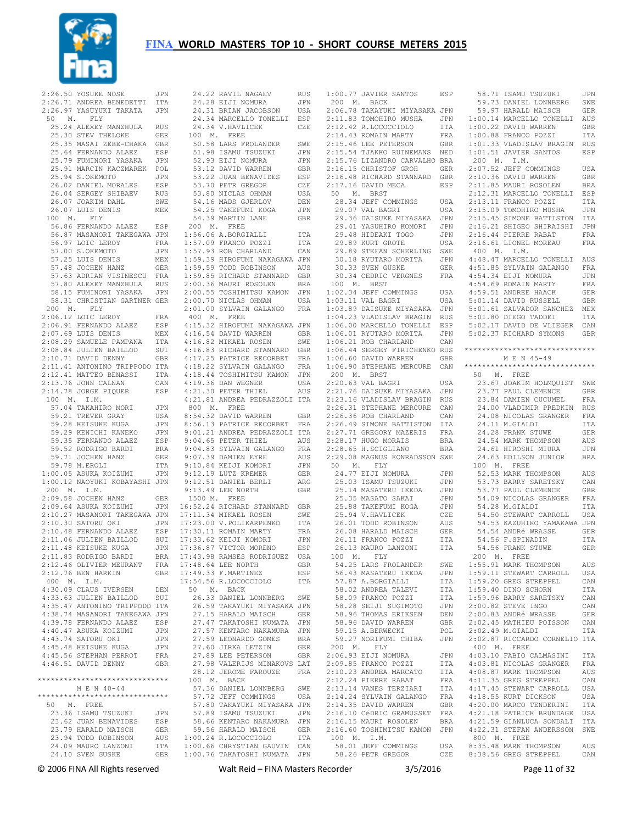

 2:26.50 YOSUKE NOSE JPN 2:26.71 ANDREA BENEDETTI ITA 2:26.97 YASUYUKI TAKATA JPN 50 M. FLY 25.24 ALEXEY MANZHULA RUS 25.30 STEV THELOKE GER 25.35 MASAI ZEBE-CHAKA GBR 25.64 FERNANDO ALAEZ ESP 25.79 FUMINORI YASAKA JPN 25.91 MARCIN KACZMAREK POL 25.94 S.OKEMOTO JPN 26.02 DANIEL MORALES ESP 26.04 SERGEY SHIBAEV RUS 26.07 JOAKIM DAHL SWE 26.07 LUIS DENIS MEX 100 M. FLY 56.86 FERNANDO ALAEZ ESP 56.87 MASANORI TAKEGAWA JPN 1:56.06 A.BORGIALLI ITA 56.97 LOIC LEROY FRA 57.00 S.OKEMOTO JPN<br>57.25 LUIS DENIS MEX 57.25 LUIS DENIS MEX 57.48 JOCHEN HANZ GER 57.63 ADRIAN VISINESCU FRA 57.80 ALEXEY MANZHULA RUS<br>57.80 ALEXEY MANZHULA RUS 58.15 FUMINORI YASAKA JPN 58.31 CHRISTIAN GARTNER GER 200 M. FLY 2:06.12 LOIC LEROY FRA 2:06.91 FERNANDO ALAEZ ESP 2:07.69 LUIS DENIS MEX 2:08.29 SAMUELE PAMPANA ITA 2:08.84 JULIEN BAILLOD SUI 2:10.71 DAVID DENNY GBR 2:11.41 ANTONINO TRIPPODO ITA 2:12.41 MATTEO BENASSI ITA 2:13.76 JOHN CALNAN CAN 2:14.78 JORGE PIQUER ESP 100 M. I.M. 57.04 TAKAHIRO MORI 59.21 TREVER GRAY USA 59.28 KEISUKE KUGA JPN 59.29 KENICHI KANEKO JPN 59.35 FERNANDO ALAEZ ESP 59.52 RODRIGO BARDI BRA 59.71 JOCHEN HANZ GER 59.78 M.EROLI ITA 1:00.05 ASUKA KOIZUMI JPN 1:00.12 NAOYUKI KOBAYASHI JPN 200 M. I.M. 2:09.58 JOCHEN HANZ GER 2:09.64 ASUKA KOIZUMI JPN 2:10.27 MASANORI TAKEGAWA JPN 17:11.34 MIKAEL ROSEN SWE 2:10.30 SATORU OKI JPN 2:10.48 FERNANDO ALAEZ ESP 2:11.06 JULIEN BAILLOD SUI 2:11.48 KEISUKE KUGA JPN 2:11.83 RODRIGO BARDI BRA 2:12.46 OLIVIER MEURANT FRA 2:12.76 BEN HARKIN GBR 400 M. I.M. 4:30.09 CLAUS IVERSEN DEN 4:33.63 JULIEN BAILLOD SUI 4:35.47 ANTONINO TRIPPODO ITA 4:38.74 MASANORI TAKEGAWA JPN 4:39.78 FERNANDO ALAEZ ESP 4:40.47 ASUKA KOIZUMI JPN 4:43.74 SATORU OKI JPN 4:45.48 KEISUKE KUGA JPN 4:45.56 STEPHAN PERROT FRA  $4 \cdot 46$  51 DAVID DENNY GBR \*\*\*\*\*\*\*\*\*\*\*\*\*\*\*\*\*\*\*\*\*\*\*\*\*\*\*\*\*\* M E N 40-44 \*\*\*\*\*\*\*\*\*\*\*\*\*\*\*\*\*\*\*\*\*\*\*\*\*\*\*\*\*\* 50 M. FREE 23.36 ISAMU TSUZUKI JPN 23.62 JUAN BENAVIDES ESP 23.79 HARALD MAISCH GER 23.94 TODD ROBINSON AUS 24.09 MAURO LANZONI ITA 24.10 SVEN GUSKE GER

 24.22 RAVIL NAGAEV RUS 24.28 EIJI NOMURA JPN 24.31 BRIAN JACOBSON USA 24.34 MARCELLO TONELLI ESP 24.34 V.HAVLICEK CZE 100 M. FREE 50.58 LARS FROLANDER SWE 50.50 LANS INSANII--<br>51.98 ISAMU TSUZUKI - JPN<br>52.93 ET.TI NOMIRA - JPN 52.93 EIJI NOMURA 32.33 Bivi Mill.<br>53.12 DAVID WARREN GBR<br>53.22 JUAN BENAVIDES F.SP 53.22 JUAN BENAVIDES ESP 53.70 PETR GREGOR CZE 53.80 NICLAS OHMAN USA 54.16 MADS GJERLOV DEN 54.25 TAKEFUMI KOGA JPN 54.39 MARTIN LANE GBR 200 M. FREE 1:57.09 FRANCO POZZI ITA 1:57.93 ROB CHARLAND CAN 1:59.39 HIROFUMI NAKAGAWA JPN 1:59.59 TODD ROBINSON AUS 1:59.85 RICHARD STANNARD GBR 2:00.36 MAURI ROSOLEN BRA 2:00.55 TOSHIMITSU KAMON JPN 2:00.70 NICLAS OHMAN USA 2:01.00 SYLVAIN GALANGO FRA 400 M. FREE<br>4·15 32 HIROFUMI NAKAGAWA JPN 4:15.32 HIROFUMI NAKAGAWA JPN 4:16.54 DAVID WARREN GBR 4:16.82 MIKAEL ROSEN SWE 4:16.83 RICHARD STANNARD GBR 4:17.25 PATRICE RECORBET FRA 4:18.22 SYLVAIN GALANGO FRA 4:18.44 TOSHIMITSU KAMON JPN 4:19.36 DAN WEGNER USA<br>4:21.30 PETER THIEL AUS 4:21.81 ANDREA PEDRAZZOLI ITA UFN 800 M. FREE<br>USA 8:54.32 DAVID WARREN 8:54.32 DAVID WARREN GBR 8:56.13 PATRICE RECORBET FRA 9:01.21 ANDREA PEDRAZZOLI ITA 9:04 65 PETER THIEL AUS 9:04.83 SYLVAIN GALANGO FRA 9:07.39 DAMIEN EYRE AUS 9:10.84 KEIJI KOMORI JPN 9:12.19 LUTZ KREMER GER 9:12.51 DANIEL BERLI ARG 9:13.49 LEE NORTH GBR 1500 M. FREE 16:52.24 RICHARD STANNARD GBR 17:23.00 V.POLIKARPENKO ITA 17:30.11 ROMAIN MARTY FRA 17:33.62 KEIJI KOMORI JPN 17:36.87 VICTOR MORENO ESP 17:43.98 RAMSES RODRIGUEZ USA 17:48.64 LEE NORTH GBR 17:49.33 F.MARTINEZ ESP 17:54.56 R.LOCOCCIOLO ITA 50 M. BACK 26.33 DANIEL LONNBERG SWE 26.59 TAKAYUKI MIYASAKA JPN 27.15 HARALD MAISCH GER 27.47 TAKATOSHI NUMATA JPN 27.57 KENTARO NAKAMURA JPN 27.59 LEONARDO GOMES BRA 27.60 JIRKA LETZIN GER 27.89 LEE PETERSON GBR 27.98 VALERIJS MINAKOVS LAT 28.12 JEROME FAROUZE FRA 100 M. BACK 57.36 DANIEL LONNBERG SWE 57.72 JEFF COMMINGS USA 57.80 TAKAYUKI MIYASAKA JPN 57.89 ISAMU TSUZUKI JPN 58.66 KENTARO NAKAMURA JPN 59.56 HARALD MAISCH GER 1:00.24 R.LOCOCCIOLO ITA 1:00.24 R.<br>1:00.66 CHRYSTIAN GAUVIN CAN 1:00.76 TAKATOSHI NUMATA JPN

| 1:00.77              | JAVIER SANTOS                                       | ESP        | 58.71<br><b>ISAM</b>                       |
|----------------------|-----------------------------------------------------|------------|--------------------------------------------|
| 200 M.<br>2:06.78    | BACK<br>TAKAYUKI MIYASAKA JPN                       |            | 59.73 DANIB<br>59.97<br><b>HARAI</b>       |
|                      | 2:11.83 TOMOHIRO MUSHA                              | JPN        | 1:00.14 MARCH                              |
|                      | 2:12.42 R.LOCOCCIOLO                                | ITA        | 1:00.22 DAVII                              |
|                      | 2:14.43 ROMAIN MARTY                                | FRA        | 1:00.88 FRANO                              |
|                      | 2:15.46 LEE PETERSON                                | GBR        | 1:01.33 VLADI                              |
|                      | 2:15.54 TJAKKO RUINEMANS                            | NED        | JAVII<br>1:01.51                           |
|                      | 2:15.76 LIZANDRO CARVALHO BRA                       |            | 200<br>I.1<br>М.                           |
|                      | 2:16.15 CHRISTOF GROH                               | GER        | 2:07.52<br>JEFF                            |
|                      | 2:16.48 RICHARD STANNARD                            | GBR        | 2:10.36<br>DAVII                           |
|                      | 2:17.16 DAVID MECA                                  | ESP        | 2:11.85 MAURD                              |
| 50<br>М.             | BRST<br>28.34 JEFF COMMINGS                         | USA        | 2:12.31<br>MARCI<br>2:13.11<br>FRAN0       |
|                      | 29.07 VAL BAGRI                                     | USA        | 2:15.09 TOMOR                              |
|                      | 29.36 DAISUKE MIYASAKA                              | JPN        | 2:15.45<br>SIMON                           |
|                      | 29.41 YASUHIRO KOMORI                               | JPN        | 2:16.21<br>SHIGE                           |
|                      | 29.48 HIDEAKI TOGO                                  | JPN        | 2:16.44<br>PIER                            |
|                      | 29.89 KURT GROTE                                    | USA        | 2:16.61<br>LION                            |
|                      | 29.89 STEFAN SCHERLING                              | SWE        | 400 M.<br>I.1                              |
|                      | 30.18 RYUTARO MORITA                                | JPN        | 4:48.47<br>MARCI                           |
|                      | 30.33 SVEN GUSKE<br>30.34 CEDRIC VERGNES            | GER        | 4:51.85<br><b>SYLV</b><br>4:54.34<br>EIJI  |
|                      | 100 M. BRST                                         | FRA        | 4:54.69 ROMA:                              |
|                      | 1:02.34 JEFF COMMINGS                               | USA        | 4:59.51<br>ANDRI                           |
|                      | 1:03.11 VAL BAGRI                                   | USA        | 5:01.14 DAVII                              |
|                      | 1:03.89 DAISUKE MIYASAKA                            | JPN        | 5:01.61<br>SALV                            |
|                      | 1:04.23 VLADISLAV BRAGIN                            | <b>RUS</b> | 5:01.80<br>DIEG0                           |
|                      | 1:06.00 MARCELLO TONELLI                            | ESP        | 5:02.17<br>DAVII                           |
|                      | 1:06.01 RYUTARO MORITA                              | JPN        | 5:02.37<br>RICH                            |
|                      | 1:06.21 ROB CHARLAND                                | CAN        | **************                             |
|                      | 1:06.44 SERGEY FIRICHENKO RUS                       |            | $M$ E $l$                                  |
| 1:06.90              | 1:06.60 DAVID WARREN<br>STEPHANE MERCURE            | GBR<br>CAN | **************                             |
| 200 M.               | <b>BRST</b>                                         |            | 50 M.<br>FRI                               |
|                      | 2:20.63 VAL BAGRI                                   | USA        | 23.67 JOAKI                                |
|                      | 2:21.76 DAISUKE MIYASAKA                            | JPN        | 23.77 PAUL                                 |
|                      | 2:23.16 VLADISLAV BRAGIN                            | RUS        | 23.84<br>DAMI                              |
|                      | 2:26.31 STEPHANE MERCURE                            | CAN        | 24.00<br>VLAD:                             |
|                      | 2:26.36 ROB CHARLAND                                | CAN        | 24.08 NICOL                                |
|                      | 2:26.49 SIMONE BATTISTON<br>2:27.71 GREGORY MAZERIS | ITA        | 24.11 M.GI                                 |
|                      | 2:28.17 HUGO MORAIS                                 | FRA<br>BRA | 24.28 FRANE<br>24.54 MARK                  |
| 2:28.65              | H.SCIGLIANO                                         | BRA        | 24.61<br>HIROS                             |
|                      | 2:29.08 MAGNUS KONRADSSON SWE                       |            | 24.63 EDILS                                |
| 50<br>Μ.             | FLY                                                 |            | 100<br>FRI<br>М.                           |
|                      | 24.77 EIJI NOMURA                                   | JPN        | 52.53 MARK                                 |
|                      | 25.03 ISAMU TSUZUKI                                 | JPN        | 53.73 BARRY                                |
|                      | 25.14 MASATERU IKEDA                                | JPN        | 53.77<br>PAUL                              |
|                      | 25.35 MASATO SAKAI<br>25.88 TAKEFUMI KOGA           | JPN<br>JPN | 54.09 NICOL<br>54.28 M.GI                  |
|                      | 25.94 V.HAVLICEK                                    | CZE        | 54.50<br>STEW                              |
|                      | 26.01 TODD ROBINSON                                 | AUS        | 54.53 KAZUB                                |
|                      | 26.08 HARALD MAISCH                                 | GER        | 54.54<br>ANDRe                             |
|                      | 26.11 FRANCO POZZI                                  | ITA        | 54.56<br>F.SP                              |
|                      | 26.13 MAURO LANZONI                                 | ITA        | FRANI<br>54.56                             |
|                      | 100 M. FLY                                          |            | 200 M. FRI                                 |
| 54.25                | LARS FROLANDER                                      | SWE        | 1:55.91 MARK                               |
|                      | 56.43 MASATERU IKEDA<br>57.87 A.BORGIALLI           | JPN<br>ITA | 1:59.11<br><b>STEW</b><br>1:59.20 GREG     |
|                      | 58.02 ANDREA TALEVI                                 | ITA        | 1:59.40<br>DINO                            |
|                      | 58.09 FRANCO POZZI                                  | <b>ITA</b> | 1:59.96 BARRY                              |
|                      | 58.28 SEIJI SUGIMOTO                                | JPN        | 2:00.82 STEVE                              |
|                      | 58.96 THOMAS ERIKSEN                                | DEN        | 2:00.83 ANDR6                              |
|                      | 58.96 DAVID WARREN                                  | GBR        | 2:02.45 MATHI                              |
|                      | 59.15 A.BERWECKI                                    | POL        | 2:02.49 M.GI                               |
|                      | 59.27 NORIFUMI CHIBA                                | JPN        | 2:02.87<br><b>RICCI</b>                    |
| 200<br>М.<br>2:06.93 | FLY<br>EIJI NOMURA                                  | JPN        | 400<br>FRI<br>М.<br>4:03.10<br>FABI0       |
|                      | 2:09.85 FRANCO POZZI                                | ITA        | 4:03.81<br>NICOI                           |
|                      | 2:10.23 ANDREA MARCATO                              | ITA        | 4:08.87 MARK                               |
|                      | 2:12.24 PIERRE RABAT                                | FRA        | 4:11.35 GREG                               |
|                      | 2:13.14 VANES TERZIARI                              | ITA        | 4:17.45 STEW                               |
|                      | 2:14.24 SYLVAIN GALANGO                             | FRA        | 4:18.55 KURT                               |
|                      | 2:14.35 DAVID WARREN                                | GBR        | 4:20.00 MARCO                              |
|                      | 2:16.10 CéDRIC GRAMUSSET                            | FRA        | 4:21.18 PATRI                              |
|                      | 2:16.15 MAURI ROSOLEN                               | BRA        | 4:21.59 GIAND                              |
| 100 M.               | 2:16.60 TOSHIMITSU KAMON<br>I.M.                    | JPN        | 4:22.31<br><b>STEF</b><br>800<br>М.<br>FRI |
|                      | 58.01 JEFF COMMINGS                                 | USA        | 8:35.48 MARK                               |
|                      | 58.26 PETR GREGOR                                   | CZE        | 8:38.56 GREG                               |
|                      |                                                     |            |                                            |

E TSUZUKI JPN<br>EL LONNBERG SWE EL LONNBERG LD MAISCH GER ELLO TONELLI AUS D WARREN GBR 1:00.88 FRANCO POZZI ITA ISLAV BRAGIN RUS ER SANTOS ESP 200 M. I.M. COMMINGS USA D WARREN GBR I ROSOLEN BRA ELLO TONELLI ESP 2:13.11 FRANCO POZZI ITA .<br>2.15 Ten Musha JPN NE BATTISTON ITA 2:16.21 SHIGEO SHIRAISHI JPN RE RABAT FRA EL MOREAU FRA 400 M. I.M. .<br>ELLO TONELLI AUS AIN GALANGO FRA<br>NOMURA JEN NOMURA TN MARTY FRA EE HAACK GER D RUSSELL GBR ADOR SANCHEZ MEX OTADDEI TTA D DE VLIEGER CAN ARD SYMONS GBR \*\*\*\*\*\*\*\*\*\*\*\*\*\*\*\*\*\*\*\*\*\*\*\*\*\*\*\*\*\*  $N$  45-49 \*\*\*\*\*\*\*\*\*\*\*\*\*\*\*\*\*\*\*\*\*\*\*\*\*\*\*\*\*\*  $\mathbf{F} \mathbf{F}$ **IM HOLMOUIST SWE**  23.77 PAUL CLEMENCE GBR 23.84 DAMIEN CUCUMEL FRA **IMIR PREDKIN RUS** LAS GRANGER FRA 24.11 M.GIALDI ITA 24.28 FRANK STUWE GER THOMPSON AIIS SHT MIURA JPN SON JUNIOR BRA 100 M. FREE THOMPSON AIIS Y SARETSKY CAN CLEMENCE GBR LAS GRANGER FRA 54.28 M.GIALDI ITA ART CARROLL USA HIKO YAMAKAWA JPN é WRASSE GER TNADIN TTA 54.56 FRANK STUWE GER 200 M. FREE THOMPSON AUS ART CARROLL USA STREPPEL CAN SCHORN TTA Y SARETSKY CAN P. INGO CAN 2:00.83 ANDRé WRASSE GER TEIL POTSSON CAN 2:02.49 M.GIALDI ITA 2:02.87 RICCARDO CORNELIO ITA  $E.E.$ 0 CALMASINI ITA LAS GRANGER FRA THOMPSON AUS STREPPEL CAN ART CARROLL USA DICKSON USA 4:20.00 MARCO TENDERINI ITA TCK BRUNDAGE USA 4:21.59 GIANLUCA SONDALI ITA AN ANDERSSON SWE 800 M. FREE THOMPSON AIIS STREPPEL CAN

© 2006 FINA All Rights reserved Walt Reid – FINA Masters Recorder 3/5/2016 Page 11 of 32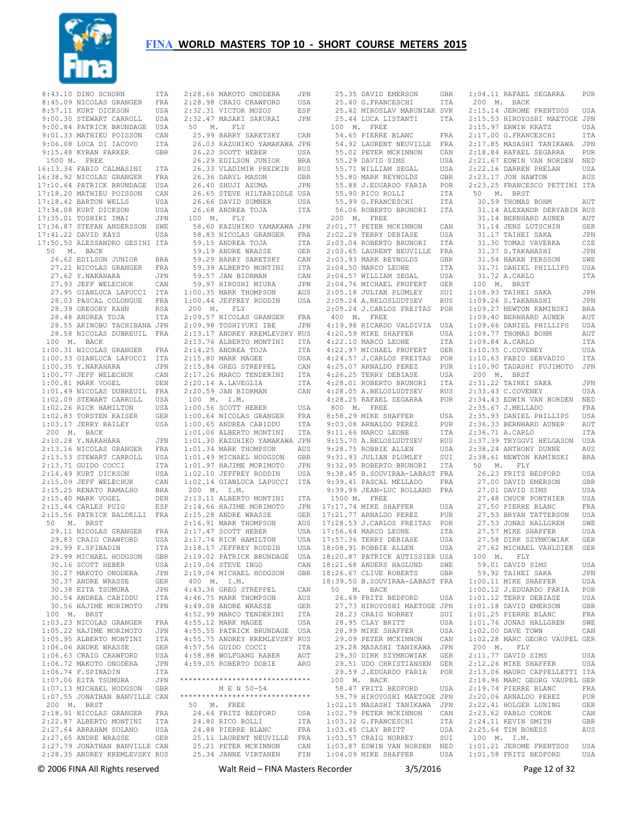

| 8:43.10 DINO SCHORN           | ITA<br>2:28          |
|-------------------------------|----------------------|
| 8:45.09 NICOLAS GRANGER       | 2:28<br>FRA          |
|                               |                      |
| 8:57.11 KURT DICKSON          | 2:32<br>USA          |
| 9:00.30 STEWART CARROLL       | 2:32<br>USA          |
| 9:00.84 PATRICK BRUNDAGE      | 50<br>USA            |
|                               |                      |
| 9:01.33 MATHIEU POISSON       | 25<br>CAN            |
| 9:06.08 LUCA DI IACOVO        | 26<br><b>ITA</b>     |
| 9:15.48 KYRAN PARKER          | 26<br>GBR            |
|                               |                      |
| 1500 M. FREE                  | 26                   |
| 16:13.34 FABIO CALMASINI      | 26<br>ITA            |
| 16:38.92 NICOLAS GRANGER      | 26<br>FRA            |
|                               |                      |
| 17:10.64 PATRICK BRUNDAGE     | 26<br>USA            |
| 17:18.20 MATHIEU POISSON      | 26<br>CAN            |
| 17:18.42 BARTON WELLS         | 26<br><b>USA</b>     |
|                               | USA                  |
| 17:34.08 KURT DICKSON         | 26                   |
| 17:35.01 TOSHIKI IMAI         | 10(<br>JPN           |
| 17:36.87 STEFAN ANDERSSON     | 58<br>SWE            |
| 17:41.22 DAVID KAYS           | 58<br>USA            |
|                               |                      |
| 17:50.50 ALESSANDRO GESINI    | 5S<br>ITA            |
| 50 M. BACK                    | 59                   |
| 26.62 EDILSON JUNIOR          | 59<br>BRA            |
|                               |                      |
| 27.21 NICOLAS GRANGER         | 5S<br>FRA            |
| 27.62 Y.NAKAHARA              | 59<br>JPN            |
| 27.93 JEFF WELECHUK           | 59<br>CAN            |
|                               |                      |
| 27.95 GIANLUCA LAPUCCI        | 1:0(<br>ITA          |
| 28.03 PASCAL COLONGUE         | 1:0(<br>FRA          |
| 28.39 GREGORY KAHN            | 200<br>RSA           |
|                               |                      |
| 28.48 ANDREA TOJA             | 2:09<br>ITA          |
| 28.55 AKINOBU TACHIBANA JPN   | 2:09                 |
| 28.58 NICOLAS DUBREUIL FRA    | 2:13                 |
|                               | 2:13                 |
| 100 M. BACK                   |                      |
| 1:00.31 NICOLAS GRANGER       | 2:14<br>FRA          |
| 1:00.33 GIANLUCA LAPUCCI      | 2:15<br>ITA          |
| 1:00.35 Y.NAKAHARA            | JPN                  |
|                               | 2:15                 |
| 1:00.77 JEFF WELECHUK         | 2:17<br>CAN          |
| 1:00.81 MARK VOGEL            | 2:20<br>DEN          |
| 1:01.49 NICOLAS DUBREUIL      | 2:20<br>FRA          |
|                               |                      |
| 1:02.09 STEWART CARROLL       | 10(<br>USA           |
| 1:02.26 RICK HAMILTON         | USA<br>1:00          |
| 1:02.83 TORSTEN KAISER        | 1:00<br>GER          |
| JERRY BAILEY                  | 1:00                 |
| 1:03.17                       | USA                  |
| 200 M. BACK                   | 1:01                 |
| 2:10.28 Y.NAKAHARA            | JPN<br>1:01          |
| 2:13.16 NICOLAS GRANGER       | FRA<br>1:01          |
|                               |                      |
| 2:13.53 STEWART CARROLL       | 1:01<br>USA          |
| 2:13.71 GUIDO COCCI           | ITA<br>1:01          |
| 2:14.49 KURT DICKSON          | USA<br>1:02          |
|                               |                      |
| 2:15.09 JEFF WELECHUK         | 1:02<br>CAN          |
| 2:15.25 RENATO RAMALHO        | 200<br>BRA           |
| 2:15.40 MARK VOGEL            | 2:13<br>DEN          |
|                               |                      |
| 2:15.44 CARLES PUIG           | 2:14<br>ESP          |
| 2:15.56 PATRICK BALDELLI      | 2:15<br>FRA          |
| 50 M. BRST                    | 2:16                 |
| 29.11 NICOLAS GRANGER         | 2:17<br>FRA          |
|                               |                      |
| 29.83 CRAIG CRAWFORD          | 2:17<br>USA          |
| 29.99 F.SPINADIN              | 2:18<br>ITA          |
| 29.99 MICHAEL HODGSON         | GBR<br>2:19          |
| 30.16 SCOTT HEBER             | 2:19<br>USA          |
|                               |                      |
| 30.27 MAKOTO ONODERA          | 2:19<br>JPN          |
| 30.37 ANDRE WRASSE            | 400<br>GER           |
| 30.38 EITA TSUMURA            | 4:43<br>JPN          |
|                               | 4:46                 |
| 30.54 ANDREA CABIDDU          | ITA                  |
| 30.56 HAJIME MORIMOTO         | 4:49<br>JPN          |
| 100 M.<br>BRST                | 4:52                 |
| 1:03.23 NICOLAS GRANGER       | 4:55<br>FRA          |
|                               |                      |
| 1:05.22 HAJIME MORIMOTO       | 4:55<br>JPN          |
| 1:05.95 ALBERTO MONTINI       | 4:55<br>ITA          |
| 1:06.06 ANDRE WRASSE          | 4:57<br>GER          |
|                               |                      |
|                               |                      |
| 1:06.63 CRAIG CRAWFORD        | 4:58<br>USA          |
| 1:06.72 MAKOTO ONODERA        | 4:59<br>JPN          |
|                               |                      |
| $1:06.74$ F. SPINADIN         | ITA                  |
| 1:07.06 EITA TSUMURA          | $***$ * * * *<br>JPN |
| 1:07.13 MICHAEL HODGSON GBR   |                      |
|                               | *****                |
| 1:07.55 JONATHAN BANVILLE CAN |                      |
| 200 M. BRST                   | 50                   |
| 2:18.91 NICOLAS GRANGER       | 24<br>FRA            |
| 2:22.87 ALBERTO MONTINI       | 24<br>ITA            |
|                               |                      |
| 2:27.64 ABRAHAM SOLANO        | 24<br>USA            |
| 2:27.65 ANDRE WRASSE          | 25<br>GER            |
| 2:27.79 JONATHAN BANVILLE CAN | 25                   |
| 2:28.35 ANDREY KREMLEVSKY RUS | 25                   |

| 2:28.66 MAKOTO ONODERA JPN<br>2:28.98 CRAIG CRAWFORD USA                                                                                                                                                                              |                                                             |
|---------------------------------------------------------------------------------------------------------------------------------------------------------------------------------------------------------------------------------------|-------------------------------------------------------------|
|                                                                                                                                                                                                                                       | JPN                                                         |
| 2:32.47 MASAKI SAKURAI<br>50 M. FLY                                                                                                                                                                                                   |                                                             |
| 25.99 BARRY SARETSKY                                                                                                                                                                                                                  | CAN                                                         |
| 26.03 KAZUHIKO YAMAKAWA JPN                                                                                                                                                                                                           |                                                             |
|                                                                                                                                                                                                                                       | USA                                                         |
| 26.23 SCOTT HEBER<br>26.29 EDILSON JUNIOR<br>26.33 VLADIMIR PREDKIN                                                                                                                                                                   | <b>BRA</b>                                                  |
|                                                                                                                                                                                                                                       | RUS                                                         |
|                                                                                                                                                                                                                                       |                                                             |
|                                                                                                                                                                                                                                       |                                                             |
| 26.36 DARYL MASON GBR<br>26.36 DARYL MASON GBR<br>26.40 SHUJI AZUMA JPN<br>26.65 STEVE HILTABIDDLE USA                                                                                                                                |                                                             |
|                                                                                                                                                                                                                                       |                                                             |
| 26.66 DAVID SUMNER                                                                                                                                                                                                                    | USA                                                         |
| 26.68 ANDREA TOJA                                                                                                                                                                                                                     | <b>ITA</b>                                                  |
| $100$ M. FLY                                                                                                                                                                                                                          |                                                             |
| 58.60 KAZUHIKO YAMAKAWA JPN                                                                                                                                                                                                           |                                                             |
| 58.83 NICOLAS GRANGER FRA<br>59.15 ANDREA TOJA ITA<br>59.19 ANDRE WRASSE GER                                                                                                                                                          |                                                             |
|                                                                                                                                                                                                                                       |                                                             |
|                                                                                                                                                                                                                                       |                                                             |
|                                                                                                                                                                                                                                       |                                                             |
|                                                                                                                                                                                                                                       | $\begin{array}{c} \mathtt{CAN} \\ \mathtt{ITA} \end{array}$ |
| 99.29 BARRY SARETSKY<br>59.39 ALBERTO MONTINI<br>59.57 JAN BIDRMAN<br>59.97 HIROSHI MIURA<br>1:00.35 MARK THOMPSON<br>1:00.35 MARK THOMPSON                                                                                           | $\mathtt{CAN}$                                              |
|                                                                                                                                                                                                                                       | JPN                                                         |
|                                                                                                                                                                                                                                       | AUS                                                         |
| 1:00.44 JEFFREY RODDIN                                                                                                                                                                                                                | USA                                                         |
| $200$ M. FLY                                                                                                                                                                                                                          |                                                             |
| 2.09.57 NICOLAS GRANGER<br>2.09.57 NICOLAS GRANGER FRA<br>2.09.98 TOSHIYUKI IBE JPN<br>2.13.17 ANDREY KREMLEVSKY RUS<br>2.13.76 ALBERTO MONTINI ITA<br>2.14.25 ANDREA TOJA ITA<br>2.15.80 MARK MAGEE USA<br>2.15.80 CREC STPEPPEL CAN |                                                             |
|                                                                                                                                                                                                                                       |                                                             |
|                                                                                                                                                                                                                                       |                                                             |
|                                                                                                                                                                                                                                       |                                                             |
|                                                                                                                                                                                                                                       |                                                             |
|                                                                                                                                                                                                                                       |                                                             |
|                                                                                                                                                                                                                                       |                                                             |
|                                                                                                                                                                                                                                       | $\mathtt{CAN}$                                              |
| 2:15.84 GREG STREPPEL<br>2:17.26 MARCO TENDERINI<br>2:20.14 A.LAVEGLIA                                                                                                                                                                | ITA                                                         |
| 2:20.14 A.LAVEGLIA<br>2:20.59 JAN BIDRMAN                                                                                                                                                                                             | ITA                                                         |
|                                                                                                                                                                                                                                       | CAN                                                         |
| 100 M. I.M.                                                                                                                                                                                                                           |                                                             |
| 1:00.56 SCOTT HEBER<br>1:00.64 NICOLAS GRANGER<br>1:00.65 ANDREA CABIDDU                                                                                                                                                              | USA                                                         |
|                                                                                                                                                                                                                                       |                                                             |
|                                                                                                                                                                                                                                       | FRA<br>ITA                                                  |
| 1:01.06 ALBERTO MONTINI ITA<br>1:01.30 KAZUHIKO YAMAKAWA JPN                                                                                                                                                                          |                                                             |
|                                                                                                                                                                                                                                       |                                                             |
|                                                                                                                                                                                                                                       |                                                             |
|                                                                                                                                                                                                                                       |                                                             |
| 1:01.34 MARK THOMPSON                                                                                                                                                                                                                 | AUS                                                         |
|                                                                                                                                                                                                                                       | GBR                                                         |
|                                                                                                                                                                                                                                       | $\mathtt{JPN}$                                              |
| 1:01.49 MICHAEL HODGSON<br>1:01.97 HAJIME MORIMOTO<br>1:02.10 JEFFREY RODDIN                                                                                                                                                          | USA                                                         |
| 1:02.14 GIANLUCA LAPUCCI ITA                                                                                                                                                                                                          |                                                             |
| 200 M. I.M.                                                                                                                                                                                                                           |                                                             |
| 2:13.11 ALBERTO MONTINI                                                                                                                                                                                                               | ITA                                                         |
|                                                                                                                                                                                                                                       | JPN                                                         |
|                                                                                                                                                                                                                                       | GER                                                         |
|                                                                                                                                                                                                                                       | AUS                                                         |
|                                                                                                                                                                                                                                       | USA                                                         |
|                                                                                                                                                                                                                                       | USA                                                         |
|                                                                                                                                                                                                                                       |                                                             |
| 2:13.11 ALBEAND MORINATION<br>2:15.28 ANDRE WRASSE GER<br>2:15.28 ANDRE WRASSE GER<br>2:16.91 MARK THOMPSON AUS<br>2:17.47 SCOTT HEBER USA<br>2:17.74 RICK HAMILTON USA<br>2:18.17 JEFFREY RODDIN USA                                 |                                                             |
| 2:19.02 PATRICK BRUNDAGE                                                                                                                                                                                                              | USA                                                         |
| 2:19.04 STEVE INGO                                                                                                                                                                                                                    | CAN                                                         |
| 2:19.04 MICHAEL HODGSON GBR                                                                                                                                                                                                           |                                                             |
| 400 M. I.M.                                                                                                                                                                                                                           |                                                             |
|                                                                                                                                                                                                                                       | CAN                                                         |
| 4:43.36 GREG STREPPEL<br>4:46.75 MARK THOMPSON                                                                                                                                                                                        | AUS                                                         |
| $4:49.08$ ANDRE WRASSE                                                                                                                                                                                                                | GER                                                         |
| 4:52.99 MARCO TENDERINI                                                                                                                                                                                                               | ITA                                                         |
| 4:55.12 MARK MAGEE                                                                                                                                                                                                                    | USA                                                         |
|                                                                                                                                                                                                                                       |                                                             |
|                                                                                                                                                                                                                                       |                                                             |
|                                                                                                                                                                                                                                       |                                                             |
|                                                                                                                                                                                                                                       |                                                             |
| 1984<br>1955.55 PATRICK BRUNDAGE USA<br>1955.75 ANDREY KREMLEVSKY RUS<br>1957.56 GUIDO COCCI ITA<br>1958.88 WOLFGANG RABER AUT<br>1959.05 ROREERTO DOBTE<br>4:59.05 ROBERTO DOBIE                                                     | ARG                                                         |
|                                                                                                                                                                                                                                       |                                                             |
|                                                                                                                                                                                                                                       |                                                             |
| M E N 50-54                                                                                                                                                                                                                           |                                                             |
|                                                                                                                                                                                                                                       |                                                             |
| 50 M. FREE                                                                                                                                                                                                                            |                                                             |
|                                                                                                                                                                                                                                       | USA                                                         |
| 24.64 FRITZ BEDFORD<br>24.80 RICO ROLLI                                                                                                                                                                                               | ITA                                                         |
| ******************************<br>*****************************                                                                                                                                                                       | FRA                                                         |
| 24.88 PIERRE BLANC                                                                                                                                                                                                                    |                                                             |
| 25.11 LAURENT NEUVILLE FRA<br>25.21 PETER MCKINNON CAN<br>25.34 JANNE VIRTANEN FIN                                                                                                                                                    |                                                             |

|              | 25.35 DAVID EMERSON<br>25.40 G.FRANCESCHI                                                                                                               | GBR        | 1                                                  |
|--------------|---------------------------------------------------------------------------------------------------------------------------------------------------------|------------|----------------------------------------------------|
|              |                                                                                                                                                         | ITA        |                                                    |
|              | 25.42 MIROSLAV MARUNIAK SVK                                                                                                                             |            | $\overline{c}$                                     |
|              | 25.44 LUCA LISTANTI                                                                                                                                     | ITA        | $\overline{c}$                                     |
|              | 100 M. FREE<br>54.65 PIERRE BLANC                                                                                                                       |            | $\overline{c}$<br>$\overline{c}$                   |
|              | 54.92 LAURENT NEUVILLE                                                                                                                                  | FRA<br>FRA | $\overline{c}$                                     |
|              | 55.02 PETER MCKINNON                                                                                                                                    | CAN        | $\overline{c}$                                     |
|              | 55.29 DAVID SIMS                                                                                                                                        | USA        | $\overline{c}$                                     |
|              |                                                                                                                                                         | USA        | $\overline{c}$                                     |
|              | 55.71 WILLIAM SEGAL<br>55.80 MARK REYNOLDS<br>55.88 J.EDUARDO FARIA                                                                                     |            | $\overline{c}$                                     |
|              |                                                                                                                                                         | GBR<br>POR | $\overline{c}$                                     |
|              |                                                                                                                                                         | ITA        |                                                    |
|              | S5.99 G.FRANCESCHI<br>56.06 ROBERTS C<br>55.55 G.FRANCESCHI IIA<br>56.06 ROBERTO BRUNORI ITA                                                            | ITA        |                                                    |
|              |                                                                                                                                                         |            |                                                    |
|              | 200 M. FREE                                                                                                                                             |            |                                                    |
|              | 2:01.77 PETER MCKINNON<br>2:02.29 TERRY DEBIASE                                                                                                         | CAN        |                                                    |
|              | $2:03.04$ ROBERTO BRUNORI                                                                                                                               | USA<br>ITA |                                                    |
|              |                                                                                                                                                         |            |                                                    |
|              | 2:03.65 LAURENT NEUVILLE FRA<br>2:03.93 MARK REYNOLDS GBR                                                                                               |            |                                                    |
|              | 2:04.50 MARCO LEONE                                                                                                                                     | ITA        |                                                    |
|              | $2:04.57$ WILLIAM SEGAL                                                                                                                                 | USA        |                                                    |
|              | 2:04.76 MICHAEL PRUFERT GER                                                                                                                             |            |                                                    |
|              | 2:05.18 JULIAN PLUMLEY                                                                                                                                  | SUI        | $\mathbf{1}$                                       |
|              | 2:05.24 A.BELOSLUDTSEV                                                                                                                                  | RUS        | $1\,$                                              |
|              | 2:05.24 J.CARLOS FREITAS POR                                                                                                                            |            | $\,1\,$                                            |
| 400 M. FREE  |                                                                                                                                                         |            | $1\,$                                              |
|              | 4:19.98 RICARDO VALDIVIA USA<br>4:20.59 MIKE SHAFFER                                                                                                    | USA        | $1\,$<br>$1\,$                                     |
|              | 4:22.10 MARCO LEONE                                                                                                                                     | ITA        | 1                                                  |
|              | 4:22.97 MICHAEL PRUFERT                                                                                                                                 | GER        | $\mathbf 1$                                        |
|              | 4:24.57 J.CARLOS FREITAS POR                                                                                                                            |            | $\mathbf 1$                                        |
|              |                                                                                                                                                         | PUR        | 1                                                  |
|              | 4:25.07 ARNALDO PEREZ<br>4:26.25 TERRY DEBIASE                                                                                                          | USA        |                                                    |
|              | $4:28.01$ ROBERTO BRUNORI                                                                                                                               | ITA<br>RUS | $\overline{c}$                                     |
|              | 4:28.05 A.BELOSLUDTSEV                                                                                                                                  |            | $\overline{c}$                                     |
|              | 4:28.25 RAFAEL SEGARRA                                                                                                                                  | PUR        | $\overline{c}$                                     |
| 800 M. FREE  |                                                                                                                                                         |            | $\overline{c}$                                     |
|              | 8:58.29 MIKE SHAFFER<br>9:03.08 ARNALDO PEREZ                                                                                                           | USA        | $\overline{c}$                                     |
|              |                                                                                                                                                         | PUR        | $\overline{\mathbf{c}}$<br>$\overline{c}$          |
|              | 9:11.66 MARCO LEONE<br>9:15.70 A.BELOSLUDTSEV                                                                                                           | ITA<br>RUS | $\overline{c}$                                     |
|              | 9:28.75 ROBBIE ALLEN                                                                                                                                    | USA        | $\overline{c}$                                     |
|              | 9:31.93 JULIAN PLUMLEY                                                                                                                                  | SUI        | $\overline{c}$                                     |
|              | 9:32.95 ROBERTO BRUNORI ITA                                                                                                                             |            |                                                    |
|              |                                                                                                                                                         |            |                                                    |
|              | 9:32.95 ROBERTO BRONONI<br>9:38.45 B.SOUVIRAA-LABAST FRA<br>2:38.45 B.SOUVIRAA-LABAST FRA<br>9:39.41 PASCAL MELLADO FRA<br>9:39.99 JEAN-LUC ROLLAND FRA |            |                                                    |
|              |                                                                                                                                                         |            |                                                    |
| 1500 M. FREE |                                                                                                                                                         |            |                                                    |
|              | 17:17.74 MIKE SHAFFER                                                                                                                                   | USA        |                                                    |
|              | 17:21.77 ARNALDO PEREZ<br>17:28.53 J.CARLOS FREITAS                                                                                                     | PUR        |                                                    |
|              | 17:56.64 MARCO LEONE                                                                                                                                    | POR<br>ITA |                                                    |
|              |                                                                                                                                                         | USA        |                                                    |
|              | 17:57.36 TERRY DEBIASE<br>18:08.91 ROBBIE ALLEN                                                                                                         | USA        |                                                    |
|              | 18:20.87 PATRICK AUTISSIER USA                                                                                                                          |            |                                                    |
|              | 18:21.68 ANDERS HAGLUND                                                                                                                                 | SWE        |                                                    |
|              | 18:26.67 CLIVE ROBERTS                                                                                                                                  | GBR        |                                                    |
|              | 18:39.50 B.SOUVIRAA-LABAST FRA                                                                                                                          |            | 1                                                  |
|              | 50 M. BACK                                                                                                                                              |            | $\mathbf 1$                                        |
|              | 26.69 FRITZ BEDFORD                                                                                                                                     | USA        | 1                                                  |
|              | 27.73 HIROYOSHI MAETOGE JPN                                                                                                                             | SUI        | 1<br>$1\,$                                         |
|              | 28.23 CRAIG NORREY<br>28.95 CLAY BRITT                                                                                                                  | USA        | 1                                                  |
|              | 28.99 MIKE SHAFFER                                                                                                                                      | USA        | 1                                                  |
|              | 29.09 PETER MCKINNON                                                                                                                                    | CAN        | 1                                                  |
|              | 29.28 MASASHI TANIKAWA                                                                                                                                  | JPN        |                                                    |
|              | 29.30 DIRK SZYMKOWIAK<br>29.51 UDO CHRISTIANSEN                                                                                                         | GER        | $\overline{\mathbf{c}}$                            |
|              |                                                                                                                                                         | GER        | $\overline{\mathbf{c}}$                            |
|              | 29.59 J.EDUARDO FARIA                                                                                                                                   | POR        | $\overline{\mathbf{c}}$                            |
|              | 100 M. BACK                                                                                                                                             |            | $\overline{c}$                                     |
|              | 58.47 FRITZ BEDFORD<br>59.79 HIROYOSHI MAETOGE JPN                                                                                                      | USA        | $\overline{\mathbf{c}}$                            |
|              | 1:02.15 MASASHI TANIKAWA JPN                                                                                                                            |            | $\overline{\mathbf{c}}$<br>$\overline{\mathbf{c}}$ |
|              | 1:02.79 PETER MCKINNON                                                                                                                                  | CAN        | $\overline{\mathbf{c}}$                            |
|              | 1:03.32 G.FRANCESCHI                                                                                                                                    | ITA        | 2                                                  |
|              |                                                                                                                                                         | USA        | $\overline{c}$                                     |
|              | 1:03.45 CLAY BRITT<br>1:03.57 CRAIG NORREY                                                                                                              | SUI        |                                                    |
|              | 1:03.87 EDWIN VAN NORDEN NED                                                                                                                            |            | 1                                                  |
|              | 1:04.09 MIKE SHAFFER                                                                                                                                    | USA        | 1                                                  |

 1:04.11 RAFAEL SEGARRA PUR 200 M. BACK 2:15.14 JEROME FRENTSOS USA 2:15.53 HIROYOSHI MAETOGE JPN 2:15.97 ERWIN KRATZ USA 2:17.00 G.FRANCESCHI ITA 2:17.85 MASASHI TANIKAWA JPN :18.84 RAFAEL SEGARRA PUR<br>21.67 EDWIN VAN NORDEN NED :21.67 EDWIN VAN NORDEN 2:22.16 DARREN PHELAN USA 2:23.17 JON HAWTON AUS 2:23.25 FRANCESCO PETTINI ITA 50 M. BRST 30.59 THOMAS BOHM AUT 31.14 ALEXANDR DERYABIN RUS 31.14 BERNHARD AUNER AUT 31.14 JENS LUTSCHIN GER 31.17 TAIHEI SAKA JPN 31.30 TOMAS VAVERKA CZE 31.37 S.TAKAHASHI JPN 31.54 HAKAN PERSSON SWE 31.71 DANIEL PHILLIPS USA 31.72 A.CARLO ITA 100 M. BRST 1:08.93 TAIHEI SAKA JPN 1:09.26 S.TAKAHASHI JPN 1:09.27 NEWTON KAMINSKI BRA 1:09.40 BERNHARD AUNER AUT 1:09.66 DANIEL PHILLIPS USA 1:09.77 THOMAS BOHM AUT 1:09.84 A.CARLO ITA 1:10.35 C.COVENEY USA 1:10.63 FABIO SERVADIO ITA 1:10.90 TADASHI FUJIMOTO JPN 200 M. BRST 2:31.22 TAIHEI SAKA JPN 2:33.43 C.COVENEY USA 2:34.43 EDWIN VAN NORDEN NED 2:35.67 J.MELLADO FRA 2:35.93 DANIEL PHILLIPS USA 2:36.33 BERNHARD AUNER AUT 2:36.71 A.CARLO ITA 2:37.39 TRYGGVI HELGASON USA 2:38.24 ANTHONY DUNNE AUS 2:38.61 NEWTON KAMINSKI BRA 50 M. FLY 26.23 FRITZ BEDFORD USA 27.00 DAVID EMERSON GBR<br>27.01 DAVID SIMS 27.01 DAVID SIMS 27.48 CHUCK PONTHIER USA 27.50 PIERRE BLANC FRA 27.53 BRYAN TATTERSON USA 27.53 JONAS HALLGREN SWE 27.57 MIKE SHAFFER USA 27.58 DIRK SZYMKOWIAK GER 27.62 MICHAEL VAHLDIEK GER 100 M. FLY 59.01 DAVID SIMS USA 59.92 TAIHEI SAKA JPN 1:00.11 MIKE SHAFFER USA 1:00.12 J.EDUARDO FARIA POR 1:01.12 TERRY DEBIASE USA 1:01.18 DAVID EMERSON GBR 1:01.25 PIERRE BLANC FRA 1:01.76 JONAS HALLGREN SWE 1:02.00 DAVE TOWN CAN 1:02.28 MARC GEORG VAUPEL GER 200 M. FLY 2:11.77 DAVID SIMS USA <sup>2</sup>:12.26 MIKE SHAFFER USA 2:13.06 MAURO CAPPELLETTI ITA 2:18.96 MARC GEORG VAUPEL GER 2:19.74 PIERRE BLANC FRA 2:20.06 ARNALDO PEREZ PUR 2:22.41 HOLGER LUNING GER 2:23.62 PABLO CONDE CAN 2:24.11 KEVIN SMITH GBR 2:25.64 TIM BONESS AUS 100 M. I.M. 1:01.21 JEROME FRENTSOS USA 1:01.58 FRITZ BEDFORD USA

© 2006 FINA All Rights reserved Walt Reid – FINA Masters Recorder 3/5/2016 Page 12 of 32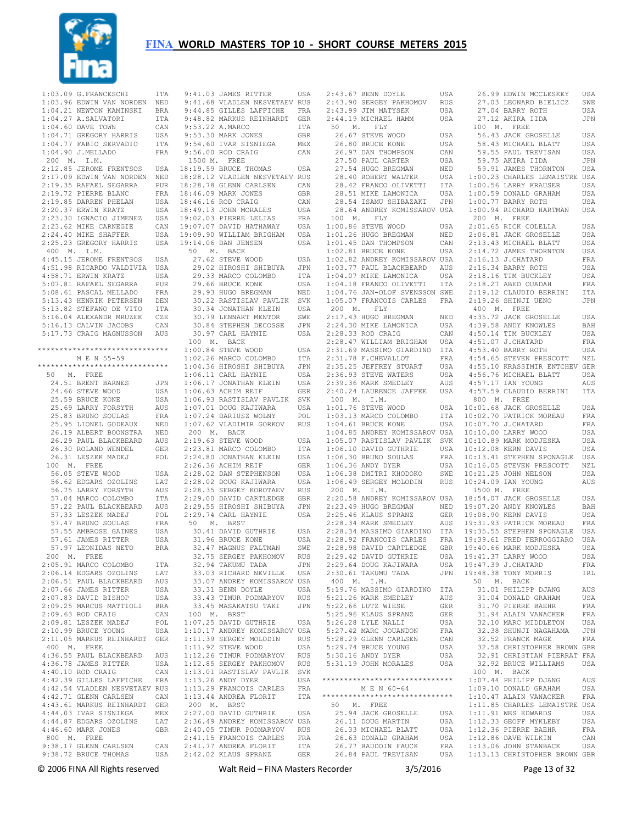

|           | 1:03.09 G.FRANCESCHI                                     | ITA        |             | 9:41.03 JAMES RITTER                                | USA          |
|-----------|----------------------------------------------------------|------------|-------------|-----------------------------------------------------|--------------|
|           | 1:03.96 EDWIN VAN NORDEN                                 | NED        |             | 9:41.68 VLADLEN NESVETAEV RUS                       |              |
|           | 1:04.21 NEWTON KAMINSKI                                  | BRA        |             | 9:44.85 GILLES LAFFICHE                             | FRA          |
|           | 1:04.27 A.SALVATORI                                      | ITA        |             | 9:48.82 MARKUS REINHARDT                            | GER          |
|           | $1:04.60$ DAVE TOWN                                      | CAN        |             | 9:53.22 A.MARCO                                     | ITA          |
|           | 1:04.71 GREGORY HARRIS                                   | USA        |             | 9:53.30 MARK JONES                                  | GBR          |
|           | 1:04.77 FABIO SERVADIO                                   | ITA        |             | 9:54.60 IVAR SISNIEGA                               | MEX          |
|           | 1:04.90 J.MELLADO                                        | FRA        |             | 9:56.00 ROD CRAIG                                   | CAN          |
| 200 M.    | I.M.                                                     |            | 1500 M.     | FREE                                                |              |
|           | 2:12.85 JEROME FRENTSOS                                  | USA        |             | 18:19.59 BRUCE THOMAS                               | USA          |
|           | 2:17.09 EDWIN VAN NORDEN                                 | NED        |             | 18:28.12 VLADLEN NESVETAEV RUS                      |              |
|           | 2:19.35 RAFAEL SEGARRA                                   | PUR        |             | 18:28.78 GLENN CARLSEN                              | CAN          |
|           | 2:19.72 PIERRE BLANC                                     | FRA        |             | 18:46.09 MARK JONES                                 | GBR          |
|           | 2:19.85 DARREN PHELAN                                    | USA        |             | 18:46.16 ROD CRAIG                                  | CAN          |
|           | 2:20.37 ERWIN KRATZ<br>2:23.30 IGNACIO JIMENEZ           | USA<br>USA |             | 18:49.13 JOHN MORALES<br>19:02.03 PIERRE LELIAS     | USA<br>FRA   |
|           | 2:23.62 MIKE CARNEGIE                                    | CAN        |             | 19:07.07 DAVID HATHAWAY                             | USA          |
|           | 2:24.40 MIKE SHAFFER                                     | USA        |             | 19:09.90 WILLIAM BRIGHAM                            | USA          |
|           | 2:25.23 GREGORY HARRIS                                   | USA        |             | 19:14.06 DAN JENSEN                                 | USA          |
| 400<br>М. | I.M.                                                     |            | 50<br>М.    | BACK                                                |              |
|           | 4:45.15 JEROME FRENTSOS                                  | USA        |             | 27.62 STEVE WOOD                                    | USA          |
|           | 4:51.98 RICARDO VALDIVIA                                 | USA        |             | 29.02 HIROSHI SHIBUYA                               | JPN          |
|           | 4:58.71 ERWIN KRATZ                                      | USA        |             | 29.33 MARCO COLOMBO                                 | ITA          |
|           | 5:07.81 RAFAEL SEGARRA                                   | PUR        |             | 29.66 BRUCE KONE                                    | USA          |
|           | 5:08.61 PASCAL MELLADO                                   | FRA        |             | 29.93 HUGO BREGMAN                                  | NED          |
|           | 5:13.43 HENRIK PETERSEN                                  | DEN        |             | 30.22 RASTISLAV PAVLIK                              | SVK          |
|           | 5:13.82 STEFANO DE VITO                                  | ITA        |             | 30.34 JONATHAN KLEIN                                | USA          |
|           | 5:16.04 ALEXANDR MRUZEK                                  | CZE        |             | 30.79 LENNART MENTOR                                | SWE          |
|           | 5:16.13 CALVIN JACOBS                                    | CAN        |             | 30.84 STEPHEN DECOSSE                               | JPN          |
|           | 5:17.73 CRAIG MAGNUSSON                                  | AUS        |             | 30.97 CARL HAYNIE                                   | USA          |
|           |                                                          |            | 100 M.      | BACK                                                |              |
|           | ******************************                           |            |             | 1:00.84 STEVE WOOD                                  | USA          |
|           | M E N 55-59                                              |            |             | 1:02.26 MARCO COLOMBO                               | ITA          |
|           | ******************************                           |            |             | 1:04.36 HIROSHI SHIBUYA                             | JPN          |
| 50<br>М.  | FREE                                                     |            |             | 1:06.11 CARL HAYNIE                                 | USA          |
|           | 24.51 BRENT BARNES                                       | JPN        |             | 1:06.17 JONATHAN KLEIN                              | USA          |
|           | 24.66 STEVE WOOD                                         | USA        |             | $1:06.63$ ACHIM REIF                                | GER          |
|           | 25.59 BRUCE KONE                                         | USA        |             | 1:06.93 RASTISLAV PAVLIK                            | SVK          |
|           | 25.69 LARRY FORSYTH                                      | AUS        |             | 1:07.01 DOUG KAJIWARA                               | USA          |
|           | 25.83 BRUNO SOULAS                                       | FRA        |             | 1:07.24 DARIUSZ WOLNY                               | POL          |
|           | 25.95 LIONEL GODEAUX                                     | NED        |             | 1:07.62 VLADIMIR GORKOV                             | RUS          |
|           | 26.19 ALBERT BOONSTRA                                    | NED        | 200 M.      | BACK                                                |              |
|           | 26.29 PAUL BLACKBEARD                                    | AUS        |             | 2:19.63 STEVE WOOD                                  | USA          |
|           | 26.30 ROLAND WENDEL                                      | GER        |             | 2:23.81 MARCO COLOMBO                               | ITA          |
|           | 26.31 LESZEK MADEJ                                       | POL        |             | 2:24.80 JONATHAN KLEIN                              | USA          |
| 100<br>М. | FREE                                                     |            |             | 2:26.36 ACHIM REIF                                  | GER          |
|           | 56.05 STEVE WOOD                                         | USA        |             | 2:28.02 DAN STEPHENSON                              | USA          |
|           | 56.62 EDGARS OZOLINS                                     | LAT        |             | 2:28.02 DOUG KAJIWARA                               | USA          |
|           | 56.75 LARRY FORSYTH                                      | AUS        |             | 2:28.35 SERGEY KOROTAEV                             | RUS          |
|           | 57.04 MARCO COLOMBO                                      | ITA        |             | 2:29.00 DAVID CARTLEDGE                             | GBR          |
|           | 57.22 PAUL BLACKBEARD                                    | AUS        |             | 2:29.55 HIROSHI SHIBUYA                             | JPN          |
|           | 57.33 LESZEK MADEJ                                       | POL        |             | 2:29.74 CARL HAYNIE                                 | USA          |
|           | 57.47 BRUNO SOULAS                                       | FRA        | 50<br>М.    | BRST                                                |              |
|           | 57.55 AMBROSE GAINES                                     | USA        |             | 30.41 DAVID GUTHRIE                                 | USA          |
|           | 57.61 JAMES RITTER                                       | USA        |             | 31.96 BRUCE KONE                                    | USA          |
|           | 57.97 LEONIDAS NETO                                      | BRA        |             | 32.47 MAGNUS FALTMAN                                | SWE          |
|           | 200 M. FREE                                              |            |             | 32.75 SERGEY PAKHOMOV                               | RUS          |
|           | 2:05.91 MARCO COLOMBO                                    | ITA        |             | 32.94 TAKUMU TADA                                   | JPN          |
|           | 2:06.14 EDGARS OZOLINS                                   | LAT        |             | 33.03 RICHARD NEVILLE                               | USA          |
|           | 2:06.51 PAUL BLACKBEARD                                  | AUS        |             | 33.07 ANDREY KOMISSAROV USA                         |              |
|           | 2:07.66 JAMES RITTER                                     | USA        |             | 33.31 BENN DOYLE                                    | USA          |
|           | 2:07.83 DAVID BISHOP                                     | USA        |             | 33.43 TIMUR PODMARYOV                               | RUS          |
|           | 2:09.25 MARCUS MATTIOLI                                  | BRA        |             | 33.45 MASAKATSU TAKI                                | JPN          |
|           | 2:09.63 ROD CRAIG                                        | CAN        | 100 M. BRST |                                                     |              |
|           | 2:09.81 LESZEK MADEJ                                     | POL        |             | 1:07.25 DAVID GUTHRIE                               | USA          |
|           | 2:10.99 BRUCE YOUNG                                      | USA        |             | 1:10.17 ANDREY KOMISSAROV USA                       |              |
|           | 2:11.05 MARKUS REINHARDT                                 | GER        |             | 1:11.39 SERGEY MOLODIN                              | RUS          |
|           | 400 M. FREE                                              |            |             | 1:11.92 STEVE WOOD                                  | USA          |
|           | 4:36.55 PAUL BLACKBEARD                                  | AUS        |             | 1:12.26 TIMUR PODMARYOV                             | RUS          |
|           | 4:36.78 JAMES RITTER                                     | USA        |             | 1:12.85 SERGEY PAKHOMOV<br>1:13.01 RASTISLAV PAVLIK | RUS          |
|           | 4:40.10 ROD CRAIG                                        | CAN        |             |                                                     | $_{\rm SVK}$ |
|           | 4:42.39 GILLES LAFFICHE<br>4:42.54 VLADLEN NESVETAEV RUS | FRA        |             | 1:13.26 ANDY DYER                                   | USA          |
|           |                                                          | CAN        |             | 1:13.29 FRANCOIS CARLES                             | FRA<br>ITA   |
|           | 4:42.71 GLENN CARLSEN<br>4:43.61 MARKUS REINHARDT        | GER        | 200 M. BRST | 1:13.44 ANDREA FLORIT                               |              |
|           | 4:44.03 IVAR SISNIEGA                                    | MEX        |             | 2:27.00 DAVID GUTHRIE                               | USA          |
|           | 4:44.87 EDGARS OZOLINS                                   | LAT        |             | 2:36.49 ANDREY KOMISSAROV USA                       |              |
|           | 4:46.60 MARK JONES                                       | GBR        |             | 2:40.05 TIMUR PODMARYOV                             | RUS          |
|           | 800 M. FREE                                              |            |             | 2:41.15 FRANCOIS CARLES                             | FRA          |
|           | 9:38.17 GLENN CARLSEN                                    | CAN        |             | 2:41.77 ANDREA FLORIT                               | ITA          |
|           | 9:38.72 BRUCE THOMAS                                     | USA        |             | 2:42.02 KLAUS SPRANZ                                | ${\tt GER}$  |
|           |                                                          |            |             |                                                     |              |

|                    | 9:41.03 JAMES RITTER                                                                                                                   | USA               |
|--------------------|----------------------------------------------------------------------------------------------------------------------------------------|-------------------|
|                    | 9:41.68 VLADLEN NESVETAEV RUS                                                                                                          |                   |
|                    | 9:44.85 GILLES LAFFICHE                                                                                                                | $_{\rm FRA}$      |
|                    | 9:48.82 MARKUS REINHARDT                                                                                                               | GER               |
| 9:53.22 A.MARCO    |                                                                                                                                        | ITA               |
|                    | 9:53.30 MARK JONES                                                                                                                     | GBR               |
|                    | 9:54.60 IVAR SISNIEGA                                                                                                                  | <b>MEX</b>        |
|                    | 9:56.00 ROD CRAIG                                                                                                                      | CAN               |
| 1500 M. FREE       | 18:19.59 BRUCE THOMAS                                                                                                                  |                   |
| 18:28.12           | VLADLEN NESVETAEV RUS                                                                                                                  | USA               |
|                    | 18:28.78 GLENN CARLSEN                                                                                                                 | CAN               |
|                    | 18:46.09 MARK JONES                                                                                                                    | GBR               |
| 18:46.16 ROD CRAIG |                                                                                                                                        | CAN               |
|                    | 18:49.13 JOHN MORALES                                                                                                                  | USA               |
|                    | 19:02.03 PIERRE LELIAS                                                                                                                 | FRA               |
|                    | 19:07.07 DAVID HATHAWAY                                                                                                                | USA               |
|                    | 19:09.90 WILLIAM BRIGHAM                                                                                                               | USA               |
|                    | 19:14.06 DAN JENSEN                                                                                                                    | USA               |
| 50 M. BACK         |                                                                                                                                        |                   |
|                    | 27.62 STEVE WOOD                                                                                                                       | USA               |
|                    | 29.02 HIROSHI SHIBUYA                                                                                                                  | JPN               |
|                    | 29.33 MARCO COLOMBO                                                                                                                    | ITA               |
|                    | 29.66 BRUCE KONE                                                                                                                       | USA               |
|                    | 29.93 HUGO BREGMAN                                                                                                                     | NED               |
|                    | 30.22 RASTISLAV PAVLIK                                                                                                                 | SVK               |
|                    | 30.34 JONATHAN KLEIN<br>30.79 LENNART MENTOR                                                                                           | USA<br>SWE        |
|                    | 30.84 STEPHEN DECOSSE                                                                                                                  | JPN               |
|                    | 30.97 CARL HAYNIE                                                                                                                      | USA               |
| 100 M. BACK        |                                                                                                                                        |                   |
|                    | 1:00.84 STEVE WOOD                                                                                                                     | USA               |
|                    | $1:02.26$ MARCO COLOMBO                                                                                                                | ITA               |
|                    | 1:04.36 HIROSHI SHIBUYA                                                                                                                | JPN               |
|                    | 1:06.11 CARL HAYNIE                                                                                                                    | USA               |
|                    | 1:06.17 JONATHAN KLEIN                                                                                                                 | USA               |
|                    | 1:06.63 ACHIM REIF                                                                                                                     | GER               |
|                    | 1:06.93 RASTISLAV PAVLIK<br>1:07.01 DOUG KAJIWARA<br>1:07.24 DARIUSZ WOLNY                                                             | SVK               |
|                    |                                                                                                                                        | USA               |
| 1:07.24            | DARIUSZ WOLNY                                                                                                                          | POL               |
|                    | 1:07.62 VLADIMIR GORKOV                                                                                                                | <b>RUS</b>        |
| 200 M. BACK        | 2:19.63 STEVE WOOD                                                                                                                     |                   |
|                    | 2:23.81 MARCO COLOMBO                                                                                                                  | USA<br>ITA        |
|                    | $2:24.80$ JONATHAN KLEIN                                                                                                               | USA               |
| 2:26.36            | ACHIM REIF                                                                                                                             | <b>GER</b>        |
|                    |                                                                                                                                        | USA               |
|                    | 2:28.02 DAN STEPHENSON<br>2:28.02 DOUG KAJIWARA                                                                                        | USA               |
|                    | 2:28.35 SERGEY KOROTAEV                                                                                                                | <b>RUS</b>        |
|                    | 2:29.00 DAVID CARTLEDGE                                                                                                                | GBR               |
|                    | 2:29.55 HIROSHI SHIBUYA                                                                                                                | JPN               |
|                    | 2:29.74 CARL HAYNIE                                                                                                                    | USA               |
| 50 M. BRST         |                                                                                                                                        |                   |
|                    | 30.41 DAVID GUTHRIE                                                                                                                    | USA               |
|                    | 31.96 BRUCE KONE                                                                                                                       | USA               |
|                    | 32.47 MAGNUS FALTMAN                                                                                                                   | SWE<br><b>RUS</b> |
|                    | 32.75 SERGEY PAKHOMOV<br>32.94 TAKUMU TADA                                                                                             | JPN               |
|                    |                                                                                                                                        |                   |
|                    |                                                                                                                                        |                   |
|                    |                                                                                                                                        |                   |
|                    | 93.03 RICHARD NEVILLE<br>33.03 RICHARD NEVILLE USA<br>33.07 ANDREY KOMISSAROV USA<br>33.31 BENN DOYLE USA<br>33.43 TIMUR PODMARYOV RUS |                   |
|                    | 33.45 MASAKATSU TAKI                                                                                                                   | JPN               |
|                    | $100$ M. BRST<br>$1:07.25$ DAVID GUTHRIE                                                                                               |                   |
|                    |                                                                                                                                        | USA               |
|                    | 1:10.17 ANDREY KOMISSAROV USA<br>1:11.39 SERGEY MOLODIN RUS                                                                            |                   |
|                    |                                                                                                                                        |                   |
| 1:11.92 STEVE WOOD |                                                                                                                                        | USA               |
|                    |                                                                                                                                        |                   |
|                    |                                                                                                                                        | RUS               |
|                    | 1:12.26 TIMUR PODMARYOV<br>1:12.85 SERGEY PAKHOMOV                                                                                     | RUS               |
|                    |                                                                                                                                        | SVK               |
|                    |                                                                                                                                        | USA               |
|                    | 1:13.01 RASTISLAV PAVLIK<br>1:13.26 ANDY DYER<br>1:13.29 FRANCOIS CARLES                                                               | FRA               |
|                    | 1:13.44 ANDREA FLORIT                                                                                                                  | ITA               |
| 200 M. BRST        | 2:27.00 DAVID GUTHRIE                                                                                                                  | USA               |
|                    |                                                                                                                                        |                   |
|                    |                                                                                                                                        |                   |
|                    | 2:36.49 ANDREY KOMISSAROV USA<br>2:40.05 TIMUR PODMARYOV RUS<br>2:41.15 FRANCOIS CARLES FRA<br>2:41.77 ANDREA FLORIT                   | ITA               |

|           | 2:43.67 BENN DOYLE                         | USA        |             | 26.99 EDWIN MCCLESKEY                                  | USA |
|-----------|--------------------------------------------|------------|-------------|--------------------------------------------------------|-----|
|           | 2:43.90 SERGEY PAKHOMOV                    | <b>RUS</b> |             | 27.03 LEONARD BIELICZ                                  | SWE |
|           | 2:43.99 JIM MATYSEK                        | USA        |             | 27.04 BARRY ROTH                                       | USA |
|           | 2:44.19 MICHAEL HAMM                       | USA        |             | 27.12 AKIRA IIDA                                       | JPN |
| 50<br>М.  | FLY                                        |            | 100<br>М.   | FREE                                                   |     |
|           | 26.67 STEVE WOOD                           | USA        |             | 56.43 JACK GROSELLE                                    | USA |
|           | 26.80 BRUCE KONE                           | USA        |             | 58.43 MICHAEL BLATT                                    | USA |
|           | 26.97 DAN THOMPSON                         | CAN        |             | 59.55 PAUL TREVISAN                                    | USA |
|           |                                            |            |             |                                                        |     |
|           | 27.50 PAUL CARTER                          | USA        |             | 59.75 AKIRA IIDA                                       | JPN |
|           | 27.54 HUGO BREGMAN                         | NED        |             | 59.91 JAMES THORNTON                                   | USA |
|           | 28.40 ROBERT WALTER                        | USA        |             | 1:00.23 CHARLES LEMAISTRE USA                          |     |
|           | 28.42 FRANCO OLIVETTI                      | ITA        |             | 1:00.56 LARRY KRAUSER                                  | USA |
|           | 28.51 MIKE LAMONICA                        | USA        |             | 1:00.59 DONALD GRAHAM                                  | USA |
|           | 28.54 ISAMU SHIBAZAKI                      | JPN        |             | 1:00.77 BARRY ROTH                                     | USA |
|           | 28.64 ANDREY KOMISSAROV USA                |            |             | 1:00.94 RICHARD HARTMAN                                | USA |
| 100<br>М. | FLY                                        |            | 200         | М.<br>FREE                                             |     |
|           | 1:00.86 STEVE WOOD                         | USA        |             | 2:01.65 RICK COLELLA                                   | USA |
|           | 1:01.26 HUGO BREGMAN                       |            |             | 2:06.81 JACK GROSELLE                                  | USA |
|           |                                            | NED        |             |                                                        |     |
|           | 1:01.45 DAN THOMPSON                       | CAN        |             | 2:13.43 MICHAEL BLATT                                  | USA |
|           | 1:02.81 BRUCE KONE                         | USA        |             | 2:14.72 JAMES THORNTON                                 | USA |
|           | 1:02.82 ANDREY KOMISSAROV                  | USA        |             | 2:16.13 J.CHATARD                                      | FRA |
|           | 1:03.77 PAUL BLACKBEARD                    | AUS        |             | 2:16.34 BARRY ROTH                                     | USA |
|           | 1:04.07 MIKE LAMONICA                      | USA        |             | 2:18.16 TIM BUCKLEY                                    | USA |
|           | 1:04.18 FRANCO OLIVETTI                    | ITA        |             | 2:18.27 ABED OUADAH                                    | FRA |
|           | 1:04.76 JAN-OLOF SVENSSON SWE              |            |             | 2:19.12 CLAUDIO BERRINI                                | ITA |
|           | 1:05.07 FRANCOIS CARLES                    | FRA        |             | 2:19.26 SHINJI UENO                                    | JPN |
| 200       | FLY                                        |            |             |                                                        |     |
| М.        |                                            |            | 400<br>М.   | FREE                                                   |     |
|           | 2:17.43 HUGO BREGMAN                       | NED        |             | 4:35.72 JACK GROSELLE                                  | USA |
|           | 2:24.30 MIKE LAMONICA                      | USA        |             | 4:39.58 ANDY KNOWLES                                   | BAH |
|           | 2:28.33 ROD CRAIG                          | CAN        |             | 4:50.14 TIM BUCKLEY                                    | USA |
|           | 2:28.47 WILLIAM BRIGHAM                    | USA        |             | 4:51.07 J.CHATARD                                      | FRA |
|           | 2:31.69 MASSIMO GIARDINO                   | ITA        |             | 4:53.40 BARRY ROTH                                     | USA |
|           | 2:31.78 F. CHEVALLOT                       | FRA        |             | 4:54.65 STEVEN PRESCOTT                                | NZL |
|           | 2:35.25 JEFFREY STUART                     | USA        |             | 4:55.10 KRASSIMIR ENTCHEV GER                          |     |
|           | 2:36.93 STEVE WATERS                       | USA        |             | 4:56.76 MICHAEL BLATT                                  | USA |
|           | 2:39.36 MARK SMEDLEY                       | AUS        |             | 4:57.17 IAN YOUNG                                      | AUS |
|           |                                            |            |             |                                                        |     |
|           | 2:40.24 LAURENCE JAFFEE                    | USA        |             | 4:57.59 CLAUDIO BERRINI                                | ITA |
| 100<br>М. | I.M.                                       |            | 800<br>Μ.   | FREE                                                   |     |
|           | 1:01.76 STEVE WOOD                         | USA        |             | 10:01.68 JACK GROSELLE                                 | USA |
|           | 1:03.13 MARCO COLOMBO                      | ITA        |             | 10:02.70 PATRICK MOREAU                                | FRA |
|           | 1:04.61 BRUCE KONE                         | USA        |             | 10:07.70 J.CHATARD                                     | FRA |
|           | 1:04.85 ANDREY KOMISSAROV USA              |            |             | 10:10.00 LARRY WOOD                                    | USA |
|           | 1:05.07 RASTISLAV PAVLIK                   | SVK        |             | 10:10.89 MARK MODJESKA                                 | USA |
|           | 1:06.10 DAVID GUTHRIE                      | USA        |             | 10:12.08 KERN DAVIS                                    | USA |
|           | 1:06.30 BRUNO SOULAS                       | FRA        |             | 10:13.41 STEPHEN SPONAGLE                              | USA |
|           | 1:06.36 ANDY DYER                          |            |             | 10:16.05 STEVEN PRESCOTT                               |     |
|           |                                            | USA        |             |                                                        | NZL |
|           | 1:06.38 DMITRI KHODOKO                     | SWE        |             | 10:21.25 JOHN NELSON                                   | USA |
|           | 1:06.49 SERGEY MOLODIN                     | RUS        |             | 10:24.09 IAN YOUNG                                     | AUS |
| 200<br>М. | I.M.                                       |            | 1500 M.     | FREE                                                   |     |
|           | 2:20.58 ANDREY KOMISSAROV USA              |            |             | 18:54.07 JACK GROSELLE                                 | USA |
|           | 2:23.49 HUGO BREGMAN                       | NED        |             | 19:07.20 ANDY KNOWLES                                  | BAH |
|           | 2:25.46 KLAUS SPRANZ                       | GER        |             | 19:08.90 KERN DAVIS                                    | USA |
|           | 2:28.34 MARK SMEDLEY                       | AUS        |             | 19:31.93 PATRICK MOREAU                                | FRA |
|           | 2:28.34 MASSIMO GIARDINO                   | ITA        |             | 19:35.55 STEPHEN SPONAGLE                              | USA |
|           | 2:28.92 FRANCOIS CARLES                    | FRA        |             | 19:39.61 FRED FERROGGIARO                              | USA |
|           | 2:28.98 DAVID CARTLEDGE                    |            |             | 19:40.66 MARK MODJESKA                                 | USA |
|           |                                            | GBR        |             |                                                        |     |
|           | 2:29.42 DAVID GUTHRIE                      | USA        |             | 19:41.37 LARRY WOOD                                    | USA |
|           | 2:29.64 DOUG KAJIWARA                      | USA        |             | 19:47.39 J.CHATARD                                     | FRA |
|           | 2:30.61 TAKUMU TADA                        | JPN        |             | 19:48.38 TONY MORRIS                                   | IRL |
| 400 M.    | I.M.                                       |            | 50          | M. BACK                                                |     |
|           | 5:19.76 MASSIMO GIARDINO                   | ITA        |             | 31.01 PHILIPP DJANG                                    | AUS |
|           | 5:21.26 MARK SMEDLEY                       | AUS        |             | 31.04 DONALD GRAHAM                                    | USA |
|           | 5:22.66 LUTZ WIESE                         | GER        |             | 31.70 PIERRE BAEHR                                     | FRA |
|           | 5:25.96 KLAUS SPRANZ                       | GER        |             | 31.94 ALAIN VANACKER                                   | FRA |
|           | 5:26.28 LYLE NALLI                         | USA        |             | 32.10 MARC MIDDLETON                                   | USA |
|           | 5:27.42 MARC JOUANDON                      | FRA        |             | 32.38 SHUNJI NAGAHAMA                                  | JPN |
|           | 5:28.29 GLENN CARLSEN                      |            |             | 32.52 FRANCK MAGE                                      | FRA |
|           |                                            | CAN        |             |                                                        |     |
|           | 5:29.74 BRUCE YOUNG                        | USA        |             | 32.58 CHRISTOPHER BROWN GBR                            |     |
|           | 5:30.16 ANDY DYER                          | USA        |             | 32.91 CHRISTIAN PIERRAT FRA                            |     |
|           | 5:31.19 JOHN MORALES                       | USA        |             | 32.92 BRUCE WILLIAMS                                   | USA |
|           |                                            |            | 100 M. BACK |                                                        |     |
|           | ******************************             |            |             | 1:07.44 PHILIPP DJANG                                  | AUS |
|           | M E N 60-64                                |            |             | 1:09.10 DONALD GRAHAM                                  | USA |
|           | ******************************             |            |             | 1:10.47 ALAIN VANACKER                                 | FRA |
|           |                                            |            |             | 1:11.85 CHARLES LEMAISTRE USA                          |     |
|           |                                            |            |             |                                                        |     |
|           | 50 M. FREE                                 |            |             |                                                        |     |
|           | 25.94 JACK GROSELLE                        | USA        |             | 1:11.91 WES EDWARDS                                    | USA |
|           | 26.11 DOUG MARTIN                          | USA        |             | 1:12.33 GEOFF MYKLEBY                                  | USA |
|           | 26.33 MICHAEL BLATT                        | USA        |             | 1:12.36 PIERRE BAEHR                                   | FRA |
|           | 26.63 DONALD GRAHAM                        | USA        |             | 1:12.86 DAVE WILKIN                                    | CAN |
|           | 26.77 BAUDOIN FAUCK<br>26.84 PAUL TREVISAN | FRA<br>USA |             | 1:13.06 JOHN STANBACK<br>1:13.13 CHRISTOPHER BROWN GBR | USA |

© 2006 FINA All Rights reserved Walt Reid – FINA Masters Recorder 3/5/2016 Page 13 of 32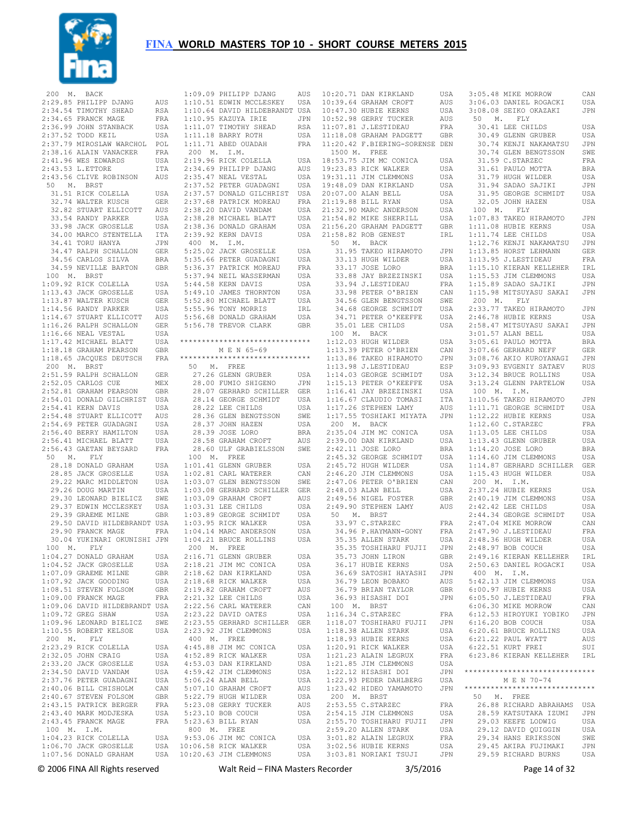

| 200<br>М.<br>BACK                              |            |           | 1:09.09 PHILIPP DJANG                         | AUS        |
|------------------------------------------------|------------|-----------|-----------------------------------------------|------------|
| 2:29.85 PHILIPP DJANG                          | AUS        |           | 1:10.51 EDWIN MCCLESKEY                       | USA        |
| 2:34.54 TIMOTHY SHEAD                          | RSA        |           | 1:10.64 DAVID HILDEBRANDT USA                 |            |
| 2:34.65 FRANCK MAGE                            | FRA        |           | 1:10.95 KAZUYA IRIE                           | JPN        |
| 2:36.99 JOHN STANBACK                          | USA        |           | 1:11.07 TIMOTHY SHEAD                         | RSA        |
| 2:37.52 TODD KEIL                              | USA        |           | 1:11.18 BARRY ROTH                            | USA        |
| 2:37.79 MIROSLAW WARCHOL                       |            |           | 1:11.71 ABED OUADAH                           |            |
|                                                | POL        |           |                                               | FRA        |
| 2:38.16 ALAIN VANACKER                         | FRA        | 200<br>М. | I.M.                                          |            |
| 2:41.96 WES EDWARDS                            | USA        |           | 2:19.96 RICK COLELLA                          | USA        |
| 2:43.53 L.ETTORE                               | ITA        |           | 2:34.69 PHILIPP DJANG                         | AUS        |
| 2:43.56 CLIVE ROBINSON                         | AUS        |           | 2:35.47 NEAL VESTAL                           | USA        |
| 50<br>Μ.<br>BRST                               |            |           | 2:37.52 PETER GUADAGNI                        | USA        |
| 31.51 RICK COLELLA                             | USA        |           | 2:37.57 DONALD GILCHRIST                      | USA        |
| 32.74 WALTER KUSCH                             | GER        |           | 2:37.68 PATRICK MOREAU                        | FRA        |
|                                                |            |           |                                               |            |
| 32.82 STUART ELLICOTT                          | AUS        |           | 2:38.20 DAVID VANDAM                          | USA        |
| 33.54 RANDY PARKER                             | USA        |           | 2:38.28 MICHAEL BLATT                         | USA        |
| 33.98 JACK GROSELLE                            | USA        |           | 2:38.36 DONALD GRAHAM                         | USA        |
| 34.00 MARCO STENTELLA                          | ITA        |           | 2:39.92 KERN DAVIS                            | USA        |
| 34.41 TORU HANYA                               | JPN        | 400<br>М. | I.M.                                          |            |
| 34.47 RALPH SCHALLON                           | GER        |           | 5:25.02 JACK GROSELLE                         | USA        |
| 34.56 CARLOS SILVA                             | BRA        |           | 5:35.66 PETER GUADAGNI                        | USA        |
| 34.59 NEVILLE BARTON                           |            |           | 5:36.37 PATRICK MOREAU                        |            |
|                                                | GBR        |           |                                               | FRA        |
| 100<br>М.<br>BRST                              |            |           | 5:37.94 NEIL WASSERMAN                        | USA        |
| 1:09.92 RICK COLELLA                           | USA        |           | 5:44.58 KERN DAVIS                            | USA        |
| 1:13.43 JACK GROSELLE                          | USA        |           | 5:49.10 JAMES THORNTON                        | USA        |
| 1:13.87 WALTER KUSCH                           | GER        |           | 5:52.80 MICHAEL BLATT                         | USA        |
| 1:14.56 RANDY PARKER                           | USA        |           | 5:55.96 TONY MORRIS                           | IRL        |
| 1:14.67 STUART ELLICOTT                        | AUS        |           | 5:56.68 DONALD GRAHAM                         | USA        |
| 1:16.26 RALPH SCHALLON                         |            |           |                                               |            |
|                                                | GER        |           | 5:56.78 TREVOR CLARK                          | GBR        |
| 1:16.66 NEAL VESTAL                            | USA        |           |                                               |            |
| 1:17.42 MICHAEL BLATT                          | USA        |           | ******************************                |            |
| 1:18.18 GRAHAM PEARSON                         | GBR        |           | M E N 65-69                                   |            |
| 1:18.65 JACQUES DEUTSCH                        | FRA        |           | ******************************                |            |
| 200<br>М.<br>BRST                              |            | 50<br>М.  | FREE                                          |            |
| 2:51.59 RALPH SCHALLON                         | <b>GER</b> |           | 27.26 GLENN GRUBER                            | USA        |
| 2:52.05 CARLOS CUE                             | MEX        |           | 28.00 FUMIO SHIGENO                           | JPN        |
|                                                |            |           |                                               |            |
| 2:52.81 GRAHAM PEARSON                         | GBR        |           | 28.07 GERHARD SCHILLER                        | GER        |
| 2:54.01 DONALD GILCHRIST                       | USA        |           | 28.14 GEORGE SCHMIDT                          | USA        |
| 2:54.41 KERN DAVIS                             | USA        |           | 28.22 LEE CHILDS                              | USA        |
| 2:54.48 STUART ELLICOTT                        | AUS        |           | 28.36 GLEN BENGTSSON                          | SWE        |
| 2:54.69 PETER GUADAGNI                         | USA        |           | 28.37 JOHN HAZEN                              | USA        |
| 2:56.40 BERRY HAMILTON                         | USA        |           | 28.39 JOSE LORO                               | BRA        |
| 2:56.41 MICHAEL BLATT                          |            |           | 28.58 GRAHAM CROFT                            |            |
|                                                | USA        |           |                                               | AUS        |
| 2:56.43 GAETAN BEYSARD                         | FRA        |           | 28.60 ULF GRABIELSSON                         | SWE        |
| 50<br>Μ.<br>FLY                                |            | 100 M.    | FREE                                          |            |
| 28.18 DONALD GRAHAM                            | USA        |           | 1:01.41 GLENN GRUBER                          | USA        |
| 28.85 JACK GROSELLE                            | USA        |           | 1:02.81 CARL WATERER                          | CAN        |
| 29.22 MARC MIDDLETON                           | USA        |           | 1:03.07 GLEN BENGTSSON                        | SWE        |
| 29.26 DOUG MARTIN                              | USA        |           | 1:03.08 GERHARD SCHILLER                      | GER        |
| 29.30 LEONARD BIELICZ                          | SWE        |           | 1:03.09 GRAHAM CROFT                          | AUS        |
|                                                |            |           |                                               |            |
| 29.37 EDWIN MCCLESKEY                          | USA        |           | $1:03.31$ LEE CHILDS                          | USA        |
| 29.39 GRAEME MILNE                             | GBR        |           | 1:03.89 GEORGE SCHMIDT                        | USA        |
| 29.50 DAVID HILDEBRANDT                        | USA        |           | 1:03.95 RICK WALKER                           | USA        |
| 29.90 FRANCK MAGE                              | FRA        |           | 1:04.14 MARC ANDERSON                         | USA        |
| 30.04 YUKINARI OKUNISHI                        | JPN        |           | 1:04.21 BRUCE ROLLINS                         | USA        |
| 100<br>Μ.<br>FLY                               |            | 200<br>Μ. | FREE                                          |            |
| 1:04.27 DONALD GRAHAM                          | USA        |           | 2:16.71 GLENN GRUBER                          | USA        |
| 1:04.52 JACK GROSELLE                          | USA        |           | 2:18.21 JIM MC CONICA                         | USA        |
| 1:07.09 GRAEME MILNE                           | GBR        |           | 2:18.62 DAN KIRKLAND                          | USA        |
|                                                |            |           |                                               |            |
| 1:07.92 JACK GOODING                           | USA        |           | 2:18.68 RICK WALKER                           | USA        |
| 1:08.51 STEVEN FOLSOM                          | GBR        |           | 2:19.82 GRAHAM CROFT                          | AUS        |
| 1:09.00 FRANCK MAGE                            | FRA        |           | 2:21.32 LEE CHILDS                            | USA        |
| 1:09.06 DAVID HILDEBRANDT USA                  |            |           | 2:22.56 CARL WATERER                          | CAN        |
| 1:09.72 GREG SHAW                              | USA        |           | 2:23.22 DAVID OATES                           | USA        |
| 1:09.96 LEONARD BIELICZ                        | SWE        |           | 2:23.55 GERHARD SCHILLER                      | GER        |
|                                                |            |           |                                               |            |
| 1:10.55 ROBERT KELSOE                          | USA        |           | 2:23.92 JIM CLEMMONS                          | USA        |
| 200<br>М.<br>FLY                               |            | 400<br>М. | FREE                                          |            |
| 2:23.29 RICK COLELLA                           | USA        |           | 4:45.88 JIM MC CONICA                         | USA        |
| 2:32.05 JOHN CRAIG                             | USA        |           | 4:52.89 RICK WALKER                           | USA        |
| 2:33.20 JACK GROSELLE                          | USA        |           | 4:53.03 DAN KIRKLAND                          | USA        |
| 2:34.50 DAVID VANDAM                           | USA        |           | 4:59.42 JIM CLEMMONS                          | USA        |
| 2:37.76 PETER GUADAGNI                         | USA        |           | 5:06.24 ALAN BELL                             | USA        |
|                                                |            |           |                                               |            |
| 2:40.06 BILL CHISHOLM                          | CAN        |           | 5:07.10 GRAHAM CROFT                          | AUS        |
| 2:40.67 STEVEN FOLSOM                          | GBR        |           | 5:22.79 HUGH WILDER                           | USA        |
| 2:43.15 PATRICK BERGER                         |            |           | 5:23.08 GERRY TUCKER                          | AUS        |
| 2:43.40 MARK MODJESKA                          | FRA        |           |                                               |            |
|                                                | USA        |           | 5:23.10 BOB COUCH                             | USA        |
|                                                |            |           |                                               |            |
| 2:43.45 FRANCK MAGE                            | FRA        |           | 5:23.63 BILL RYAN                             | USA        |
| Μ.<br>I.M.<br>100                              |            | 800<br>Μ. | FREE                                          |            |
| 1:04.23 RICK COLELLA                           | USA        |           | 9:53.06 JIM MC CONICA                         | USA        |
| 1:06.70 JACK GROSELLE<br>1:07.56 DONALD GRAHAM | USA<br>USA |           | 10:06.58 RICK WALKER<br>10:20.63 JIM CLEMMONS | USA<br>USA |

| $1:09.09$ PHILIPP DJANG<br>1:09.09 PHILIPP DJANG AUS<br>1:10.51 EDWIN MCCLESKEY USA<br>1:10.64 DAVID HILDEBRANDT USA<br>1:10.95 KAZUYA IRIE JPN |             |
|-------------------------------------------------------------------------------------------------------------------------------------------------|-------------|
|                                                                                                                                                 | AUS         |
|                                                                                                                                                 |             |
|                                                                                                                                                 |             |
|                                                                                                                                                 |             |
|                                                                                                                                                 |             |
| 1:11.07 TIMOTHY SHEAD                                                                                                                           |             |
| 1:11.18 BARRY ROTH                                                                                                                              | RSA<br>USA  |
|                                                                                                                                                 | FRA         |
| $1:11.71$ ABED OUADAH                                                                                                                           |             |
| 200 M. I.M.                                                                                                                                     |             |
| 2:19.96 RICK COLELLA                                                                                                                            | USA         |
|                                                                                                                                                 | AUS         |
|                                                                                                                                                 | USA         |
| 2:34.69 PHILIPP DJANG<br>2:35.47 NEAL VESTAL<br>2:37.52 PETER GUADAGNI                                                                          |             |
|                                                                                                                                                 | USA         |
|                                                                                                                                                 |             |
| 1:37.57 DONALD GILCHRIST<br>2:37.68 PATRICK MOREAU<br>2:38.20 DAVID VANDAM                                                                      | USA<br>FRA  |
|                                                                                                                                                 | USA         |
| 2:38.28 MICHAEL BLATT<br>2:38.36 DONALD GRAHAM                                                                                                  | USA         |
|                                                                                                                                                 |             |
|                                                                                                                                                 | USA         |
| 2:39.92 KERN DAVIS                                                                                                                              | USA         |
| 400 M. I.M.                                                                                                                                     |             |
|                                                                                                                                                 |             |
| 5:25.02 JACK GROSELLE<br>5:35.66 PETER GUADAGNI                                                                                                 | USA         |
|                                                                                                                                                 | USA         |
| 5:36.37 PATRICK MOREAU<br>5:37.94 NEIL WASSERMAN<br>5:44.58 KERN DAVIS                                                                          | FRA         |
|                                                                                                                                                 | USA         |
|                                                                                                                                                 | USA         |
|                                                                                                                                                 |             |
| 5:49.10 JAMES THORNTON<br>5:52.80 MICHAEL BLATT<br>5:55.96 TONY MORRIS                                                                          | USA         |
|                                                                                                                                                 | USA         |
|                                                                                                                                                 | IRL         |
| 5:56.68 DONALD GRAHAM<br>5:56.78 TREVOR CLARK                                                                                                   | USA         |
|                                                                                                                                                 |             |
|                                                                                                                                                 | GBR         |
|                                                                                                                                                 |             |
| *****************************                                                                                                                   |             |
|                                                                                                                                                 |             |
| M E N 65-69                                                                                                                                     |             |
| ******************************                                                                                                                  |             |
| 50 M. FREE                                                                                                                                      |             |
| 27.26 GLENN GRUBER                                                                                                                              | USA         |
| 27.26 GLENN GRUBER<br>28.00 FUMIO SHIGENO<br>28.07 GERHARD SCHILLER                                                                             |             |
|                                                                                                                                                 | JPN         |
|                                                                                                                                                 | GER<br>USA  |
| 28.14 GEORGE SCHMIDT<br>28.22 IFF CHIIDS                                                                                                        |             |
| 28.22 LEE CHILDS                                                                                                                                | USA         |
|                                                                                                                                                 |             |
|                                                                                                                                                 | SWE         |
| 28.36 GLEN BENGTSSON<br>28.37 JOHN HAZEN<br>28.38 JOHN LOLA                                                                                     | USA         |
| 28.39 JOSE LORO                                                                                                                                 | <b>BRA</b>  |
| 28.58 GRAHAM CROFT                                                                                                                              | AUS         |
|                                                                                                                                                 |             |
| 28.60 ULF GRABIELSSON                                                                                                                           | SWE         |
| 100 M. FREE                                                                                                                                     |             |
| $1:01.41$ GLENN GRUBER                                                                                                                          | USA         |
|                                                                                                                                                 | CAN         |
| 1:02.81 CARL WATERER<br>1:03.07 GLEN BENGTSSON                                                                                                  | SWE         |
| 1:03.08 GERHARD SCHILLER                                                                                                                        |             |
|                                                                                                                                                 |             |
|                                                                                                                                                 | GER         |
|                                                                                                                                                 | AUS         |
|                                                                                                                                                 | USA         |
|                                                                                                                                                 |             |
| 1:03.09 GRAHAM CROFT<br>1:03.31 LEE CHILDS<br>1:03.89 GEORGE SCHMIDT                                                                            | USA         |
| 1:03.95 RICK WALKER                                                                                                                             | USA         |
| $1:04.14$ MARC ANDERSON                                                                                                                         | USA         |
|                                                                                                                                                 | USA         |
| 1:04.21 BRUCE ROLLINS                                                                                                                           |             |
| 200 M. FREE                                                                                                                                     |             |
|                                                                                                                                                 | USA         |
| 2:16.71 GLENN GRUBER<br>2:18.21 JIM MC CONICA                                                                                                   | USA         |
| 2:18.62 DAN KIRKLAND                                                                                                                            | USA         |
|                                                                                                                                                 | USA         |
| 2:18.68 RICK WALKER                                                                                                                             |             |
|                                                                                                                                                 | AUS         |
| 2:19.82 GRAHAM CROFT<br>2:21.32 LEE CHILDS                                                                                                      | USA         |
| $2:22.56$ CARL WATERER                                                                                                                          | CAN         |
| 2:23.22 DAVID OATES                                                                                                                             | USA         |
|                                                                                                                                                 |             |
| 2:23.55 GERHARD SCHILLER                                                                                                                        | ${\tt GER}$ |
| 2:23.92 JIM CLEMMONS                                                                                                                            | USA         |
| 400 M. FREE                                                                                                                                     |             |
| 4:45.88 JIM MC CONICA                                                                                                                           | USA         |
|                                                                                                                                                 |             |
| 4:52.89 RICK WALKER                                                                                                                             | USA         |
|                                                                                                                                                 | USA         |
| 4:53.03 DAN KIRKLAND<br>4:59.42 IIM CLEMMONS<br>4:59.42 JIM CLEMMONS                                                                            | USA         |
| 5:06.24 ALAN BELL                                                                                                                               | USA         |
|                                                                                                                                                 |             |
|                                                                                                                                                 | AUS         |
| 5:07.10 GRAHAM CROFT<br>5:22.79 HUGH WILDER                                                                                                     | USA         |
| 5:23.08 GERRY TUCKER                                                                                                                            | AUS         |
| 5:23.10 BOB COUCH                                                                                                                               | USA         |
|                                                                                                                                                 | USA         |
| 5:23.63 BILL RYAN                                                                                                                               |             |
|                                                                                                                                                 |             |
| 800 M. FREE<br>9:53.06 JIM MC CONICA<br>10:06.58 RICK WALKER                                                                                    | USA<br>USA  |

| 10:20.71 DAN KIRKLAND                          | USA | 3                        |
|------------------------------------------------|-----|--------------------------|
| 10:39.64 GRAHAM CROFT                          | AUS | 3                        |
| 10:47.30 HUBIE KERNS                           | USA | 3                        |
| 10:52.98 GERRY TUCKER                          | AUS |                          |
| $11:07.81$ J.LESTIDEAU                         | FRA |                          |
| 11:18.08 GRAHAM PADGETT                        | GBR |                          |
| 11:20.42 F.BIERING-SORENSE DEN                 |     |                          |
| 1500 M. FREE                                   |     |                          |
| 18:53.75 JIM MC CONICA                         | USA |                          |
|                                                |     |                          |
| 19:23.83 RICK WALKER                           | USA |                          |
| 19:31.11 JIM CLEMMONS<br>19:48.09 DAN KIRKLAND | USA |                          |
|                                                | USA |                          |
| 20:07.00 ALAN BELL                             | USA |                          |
| 21:19.88 BILL RYAN                             | USA |                          |
| 21:32.90 MARC ANDERSON                         | USA | $\ddot{\phantom{0}}$     |
| 21:54.82 MIKE SHERRILL                         | USA | $\mathbf{1}$             |
| 21:56.20 GRAHAM PADGETT                        | GBR | $\mathbf{1}$             |
| 21:58.82 ROB GENEST                            | IRL | $\mathbf{1}$             |
| 50 M. BACK                                     |     | 1                        |
| 31.95 TAKEO HIRAMOTO                           |     | $\mathbf{1}$             |
|                                                | JPN |                          |
| 33.13 HUGH WILDER                              | USA | $\mathbf{1}$             |
| 33.17 JOSE LORO                                | BRA | $\mathbf{1}$             |
| 33.88 JAY BRZEZINSKI                           | USA | $\mathbf{1}$             |
| 33.94 J.LESTIDEAU                              | FRA | $\mathbf{1}$             |
| 33.98 PETER O'BRIEN                            | CAN | $\mathbf{1}$             |
| 34.56 GLEN BENGTSSON                           | SWE | Í                        |
| 34.68 GEORGE SCHMIDT                           | USA | 2                        |
| 34.71 PETER O'KEEFFE                           | USA | $\overline{\mathbf{c}}$  |
| 35.01 LEE CHILDS                               | USA | $\mathbf{2}$             |
| 100 M. BACK                                    |     | 3                        |
| 1:12.03 HUGH WILDER                            |     |                          |
|                                                | USA | 3                        |
| 1:13.39 PETER O'BRIEN                          | CAN | 3                        |
| 1:13.86 TAKEO HIRAMOTO                         | JPN | 3                        |
| 1:13.98 J.LESTIDEAU                            | ESP | 3                        |
| 1:14.03 GEORGE SCHMIDT                         | USA | 3                        |
| 1:15.13 PETER O'KEEFFE                         | USA | 3                        |
| 1:16.41 JAY BRZEZINSKI                         | USA |                          |
| $1:16.67$ CLAUDIO TOMASI                       | ITA | $\mathbf{1}$             |
| 1:17.26 STEPHEN LAMY                           | AUS | $\mathbf{1}$             |
| 1:17.55 TOSHIAKI MIYATA                        | JPN | $\mathbf{1}$             |
| 200 M. BACK                                    |     | $\mathbf{1}$             |
|                                                |     |                          |
| 2:35.04 JIM MC CONICA                          | USA | $\mathbf{1}$             |
| 2:39.00 DAN KIRKLAND                           | USA | $\mathbf{1}$             |
| 2:42.11 JOSE LORO                              | BRA | $\mathbf{1}$             |
| 2:45.32 GEORGE SCHMIDT                         | USA | $\mathbf{1}$             |
| 2:45.72 HUGH WILDER                            | USA | 1                        |
| 2:46.20 JIM CLEMMONS                           | USA | $\mathbf 1$              |
| 2:47.06 PETER O'BRIEN                          | CAN | Ĵ,                       |
| $2:48.03$ ALAN BELL                            | USA | $\overline{c}$           |
| 2:49.56 NIGEL FOSTER                           | GBR | 2                        |
| $2:49.90$ STEPHEN LAMY                         | AUS | $\overline{c}$           |
| 50 M. BRST                                     |     | $\overline{c}$           |
| 33.97 C.STARZEC                                | FRA | $\overline{c}$           |
|                                                | FRA | 2                        |
| 34.96 P.HAYMANN-GONY<br>35.35 ALLEN STARK      |     | 2                        |
|                                                | USA | $\overline{c}$           |
| 35.35 TOSHIHARU FUJII                          | JPN |                          |
| 35.73 JOHN LIRON                               | GBR | $\overline{c}$           |
| 36.17 HUBIE KERNS                              | USA | 2                        |
| 36.69 SATOSHI HAYASHI                          | JPN | J,                       |
| 36.79 LEON BOBAKO                              | AUS | 5                        |
| 36.79 BRIAN TAYLOR                             | GBR | 6                        |
| 36.93 HISASHI DOI                              | JPN | 6                        |
| 100 M. BRST                                    |     | 6                        |
| 1:16.34 C.STARZEC                              | FRA | 6                        |
| 1:18.07 TOSHIHARU FUJII                        | JPN | 6                        |
| 1:18.38 ALLEN STARK                            | USA | 6                        |
| 1:18.93 HUBIE KERNS                            | USA | 6                        |
| $1:20.91$ RICK WALKER                          | USA | 6                        |
| $1:21.23$ ALAIN LEGRUX                         | FRA | 6                        |
|                                                | USA |                          |
| 1:21.85 JIM CLEMMONS<br>1:22.12 HISASHI DOI    |     | $\star \star$            |
|                                                | JPN |                          |
| 1:22.93 PEDER DAHLBERG                         | USA |                          |
| 1:23.42 HIDEO YAMAMOTO                         | JPN | $\star \star$            |
| $200$ M. BRST                                  |     | $\overline{\phantom{a}}$ |
| 2:53.55 C.STARZEC<br>2:54.15 JIM CLEMMONS      | FRA |                          |
|                                                | USA |                          |
| 2:55.70 TOSHIHARU FUJII                        | JPN |                          |
| 2:59.20 ALLEN STARK                            | USA |                          |
|                                                | FRA |                          |
| 3:01.82 ALAIN LEGRUX<br>3:02.56 HUBIE KERNS    | USA |                          |
| 3:03.81 NORIAKI TSUJI                          | JPN |                          |

| 3:05.48 MIKE MORROW                                                                                                                        | CAN               |
|--------------------------------------------------------------------------------------------------------------------------------------------|-------------------|
| 3:06.03 DANIEL ROGACKI                                                                                                                     | USA               |
| 3:08.08 SEIKO OKAZAKI                                                                                                                      | JPN               |
| 50 M. FLY                                                                                                                                  |                   |
| 30.41 LEE CHILDS                                                                                                                           | USA               |
| 30.49 GLENN GRUBER<br>30.49 GLENN GRUBER<br>30.74 ERR                                                                                      | USA               |
| 30.74 KENJI NAKAMATSU<br>30.74 GLEN BENGTSSON                                                                                              | JPN               |
|                                                                                                                                            | SWE               |
| 31.59 C.STARZEC<br>31.59 C.STARZEC<br>31.61 PAULO MOTTA<br>31.79 HUGH WILDER                                                               | FRA               |
|                                                                                                                                            | <b>BRA</b><br>USA |
| 31.94 SADAO SAJIKI                                                                                                                         | JPN               |
| 31.95 GEORGE SCHMIDT                                                                                                                       | USA               |
| 32.05 JOHN HAZEN                                                                                                                           | USA               |
| 100 M. FLY                                                                                                                                 |                   |
| 1:07.83 TAKEO HIRAMOTO                                                                                                                     | JPN               |
| 1:11.08 HUBIE KERNS<br>1:11.74 LEE CHILDS                                                                                                  | USA               |
|                                                                                                                                            | USA               |
| $1:12.76$ KENJI NAKAMATSU                                                                                                                  | JPN               |
| 1:13.85 HORST LEHMANN<br>1:13.95 J.LESTIDEAU                                                                                               | GER               |
|                                                                                                                                            | FRA               |
|                                                                                                                                            | IRL               |
| 1:15.53 JIM CLEMMONS<br>1:15.89 SADAO SAJIKI                                                                                               | USA<br>JPN        |
| $1:15.98$ MITSUYASU SAKAI                                                                                                                  | JPN               |
| 200 M. FLY                                                                                                                                 |                   |
| 2:33.77 TAKEO HIRAMOTO                                                                                                                     | JPN               |
|                                                                                                                                            | USA               |
| 2:46.78 HUBIE KERNS<br>2:58.47 MITSUYASU SAKAI<br>3:01.57 ALAN BELL<br>3:05.61 PAULO MOTTA<br>3:07.66 GERHARD NEFF                         | JPN               |
|                                                                                                                                            | USA               |
|                                                                                                                                            | BRA               |
|                                                                                                                                            | GER               |
| 3:08.76 AKIO KUROYANAGI JPN<br>3:09.93 EVGENIY SATAEV RUS<br>3:12.34 BRUCE ROLLINS USA                                                     |                   |
|                                                                                                                                            |                   |
|                                                                                                                                            |                   |
| 3:13.24 GLENN PARTELOW USA                                                                                                                 |                   |
| 100 M. I.M.<br>1:10.56 TAKEO HIRAMOTO                                                                                                      |                   |
|                                                                                                                                            | JPN<br>USA        |
|                                                                                                                                            | USA               |
| 1:11.71 GEORGE SCHMIDT<br>1:12.22 HUBIE KERNS<br>1:12.60 C.STARZEC<br>1:12.65 KER GUILDS                                                   | FRA               |
| $1:13.05$ LEE CHILDS                                                                                                                       | USA               |
| 1:13.43 GLENN GRUBER<br>1:14.20 JOSE LORO<br>1:14.60 JIM CLEMMONS                                                                          | USA               |
|                                                                                                                                            | <b>BRA</b>        |
| $1:14.60$ JIM CLEMMONS                                                                                                                     | USA               |
| 1:14.87 GERHARD SCHILLER GER                                                                                                               |                   |
| 1:15.43 HUGH WILDER                                                                                                                        | USA               |
| 200 M. I.M.                                                                                                                                |                   |
| 2:37.24 HUBIE KERNS                                                                                                                        | USA               |
| $2:40.19$ JIM CLEMMONS                                                                                                                     | USA               |
|                                                                                                                                            | USA               |
|                                                                                                                                            | USA<br>CAN        |
|                                                                                                                                            | FRA               |
| 2:40.19 JIM CLEARANCE<br>2:42.42 LEE CHILDS<br>2:44.34 GEORGE SCHMIDT<br>2:47.04 MIKE MORROW<br>2:47.90 J.LESTIDEAU<br>2:48.36 HUGH WILDER | USA               |
| 2:48.97 BOB COUCH                                                                                                                          | USA               |
| 2:49.16 KIERAN KELLEHER                                                                                                                    | IRL               |
| 2:50.63 DANIEL ROGACKI                                                                                                                     | USA               |
| 400 M. I.M.                                                                                                                                |                   |
| 5:42.13 JIM CLEMMONS                                                                                                                       | USA               |
| 6:00.97 HUBIE KERNS                                                                                                                        | USA               |
| $6:05.50$ J.LESTIDEAU                                                                                                                      | FRA               |
| 6:06.30 MIKE MORROW                                                                                                                        | CAN               |
| 6:12.53 HIROYUKI YOBIKO<br>6:16.20 BOB COUCH                                                                                               | JPN<br>USA        |
| 6:20.61 BRUCE ROLLINS                                                                                                                      | <b>USA</b>        |
|                                                                                                                                            | AUS               |
| 6:21.22 PAUL WYATT<br>6:22.51 KURT FREI                                                                                                    |                   |
|                                                                                                                                            | SUI               |
|                                                                                                                                            |                   |
| 6:23.86 KIERAN KELLEHER                                                                                                                    | IRL               |
| ******************************                                                                                                             |                   |
| M E N 70-74                                                                                                                                |                   |
| ******************************                                                                                                             |                   |
| 50 M. FREE                                                                                                                                 |                   |
| 26.88 RICHARD ABRAHAMS                                                                                                                     | USA               |
| 28.59 KATSUTAKA IZUMI                                                                                                                      | JPN               |
| 29.03 KEEFE LODWIG                                                                                                                         | USA               |
| 29.12 DAVID QUIGGIN                                                                                                                        | USA               |
| 29.34 HANS ERIKSSON                                                                                                                        | SWE               |
| 29.45 AKIRA FUJIMAKI<br>29.59 RICHARD BURNS                                                                                                | JPN<br>USA        |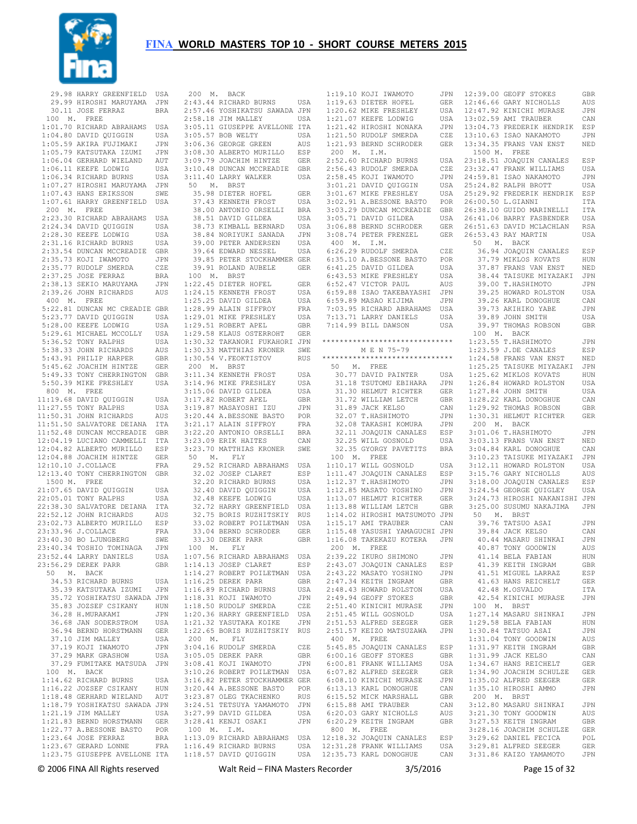

 29.98 HARRY GREENFIELD USA 29.99 HIROSHI MARUYAMA JPN 30.11 JOSE FERRAZ BRA 100 M. FREE 1:01.70 RICHARD ABRAHAMS USA 1:04.80 DAVID QUIGGIN USA 1:05.59 AKIRA FUJIMAKI JPN 1:05.79 KATSUTAKA IZUMI JPN 1:06.04 GERHARD WIELAND AUT 1:06.11 KEEFE LODWIG USA 1:06.34 RICHARD BURNS USA 1:07.27 HIROSHI MARUYAMA JPN 1:07.43 HANS ERIKSSON SWE 1:07.61 HARRY GREENFIELD USA 200 M. FREE 2:23.30 RICHARD ABRAHAMS USA 2:24.34 DAVID QUIGGIN USA 2:28.30 KEEFE LODWIG USA 2:31.16 RICHARD BURNS USA 2:33.54 DUNCAN MCCREADIE GBR 2:35.73 KOJI IWAMOTO JPN 2:35.77 RUDOLF SMERDA CZE 2:37.25 JOSE FERRAZ BRA 2:38.13 SEKIO MARUYAMA JPN 2:39.26 JOHN RICHARDS AUS 1:24.15 KENNETH FROST USA 400 M. FREE 5:22.81 DUNCAN MC CREADIE GBR 5:23.77 DAVID QUIGGIN USA 5:28.00 KEEFE LODWIG USA 5:29.61 MICHAEL MCCOLLY USA 5:36.52 TONY RALPHS USA 5:38.33 JOHN RICHARDS AUS 5:43.91 PHILIP HARPER GBR 5:45.62 JOACHIM HINTZE GER 5:49.33 TONY CHERRINGTON GBR 5:50.39 MIKE FRESHLEY USA 800 M. FREE 11:19.68 DAVID QUIGGIN USA 11:27.55 TONY RALPHS USA 11:50.31 JOHN RICHARDS AUS 11:51.50 SALVATORE DEIANA ITA 11:52.48 DUNCAN MCCREADIE GBR 12:04.19 LUCIANO CAMMELLI ITA 12:04.82 ALBERTO MURILLO ESP 12:04.88 JOACHIM HINTZE GER 12:10.10 J.COLLACE FRA 12:13.40 TONY CHERRINGTON GBR 1500 M. FREE 21:07.65 DAVID QUIGGIN USA 22:05.01 TONY RALPHS USA 22:38.30 SALVATORE DEIANA ITA 22:52.12 JOHN RICHARDS AUS 23:02.73 ALBERTO MURILLO ESP 23:33.96 J.COLLACE FRA 23:40.30 BO LJUNGBERG SWE 23:40.34 TOSHIO TOMINAGA JPN 23:52.44 LARRY DANIELS USA<br>23:56.29 DEREK PARR GBR 23:56.29 DEREK PARR 50 M. BACK 34.53 RICHARD BURNS USA 35.39 KATSUTAKA IZUMI JPN 35.72 YOSHIKATSU SAWADA JPN 35.83 JOZSEF CSIKANY HUN 36.28 H.MURAKAMI JPN 36.68 JAN SODERSTROM USA 36.94 BERND HORSTMANN GER 37.10 JIM MALLEY USA 37.19 KOJI IWAMOTO JIPN 37.29 MARK GRASHOW USA 37.29 FUMITAKE MATSUDA JPN 100 M. BACK 1:14.62 RICHARD BURNS USA 1:16.22 JOZSEF CSIKANY HUN 1:18.48 GERHARD WIELAND AUT 1:18.79 YOSHIKATSU SAWADA JPN 1:21.19 JIM MALLEY USA 1:21.83 BERND HORSTMANN GER 1:22.77 A.BESSONE BASTO POR<br>1:23.64 JOSE FERRAZ BRA 1:23.64 JOSE FERRAZ BRA 1:23.67 GERARD LONNE FRA 1:23.75 GIUSEPPE AVELLONE ITA

 200 M. BACK 2:43.44 RICHARD BURNS USA 1:19.63 DIETER HOFEL GER 2:57.46 YOSHIKATSU SAWADA JPN 2:58.18 JIM MALLEY USA 3:05.11 GIUSEPPE AVELLONE ITA 3:05.57 BOB WELTY USA 3:06.36 GEORGE GREEN AUS 3:08.30 ALBERTO MURILLO ESP 3:09.79 JOACHIM HINTZE GER 3:10.48 DUNCAN MCCREADIE GBR 3:11.40 LARRY WALKER USA 50 M. BRST 35.98 DIETER HOFEL GER 37.43 KENNETH FROST USA 38.00 ANTONIO ORSELLI BRA 38.51 DAVID GILDEA USA 38.73 KIMBALL BERNARD USA 38.84 NORIYUKI SANADA JPN 39.00 PETER ANDERSEN USA 39.64 EDWARD NESSEL USA 39.85 PETER STOCKHAMMER GER 39.91 ROLAND AUBELE GER 100 M. BRST 1:22.45 DIETER HOFEL GER 1:25.25 DAVID GILDEA USA 1:28.99 ALAIN SIFFROY FRA 1:29.01 MIKE FRESHLEY USA 1:29.51 ROBERT APEL GBR 1:29.58 KLAUS OSTERROHT GER 1:30.32 TAKANORI FUKAHORI JPN 1:30.33 MATTHIAS KRONER SWE 1:30.54 V.FEOKTISTOV RUS 200 M. BRST 3:11.34 KENNETH FROST USA 3:14.96 MIKE FRESHLEY USA 3:15.06 DAVID GILDEA USA 3:17.82 ROBERT APEL GBR 3:19.87 MASAYOSHI IZU JPN 3:20.44 A.BESSONE BASTO POR 3:21.17 ALAIN SIFFROY FRA 3:22.20 ANTONIO ORSELLI BRA 3:23.09 ERIK HAITES CAN 3:23.70 MATTHIAS KRONER SWE 50 M. FLY 29.52 RICHARD ABRAHAMS USA 32.02 JOSEP CLARET ESP 32.20 RICHARD BURNS USA 32.40 DAVID QUIGGIN USA 32.48 KEEFE LODWIG USA 32.72 HARRY GREENFIELD USA 32.75 BORIS RUZHITSKIY RUS 33.02 ROBERT POILETMAN USA 33.04 BERND SCHRODER GER 33.30 DEREK PARR GBR 100 M. FLY USA 1:07.56 RICHARD ABRAHAMS USA 1:14.13 JOSEP CLARET ESP 1:14.27 ROBERT POILETMAN USA 1:16.25 DEREK PARR GBR 1:16.89 RICHARD BURNS USA 1:18.31 KOJI IWAMOTO JPN 1:18.50 RUDOLF SMERDA CZE 1:20.36 HARRY GREENFIELD USA 1:21.32 YASUTAKA KOIKE JPN 1:22.65 BORIS RUZHITSKIY RUS 200 M. FLY 3:04.16 RUDOLF SMERDA CZE 3:05.05 DEREK PARR GBR 3:08.41 KOJI IWAMOTO JPN 3:10.26 ROBERT POILETMAN USA 3:16.82 PETER STOCKHAMMER GER 3:20.44 A.BESSONE BASTO POR 3:23.87 OLEG TKACHENKO RUS 3:24.51 TETSUYA YAMAMOTO JPN 3:27.99 DAVID GILDEA USA 3:28.41 KENJI OSAKI JPN 3:28.41 KENJI OSAKI<br>100 M. I.M. 1:13.09 RICHARD ABRAHAMS USA 1:16.49 RICHARD BURNS USA 1:18.57 DAVID QUIGGIN USA

 $1:19.10$  KOJI IWAMOTO  $1:20.62$  MIKE FRESHLEY  $1:21.07$  KEEFE LODWIG 1:21.42 HIROSHI NONAKA  $1:21.50$  RUDOLF SMERDA 1:21.93 BERND SCHRODER GER 200 M. I.M. 2:52.60 RICHARD BURNS 2:56.43 RUDOLF SMERDA  $2:58.45$  KOJI IWAMOTO 3:01.21 DAVID OUIGGIN 3:01.67 MIKE FRESHLEY 3:02.91 A.BESSONE BASTO 3:03.29 DUNCAN MCCREADIE GBR  $3:05.71$  DAVID GILDEA 3:06.88 BERND SCHRODER GER 3:08.74 PETER FRENZEL GER 400 M. I.M. 6:26.29 RUDOLF SMERDA CZE 6:35.10 A.BESSONE BASTO POR 6:41.25 DAVID GILDEA USA 6:43.53 MIKE FRESHLEY USA 6:52.47 VICTOR PAUL AUS 6:59.88 ISAO TAKEBAYASHI JPN 6:59.89 MASAO KIJIMA JPN 7:03.95 RICHARD ABRAHAMS USA 7:13.71 LARRY DANIELS USA 7:14.99 BILL DAWSON USA \*\*\*\*\*\*\*\*\*\*\*\*\*\*\*\*\*\*\*\*\*\*\*\*\*\*\*\*\*\* M E N 75-79 \*\*\*\*\*\*\*\*\*\*\*\*\*\*\*\*\*\*\*\*\*\*\*\*\*\*\*\*\*\* 50 M. FREE 30.77 DAVID PAINTER USA 31.18 TSUTOMU EBIHARA JPN 31.30 HELMUT RICHTER GER 31.72 WILLIAM LETCH GBR 31.89 JACK KELSO CAN 32.07 T.HASHIMOTO JPN 32.08 TAKASHI KOMURA JPN 32.11 JOAQUIN CANALES ESP 32.25 WILL GOSNOLD USA 32.35 GYORGY PAVETITS BRA 100 M. FREE 1:10.17 WILL GOSNOLD USA 1:11.47 JOAQUIN CANALES ESP 1:12.37 T.HASHIMOTO JPN 1:12.85 MASATO YOSHINO JPN 1:13.07 HELMUT RICHTER GER 1:13.88 WILLIAM LETCH GBR 1:14.02 HIROSHI MATSUMOTO JPN 1:15.17 AMI TRAUBER CAN 1:15.48 YASUSHI YAMAGUCHI JPN 1:16.08 TAKEKAZU KOTERA JPN 200 M. FREE 2:39.22 IKURO SHIMONO JPN 2:43.07 JOAQUIN CANALES ESP 2:43.22 MASATO YOSHINO JPN 2:47.34 KEITH INGRAM GBR 2:48.43 HOWARD ROLSTON USA 2:49.94 GEOFF STOKES GBR 2:51.40 KINICHI MURASE JPN 2:51.45 WILL GOSNOLD USA 2:51.53 ALFRED SEEGER GER 2:51.57 KEIZO MATSUZAWA JPN 400 M. FREE 5:45.85 JOAQUIN CANALES ESP 6:00.16 GEOFF STOKES GBR 6:00.81 FRANK WILLIAMS USA 6:07.82 ALFRED SEEGER GER 6:08.10 KINICHI MURASE JPN  $6:13.13$  KARL DONOGHUE 6:15.52 MICK MARSHALL GBR 6:15.88 AMI TRAUBER CAN<br>6:20.03 GARY NICHOLLS AUS  $6:20.03$  GARY NICHOLLS 6:20.29 KEITH INGRAM GBR 800 M. FREE 12:18.32 JOAQUIN CANALES ESP 12:31.28 FRANK WILLIAMS USA 12:35.73 KARL DONOGHUE CAN

12:39.00 GEOFF STOKES GBR 12:46.66 GARY NICHOLLS AUS 12:47.92 KINICHI MURASE JPN 13:02.59 AMI TRAUBER CAN JPN 13:04.73 FREDERIK HENDRIK ESP 13:10.63 ISAO NAKAMOTO JPN 13:34.35 FRANS VAN ENST NED 1500 M. FREE 23:18.51 JOAQUIN CANALES ESP 23:32.47 FRANK WILLIAMS USA 24:59.81 ISAO NAKAMOTO JPN 25:24.82 RALPH BROTT USA 25:29.92 FREDERIK HENDRIK ESP 26:00.50 L.GIANNI ITA 26:38.10 GUIDO MARINELLI ITA 26:41.06 BARRY FASBENDER USA 26:51.63 DAVID MCLACHLAN RSA GER 26:53.43 RAY MARTIN USA 50 M. BACK 36.94 JOAQUIN CANALES ESP 37.79 MIKLOS KOVATS HUN 37.87 FRANS VAN ENST NED 38.44 TAISUKE MIYAZAKI JPN 39.00 T.HASHIMOTO JPN 39.25 HOWARD ROLSTON USA 39.26 KARL DONOGHUE CAN 39.73 AKIHIKO YABE JPN 39.89 JOHN SMITH USA 39.97 THOMAS ROBSON GBR 100 M. BACK 1:23.55 T.HASHIMOTO JPN 1:23.59 J.DE CANALES ESP 1:24.58 FRANS VAN ENST NED 1:25.25 TAISUKE MIYAZAKI JPN 1:25.62 MIKLOS KOVATS HUN 1:26.84 HOWARD ROLSTON USA 1:27.84 JOHN SMITH USA 1:28.22 KARL DONOGHUE CAN 1:29.92 THOMAS ROBSON GBR 1:30.31 HELMUT RICHTER GER 200 M. BACK 3:01.06 T.HASHIMOTO JPN 3:03.13 FRANS VAN ENST NED 3:04.84 KARL DONOGHUE CAN 3:10.23 TAISUKE MIYAZAKI JPN 3:12.11 HOWARD ROLSTON USA 3:15.76 GARY NICHOLLS AUS 3:18.00 JOAQUIN CANALES ESP 3:24.54 GEORGE OUTGLEY USA 3:24.73 HIROSHI NAKANISHI JPN 3:25.00 SUSUMU NAKAJIMA JPN 50 M. BRST 39.76 TATSUO ASAI JPN 39.84 JACK KELSO CAN 40.44 MASARU SHINKAI JPN 40.87 TONY GOODWIN AUS 41.14 BELA FABIAN HUN 41.39 KEITH INGRAM GBR 41.51 MIGUEL LARRAZ ESP 41.63 HANS REICHELT GER 42.48 M.OSVALDO ITA 42.54 KINICHI MURASE JPN 100 M. BRST 1:27.14 MASARU SHINKAI JPN 1:29.58 BELA FABIAN HUN 1:30.84 TATSUO ASAI JPN 1:31.04 TONY GOODWIN AUS 1:31.97 KEITH INGRAM GBR 1:31.99 JACK KELSO CAN 1:34.67 HANS REICHELT GER 1:34.90 JOACHIM SCHULZE GER 1:35.02 ALFRED SEEGER GER 1:35.10 HIROSHI AMMO JPN 200 M. BRST 3:12.80 MASARU SHINKAI JPN 3:21.30 TONY GOODWIN AUS 3:27.53 KEITH INGRAM GBR 3:28.16 JOACHIM SCHULZE GER 3:29.62 DANIEL FECICA POL 3:29.81 ALFRED SEEGER GER 3:31.86 KAIZO YAMAMOTO JPN

© 2006 FINA All Rights reserved Walt Reid – FINA Masters Recorder 3/5/2016 Page 15 of 32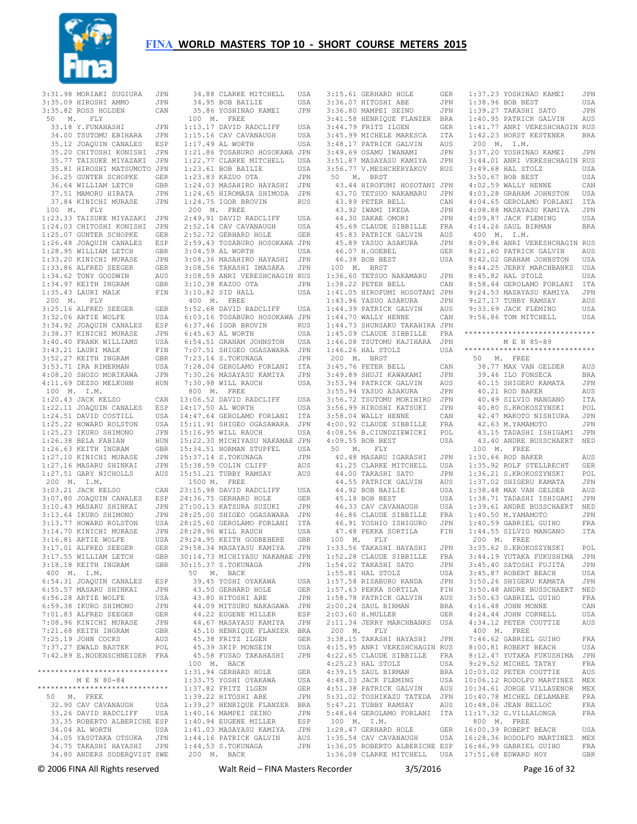

|             | 3:31.98 MORIAKI SUGIURA                                                                          | JPN               |                             |
|-------------|--------------------------------------------------------------------------------------------------|-------------------|-----------------------------|
|             | 3:35.09 HIROSHI AMMO<br>2:25.92 Poss Holden                                                      | JPN               |                             |
|             | 3:35.82 ROSS HOLDEN<br>50 M. FLY                                                                 | CAN               |                             |
|             | 33.18 Y.FUNAHASHI                                                                                | JPN               | $\overline{1}$              |
|             | 34.00 TSUTOMU EBIHARA                                                                            | JPN               | $1\,$                       |
|             | 35.12 JOAQUIN CANALES                                                                            | ESP               | $1\,$                       |
|             | 35.20 CHITOSHI KONISHI JPN<br>35.77 TAISUKE MIYAZAKI JPN                                         |                   | $1\,$                       |
|             |                                                                                                  |                   | $1\,$                       |
|             | 35.81 HIROSHI MATSUMOTO JPN                                                                      |                   | $\mathbf 1$<br>$\mathbf{1}$ |
|             | 36.25 GUNTER SCHOPKE GER<br>36.64 WILLIAM LETCH GBR                                              |                   | $\mathbf 1$                 |
|             | 37.51 MAMORU HIRATA                                                                              | JPN               | $\mathbf 1$                 |
|             | 37.84 KINICHI MURASE                                                                             | JPN               | $\mathbf{1}$                |
|             | 100 M. FLY                                                                                       |                   |                             |
|             | 1:23.33 TAISUKE MIYAZAKI                                                                         | JPN               | $\overline{\mathbf{c}}$     |
|             | 1:24.03 CHITOSHI KONISHI                                                                         | JPN               | $\overline{c}$              |
|             | 1:25.07 GUNTER SCHOPKE<br>1:25.07 GUNISING CANALES<br>1:26.48 JOAQUIN CANALES                    | GER               | $\sqrt{2}$                  |
|             |                                                                                                  | ESP               | $\overline{c}$<br>3         |
|             | 1:28.95 WILLIAM LETCH<br>1:33.20 KINICHI MURASE                                                  | GBR<br>JPN        | 3                           |
|             | $1:33.86$ ALFRED SEEGER                                                                          | GER               | 3                           |
|             | $1:34.62$ TONY GOODWIN                                                                           | AUS               | 3                           |
|             | $1:34.97$ KEITH INGRAM                                                                           | GBR               | 3                           |
|             | 1:35.43 LAURI MALK                                                                               | FIN               | 3                           |
|             | 200 M. FLY                                                                                       |                   |                             |
|             | 3:25.16 ALFRED SEEGER                                                                            | GER               | 5                           |
|             | 3:32.06 ARTIE WOLFE                                                                              | USA               | 6                           |
|             | 3:34.92 JOAQUIN CANALES<br>3:38.37 KINICHI MURASE                                                | $_{\rm ESP}$      | 6<br>6                      |
|             | 3:40.40 FRANK WILLIAMS                                                                           | JPN<br>USA        | 6                           |
|             |                                                                                                  | ${\tt FIN}$       | 7                           |
|             |                                                                                                  |                   | $\boldsymbol{7}$            |
|             | 3:43.21 LAURI MALK<br>3:52.27 KEITH INGRAM<br>3:53.71 IRA RIMERMAN                               | GBR<br>USA        | 7                           |
|             | $4:08.20$ SHOZO MORIKAWA                                                                         | JPN               | 7                           |
|             | 4:11.69 DEZSO MELKUHN                                                                            | HUN               | 7                           |
|             | 100 M. I.M.                                                                                      |                   |                             |
|             | 1:20.43 JACK KELSO                                                                               | CAN<br>ESP        | 13<br>14                    |
|             | 1:22.11 JOAQUIN CANALES<br>1:24.51 DAVID COSTILL                                                 | USA               | 14                          |
|             | 1:25.22 HOWARD ROLSTON                                                                           | USA               | 15                          |
|             | 1:25.23 IKURO SHIMONO<br>1:26.38 BELA FABIAN<br>1:26.63 KEITH INGRAM                             | JPN               | 15                          |
|             |                                                                                                  | HUN               | 15                          |
|             |                                                                                                  | GBR               | 15                          |
|             | 1:27.10 KINICHI MURASE<br>1:27.16 MASARU SHINKAI                                                 | JPN               | 15                          |
|             |                                                                                                  | JPN               | 15                          |
| 200 M. I.M. | 1:27.51 GARY NICHOLLS                                                                            | AUS               | 15                          |
|             | 3:03.21 JACK KELSO                                                                               | CAN 23            |                             |
|             | 3:07.80 JOAQUIN CANALES                                                                          | ESP               | 24                          |
|             |                                                                                                  | JPN               | 27                          |
|             | 3:10.43 MASARU SHINKAI<br>3:13.64 IKURO SHIMONO<br>3:13.77 HOWARD ROLSTON                        | JPN<br>USA        | 28                          |
|             |                                                                                                  |                   | 28                          |
|             | 3:14.70 KINICHI MURASE                                                                           |                   | 28                          |
|             | 3:16.81 ARTIE WOLFE                                                                              | JPN<br>USA<br>USA | 29                          |
|             | 3:17.01 ALFRED SEEGER                                                                            | GER               | 29                          |
|             | 3:17.55 WILLIAM LETCH<br>3:18.18 KEITH INGRAM                                                    | GBR<br>GBR        | 30<br>30                    |
| 400 M. I.M. |                                                                                                  |                   |                             |
|             | 6:54.31 JOAQUIN CANALES                                                                          | ESP               |                             |
|             | 6:55.57 MASARU SHINKAI                                                                           | JPN               |                             |
|             | $6:56.28$ ARTIE WOLFE                                                                            | USA               |                             |
|             | 7:01.83 ALFRO SHIMONO<br>7:01.83 ALFRED SEEGER<br>7:08.96 KINICHI MURASE<br>7:21.68 KEITH IMCRAY | JPN               |                             |
|             |                                                                                                  | GER               |                             |
|             |                                                                                                  | JPN               |                             |
|             | 7:25.19 JOHN COCKS                                                                               | GBR<br>AUS        |                             |
|             | 7:37.27 EWALD BASTEK                                                                             | POL               |                             |
|             | 7:42.89 E.NODENSCHNEIDER FRA                                                                     |                   |                             |
|             |                                                                                                  |                   |                             |
|             | ******************************                                                                   |                   | 1                           |
|             | M E N 80-84                                                                                      |                   | 1                           |
|             | *****************************                                                                    |                   | $\mathbf 1$                 |
|             | 50 M. FREE                                                                                       |                   | $\mathbf 1$                 |
|             | 32.90 CAV CAVANAUGH<br>33.26 DAVID RADCLIFF USA                                                  | USA               | 1<br>$1\,$                  |
|             | 33.35 ROBERTO ALBERICHE ESP                                                                      |                   | $1\,$                       |
|             | 34.04 AL WORTH                                                                                   | USA               | 1                           |
|             | 34.05 YASUTAKA OTSUKA                                                                            | $\mathtt{JPN}$    | 1                           |
|             | 34.75 TAKASHI HAYASHI JPN<br>34.80 ANDERS SODERQVIST SWE                                         |                   | $1\,$                       |
|             |                                                                                                  |                   |                             |

|                                                                                                                                                             | USA          |
|-------------------------------------------------------------------------------------------------------------------------------------------------------------|--------------|
| 34.88 CLARKE MITCHELL<br>34.95 BOB BAILIE                                                                                                                   | USA          |
| 35.86 YOSHINAO KAMEI                                                                                                                                        | JPN          |
| 100 M. FREE                                                                                                                                                 |              |
|                                                                                                                                                             | USA          |
| 1:00<br>1:13.17 DAVID RADCLIFF<br>1:15.16 CAV CAVANAUGH                                                                                                     | USA          |
| 1:17.49 AL WORTH USA<br>1:21.86 TOSABURO HOSOKAWA JPN                                                                                                       |              |
|                                                                                                                                                             |              |
| 1:22.77 CLARKE MITCHELL USA<br>1:23.61 BOB BAILIE USA<br>1:23.61 BOB BAILIE USA<br>1:23.83 KAZUO OTA JPN                                                    |              |
|                                                                                                                                                             |              |
|                                                                                                                                                             |              |
| 1:24.03 MASAHIRO HAYASHI JPN                                                                                                                                |              |
| $1:24.65$ HIROMASA SHIMODA                                                                                                                                  | JPN          |
| 1:24.75 IGOR BROVIN                                                                                                                                         | <b>RUS</b>   |
| 200 M. FREE                                                                                                                                                 |              |
| 2:49.91 DAVID RADCLIFF                                                                                                                                      | USA          |
| 2:52.14 CAV CAVANAUGH<br>2:52.72 GERHARD HOLE                                                                                                               | USA          |
|                                                                                                                                                             | GER          |
| 2:59.43 TOSABURO HOSOKAWA JPN                                                                                                                               |              |
| $3:04.59$ AL WORTH                                                                                                                                          | USA          |
| 3:08.36 MASAHIRO HAYASHI JPN<br>3:08.56 TAKASHI IMASAKA JPN                                                                                                 |              |
|                                                                                                                                                             |              |
| 3:08.59 ANRI VERESHCHAGIN RUS                                                                                                                               |              |
| 3:10.38 KAZUO OTA<br>3:10.82 SID HALL                                                                                                                       | JPN          |
|                                                                                                                                                             | USA          |
| 400 M. FREE                                                                                                                                                 |              |
| 5:52.68 DAVID RADCLIFF USA<br>6:03.16 TOSABURO HOSOKAWA JPN                                                                                                 |              |
|                                                                                                                                                             |              |
| 6:37.46 IGOR BROVIN<br>6:45.63 AL WORTH                                                                                                                     | <b>RUS</b>   |
|                                                                                                                                                             | USA          |
| 6:54.51 GRAHAM JOHNSTON                                                                                                                                     | USA          |
| 7:07.51 SHIGEO OGASAWARA<br>7:23.14 S.TOKUNAGA                                                                                                              | JPN          |
|                                                                                                                                                             | JPN          |
| 7:28.04 GEROLAMO FORLANI ITA                                                                                                                                |              |
| 7:30.26 MASAYASU KAMIYA                                                                                                                                     | JPN          |
| 7:30.98 WILL RAUCH                                                                                                                                          | USA          |
| 800 $M$ . FREE                                                                                                                                              |              |
| 13:06.52 DAVID RADCLIFF                                                                                                                                     | USA          |
| 14:17.50 AL WORTH                                                                                                                                           | USA          |
|                                                                                                                                                             | $_{\tt ITA}$ |
| 14:47.64 GEROLAMO FORLANI<br>15:11.91 SHIGEO OGASAWARA<br>15:16.95 WILL RAUCH                                                                               | JPN          |
| 15:16.95 WILL RAUCH                                                                                                                                         | USA          |
| 15:22.30 MICHIYASU NAKAMAE JPN                                                                                                                              |              |
|                                                                                                                                                             | USA          |
|                                                                                                                                                             | JPN          |
|                                                                                                                                                             |              |
|                                                                                                                                                             | AUS          |
| 15:34.51 NORMAN STUPFEL<br>15:34.51 NORMAN STUPFEL<br>15:37.14 S.TOKUNAGA<br>15:38.59 COLIN CLIFF<br>15:51.21 TUBBY RAMSAY                                  | AUS          |
| 1500 M. FREE                                                                                                                                                |              |
|                                                                                                                                                             | USA          |
| 23:15.98 DAVID RADCLIFF<br>24:36.75 CERNARD HOLE                                                                                                            |              |
|                                                                                                                                                             |              |
|                                                                                                                                                             |              |
| 24.36.75 GERHARD HOLE GER<br>27:00.13 KATSURA SUZUKI JPN<br>28:25.00 SHIGEO OGASAWARA JPN<br>28:25.60 GEROLAMO FORLANI ITA<br>28:25.60 GEROLAMO FORLANI ITA |              |
| 28:28.96 WILL RAUCH                                                                                                                                         | USA          |
|                                                                                                                                                             |              |
|                                                                                                                                                             |              |
| 30:14.73 MICHIYASU NAKAMAE                                                                                                                                  | $_{\rm JPN}$ |
| 30:15.37 S.TOKUNAGA                                                                                                                                         | JPN          |
| 50 M. BACK                                                                                                                                                  |              |
| 39.45 YOSHI OYAKAWA                                                                                                                                         | USA          |
| 43.50 GERHARD HOLE                                                                                                                                          | ${\tt GER}$  |
| 43.80 HITOSHI ABE                                                                                                                                           | JPN          |
| 44.09 MITSURU NAKAGAWA                                                                                                                                      | JPN          |
|                                                                                                                                                             | ESP          |
| 44.22 EUGENE MILLER<br>44.67 MASAYASU KAMIYA                                                                                                                | JPN          |
| 45.10 HENRIQUE FLANZER                                                                                                                                      | BRA          |
| 45.38 FRITZ ILGEN                                                                                                                                           | <b>GER</b>   |
| 45.39 SKIP MONSEIN<br>45.58 FUSAO TAKAHASHI                                                                                                                 | USA<br>JPN   |
| 100 M. BACK                                                                                                                                                 |              |
|                                                                                                                                                             | GER          |
| $1:31.94$ GERHARD HOLE<br>1:33.75 YOSHI OYAKAWA                                                                                                             | USA          |
| 1:37.82 FRITZ ILGEN                                                                                                                                         | <b>GER</b>   |
|                                                                                                                                                             | JPN          |
|                                                                                                                                                             | BRA          |
| 1:39.22 HITOSHI ABE<br>1:39.27 HENRIQUE FLANZER                                                                                                             | JPN          |
| $1:40.16$ MAMPEI SEINO                                                                                                                                      | ESP          |
|                                                                                                                                                             | JPN          |
| 1:40.94 EUGENE MILLER<br>1:41.03 MASAYASU KAMIYA                                                                                                            | AUS          |
| 1:44.16 PATRICK GALVIN<br>1:44.53 S.TOKUNAGA                                                                                                                | JPN          |

| 3:15.61 GERHARD HOLE<br>3:36.07 HITOSHI ABE                                        |             |
|------------------------------------------------------------------------------------|-------------|
|                                                                                    | GER         |
|                                                                                    |             |
|                                                                                    | JPN         |
| 3:36.80 MAMPEI SEINO                                                               | JPN         |
|                                                                                    |             |
|                                                                                    |             |
| 3:41.58 HENRIQUE FLANZER BRA<br>3:44.79 FRITZ ILGEN GER                            |             |
| 3:45.99 MICHELE MARESCA                                                            | ITA         |
|                                                                                    |             |
| 3:48.17 PATRICK GALVIN                                                             | AUS         |
| 3:49.69 OSAMU IWANAMI                                                              | JPN         |
|                                                                                    |             |
| 3:51.87 MASAYASU KAMIYA                                                            | JPN         |
| 3:56.77 V.MESHCHERYAKOV                                                            | <b>RUS</b>  |
| 50 M. BRST                                                                         |             |
|                                                                                    |             |
| 43.44 HIROFUMI HOSOTANI JPN                                                        |             |
|                                                                                    | JPN         |
|                                                                                    |             |
| 43.70 TETSUO NAKAMARU<br>43.89 PETER BELL<br>43.89 PETER BELL<br>43.92 IWAMI IKEDA | CAN         |
|                                                                                    | JPN         |
|                                                                                    |             |
| 44.30 SAKAE OMORI                                                                  | JPN         |
| 45.69 CLAUDE SIBBILLE<br>45.83 PATRICK GALVIN                                      | FRA         |
|                                                                                    |             |
| 45.89 YASUO ASAKURA<br>46.07 H.GOEBEL                                              | AUS         |
|                                                                                    | JPN         |
| 46.07 H.GOEBEL                                                                     |             |
|                                                                                    | GER         |
| 46.38 BOB BEST                                                                     | USA         |
| 100 M. BRST                                                                        |             |
|                                                                                    |             |
| 1:36.60 TETSUO NAKAMARU                                                            | JPN         |
| $1:38.22$ PETER BELL                                                               | CAN         |
|                                                                                    |             |
| 1:41.05 HIROFUMI HOSOTANI JPN                                                      |             |
| 1:43.96 YASUO ASAKURA                                                              | JPN         |
|                                                                                    |             |
|                                                                                    |             |
| 1:44.39 PATRICK GALVIN AUS<br>1:44.70 WALLY HENNE CAN                              |             |
| 1:44.73 SHUNSAKU TAKAHIRA JPN                                                      |             |
|                                                                                    |             |
| 1:45.09 CLAUDE SIBBILLE FRA                                                        |             |
| 1:46.08 TSUTOMU KAJIHARA                                                           | JPN         |
| 1:46.26 HAL STOLZ                                                                  | USA         |
|                                                                                    |             |
| 200 M. BRST                                                                        |             |
| 3:45.76 PETER BELL                                                                 | CAN         |
| 3:49.89 SHUJI KAWAKAMI                                                             |             |
|                                                                                    | JPN         |
|                                                                                    | AUS         |
| 3:53.94 PATRICK GALVIN<br>3:55.94 YASUO ASAKURA                                    | JPN         |
| 3:56.72 TSUTOMU MORIHIRO                                                           |             |
|                                                                                    | JPN         |
| 3:56.99 HIROSHI KATSUKI                                                            | JPN         |
| 3:58.04 WALLY HENNE                                                                | CAN         |
|                                                                                    |             |
| 4:00.92 CLAUDE SIBBILLE                                                            | FRA         |
| 4:08.56 B.CIUNDZIEWICKI                                                            | POL         |
| 4:09.55 BOB BEST                                                                   | USA         |
|                                                                                    |             |
| 50 M. FLY                                                                          |             |
| 40.48 MASARU IGARASHI                                                              | JPN         |
| 40.30 MILLER<br>41.25 CLARKE MITCHELL                                              |             |
|                                                                                    | USA         |
| 44.00 TAKASHI SATO                                                                 | JPN         |
|                                                                                    |             |
|                                                                                    |             |
| 44.55 PATRICK GALVIN                                                               | AUS         |
| 44.92 BOB BAILIE                                                                   | USA         |
|                                                                                    |             |
| 45.18 BOB BEST                                                                     | USA         |
| 46.33 CAV CAVANAUGH                                                                | USA         |
| 46.86 CLAUDE SIBBILLE                                                              |             |
|                                                                                    | FRA         |
| 46.91 YOSHIO ISHIGURO                                                              | JPN         |
| 47.48 PEKKA SORTILA                                                                | FIN         |
| 100 M. FLY                                                                         |             |
|                                                                                    |             |
| 1:33.56 TAKASHI HAYASHI                                                            | JPN         |
| 1:52.28 CLAUDE SIBBILLE                                                            | FRA         |
|                                                                                    | JPN         |
| $1:54.02$ TAKASHI SATO                                                             |             |
| 1:55.81 HAL STOLZ                                                                  | USA         |
|                                                                                    | JPN         |
| 1:55.81 HAL STOLZ<br>1:57.58 RISABURO KANDA                                        |             |
| 1:57.63 PEKKA SORTILA                                                              | FIN         |
| 1:58.78 PATRICK GALVIN                                                             | AUS         |
|                                                                                    | BRA         |
| $2:00.24$ SAUL BIRMAN                                                              |             |
| 2:03.60 H. MULLER                                                                  | GER         |
| 2:11.34 JERRY MARCHBANKS                                                           | USA         |
| 200 M. FLY                                                                         |             |
|                                                                                    |             |
| 3:38.15 TAKASHI HAYASHI JPN                                                        |             |
| 4:15.95 ANRI VERESHCHAGIN RUS                                                      |             |
| 4:22.65 CLAUDE SIBBILLE FRA                                                        |             |
|                                                                                    |             |
| 4:25.23 HAL STOLZ                                                                  | USA         |
| 4:39.15 SAUL BIRMAN                                                                | <b>BRA</b>  |
| 4:48.03 JACK FLEMING                                                               | USA         |
|                                                                                    |             |
|                                                                                    | AUS         |
|                                                                                    | JPN         |
| 4:51.38 PATRICK GALVIN<br>5:31.02 TOSHIKAZU TATEDA                                 | AUS         |
| 5:47.21 TUBBY RAMSAY                                                               |             |
| 5:48.64 GEROLAMO FORLANI ITA                                                       |             |
| 100 M. I.M.                                                                        |             |
|                                                                                    | ${\tt GER}$ |
| $1:28.47$ GERHARD HOLE                                                             |             |
| 1:35.54 CAV CAVANAUGH<br>1:36.05 ROBERTO ALBERICHE ESP                             | USA         |

 1:36.08 CLARKE MITCHELL USA 17:51.68 EDWARD HOY GBR 1:37.23 YOSHINAO KAMEI JPN  $1:38.96$  BOB BEST 1:39.27 TAKASHI SATO JPN 1:40.95 PATRICK GALVIN AUS 1:41.77 ANRI VERESHCHAGIN RUS 1:42.23 HORST KESTENER BRA 200 M. I.M. 3:37.20 YOSHINAO KAMEI JPN 3:44.01 ANRI VERESHCHAGIN RUS 3:49.68 HAL STOLZ USA 3:50.67 BOB BEST USA 4:02.59 WALLY HENNE CAN 4:03.28 GRAHAM JOHNSTON USA 4:04.65 GEROLAMO FORLANI ITA 4:08.88 MASAYASU KAMIYA JPN<br>4:09.87 JACK FLEMING USA  $4:09.87$  JACK FLEMING 4:14.26 SAUL BIRMAN BRA 400 M. I.M. 8:09.86 ANRI VERESHCHAGIN RUS 8:21.60 PATRICK GALVIN AUS 8:42.02 GRAHAM JOHNSTON USA 8:44.25 JERRY MARCHBANKS USA<br>8:45.82 HAL STOLZ USA 8:45.82 HAL STOLZ 8:58.44 GEROLAMO FORLANI ITA 9:24.53 MASAYASU KAMIYA JPN 9:27.17 TUBBY RAMSAY AUS 9:33.69 JACK FLEMING USA 9:56.86 TOM MITCHELL USA \*\*\*\*\*\*\*\*\*\*\*\*\*\*\*\*\*\*\*\*\*\*\*\*\*\*\*\*\*\* M E N 85-89 \*\*\*\*\*\*\*\*\*\*\*\*\*\*\*\*\*\*\*\*\*\*\*\*\*\*\*\*\*\* 50 M. FREE 38.77 MAX VAN GELDER AUS 39.46 ILO FONSECA BRA<br>40.15 SHIGERII KAMATA JPN 40.15 SHIGERU KAMATA 40.21 ROD BAKER AUS 40.49 SILVIO MANGANO ITA 40.80 S.KROKOSZYNSKI POL 42.47 MAKOTO NISHIURA JPN 42.63 M.YAMAMOTO JPN 43.15 TADASHI ISHIGAMI JPN 43.40 ANDRE BUSSCHAERT NED 100 M. FREE 1:30.66 ROD BAKER AUS 1:35.92 ROLF STELLRECHT GER 1:36.21 S.KROKOSZYNSKI POL 1:37.02 SHIGERU KAMATA JPN 1:38.48 MAX VAN GELDER AUS 1:38.71 TADASHI ISHIGAMI JPN 1:39.61 ANDRE BUSSCHAERT NED 1:40.50 M.YAMAMOTO JPN 1:40.59 GABRIEL GUIHO FRA  $1:44.55$  SILVIO MANGANO 200 M. FREE 3:35.62 S.KROKOSZYNSKI POL 3:44.19 YUTAKA FUKUSHIMA JPN 3:45.40 SATOSHI FUJITA JPN 3:45.87 ROBERT BEACH USA 3:50.26 SHIGERU KAMATA JPN 3:50.48 ANDRE BUSSCHAERT NED 3:50.63 GABRIEL GUIHO FRA 4:16.48 JOHN MONNE CAN 4:24.44 JOHN CORNELL USA 4:34.12 PETER COUTTIE AUS 400 M. FREE 7:46.62 GABRIEL GUIHO FRA 8:00.81 ROBERT BEACH USA 8:12.47 YUTAKA FUKUSHIMA JPN 9:29.52 MICHEL TATRY FRA 10:03.02 PETER COUTTIE AUS 10:06.12 RODOLFO MARTINEZ MEX 10:34.61 JORGE VILLASENOR MEX 10:40.78 MICHEL DELAMARE FRA 10:48.06 JEAN BELLOC FRA 11:17.32 G.VILLALONGA FRA 800 M. FREE 16:00.39 ROBERT BEACH USA 16:28.36 RODOLFO MARTINEZ MEX 16:46.99 GABRIEL GUIHO FRA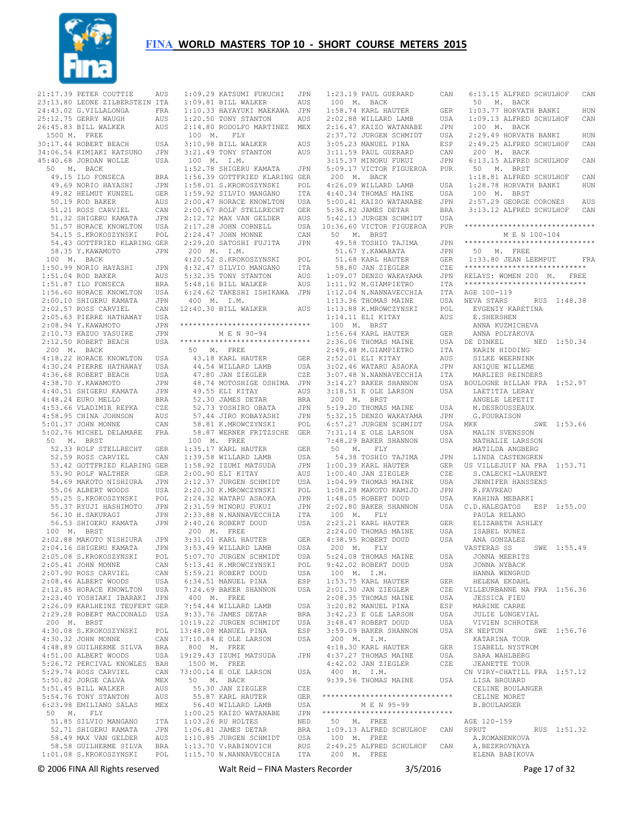

|             | 21:17.39 PETER COUTTIE                                    | AUS        |             | 1:09.29 KATSUMI FUKUCHI                        | JPN        | 1:23.19 PAUL GU                     |                     |
|-------------|-----------------------------------------------------------|------------|-------------|------------------------------------------------|------------|-------------------------------------|---------------------|
|             | 23:13.80 LEONE ZILBERSTEIN ITA                            |            |             | 1:09.81 BILL WALKER                            | AUS        | 100 M.                              | BACK                |
|             | 24:43.02 G.VILLALONGA                                     | FRA        |             | 1:10.33 HAYAYUKI MAEKAWA                       | JPN        | 1:58.74 KARL HA                     |                     |
|             | 25:12.75 GERRY WAUGH                                      | AUS        |             | 1:20.50 TONY STANTON                           | AUS        | 2:02.88 WILLARD                     |                     |
|             | 26:45.83 BILL WALKER                                      | AUS        |             | 2:14.80 RODOLFO MARTINEZ                       | MEX        | 2:16.47 KAIZO W                     |                     |
|             | 1500 M. FREE<br>30:17.44 ROBERT BEACH                     |            | 100 M.      | FLY                                            |            | 2:37.72 JURGEN<br>3:05.23 MANUEL    |                     |
|             | 34:06.54 KIMIAKI KATSUNO                                  | USA<br>JPN |             | 3:10.98 BILL WALKER<br>3:21.49 TONY STANTON    | AUS<br>AUS | 3:11.59 PAUL GU                     |                     |
|             | 45:40.68 JORDAN WOLLE                                     | USA        | 100 M.      | I.M.                                           |            | 3:15.37 MINORU                      |                     |
| 50<br>М.    | BACK                                                      |            |             | 1:52.78 SHIGERU KAMATA                         | JPN        | 5:09.17 VICTOR                      |                     |
|             | 49.15 ILO FONSECA                                         | BRA        |             | 1:56.39 GOTTFRIED KLARING GER                  |            | 200 M.                              | BACK                |
|             | 49.69 NORIO HAYASHI                                       | JPN        |             | 1:58.01 S.KROKOSZYNSKI                         | POL        | 4:26.09 WILLARD                     |                     |
|             | 49.82 HELMUT KUNZEL                                       | GER        |             | 1:59.92 SILVIO MANGANO                         | ITA        | 4:40.34 THOMAS                      |                     |
|             | 50.19 ROD BAKER                                           | AUS        |             | 2:00.47 HORACE KNOWLTON                        | USA        | 5:00.41 KAIZO W                     |                     |
|             | 51.21 ROSS CARVIEL                                        | CAN        |             | 2:00.67 ROLF STELLRECHT                        | GER        | 5:36.82 JAMES D                     |                     |
|             | 51.32 SHIGERU KAMATA<br>51.57 HORACE KNOWLTON             | JPN<br>USA |             | 2:12.72 MAX VAN GELDER<br>2:17.28 JOHN CORNELL | AUS<br>USA | 5:42.13 JURGEN<br>10:36.60 VICTOR   |                     |
|             | 54.15 S.KROKOSZYNSKI                                      | POL        |             | 2:24.47 JOHN MONNE                             | CAN        | 50<br>М.                            | BRST                |
|             | 54.43 GOTTFRIED KLARING GER                               |            |             | 2:29.20 SATOSHI FUJITA                         | JPN        |                                     | 49.58 TOSHIO        |
|             | 58.35 Y.KAWAMOTO                                          | JPN        | 200 M. I.M. |                                                |            |                                     | 51.67 Y.KAWAB       |
| 100 M.      | BACK                                                      |            |             | 4:20.52 S.KROKOSZYNSKI                         | POL        |                                     | 51.68 KARL HA       |
|             | 1:50.99 NORIO HAYASHI                                     | JPN        |             | 4:32.47 SILVIO MANGANO                         | ITA        |                                     | 58.80 JAN ZIE       |
|             | 1:51.04 ROD BAKER                                         | AUS        |             | 5:32.35 TONY STANTON                           | AUS        | 1:09.07 DENZO W                     |                     |
|             | 1:51.87 ILO FONSECA                                       | BRA        |             | 5:48.16 BILL WALKER                            | AUS        | 1:11.92 M.GIAMP                     |                     |
|             | 1:56.60 HORACE KNOWLTON<br>2:00.10 SHIGERU KAMATA         | USA<br>JPN | 400<br>М.   | 6:24.62 TAKESHI ISHIKAWA<br>I.M.               | JPN        | 1:12.04 N.NANNA<br>$1:13.36$ THOMAS |                     |
|             | 2:02.57 ROSS CARVIEL                                      | CAN        |             | 12:40.30 BILL WALKER                           | AUS        | 1:13.88 K.MROWC                     |                     |
|             | 2:05.63 PIERRE HATHAWAY                                   | USA        |             |                                                |            | 1:14.11 ELI KIT                     |                     |
|             | 2:08.94 Y. KAWAMOTO                                       | JPN        |             | ******************************                 |            | 100 M.                              | BRST                |
|             | 2:10.73 KAZUO YASUIKE                                     | JPN        |             | M E N 90-94                                    |            | 1:56.64 KARL HA                     |                     |
|             | 2:12.50 ROBERT BEACH                                      | USA        |             | ******************************                 |            | 2:36.06 THOMAS                      |                     |
| 200 M.      | BACK                                                      |            | 50          | FREE<br>М.                                     |            | 2:49.48 M.GIAMP                     |                     |
|             | 4:18.22 HORACE KNOWLTON                                   | USA        |             | 43.18 KARL HAUTER                              | GER        | 2:52.01 ELI KIT                     |                     |
|             | 4:30.24 PIERRE HATHAWAY<br>4:36.68 ROBERT BEACH           | USA<br>USA |             | 44.54 WILLARD LAMB<br>47.80 JAN ZIEGLER        | USA<br>CZE | 3:02.46 WATARU<br>3:07.48 N.NANNA   |                     |
|             | 4:38.70 Y. KAWAMOTO                                       | JPN        |             | 48.74 MOTOSHIGE OSHIMA                         | JPN        | 3:14.27 BAKER S                     |                     |
|             | 4:40.51 SHIGERU KAMATA                                    | JPN        |             | 49.55 ELI KITAY                                | AUS        | 3:18.51 E OLE L                     |                     |
|             | 4:48.24 EURO MELLO                                        | BRA        |             | 52.30 JAMES DETAR                              | BRA        | 200 M.                              | <b>BRST</b>         |
|             | 4:53.66 VLADIMIR REPKA                                    | CZE        |             | 52.73 YOSHIRO OBATA                            | JPN        | 5:19.20 THOMAS                      |                     |
|             | 4:58.95 CHINA JOHNSON                                     | AUS        |             | 57.44 JIRO KOBAYASHI                           | JPN        | 5:32.15 DENZO W                     |                     |
|             | 5:01.37 JOHN MONNE                                        | CAN        |             | 58.81 K.MROWCZYNSKI                            | POL        | 6:57.27 JURGEN                      |                     |
|             | 5:02.76 MICHEL DELAMARE                                   | FRA        |             | 58.87 WERNER FRITZSCHE                         | GER        | 7:31.14 E OLE L                     |                     |
| 50<br>М.    | BRST                                                      |            | 100 M.      | FREE                                           |            | 7:48.29 BAKER S                     |                     |
|             | 52.33 ROLF STELLRECHT<br>52.59 ROSS CARVIEL               | GER<br>CAN |             | 1:35.17 KARL HAUTER<br>1:39.58 WILLARD LAMB    | GER<br>USA | 50<br>Μ.                            | FLY<br>54.38 TOSHIO |
|             | 53.42 GOTTFRIED KLARING GER                               |            |             | 1:58.92 IZUMI MATSUDA                          | JPN        | 1:00.39 KARL HA                     |                     |
|             | 53.90 ROLF WALTHER                                        | GER        |             | 2:00.90 ELI KITAY                              | AUS        | 1:00.40 JAN ZIE                     |                     |
|             | 54.69 MAKOTO NISHIURA                                     | JPN        |             | 2:12.37 JURGEN SCHMIDT                         | USA        | $1:04.99$ THOMAS                    |                     |
|             | 55.06 ALBERT WOODS                                        | USA        |             | 2:20.30 K.MROWCZYNSKI                          | POL        | 1:08.28 MAKOTO                      |                     |
|             | 55.25 S.KROKOSZYNSKI                                      | POL        |             | 2:24.32 WATARU ASAOKA                          | JPN        | 1:48.05 ROBERT                      |                     |
|             | 55.37 RYUJI HASHIMOTO                                     | JPN        |             | 2:31.59 MINORU FUKUI                           | JPN        | 2:02.80 BAKER S                     |                     |
|             | 56.30 H. SAKURAGI<br>56.53 SHIGERU KAMATA                 | JPN        |             | 2:33.88 N.NANNAVECCHIA                         | ITA        | 100 M.<br>2:23.21 KARL HA           | FLY                 |
| 100<br>М.   | BRST                                                      | JPN        | 200<br>М.   | 2:40.26 ROBERT DOUD<br>FREE                    | USA        | $2:24.00$ THOMAS                    |                     |
|             | 2:02.88 MAKOTO NISHIURA                                   | JPN        |             | 3:31.01 KARL HAUTER                            | GER        | 4:38.95 ROBERT                      |                     |
|             | 2:04.16 SHIGERU KAMATA                                    | JPN        |             | 3:53.49 WILLARD LAMB                           | USA        | 200<br>Μ.                           | FLY                 |
|             | 2:05.08 S.KROKOSZYNSKI                                    | POL        |             | 5:07.70 JURGEN SCHMIDT                         | USA        | 5:24.08 THOMAS                      |                     |
|             | 2:05.41 JOHN MONNE                                        | CAN        |             | 5:13.41 K.MROWCZYNSKI                          | POL        | 9:42.02 ROBERT                      |                     |
|             | 2:07.90 ROSS CARVIEL                                      | CAN        |             | 5:59.21 ROBERT DOUD                            | USA        | 100 M.                              | I.M.                |
|             | 2:08.46 ALBERT WOODS                                      | USA        |             | 6:34.51 MANUEL PINA                            | ESP        | 1:53.75 KARL HA                     |                     |
|             | 2:12.85 HORACE KNOWLTON                                   | USA        |             | 7:24.69 BAKER SHANNON<br>400 M. FREE           | USA        | 2:01.30 JAN ZIE                     |                     |
|             | 2:23.40 YOSHIAKI IBARAKI<br>2:26.09 KARLHEINZ TEUFERT GER | JPN        |             | 7:54.44 WILLARD LAMB                           | USA        | 2:08.35 THOMAS<br>3:20.82 MANUEL    |                     |
|             | 2:29.28 ROBERT MACDONALD                                  | USA        |             | 9:33.76 JAMES DETAR                            | BRA        | 3:42.23 E OLE L                     |                     |
| 200 M. BRST |                                                           |            |             | 10:19.22 JURGEN SCHMIDT                        | USA        | 3:48.47 ROBERT                      |                     |
|             | 4:30.08 S.KROKOSZYNSKI                                    | POL        |             | 13:48.08 MANUEL PINA                           | ESP        | 3:59.09 BAKER S                     |                     |
|             | 4:30.32 JOHN MONNE                                        | CAN        |             | 17:10.84 E OLE LARSON                          | USA        | 200 M.                              | I.M.                |
|             | 4:48.89 GUILHERME SILVA                                   | BRA        | 800 M.      | FREE                                           |            | 4:18.30 KARL HA                     |                     |
|             | 4:51.00 ALBERT WOODS                                      | USA        |             | 19:29.43 IZUMI MATSUDA                         | JPN        | 4:37.27 THOMAS                      |                     |
|             | 5:26.72 PERCIVAL KNOWLES                                  | BAH        |             | 1500 M. FREE                                   |            | 4:42.02 JAN ZIE                     |                     |
|             | 5:29.74 ROSS CARVIEL<br>5:50.82 JORGE CALVA               | CAN<br>MEX | 50<br>Μ.    | 73:00.14 E OLE LARSON<br><b>BACK</b>           | USA        | 400 M.<br>9:39.56 THOMAS            | I.M.                |
|             | 5:51.45 BILL WALKER                                       | AUS        |             | 55.30 JAN ZIEGLER                              | CZE        |                                     |                     |
|             | 5:54.76 TONY STANTON                                      | AUS        |             | 55.87 KARL HAUTER                              | GER        | ****************                    |                     |
|             | 6:23.98 EMILIANO SALAS                                    | MEX        |             | 56.40 WILLARD LAMB                             | USA        |                                     | MEN 9               |
| M.<br>50    | ${\rm FLY}$                                               |            |             | 1:00.25 KAIZO WATANABE                         | JPN        | ****************                    |                     |
|             | 51.85 SILVIO MANGANO                                      | ITA        |             | 1:03.26 RU HOLTES                              | NED        | 50                                  | M. FREE             |
|             | 52.71 SHIGERU KAMATA                                      | JPN        |             | 1:06.81 JAMES DETAR                            | BRA        | 1:09.13 ALFRED                      |                     |
|             | 58.49 MAX VAN GELDER                                      | AUS        |             | 1:10.85 JURGEN SCHMIDT                         | USA        |                                     | 100 M. FREE         |
|             | 58.58 GUILHERME SILVA<br>1:01.08 S.KROKOSZYNSKI           | BRA<br>POL |             | 1:13.70 V.RABINOVICH<br>1:15.70 N.NANNAVECCHIA | RUS<br>ITA | 2:49.25 ALFRED<br>200 M.            | FREE                |
|             |                                                           |            |             |                                                |            |                                     |                     |

1:09.29 KATSUMI FUKUCHI JPN<br>1:09.81 BILL WALKER – AUS  $1:09.81$  BILL WALKER 1:10.33 HAYAYUKI MAEKAWA JPN 1:20.50 TONY STANTON AUS 2:14.80 RODOLFO MARTINEZ MEX 100 M. FLY 3:10.98 BILL WALKER AUS 3:21.49 TONY STANTON AUS 3:05.23 MANUEL PINA ESP 3:11.59 PAUL GUERARD CAN 100 M. I.M. 1:52.78 SHIGERU KAMATA 1:56.39 GOTTFRIED KLARING GER 1:58.01 S.KROKOSZYNSKI POL :59.92 SILVIO MANGANO 2:00.47 HORACE KNOWLTON USA 2:00.67 ROLF STELLRECHT GER 2:12.72 MAX VAN GELDER AUS  $22:17.28$  JOHN CORNELL 2:24.47 JOHN MONNE CAN 2:29.20 SATOSHI FUJITA JPN 200 M. I.M. 4:20.52 S.KROKOSZYNSKI POL 4:32.47 SILVIO MANGANO ITA 5:32.35 TONY STANTON AUS 5:48.16 BILL WALKER AUS 6:24.62 TAKESHI ISHIKAWA JPN 1:12.04 N.NANNAVECCHIA ITA 400 M. I.M. 400 M. 1.M.<br>:40.30 BILL WALKER AUS \*\*\*\*\*\*\*\*\*\*\*\*\*\*\*\*\*\*\*\*\*\*\*\*\*\*\*\*\*\* M E N 90-94 \*\*\*\*\*\*\*\*\*\*\*\*\*\*\*\*\*\*\*\*\*\*\*\*\*\*\*\*\*\* 50 M. FREE 43.18 KARL HAUTER GER 44.54 WILLARD LAMB USA 47.80 JAN ZIEGLER CZE 48.74 MOTOSHIGE OSHIMA JPN 49.55 ELI KITAY AUS 52.30 JAMES DETAR BRA 52.73 YOSHIRO OBATA JPN 57.44 JIRO KOBAYASHI JPN 58.81 K.MROWCZYNSKI POL 58.87 WERNER FRITZSCHE GER 100 M. FREE 1:35.17 KARL HAUTER GER 1:39.58 WILLARD LAMB USA 1:58.92 IZUMI MATSUDA JPN 2:00.90 ELI KITAY AUS 2:12.37 JURGEN SCHMIDT USA 2:20.30 K.MROWCZYNSKI POL 2:24.32 WATARU ASAOKA JPN 2:31.59 MINORU FUKUI JPN 2:33.88 N.NANNAVECCHIA ITA  $:40.26$  ROBERT DOUD 200 M. FREE 3:31.01 KARL HAUTER GER  $3.49$  WILLARD LAMB USA 5:07.70 JURGEN SCHMIDT USA 5:24.08 THOMAS MAINE USA 507.70 JURUSHI SULLER: POL<br>13.41 K.MROWCZYNSKI POL:<br>- ---- UISA 5:59.21 ROBERT DOUD USA 6:34.51 MANUEL PINA ESP :24.69 BAKER SHANNON USA 2:01.30 JAN ZIEGLER 400 M. FREE 7:54.44 WILLARD LAMB USA 9:33.76 JAMES DETAR BRA 10:19.22 JURGEN SCHMIDT USA 13:48.08 MANUEL PINA ESP 19:00 MANUBERTINA BULLET 800 M. FREE 19:29.43 IZUMI MATSUDA JPN 1500 M. FREE 4:37.27 THOMAS MAINE USA 4:42.02 JAN ZIEGLER CZE SARA WAHLBERG JEANETTE TOUR 73:00.14 E OLE LARSON USA 50 M. BACK 55.30 JAN ZIEGLER CZE 55.87 KARL HAUTER GER 56.40 WILLARD LAMB USA 1:00.25 KAIZO WATANABE JPN 1:03.26 RU HOLTES NED 1:06.81 JAMES DETAR BRA 1:10.85 JURGEN SCHMIDT USA 1:13.70 V.RABINOVICH RUS

 1:23.19 PAUL GUERARD CAN 6:13.15 ALFRED SCHULHOF CAN 100 M. BACK 1:58.74 KARL HAUTER GER 2:02.88 WILLARD LAMB USA 2:16.47 KAIZO WATANABE JPN 2:37.72 JURGEN SCHMIDT USA 3:15.37 MINORU FUKUI JPN 5:09.17 VICTOR FIGUEROA PUR 200 M. BACK  $4:26.09$  WILLARD LAMB USA 4:40.34 THOMAS MAINE USA 5:00.41 KAIZO WATANABE JPN 5:36.82 JAMES DETAR BRA 5:42.13 JURGEN SCHMIDT USA 50 M. BRST<br>50 M. BRST<br>49.58 moons 49.58 TOSHIO TAJIMA 51.67 Y.KAWABATA JPN 51.68 KARL HAUTER GER 58.80 JAN ZIEGLER 1:09.07 DENZO WAKAYAMA 1:05:07 DENSO MINITIMAL  $1:13.36$  THOMAS MAINE 1:13.88 K.MROWCZYNSKI POL 1:14.11 ELI KITAY AUS 1:14.11 ELI KITAY<br>100 M. BRST 1:56.64 KARL HAUTER GER ANNA POLYZ<br>2:36.06 THOMAS MAINE USA DE DINKEL  $2.36$  06 THOMAS MAINE 2:49.48 M.GIAMPIETRO 2:52.01 ELI KITAY AUS 3:02.46 WATARU ASAOKA JPN 3:07.48 N.NANNAVECCHIA ITA 3:14.27 BAKER SHANNON  $3:18.51$  E OLE LARSON 200 M. BRST 5:19.20 THOMAS MAINE USA 5:32.15 DENZO WAKAYAMA JPN 6:57.27 JURGEN SCHMIDT USA MKK<br>7:31 14 F OLD JACKSON 7:31.14 E OLE LARSON USA  $7.48$  29 BAKER SHANNON 50 M. FLY 54.38 TOSHIO TAJIMA JPN 1:00.39 KARL HAUTER  $1:00.40$  JAN ZIEGLER 1:04.99 THOMAS MAINE USA 1:08.28 MAKOTO KAMIJO JPN 1:48.05 ROBERT DOUD USA  $2:02.80$  BAKER SHANNON 100 M. FLY 2:23.21 KARL HAUTER GER 2:24.00 THOMAS MAINE USA 4:38.95 ROBERT DOUD USA 200 M. FLY  $9:42.02$  ROBERT DOUD 100 M. I.M. 1:53.75 KARL HAUTER GER 2:01.30 JAN ZIEGLER CZE 2:08.35 THOMAS MAINE USA 3:20.82 MANUEL PINA ESP 3:20.82 MANUEL PINA<br>3:42.23 E OLE LARSON 200 M. I.M. 4:18.30 KARL HAUTER GER 400 M. I.M. 9:39.56 THOMAS MAINE \*\*\*\*\*\*\*\*\*\*\*\*\*\*\*\*\*\*\*\*\*\*\*\*\*\*\*\*\*\* M F. N 95-99 \*\*\*\*\*\*\*\*\*\*\*\*\*\*\*\*\*\*\*\*\*\*\*\*\*\*\*\*\*\* 50 M. FREE 1:09.13 ALFRED SCHULHOF CAN SPRUT 100 M. FREE 2:49.25 ALFRED SCHULHOF CAN A.ROMANENKOVA A.BEZKROVNAYA

10:36.60 VICTOR FIGUEROA PUR \*\*\*\*\*\*\*\*\*\*\*\*\*\*\*\*\*\*\*\*\*\*\*\*\*\*\*\*\*\* 3:48.47 ROBERT DOUD USA 3:59.09 BAKER SHANNON USA SK NEPTUN SWE 1:56.76 50 M. BACK 1:03.77 HORVATH BANKI HUN 1:09.13 ALFRED SCHULHOF CAN 100 M. BACK 2:29.49 HORVATH BANKI HUN 2:49.25 ALFRED SCHULHOF CAN 200 M. BACK 6:13.15 ALFRED SCHULHOF CAN 50 M. BRST 1:18.81 ALFRED SCHULHOF CAN 1:28.78 HORVATH BANKI HUN 100 M. BRST 2:57.29 GEORGE CORONES AUS 3:13.12 ALFRED SCHULHOF CAN M E N 100-104 \*\*\*\*\*\*\*\*\*\*\*\*\*\*\*\*\*\*\*\*\*\*\*\*\*\*\*\*\*\* 50 M. FREE 1:33.80 JEAN LEEMPUT FRA CZE \*\*\*\*\*\*\*\*\*\*\*\*\*\*\*\*\*\*\*\*\*\*\*\*\*\* JPN RELAYS: WOMEN 200 M. FREE<br>TTA \*\*\*\*\*\*\*\*\*\*\*\*\*\*\*\*\*\*\*\*\*\*\*\*\*\*\*\*\* **TTA** \*\*\*\*\*\*\*\*\*\*\*\*\*\*\*\*\*\*\* ITA AGE 100-119<br>USA NEVA STARS RUS 1:48.38 EVGENIY KARETINA E.SHERSHEN ANNA KUZMICHEVA ANNA POLYAKOVA NED 1:50.34 ITA KARIN HIDDING SILKE WEERNINK ANIQUE WILLEME MARLIES REINDERS BOULOGNE BILLAN FRA 1:52.97 LAETITIA LERAY ANGELE LEPETIT M.DESROUSSEAUX G.FOURAISON SWE 1:53.66 MALIN SVENSSON NATHALIE LARSSON MATILDA ANGBERG LINDA CASTENGREN US VILLEJUIF NA FRA 1:53.71 CZE S.CALECKI-LAURENT JENNIFER HANSSENS R.FAVREAU KAHINA MEBARKI USA C.D.HALEGATOS ESP 1:55.00 PAULA RELANO ELIZABETH ASHLEY ISABEL NUNEZ ANA GONZALEZ VASTERAS SS SWE 1:55.49 JONNA MEERITS JONNA NYBACK HANNA WENGRUD HELENA EKDAHL VILLEURBANNE NA FRA 1:56.36 JESSICA FIEU MARINE CARRE JULIE LONGEVIAL VIVIEN SCHROTER KATARINA TOUR ISABELL NYSTROM CN VIRY-CHATILL FRA 1:57.12 USA LISA BROUARD CELINE BOULANGER CELINE MORET B. BOULANGER AGE 120-159 RUS 1:51.32 ELENA BABIKOVA

© 2006 FINA All Rights reserved Walt Reid – FINA Masters Recorder 3/5/2016 Page 17 of 32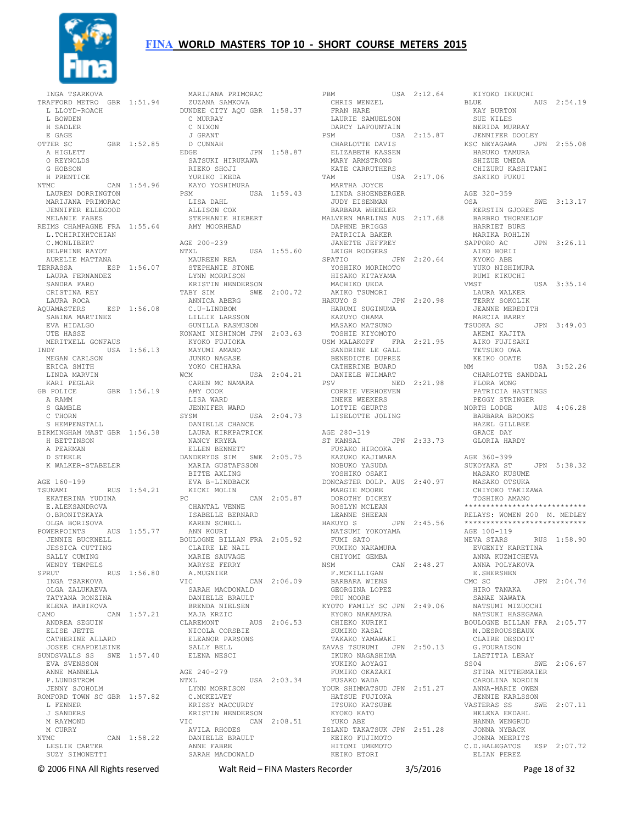

 INGA TSARKOVA TRAFFORD METRO GBR 1:51.94 L LLOYD-ROACH L BOWDEN H SADLER E GAGE OTTER SC GBR 1:52.85 A HIGLETT O REYNOLDS G HOBSON H PRENTICE n Frantisa<br>NTMC CAN 1:54.96 LAUREN DORRINGTON MARIJANA PRIMORAC JENNIFER ELLEGOOD MELANIE FABES REIMS CHAMPAGNE FRA 1:55.64 L.TCHIRIKHTCHIAN C.MONLIBERT DELPHINE RAYOT AURELIE MATTANA TERRASSA ESP 1:56.07 LAURA FERNANDEZ SANDRA FARO CRISTINA REY LAURA ROCA AQUAMASTERS ESP 1:56.08 SABINA MARTINEZ EVA HIDALGO UTE HASSE MERITYELL GONFAUS INDY USA 1:56.13 MEGAN CARLSON ERICA SMITH LINDA MARVIN KARI PEGLAR GB POLICE GBR 1:56.19 A RAMM S GAMBLE C THORN S HEMPENSTALL BIRMINGHAM MAST GBR 1:56.38 H BETTINSON A PEAKMAN D STEELE K WALKER-STABELER AGE 160-199<br>TSUNAMI TSUNAMI RUS 1:54.21 EKATERINA YUDINA E.ALEKSANDROVA O.BRONITSKAYA OLGA BORISOVA POWERPOINTS AUS 1:55.77 JENNIE BUCKNELL JESSICA CUTTING SALLY CUMING WENDY TEMPELS<br>SPRUT RUS 1:56.80 SPRUT RUS 1:56.80 INGA TSARKOVA OLGA ZALUKAEVA TATYANA RONZINA ELENA BABIKOVA CAMO CAN 1:57.21 ANDREA SEGUIN ELISE JETTE CATHERINE ALLARD JOSEE CHAPDELEINE SUNDSVALLS SS SWE 1:57.40 EVA SVENSSON ANNE MANNELA P.LUNDSTROM JENNY SJOHOLM ROMFORD TOWN SC GBR 1:57.82 L FENNER J SANDERS M RAYMOND M CURRY NTMC CAN 1:58.22 LESLIE CARTER SUZY SIMONETTI

 MARIJANA PRIMORAC ZUZANA SAMKOVA DUNDEE CITY AQU GBR 1:58.37 C MURRAY C NIXON J GRANT D CUNNAH JPN 1:58.87 SATSUKI HIRUKAWA RIEKO SHOJI YURIKO IKEDA KAYO YOSHIMURA PSM USA 1:59.43 LISA DAHL ALLISON COX STEPHANIE HIEBERT AMY MOORHEAD AGE 200-239 NTXL USA 1:55.60 MAUREEN REA STEPHANIE STONE LYNN MORRISON KRISTIN HENDERSON TABY SIM SWE 2:00.72 ANNICA ABERG C.U-LINDBOM LILLIE LARSSON GUNILLA RASMUSON KONAMI NISHINOM JPN 2:03.63 KYOKO FUJIOKA MAYUMI AMANO JUNKO NAGASE YOKO CHIHARA WCM USA 2:04.21 CAREN MC NAMARA AMY COOK LISA WARD JENNIFER WARD SYSM USA 2:04.73 DANIELLE CHANCE LAURA KIRKPATRICK NANCY KRYKA ELLEN BENNETT DANDERYDS SIM SWE 2:05.75 MARIA GUSTAFSSON BITTE AXLING EVA B-LINDBACK KICKI MOLIN PC CAN 2:05.87 CHANTAL VENNE ISABELLE BERNARD KAREN SCHELL ANN KOURT BOULOGNE BILLAN FRA 2:05.92 CLAIRE LE NAIL MARIE SAUVAGE MARYSE FERRY A.MUGNIER VIC CAN 2:06.09 SARAH MACDONALD DANIELLE BRAULT BRENDA NIELSEN MAJA KRZIC CLAREMONT AUS 2:06.53 NICOLA CORSBIE ELEANOR PARSONS SALLY BELL ELENA NESCI AGE 240-279 NTXL USA 2:03.34 LYNN MORRISON C.MCKELVEY KRISSY MACCURDY KRISTIN HENDERSON VIC CAN 2:08.51 AVILA RHODES DANIELLE BRAULT ANNE FABRE SARAH MACDONALD

USA  $2:12.64$  KIYOKU IND CHRIS WENZEL FRAN HARE LAURIE SAMUELSON DARCY LAFOUNTAIN<br>PSM USA 2:15.87 PSM USA 2:15.87 CHARLOTTE DAVIS ELIZABETH KASSEN MARY ARMSTRONG KATE CARRUTHERS TAM USA 2:17.06 MARTHA JOYCE LINDA SHOENBERGER JUDY EISENMAN BARBARA WHEELER MALVERN MARLINS AUS 2:17.68 DAPHNE BRIGGS PATRICIA BAKER JANETTE JEFFREY LEIGH RODGERS SPATIO JPN 2:20.64 YOSHIKO MORIMOTO HISAKO KITAYAMA MACHIKO UEDA AKIKO TSUMORI HAKUYO S JPN 2:20.98 LAURA WALKER TERRY SOKOLIK HARUMI SUGINUMA KAZUYO OHAMA MASAKO MATSUNO TOSHIE KIYOMOTO USM MALAKOFF FRA 2:21.95 SANDRINE LE GALL BENEDICTE DUPREZ CATHERINE BUARD DANIELE WILMART PSV NED 2:21.98 CORRIE VERHOEVEN INEKE WEEKERS LOTTIE GEURTS LISELOTTE JOLING AGE 280-319<br>ST KANSAI JPN 2:33.73 FUSAKO HIROOKA KAZUKO KAJIWARA NOBUKO YASUDA YOSHIKO OSAKI DONCASTER DOLP. AUS 2:40.97 MARGIE MOORE DOROTHY DICKEY ROSLYN MCLEAN LEANNE SHEEAN FUMI SATO<br>FUMIKO NAKAMURA CHIYOMI GEMBA<br>NSM NSM CAN 2:48.27 F.MCKILLIGAN BARBARA WIENS GEORGINA LOPEZ PRU MOORE KYOTO FAMILY SC JPN 2:49.06 KYOKO NAKAMURA CHIEKO KURIKI SUMIKO KASAI TAKAKO YAMAWAKI ZAVAS TSURUMI JPN 2:50.13 IKUKO NAGASHIMA YUKIKO AOYAGI FUMIKO OKAZAKI FUSAKO WADA YOUR SHIMMATSUD JPN 2:51.27 HATSUE FUJIOKA ITSUKO KATSUBE KYOKO KATO YUKO ABE ISLAND TAKATSUK JPN 2:51.28 KEIKO FUJIMOTO HITOMI UMEMOTO KEIKO ETORI

HAKUYO S JPN 2:45.56 NATSUMI YOKOYAMA FUMI SATO NEVA STARS RUS 1:58.90 KIYOKO IKEUCHI BLUE AUS 2:54.19 KAY BURTON SUE WILES NERIDA MURRAY<br>JENNIFER DOOLEY JENNIFER DOOLEY KSC NEYAGAWA JPN 2:55.08 HARUKO TAMURA SHIZUE UMEDA CHIZURU KASHITANI SAKIKO FUKUI AGE 320-359 OSA SWE 3:13.17 KERSTIN GJORES BARBRO THORNELOF HARRIET BURE MARIKA ROHLIN SAPPORO AC JPN 3:26.11 AIKO HORII KYOKO ABE YUKO NISHIMURA RUMI KIKUCHI VMST USA 3:35.14 JEANNE MEREDITH MARCIA BARRY TSUOKA SC JPN 3:49.03 AKEMI KAJITA AIKO FUJISAKI TETSUKO OWA KEIKO ODATE MM USA 3:52.26 CHARLOTTE SANDDAL FLORA WONG PATRICIA HASTINGS PEGGY STRINGER NORTH LODGE AUS 4:06.28 BARBARA BROOKS HAZEL GILLBEE GRACE DAY GLORIA HARDY AGE 360-399 JPN 5:38.32 MASAKO KUSUME MASAKO OTSUKA CHIYOKO TAKIZAWA TOSHIKO AMANO \*\*\*\*\*\*\*\*\*\*\*\*\*\*\*\*\*\*\*\*\*\*\*\*\*\*\*\* RELAYS: WOMEN 200 M. MEDLEY \*\*\*\*\*\*\*\*\*\*\*\*\*\*\*\*\*\*\*\*\*\*\*\*\*\*\*\* AGE 100-119 EVGENIY KARETINA ANNA KUZMICHEVA ANNA POLYAKOVA E.SHERSHEN CMC SC JPN 2:04.74 HIRO TANAKA SANAE NAWATA NATSUMI MIZUOCHI NATSUKI HASEGAWA BOULOGNE BILLAN FRA 2:05.77 M.DESROUSSEAUX CLAIRE DESDOIT G.FOURAISON LAETITIA LERAY SS04 SWE 2:06.67 STINA MITTERMAIER CAROLINA NORDIN ANNA-MARIE OWEN JENNIE KARLSSON VASTERAS SS SWE 2:07.11 HELENA EKDAHL HANNA WENGRUD JONNA NYBACK JONNA MEERITS C.D.HALEGATOS ESP 2:07.72 ELIAN PEREZ

© 2006 FINA All Rights reserved Walt Reid – FINA Masters Recorder 3/5/2016 Page 18 of 32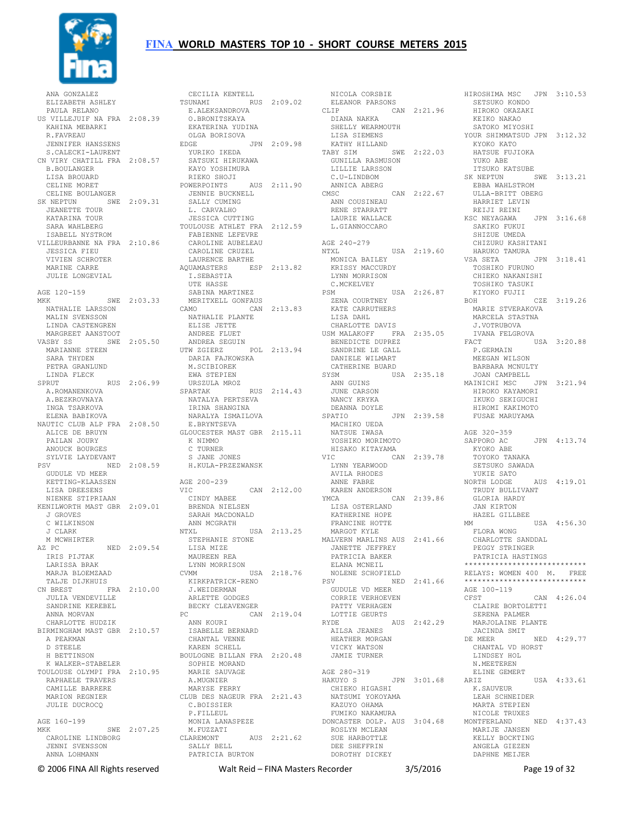

 ANA GONZALEZ PAULA RELANO US VILLEJUIF NA FRA 2:08.39 E.ALEKSANDROVA O.BRONITSKAYA KAHINA MEBARKI R.FAVREAU JENNIFER HANSSENS S.CALECKI-LAURENT CN VIRY CHATILL FRA 2:08.57 B.BOULANGER LISA BROUARD CELINE MORET CELINE BOULANGER SK NEPTUN SWE 2:09.31 JENNIE BUCKNELL SALLY CUMING JEANETTE TOUR KATARINA TOUR SARA WAHLBERG ISABELL NYSTROM VILLEURBANNE NA FRA 2:10.86 FABIENNE LEFEVRE CAROLINE AUBELEAU JESSICA FIEU VIVIEN SCHROTER MARINE CARRE JULIE LONGEVIAL AGE 120-159 MKK SWE 2:03.33 NATHALIE LARSSON MALIN SVENSSON LINDA CASTENGREN MARGREET AANSTOOT VASBY SS SWE 2:05.50 MARIANNE STEEN SARA THYDEN PETRA GRANLUND LINDA FLECK SPRUT RUS 2:06.99 A.ROMANENKOVA A.BEZKROVNAYA INGA TSARKOVA ELENA BABIKOVA NAUTIC CLUB ALP FRA 2:08.50 ALICE DE BRUYN PAILAN JOURY ANOUCK BOURGES SYLVIE LAYDEVANT PSV NED 2:08.59 GUDULE VD MEER KETTING-KLAASSEN LISA DREESENS NIENKE STIPRIAAN KENILWORTH MAST GBR 2:09.01 J GROVES C WILKINSON J CLARK M MCWHIRTER AZ PC NED 2:09.54 IRIS PIJTAK LARISSA BRAK MARJA BLOEMZAAD CVMM CVM TALJE DIJKHUIS<br>CN BREST FE  $FRA$  2:10.00 JULIA VENDEVILLE SANDRINE KEREBEL ANNA MORVAN CHARLOTTE HUDZIK BIRMINGHAM MAST GBR 2:10.57 A PEAKMAN D STEELE H BETTINSON K WALKER-STABELER TOULOUSE OLYMPI FRA 2:10.95 RAPHAELE TRAVERS CAMILLE BARRERE MARION REGNIER JULIE DUCROCQ AGE 160-199 MKK SWE 2:07.25 CAROLINE LINDBORG (CAROLINE LINDBORG) CLAREMONT (CAREMONT JENNI SVENSSON SALLY BEI JENNI SVENSSON ANNA LOHMANN

 ELIZABETH ASHLEY TSUNAMI RUS 2:09.02 CECILIA KENTELL EKATERINA YUDINA OLGA BORISOVA<br>EDGE J EDGE JPN 2:09.98 YURIKO IKEDA SATSUKI HIRUKAWA KAYO YOSHIMURA RIEKO SHOJI POWERPOINTS AUS 2:11.90 L. CARVALHO JESSICA CUTTING TOULOUSE ATHLET FRA 2:12.59 CAROLINE CRUZEL LAURENCE BARTHE AQUAMASTERS ESP 2:13.82 I.SEBASTIA UTE HASSE SABINA MARTINEZ MERITXELL GONFAUS CAMO CAN 2:13.83 NATHALIE PLANTE ELISE JETTE ANDREE FLUET ANDREA SEGUIN UTW ZGIERZ POL 2:13.94 DARIA FAJKOWSKA M.SCIBIOREK EWA STEPIEN URSZULA MROZ SPARTAK RUS 2:14.43 EILLING<br>NATALYA PERTSEVA<br>TRINI AVI IRINA SHANGINA NARALYA ISMAILOVA E.BRYNTSEVA GLOUCESTER MAST GBR 2:15.11 K NIMMO C TURNER S JANE JONES<br>H.KULA-PRZEZWANSK AGE 200-239 VIC CAN 2:12.00 CINDY MABEE BRENDA NIELSEN SARAH MACDONALD ANN MCGRATH NTXL USA 2:13.25 STEPHANIE STONE LISA MIZE MAUREEN REA LYNN MORRISON CVMM USA 2:18.76 KIRKPATRICK-RENO J.WEIDERMAN ARLETTE GODGES BECKY CLEAVENGER PC CAN 2:19.04 ANN KOURI ISABELLE BERNARD CHANTAL VENNE KAREN SCHELL BOULOGNE BILLAN FRA 2:20.48 SOPHIE MORAND MARIE SAUVAGE A.MUGNIER MARYSE FERRY CLUB DES NAGEUR FRA 2:21.43 C.BOISSIER P. FILLEUL MONIA LANASPEZE M.FUZZATI CLAREMONT AUS 2:21.62 SALLY BELL PATRICIA BURTON

NICOLA CORSBIE ELEANOR PARSONS HIROSHIMA MSC JPN 3:10.53 SETSUKO KONDO CLIP CAN 2:21.96 HIROKO OKAZAKI KEIKO NAKAO CLIP<br>DIANA NAKKA SHELLY WEARMOUTH LISA SIEMENS KATHY HILLAND TABY SIM SWE 2:22.03 KYOKO KATO HATSUE FUJIOKA GUNILLA RASMUSON LILLIE LARSSON C.U-LINDBOM ANNICA ABERG CMSC CAN 2:22.67 ANN COUSINEAU RENE STARRATT LAURIE WALLACE L.GIANNOCCARO AGE 240-279 NTXL USA 2:19.60 MONICA BAILEY KRISSY MACCURDY LYNN MORRISON C.MCKELVEY USA 2:26.87<br>
PSM COURTNEY USA 2:26.87<br>
KATE CARRUTHERS<br>
LISA DAHL CHARLOTTE DAVIS USM MALAKOFF FRA 2:35.05 IVANA<br>BENEDICTE DUPREZ FACT BENEDICTE DUPREZ SANDRINE LE GALL DANIELE WILMART CATHERINE BUARD<br>SYSM USA ANN GUINS JUNE CARSON NANCY KRYKA DEANNA DOYLE<br>SPATIO JPN 2:39.58 MACHIKO UEDA NATSUE IWASA YOSHIKO MORIMOTO HISAKO KITAYAMA<br>VIC CAN CAN 2:39.78 LYNN YEARWOOD AVILA RHODES ANNE FABRE KAREN ANDERSON YMCA CAN 2:39.86 LISA OSTERLAND KATHERINE HOPE FRANCINE HOTTE MARGOT KYLE MALVERN MARLINS AUS 2:41.66 ALVENN PRINCESS<br>JANETTE JEFFREY PATRICIA BAKER<br>
ELANA MCNEIL<br>NOLENE SCHOFIELD<br>PSV<br>
GUDULE VD MEER<br> CORRIE VERHOEVEN PATTY VERHAGEN LOTTIE GEURTS RYDE AUS 2:42.29 AILSA JEANES HEATHER MORGAN VICKY WATSON JAMIE TURNER AGE 280-319<br>HAKUYO S HAKUYO S JPN 3:01.68 CHIEKO HIGASHI NATSUMI YOKOYAMA KAZUYO OHAMA FUMIKO NAKAMURA DONCASTER DOLP. AUS 3:04.68 ROSLYN MCLEAN<br>SUE HARBOTTLE<br>DEE SHEFFRIN<br>DOROTHY DICKEY

SYSM USA 2:35.18 JOAN CAMPBELL MAINICHI MSC JPN 3:21.94 SATOKO MIYOSHI YOUR SHIMMATSUD JPN 3:12.32 YUKO ABE ITSUKO KATSUBE<br>SK NEPTUN SK NEPTUN SWE 3:13.21 EBBA WAHLSTROM ULLA-BRITT OBERG HARRIET LEVIN RAKKIDI ...<br>REIJI REINI KSC NEYAGAWA JPN 3:16.68 SAKIKO FUKUI SHIZUE UMEDA CHIZURU KASHITANI HARUKO TAMURA JPN 3:18.41 TOSHIKO FURUNO CHIEKO NAKANISHI TOSHIKO TASUKI KIYOKO FUJII BOH CZE 3:19.26 MARIE STVERAKOVA MARCELA STASTNA J.VOTRUBOVA IVANA FELGROVA  $TISA$  3:20.88 P.GERMAIN MEEGAN WILSON BARBARA MCNULTY HIROKO KAYAMORI IKUKO SEKIGUCHI HIROMI KAKIMOTO FUSAE MARUYAMA AGE 320-359 JPN 4:13.74 CAN AC<br>KYOKO ABE<br>TOMO TOYOKO TANAKA SETSUKO SAWADA YUKIE SATO NORTH LODGE AUS 4:19.01 TRUDY BULLIVANT GLORIA HARDY JAN KIRTON<br>HAZEL GILLBEE MM USA 4:56.30 FLORA WONG CHARLOTTE SANDDAL PEGGY STRINGER PATRICIA HASTINGS \*\*\*\*\*\*\*\*\*\*\*\*\*\*\*\*\*\*\*\*\*\*\*\*\*\*\*\* RELAYS: WOMEN 400 M. FREE \*\*\*\*\*\*\*\*\*\*\*\*\*\*\*\*\*\*\*\*\*\*\*\*\*\*\*\* \*\*\*\*\*\*\*<br>AGE 100-119 CFST CAN 4:26.04 CLAIRE BORTOLETTI SERENA PALMER MARJOLAINE PLANTE JACINDA SMIT DE MEER NED 4:29.77 CHANTAL VD HORST LINDSEY HOL N.MEETEREN ELINE GEMERT USA 4:33.61 K.SAUVEUR LEAH SCHNEIDER MARTA STEPIEN NICOLE TRUXES NED 4:37.43 MARIJE JANSEN KELLY BOCKTING ANGELA GIEZEN DAPHNE MEIJER

© 2006 FINA All Rights reserved Walt Reid – FINA Masters Recorder 3/5/2016 Page 19 of 32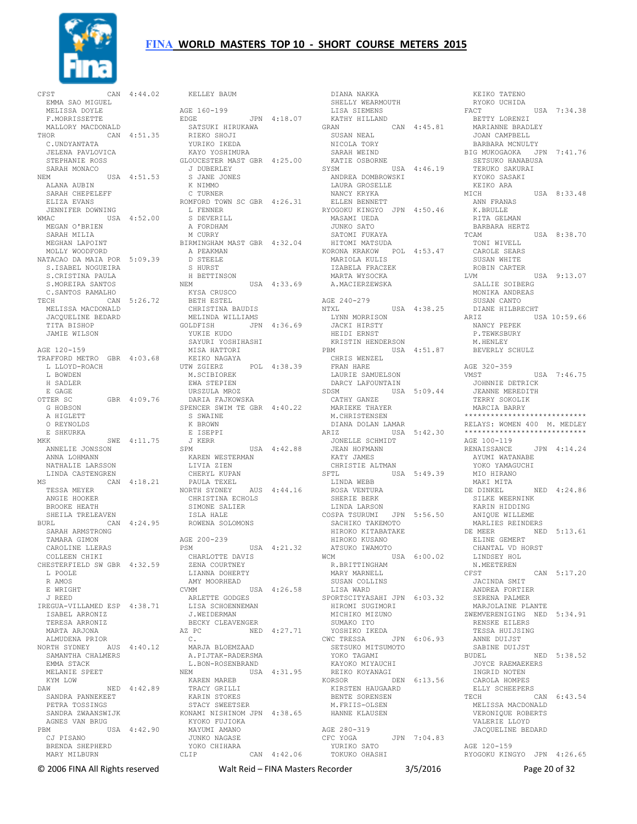

CFST CAN 4:44.02 EMMA SAO MIGUEL MELISSA DOYLE F.MORRISSETTE MALLORY MACDONALD MALLORY MACDONALD SATSUKI HIRUKAWA<br>THOR CAN 4:51.35 RIEKO SHOJI C.UNDYANTATA JELENA PAVLOVICA STEPHANIE ROSS SARAH MONACO<br>NEM USA 4:51.53<br>ALANA AUBIN SARAH CHEPELEFF ELIZA EVANS JENNIFER DOWNING WMAC USA 4:52.00 L FENNER S DEVERILL MEGAN O'BRIEN SARAH MILIA MEGHAN LAPOINT MOLLY WOODFORD NATACAO DA MAIA POR 5:09.39 S. ISABEL NOGUEIRA S.CRISTINA PAULA S.MOREIRA SANTOS C.SANTOS RAMALHO TECH CAN 5:26.72 KYSA CRUSCO BETH ESTEL MELISSA MACDONALD JACQUELINE BEDARD TITA BISHOP JAMIE WILSON AGE 120-159 TRAFFORD METRO GBR 4:03.68 L LLOYD-ROACH L BOWDEN H SADLER E GAGE OTTER SC GBR 4:09.76 G HOBSON A HIGLETT O REYNOLDS E SHKURKA MKK SWE 4:11.75 ANNELIE JONSSON ANNA LOHMANN NATHALIE LARSSON LINDA CASTENGREN MS CAN 4:18.21 TESSA MEYER ANGIE HOOKER BROOKE HEATH SHEILA TRELEAVEN BURL CAN 4:24.95 ROWENA SOLOMONS SARAH ARMSTRONG TAMARA GIMON CAROLINE LLERAS COLLEEN CHIKI CHESTERFIELD SW GBR 4:32.59 L POOLE R AMOS E WRIGHT J REED IREGUA-VILLAMED ESP 4:38.71 ISABEL ARRONIZ TERESA ARRONIZ MARTA ARJONA ALMUDENA PRIOR NORTH SYDNEY AUS 4:40.12 C. MARJA BLOEMZAAD SAMANTHA CHALMERS EMMA STACK MELANIE SPEET KYM LOW DAW NED 4:42.89 SANDRA PANNEKEET PETRA TOSSINGS AGNES VAN BRUG PBM USA 4:42.90 CJ PISANO BRENDA SHEPHERD MARY MILBURN

 SANDRA ZWAANSWIJK KONAMI NISHINOM JPN 4:38.65 KELLEY BAUM AGE 160-199 EDGE JPN 4:18.07 YURIKO IKEDA<br>KAYO YOSHIMURA GLOUCESTER MAST GBR 4:25.00 J DUBERLEY S JANE JONES K NIMMO C TURNER ROMFORD TOWN SC GBR 4:26.31 A FORDHAM M CURRY BIRMINGHAM MAST GBR 4:32.04 A PEAKMAN D STEELE S HURST H BETTINSON<br>NEM  $IISA$   $4:33.69$  CHRISTINA BAUDIS MELINDA WILLIAMS GOLDFISH JPN 4:36.69 YUKIE KUDO SAYURI YOSHIHASHI MISA HATTORI KEIKO NAGAYA UTW ZGIERZ POL 4:38.39 M.SCIBIOREK EWA STEPIEN URSZULA MROZ DARIA FAJKOWSKA SPENCER SWIM TE GBR 4:40.22 S SWAINE K BROWN<br>E ISEPPI E ISEPPI J KERR SPM USA 4:42.88 KAREN WESTERMAN LIVIA ZIEN CHERYL KUPAN PAULA TEXEL NORTH SYDNEY AUS 4:44.16 CHRISTINA ECHOLS SIMONE SALIER ISLA HALE AGE 200-239 PSM USA 4:21.32 CHARLOTTE DAVIS ZENA COURTNEY LIANNA DOHERTY AMY MOORHEAD<br>CVMM USA 4:26.58 ARLETTE GODGES LISA SCHOENNEMAN J.WEIDERMAN BECKY CLEAVENGER AZ PC NED 4:27.71 A.PIJTAK-RADERSMA L.BON-ROSENBRAND<br>NEM USA USA  $4:31.95$  KAREN MAREB TRACY GRILLI KARIN STOKES STACY SWEETSER KYOKO FUJIOKA MAYUMI AMANO JUNKO NAGASE YOKO CHIHARA CLIP CAN 4:42.06 YURIKO SATO TOKUKO OHASHI

 DIANA NAKKA SHELLY WEARMOUTH LISA SIEMENS KATHY HILLAND GRAN CAN 4:45.81 SUSAN NEAL NICOLA TORY SARAH WEIND KATIE OSBORNE SYSM USA 4:46.19 ANDREA DOMBROWSKI LAURA GROSELLE NANCY KRYKA ELLEN BENNETT RYOGOKU KINGYO JPN 4:50.46 MASAMI UEDA JUNKO SATO SATOMI FUKAYA HITOMI MATSUDA KORONA KRAKOW POL 4:53.47 MARIOLA KULIS IZABELA FRACZEK MARTA WYSOCKA A.MACIERZEWSKA AGE 240-279 NTXL USA 4:38.25 LYNN MORRISON JACKI HIRSTY HEIDI ERNST KRISTIN HENDERSON USA  $4:51.87$  CHRIS WENZEL FRAN HARE LAURIE SAMUELSON DARCY LAFOUNTAIN SDSM USA 5:09.44 CATHY GANZE MARIEKE THAYER M.CHRISTENSEN DIANA DOLAN LAMAR JONELLE SCHMIDT JEAN HOFMANN KATY JAMES<br>CHRISTIE ALTMAN CHRISTIE ALTMAN<br>SFTL USA 5:49.39<br>LINDA WEBB<br>ROSA VENTURA<br>SHERIE BERK<br>LINDA LARSON COSPA TSURUMI JPN 5:56.50 HIROKO KUSANO ATSUKO IWAMOTO WCM USA 6:00.02 R.BRITTINGHAM MARY MARNELL SUSAN COLLINS LISA WARD SPORTSCITYASAHI JPN 6:03.32 HIROMI SUGIMORI MICHIKO MIZUNO SUMAKO ITO YOSHIKO IKEDA CWC TRESSA JPN 6:06.93 ANNE DUIJST SABINE DUIJST SETSUKO MITSUMOTO YOKO TAGAMI KAYOKO MIYAUCHI REIKO KOYANAGI KORSOR DEN  $6:13.56$ KIRSTEN HAUGAARD BENTE SORENSEN M.FRIIS-OLSEN HANNE KLAUSEN AGE 280-319 CFC YOGA<br>
YURIKO SATO<br>
YURIKO SATO<br>
mourre

ARIZ USA 5:42.30 RELAYS: WOMEN 400 M. MEDLEY \*\*\*\*\*\*\*\*\*\*\*\*\*\*\*\*\*\*\*\*\*\*\*\*\*\*\*\* SACHIKO TAKEMOTO HIROKO KITABATAKE MARLIES REINDERS DE MEER NED 5:13.61 KEIKO TATENO RYOKO UCHIDA USA 7:34.38 BETTY LORENZI MARIANNE BRADLEY JOAN CAMPBELL BARBARA MCNULTY BIG MUKOGAOKA JPN 7:41.76 SETSUKO HANABUSA TERUKO SAKURAI KYOKO SASAKI KEIKO ARA MICH USA 8:33.48 ANN FRANAS K.BRULLE RITA GELMAN BARBARA HERTZ TCAM USA 8:38.70 TONI WIVELL CAROLE SEARS SUSAN WHITE ROBIN CARTER<br>LVM USA 9:13.07 SALLIE SOIBERG MONIKA ANDREAS SUSAN CANTO DIANE HILBRECHT ARIZ USA 10:59.66 NANCY PEPEK P.TEWKSBURY M.HENLEY BEVERLY SCHULZ AGE 320-359<br>VMST  $USA 7:46.75$  JOHNNIE DETRICK JEANNE MEREDITH TERRY SOKOLIK MARCIA BARRY \*\*\*\*\*\*\*\*\*\*\*\*\*\*\*\*\*\*\*\*\*\*\*\*\*\*\*\* AGE 100-119 RENAISSANCE JPN 4:14.24 AYUMI WATANABE YOKO YAMAGUCHI MIO HIRANO MAKI MITA DE DINKEL NED 4:24.86 SILKE WEERNINK KARIN HIDDING ANIQUE WILLEME ELINE GEMERT CHANTAL VD HORST LINDSEY HOL N.MEETEREN<br>CFST  $CAN$  5:17.20 JACINDA SMIT ANDREA FORTIER SERENA PALMER MARJOLAINE PLANTE ZWEMVERENIGING NED 5:34.91 RENSKE EILERS TESSA HUIJSING 6:00.00<br>BUDEL NED 5:38.52<br>BUDEL NED 5:38.52 JOYCE RAEMAEKERS INGRID NOTEN CAROLA HOMPES ELLY SCHEEPERS TECH CAN  $6:43.54$  MELISSA MACDONALD VERONIQUE ROBERTS VALERIE LLOYD JACQUELINE BEDARD AGE 120-159 RYOGOKU KINGYO JPN 4:26.65

© 2006 FINA All Rights reserved Walt Reid – FINA Masters Recorder 3/5/2016 Page 20 of 32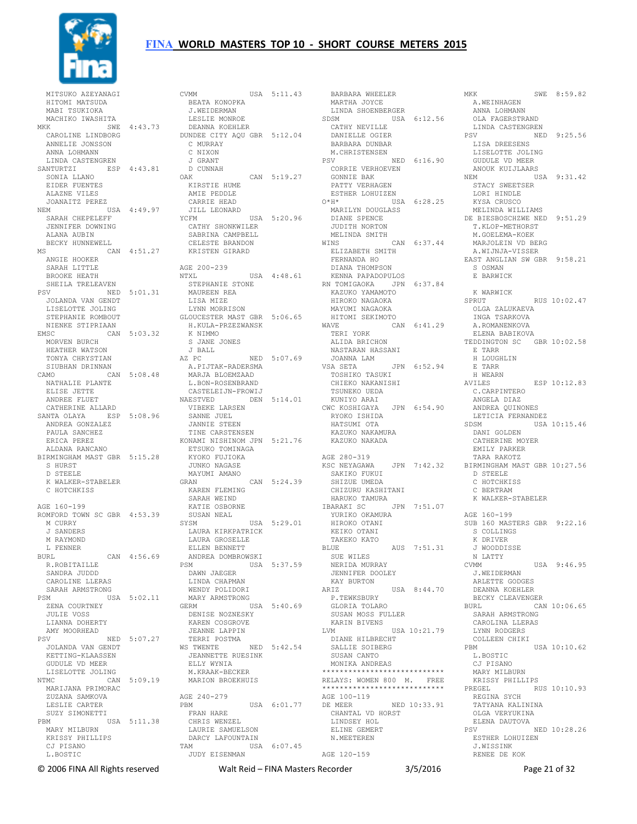

 MITSUKO AZEYANAGI HITOMI MATSUDA MABI TSUKIOKA MACHIKO IWASHITA CAROLINE LINDBORG ANNELIE JONSSON ANNA LOHMANN LINDA CASTENGREN SANTURTZI ESP 4:43.81 J GRANT D CUNNAH SONIA LLANO EIDER FUENTES<br>
ALAZNE VILES<br>
JOANAITZ PEREZ<br>
NEM USA 4:49.97<br>
SARAH CHEPELEFF<br>
JENNIFER DOWNING<br>
ALANA AUBIN BECKY HUNNEWELL MS CAN 4:51.27 ANGIE HOOKER SARAH LITTLE BROOKE HEATH SHEILA TRELEAVEN PSV NED 5:01.31 JOLANDA VAN GENDT LISELOTTE JOLING STEPHANIE ROMBOUT NIENKE STIPRIAAN EMSC CAN 5:03.32 MORVEN BURCH HEATHER WATSON TONYA CHRYSTIAN SIUBHAN DRINNAN CAMO CAN 5:08.48 NATHALIE PLANTE ELISE JETTE ANDREE FLUET CATHERINE ALLARD SANTA OLAYA ESP 5:08.96 VIBEKE LARSEN SANNE JUEL ANDREA GONZALEZ PAULA SANCHEZ ERICA PEREZ ALDANA RANCANO BIRMINGHAM MAST GBR 5:15.28 S HURST D STEELE K WALKER-STABELER C HOTCHKISS AGE 160-199 ROMFORD TOWN SC GBR 4:53.39 M CURRY J SANDERS M RAYMOND L FENNER BURL CAN 4:56.69 R.ROBITAILLE SANDRA JUDDD CAROLINE LLERAS SARAH ARMSTRONG PSM USA 5:02.11 ZENA COURTNEY JULIE VOSS LIANNA DOHERTY AMY MOORHEAD KETTING-KLAASSEN GUDULE VD MEER LISELOTTE JOLING NTMC CAN 5:09.19 MARIJANA PRIMORAC ZUZANA SAMKOVA LESLIE CARTER SUZY SIMONETTI PBM USA 5:11.38 MARY MILBURN ARISSY PHILLIPS<br>KRISSY PHILLIPS<br>CJ PICAMO CJ PISANO L.BOSTIC

MKK SWE 4:43.73 DUNDEE CITY AQU GBR 5:12.04 PSV NED 5:07.27 JOLANDA VAN GENDT TERRI POSTMA WS TWENTE NED 5:42.54 CVMM USA 5:11.43 US<br>BEATA KONOPKA<br>Thurset J.WEIDERMAN LESLIE MONROE DEANNA KOEHLER C MURRAY C MURRAY<br>C MURRAY<br>C NIXON OAK CAN 5:19.27 KIRSTIE HUME AMIE PEDDLE CARRIE HEAD JILL LEONARD CARRIE HEAL<br>JILL LEONARD<br>USA 5:20.96 CATHY SHONKWILER<br>CARDINA CILLER SABRINA CAMPBELL CELESTE BRANDON KRISTEN GIRARD AGE 200-239 NTXL USA 4:48.61 STEPHANIE STONE MAUREEN REA ATAL<br>STEPHANIE STONE<br>MAUREEN REA<br>LISA MIZE LYNN MORRISON<br>GLOUCESTER MAST GBR 5:06.65 GLOUCESTER MAST GBR 5:06.65 H.KULA-PRZEZWANSK K NIMMO S JANE JONES 5 Units - .<br>J BALL NED 5:07.69 AZ PC NED 5:07.69<br>
A.PIJTAK-RADERSMA<br>
MARJA BLOEMZAAD<br>
L.BON-ROSENBRAND<br>
CASTELEIJN-FROWIJ NAESTVED DEN 5:14.01 JANNIE STEEN TINE CARSTENSEN KONAMI NISHINOM JPN 5:21.76 ETSUKO TOMINAGA KYOKO FUJIOKA JUNKO NAGASE MAYUMI AMANO GRAN CAN 5:24.39 KAREN FLEMING SARAH WEIND KATIE OSBORNE SUSAN NEAL SYSM USA 5:29.01 LAURA KIRKPATRICK LAURA GROSELLE ELLEN BENNETT ANDREA DOMBROWSKI PSM USA 5:37.59 DAWN JAEGER LINDA CHAPMAN WENDY POLIDORI MARY ARMSTRONG  $USA = 5:40.69$  DENISE NOZNESKY KAREN COSGROVE JEANNE LAPPIN JEANNETTE RUESINK ELLY WYNIA M.KRAAK-BECKER MARION BROEKHUIS AGE 240-279 PBM USA 6:01.77 DE MEER FRAN HARE CHRIS WENZEL LAURIE SAMUELSON DARCY LAFOUNTAIN TAM USA 6:07.45 JUDY EISENMAN

 BARBARA WHEELER MARTHA JOYCE LINDA SHOENBERGER SDSM USA 6:12.56 CATHY NEVILLE DANIELLE OGIER BARBARA DUNBAR M.CHRISTENSEN<br>PSV NED 6:16.90 PSV NED 6:16.90 CORRIE VERHOEVEN GONNIE BAK PATTY VERHAGEN ESTHER LOHUIZEN O\*H\* USA 6:28.25 LORI HINDLE KYSA CRUSCO MARILYN DOUGLASS DIANE SPENCE JUDITH NORTON MELINDA SMITH<br>TNS CAN 6:37.44 WINS CAN 6:37.44 ELIZABETH SMITH FERNANDA HO<br>
KENNA THOMPSON<br>KENNA PAPADOPULOS<br>
RN TOMIGAOKA JPN 6:37.84<br>
KAZUKO YAMAMOTO KAZUKO YAMAMOTO<br>HIROKO NAGAOKA MAYUMI NAGAOKA HITOMI SEKIMOTO WAVE CAN 6:41.29 TERI YORK ALIDA BRICHON NASTARAN HASSANI JOANNA LAM VSA SETA JPN 6:52.94 E TARR TOSHIKO TASUKI CHIEKO NAKANISHI TSUNEKO UEDA KUNIYO ARAI CWC KOSHIGAYA JPN 6:54.90 RYOKO ISHIDA HATSUMI OTA KAZUKO NAKAMURA KAZUKO NAKADA AGE 280-319 AGE 280-319<br>KSC NEYAGAWA JPN 7:42.32<br>SAKIKO FUKUI<br>SHIZUE UMEDA<br>CHIZURU KASHITANI<br>HARUKO TAMURA IBARAKI SC JPN 7:51.07 YURIKO OKAMURA HIROKO OTANI KEIKO OTANI TAKEKO KATO<br>BLUE BLUE AUS 7:51.31 SUE WILES<br>NERIDA MURRAY<br>JENNIFER DOOLEY KAY BURTON ARIZ USA 8:44.70 P.TEWKSBURY GLORIA TOLARO SUSAN MOSS FULLER KARIN BIVENS LVM USA 10:21.79 DIANE HILBRECHT SALLIE SOIBERG SUSAN CANTO MONIKA ANDREAS \*\*\*\*\*\*\*\*\*\*\*\*\*\*\*\*\*\*\*\*\*\*\*\*\*\*\*\* RELAYS: WOMEN 800 M. FREE \*\*\*\*\*\*\*\*\*\*\*\*\*\*\*\*\*\*\*\*\*\*\*\*\*\*\*\* AGE 100-119 DE MEER NED 10:33.91 CHANTAL VD HORST LINDSEY HOL ELINE GEMERT N.MEETEREN AGE 120-159

A.WEINHAGEN ANNA LOHMANN OLA FAGERSTRAND LINDA CASTENGREN PSV NED 9:25.56 LISA DREESENS LISELOTTE JOLING GUDULE VD MEER ANOUK KUIJLAARS  $USA = 9:31.42$ STACY SWEETSER MELINDA WILLIAMS DE BIESBOSCHZWE NED 9:51.29 T.KLOP-METHORST M.GOELEMA-KOEK MARJOLEIN VD BERG A.WIJNJA-VISSER EAST ANGLIAN SW GBR 9:58.21 S OSMAN E BARWICK K WARWICK<br>SPRUT RUS 10:02.47 OLGA ZALUKAEVA INGA TSARKOVA A.ROMANENKOVA ELENA BABIKOVA TEDDINGTON SC GBR 10:02.58 E TARR H LOUGHLIN H WEARN AVILES ESP 10:12.83 C.CARPINTERO ANGELA DIAZ ANDREA QUINONES LETICIA FERNANDEZ SDSM USA 10:15.46 DANI GOLDEN CATHERINE MOYER EMILY PARKER TARA RAKOTZ BIRMINGHAM MAST GBR 10:27.56 D STEELE C HOTCHKISS C BERTRAM K WALKER-STABELER AGE 160-199 SUB 160 MASTERS GBR 9:22.16 S COLLINGS K DRIVER J WOODDISSE N LATTY<br>CVMM  $USA$  9:46.95 J.WEIDERMAN ARLETTE GODGES DEANNA KOEHLER BECKY CLEAVENGER<br>BURL CAL  $CAN 10:06.65$  SARAH ARMSTRONG CAROLINA LLERAS LYNN RODGERS COLLEEN CHIKI PRM USA 10:10.62 L.BOSTIC CJ PISANO MARY MILBURN KRISSY PHILLIPS PREGEL RUS 10:10.93 REGINA SYCH TATYANA KALININA OLGA VERYUKINA ELENA DAUTOVA PSV NED 10:28.26 ESTHER LOHUIZEN J.WISSINK RENEE DE KOK

SWE 8:59.82

© 2006 FINA All Rights reserved Walt Reid – FINA Masters Recorder 3/5/2016 Page 21 of 32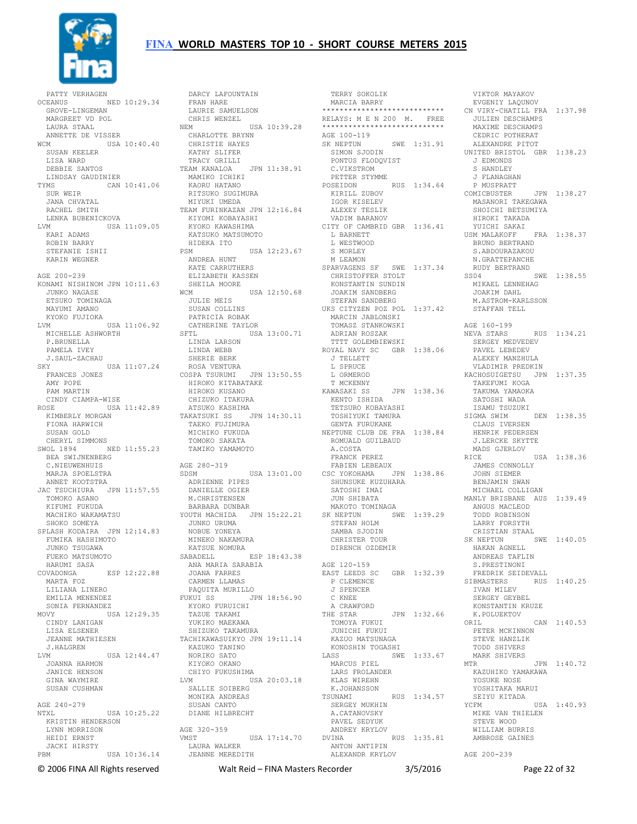

PATTY VERHAGEN<br>OCEANUS OCEANUS NED 10:29.34 FRAN HARE LAURIE SAMUELSON GROVE-LINGEMAN MARGREET VD POL LAURA STAAL ANNETTE DE VISSER WCM USA 10:40.40 ---<br>SUSAN KEELER LISA WARD DEBBIE SANTOS LINDSAY GAUDINIER TYMS CAN 10:41.06 SUR WEIR JANA CHVATAL LVM USA 11:09.05 KYOKO KAWASHIMA KATSUKO MATSUMOTO KARI ADAMS ROBIN BARRY STEFANIE ISHII KARIN WEGNER AGE 200-239 KONAMI NISHINOM JPN 10:11.63 JUNKO NAGASE ETSUKO TOMINAGA MAYUMI AMANO KYOKO FUJIOKA LVM USA 11:06.92 MICHELLE ASHWORTH P.BRUNELLA PAMELA IVEY J.SAUL-ZACHAU SKY USA 11:07.24 FRANCES JONES AMY POPE PAM MARTIN CINDY CIAMPA-WISE ROSE USA 11:42.89 KIMBERLY MORGAN FIONA HARWICH TAKATSUKI SS JPN 14:30.11 SUSAN GOLD CHERYL SIMMONS SWOL 1894 NED 11:55.23 BEA SWIJNENBERG C.NIEUWENHUIS MARJA SPOELSTRA SDSM ANNET KOOTSTRA JAC TSUCHIURA JPN 11:57.55 TOMOKO ASANO KIFUMI FUKUDA MACHIKO WAKAMATSU SHOKO SOMEYA SPLASH KODAIRA JPN 12:14.83 JUNKO URUMA NOBUE YONEYA FUMIKA HASHIMOTO JUNKO TSUGAWA FUEKO MATSUMOTO HARUMI SASA COVADONGA ESP 12:22.88 ANA MARIA SARABIA JOANA FARRES MARTA FOZ LILIANA LINERO EMILIA MENENDEZ SONIA FERNANDEZ MOVY USA 12:29.35 CINDY LANIGAN LISA ELSENER JEANNE MATHIESEN J.HALGREN LVM USA 12:44.47 JOANNA HARMON JANICE HENSON GINA WAYMIRE SUSAN CUSHMAN AGE 240-279 AGE 240-279<br>NTXL USA 10:25.22 KRISTIN HENDERSON LYNN MORRISON HEIDI ERNST JACKI HIRSTY USA 10:36.14

 RACHEL SMITH LENKA BUBENICKOVA TEAM FURINKAZAN JPN 12:16.84 KIYOMI KOBAYASHI ALEXEY TESLIK VADIM BARANOV DARCY LAFOUNTAIN CHRIS WENZEL NEM USA 10:39.28 CHARLOTTE BRYNN CHRISTIE HAYES KATHY SLIFER TRACY GRILLI TEAM KANALOA JPN 11:38.91 C.VIKSTROM MAMIKO ICHIKI KAORU HATANO RITSUKO SUGIMURA RITSUKO SUGIMURA<br>RITSUKO SUGIMURA<br>MIYUKI UMEDA HIDEKA ITO PSM USA 12:23.67 ANDREA HUNT KATE CARRUTHERS ELIZABETH KASSEN SHEILA MOORE<br>WCM U WCM USA 12:50.68 JULIE MEIS SUSAN COLLINS PATRICIA ROBAK CATHERINE TAYLOR SFTL USA 13:00.71 TOMASZ STANKOWSKI ADRIAN ROSZAK LINDA LARSON LINDA WEBB SHERIE BERK ROSA VENTURA COSPA TSURUMI JPN 13:50.55 HIROKO KITABATAKE HIROKO KUSANO CHIZUKO ITAKURA ATSUKO KASHIMA TAEKO FUJIMURA MICHIKO FUKUDA NEPTUNE CLUB DE FRA 1:38.84 TOMOKO SAKATA TAMIKO YAMAMOTO AGE 280-319 SDSM USA 13:01.00 FABIEN LEBEAUX CSC YOKOHAMA JPN 1:38.86 ADRIENNE PIPES DANIELLE OGIER M.CHRISTENSEN BARBARA DUNBAR YOUTH MACHIDA JPN 15:22.21 SK NEPTUN SWE 1:39.29 MINEKO NAKAMURA KATSUE NOMURA SABADELL ESP 18:43.38 CARMEN LLAMAS PAQUITA MURILLO FUKUI SS JPN 18:56.90 KYOKO FURUICHI TAZUE TAKAMI YUKIKO MAEKAWA SHIZUKO TAKAMURA TACHIKAWASUIKYO JPN 19:11.14 KAZUKO TANINO NORIKO SATO NARUNG -<br>NORIKO SATO<br>KIYOKO OKANO CHIYO FUKUSHIMA LVM USA 20:03.18 SALLIE SOIBERG MONIKA ANDREAS SUSAN CANTO DIANE HILBRECHT AGE 320-359 VMST USA 17:14.70 LAURA WALKER JEANNE MEREDITH ANTON ANTIPIN ALEXANDR KRYLOV

 TERRY SOKOLIK MARCIA BARRY \*\*\*\*\*\*\*\*\*\*\*\*\*\*\*\*\*\*\*\*\*\*\*\*\*\*\*\* EVGENIY LAQUNOV CN VIRY-CHATILL FRA 1:37.98 RELAYS: M E N 200 M. FREE<br>\*\*\*\*\*\*\*\*\*\*\*\*\*\*\*\*\*\*\*\*\*\*\*\*\*\*\*\* AGE 100-119<br>SK NEPTUN  $SWE = 1:31.91$  SIMON SJODIN PONTUS FLODQVIST PETTER STYMME POSEIDON RUS 1:34.64 KIRILL ZUBOV IGOR KISELEV CITY OF CAMBRID GBR 1:36.41 L BARNETT L WESTWOOD S MORLEY M LEAMON M LEAMON<br>SPARVAGENS SF SWE 1:37.34 CHRISTOFFER STOLT KONSTANTIN SUNDIN JOAKIM SANDBERG STEFAN SANDBERG UKS CITYZEN POZ POL 1:37.42 MARCIN JABLONSKI<br>TOMASZ STANKOWSKI TTTT GOLEMBIEWSKI ROYAL NAVY SC GBR 1:38.06 J TELLETT L SPRUCE L ORMEROD T MCKENNY KAWASAKI SS JPN 1:38.36 KENTO ISHIDA TETSURO KOBAYASHI TOSHIYUKI TAMURA GENTA FURUKANE ROMUALD GUILBAUD A.COSTA FRANCK PEREZ SHUNSUKE KUZUHARA SATOSHI IMAI JUN SHIBATA MAKOTO TOMINAGA STEFAN HOLM SAMBA SJODIN CHRISTER TOUR DIRENCH OZDEMIR AGE 120-159 EAST LEEDS SC GBR 1:32.39 P CLEMENCE J SPENCER C KNEE A CRAWFORD THE STAR JPN 1:32.66<br>TOMOYA FUKUI<br>JUNICHI FUKUI<br>KAZUO MATSUNAGA<br>KONOSHIN TOGASHI LASS SWE 1:33.67  $\begin{array}{ccc}\n\ldots \\
\text{WRCUS PIEL} \\
\text{MARCUS PIEL}\n\end{array}$  LARS FROLANDER KLAS WIREHN K.JOHANSSON RUS 1:34.57 SUNARII ...<br>SERGEY MUKHIN A.CATANOVSKY PAVEL SEDYUK ANDREY KRYLOV DVINA RUS 1:35.81

 VIKTOR MAYAKOV JULIEN DESCHAMPS MAXIME DESCHAMPS CEDRIC POTHERAT ALEXANDRE PITOT UNITED BRISTOL GBR 1:38.23 J EDMONDS S HANDLEY J FLANAGHAN P MUSPRATT COMICBUSTER JPN 1:38.27 MASANORI TAKEGAWA SHOICHI BETSUMIYA HIROKI TAKADA YUICHI SAKAI USM MALAKOFF FRA 1:38.37 BRUNO BERTRAND S. ABDOURAZAKOU N.GRATTEPANCHE RUDY BERTRAND  $SS04$ <sup>-----</sup> MIKAEL LENNEHAG JOAKIM DAHL M.ASTROM-KARLSSON STAFFAN TELL AGE 160-199 RUS 1:34.21 SERGEY MEDVEDEV PAVEL LEBEDEV ALEXEY MANZHULA VLADIMIR PREDKIN KACHOSUIGETSU JPN 1:37.35 TAKEFUMI KOGA TAKUMA YAMAOKA SATOSHI WADA ISAMU TSUZUKI SIGMA SWIM CLAUS IVERSEN HENRIK PEDERSEN J.LERCKE SKYTTE MADS GJERLOV RICE USA 1:38.36<br>JAMES CONNOLLY<br>JOHN SIEMER BENJAMIN SWAN MICHAEL COLLIGAN MANLY BRISBANE AUS 1:39.49 ANGUS MACLEOD TODD ROBINSON LARRY FORSYTH CRISTIAN STAAL SK NEPTUN SWE 1:40.05 HAKAN AGNELL ANDREAS TAFLIN S.PRESTINONI FREDRIK SEIDEVALL SIBMASTERS RUS 1:40.25 IVAN MILEV SERGEY GEYBEL KONSTANTIN KRUZE K.POLUEKTOV ORIL CAN 1:40.53 PETER MCKINNON STEVE HANZLIK TODD SHIVERS MARK SHIVERS  $MTR$  JPN  $1 \cdot 40$  72 KAZUHIKO YAMAKAWA YOSUKE NOSE YOSHITAKA MARUI SEIYU KITADA<br>CFM USA 1:40.93 YCFM USA 1:40.93 MIKE VAN THIELEN STEVE WOOD WILLIAM BURRIS AMBROSE GAINES AGE 200-239

© 2006 FINA All Rights reserved Walt Reid – FINA Masters Recorder 3/5/2016 Page 22 of 32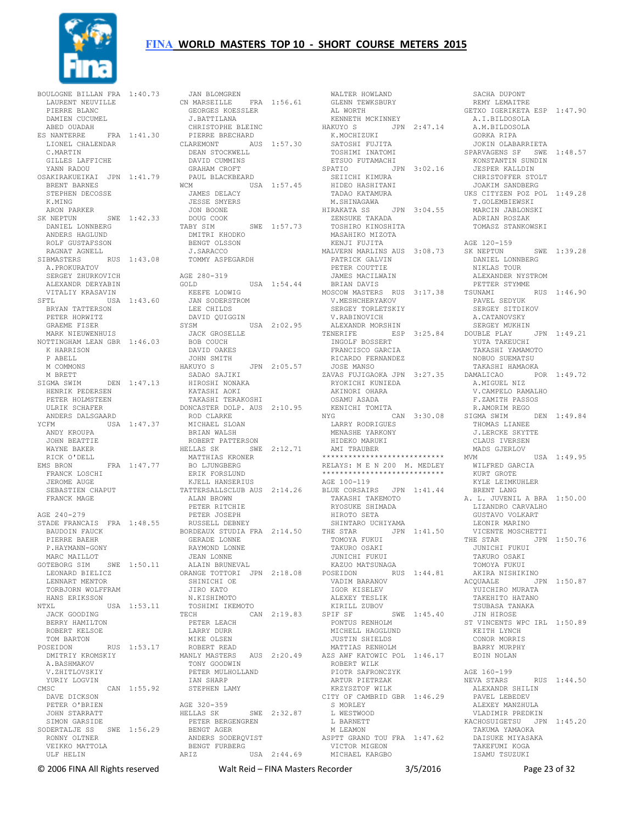

BOULOGNE BILLAN FRA 1:40.73 LAURENT NEUVILLE PIERRE BLANC DAMIEN CUCUMEL ABED OUADAH ES NANTERRE FRA 1:41.30 LIONEL CHALENDAR C.MARTIN GILLES LAFFICHE YANN RADOU OSAKIRAKUEIKAI JPN 1:41.79 BRENT BARNES STEPHEN DECOSSE K.MING ARON PARKER SK NEPTUN SWE 1:42.33 DANIEL LONNBERG ANDERS HAGLUND ROLF GUSTAFSSON RAGNAT AGNELL SIBMASTERS RUS 1:43.08 A.PROKURATOV SERGEY ZHURKOVICH ALEXANDR DERYABIN VITALIY KRASAVIN SFTL USA 1:43.60 KEEFE LODWIG JAN SODERSTROM LEE CHILDS DAVID QUIGGIN BRYAN TATTERSON PETER HORWITZ GRAEME FISER MARK NIEUWENHUIS NOTTINGHAM LEAN GBR 1:46.03 K HARRISON P ABELL M COMMONS M BRETT SIGMA SWIM DEN 1:47.13 HENRIK PEDERSEN PETER HOLMSTEEN ULRIK SCHAFER ANDERS DALSGAARD YCFM USA 1:47.37 ANDY KROUPA JOHN BEATTIE WAYNE BAKER RICK O'DELL EMS BRON FRA 1:47.77 FRANCK LOSCHI JEROME AUGE SEBASTIEN CHAPUT FRANCK MAGE AGE 240-279 STADE FRANCAIS FRA 1:48.55 BAUDOIN FAUCK PIERRE BAEHR P.HAYMANN-GONY MARC MAILLOT GOTEBORG SIM SWE 1:50.11 LEONARD BIELICZ LENNART MENTOR TORBJORN WOLFFRAM HANS ERIKSSON NTXL USA 1:53.11 JACK GOODING BERRY HAMILTON ROBERT KELSOE TOM BARTON POSEIDON RUS 1:53.17 DMITRIY KROMSKIY A.BASHMAKOV V.ZHITLOVSKIY<br>YURIY LOGVIN YURIY LOGVIN CMSC CAN 1:55.92 DAVE DICKSON PETER O'BRIEN JOHN STARRATT SIMON GARSIDE SODERTALJE SS SWE 1:56.29 RONNY OLTNER VEIKKO MATTOLA ULF HELIN

JAN BLOMGREN<br>CN MARSEILLE FRA 1:56.61<br>GEORGES KOESSLER<br>J.BATTILANA CHRISTOPHE BLEINC PIERRE BRECHARD CLAREMONT AUS 1:57.30 DEAN STOCKWELL DAVID CUMMINS GRAHAM CROFT<br>PAUL BLACKBEARD PAUL BLACKBEARD<br>
WCM USA 1:57.45<br>
JAMES DELACY<br>
JESSE SMYERS<br>
JON BOONE DOUG COOK<br>TABY SIM SWE 1:57.73 DMITRI KHODKO BENGT OLSSON J.SARACCO TOMMY ASPEGARDH AGE 280-319<br>GOLD USA 1:54.44 SYSM USA 2:02.95 JACK GROSELLE BOB COUCH DAVID OAKES<br>JOHN SMITH<br>HAKUYO S<br>SADAO SAJIKI<br>HIROSHI NONAKA KATASHI NONAKA<br>HIROSHI NONAKA<br>KATASHI AOKI TAKASHI TERAKOSHI DONCASTER DOLP. AUS 2:10.95 ROD CLARKE MICHAEL SLOAN BRIAN WALSH ROBERT PATTERSON HELLAS SK SWE 2:12.71 MATTHIAS KRONER BO LJUNGBERG ERIK FORSLUND KJELL HANSERIUS TATTERSALLSCLUB AUS 2:14.26 ALAN BROWN PETER RITCHIE PETER JOSEPH RUSSELL DEBNEY BORDEAUX STUDIA FRA 2:14.50 GERADE LONNE GERADE LONNE<br>RAYMOND LONNE JEAN LONNE ALAIN BRUNEVAL ORANGE TOTTORI JPN 2:18.08 SHINICHI OE<br>SHINICHI OE JIRO KATO N.KISHIMOTO TOSHIMI IKEMOTO  $CAN 2:19.83$  PETER LEACH LARRY DURR MIKE OLSEN ROBERT READ MANLY MASTERS AUS 2:20.49 TONY GOODWIN PETER MULHOLLAND IAN SHARP STEPHEN LAMY AGE 320-359 HELLAS SK SWE 2:32.87 PETER BERGENGREN BENGT AGER ANDERS SODERQVIST BENGT FURBERG ARIZ USA 2:44.69

 WALTER HOWLAND GLENN TEWKSBURY AL WORTH KENNETH MCKINNEY HAKUYO S JPN 2:47.14 K.MOCHIZUKI SATOSHI FUJITA SATOSHI FUJITA<br>TOSHIMI INATOMI<br>FESIL TI ETSUO FUTAMACHI SPATIO JPN 3:02.16 KONSTANTIN SUNDIN JESPER KALLDIN SEIICHI KIMURA HIDEO HASHITANI TADAO KATAMURA M.SHINAGAWA HIRAKATA SS JPN 3:04.55 T.GOLEMBIEWSKI MARCIN JABLONSKI ADRIAN ROSZAK ZENSUKE TAKADA TOSHIRO KINOSHITA MASAHIKO MIZOTA KENJI FUJITA MALVERN MARLINS AUS 3:08.73 PATRICK GALVIN PETER COUTTIE JAMES MACILWAIN BRIAN DAVIS MOSCOW MASTERS RUS 3:17.38 V.MESHCHERYAKOV SERGEY TORLETSKIY V.RABINOVICH ALEXANDR MORSHIN TENERIFE ESP 3:25.84 DOUBLE PLAY JPN 1:49.21 INGOLF BOSSERT FRANCISCO GARCIA RICARDO FERNANDEZ JOSE MANSO ZAVAS FUJIGAOKA JPN 3:27.35 RYOKICHI KUNIEDA AKINORI OHARA OSAMU ASADA KENICHI TOMITA NYG CAN 3:30.08 LARRY RODRIGUES MENASHE YARKONY HIDEKO MARUKI AMI TRAUBER \*\*\*\*\*\*\*\*\*\*\*\*\*\*\*\*\*\*\*\*\*\*\*\*\*\*\*\* RELAYS: M E N 200 M. MEDLEY \*\*\*\*\*\*\*\*\*\*\*\*\*\*\*\*\*\*\*\*\*\*\*\*\*\*\*\* AGE 100-119 BLUE CORSAIRS JPN 1:41.44 TAKASHI TAKEMOTO RYOSUKE SHIMADA HIROTO SETA SHINTARO UCHIYAMA THE STAR JPN 1:41.50 TOMOYA FUKUI TAKURO OSAKI JUNICHI FUKUI KAZUO MATSUNAGA POSEIDON RUS 1:44.81 VADIM BARANOV IGOR KISELEV ALEXEY TESLIK KIRILL ZUBOV SPIF SF SWE 1:45.40 PONTUS RENHOLM MICHELL HAGGLUND JUSTIN SHIELDS MATTIAS RENHOLM AZS AWF KATOWIC POL 1:46.17 ROBERT WILK PIOTR SAFRONCZYK ARTUR PIETRZAK<br>KREVSEEOE NIJK KRZYSZTOF WILK CITY OF CAMBRID GBR 1:46.29 S MORLEY L WESTWOOD L BARNETT M LEAMON ASPTT GRAND TOU FRA 1:47.62 VICTOR MIGEON FURBERG VICTOR MIGEON<br>USA 2:44.69 MICHAEL KARGBO  $CAN$  3:30.08 SIGMA SWIM

 SACHA DUPONT REMY LEMAITRE GETXO IGERIKETA ESP 1:47.90 A.I.BILDOSOLA A.M.BILDOSOLA GORKA RIPA JOKIN OLABARRIETA SPARVAGENS SF SWE 1:48.57 CHRISTOFFER STOLT JOAKIM SANDBERG UKS CITYZEN POZ POL 1:49.28 TOMASZ STANKOWSKI AGE 120-159 SWE 1:39.28 DANIEL LONNBERG NIKLAS TOUR ALEXANDER NYSTROM PETTER STYMME TSUNAMI RUS 1:46.90 PAVEL SEDYUK SERGEY SITDIKOV A.CATANOVSKY SERGEY MUKHIN YUTA TAKEUCHI TAKASHI YAMAMOTO NOBUO SUEMATSU TAKASHI HAMAOKA POR 1:49.72 A.MIGUEL NIZ V.CAMPELO RAMALHO F.ZAMITH PASSOS R.AMORIM REGO<br>TGMA SWIM DEN 1:49 84 THOMAS LIANEE J.LERCKE SKYTTE CLAUS IVERSEN MADS GJERLOV MVM USA 1:49.95 WILFRED GARCIA KURT GROTE KYLE LEIMKUHLER BRENT LANG A. L. JUVENIL A BRA 1:50.00 LIZANDRO CARVALHO GUSTAVO VOLKART LEONIR MARINO<br>VICENTE MOSCHETTI THE STAR JPN 1:50.76 JUNICHI FUKUI TAKURO OSAKI TOMOYA FUKUI AKIRA NISHIKINO ACQUAALE JPN 1:50.87 YUICHIRO MURATA TAKEHITO HATANO TSUBASA TANAKA JIN HIROSE ST VINCENTS WPC IRL 1:50.89 KEITH LYNCH CONOR MORRIS BARRY MURPHY EOIN NOLAN AGE 160-199 RUS 1:44.50 ALEXANDR SHILIN PAVEL LEBEDEV ALEXEY MANZHULA VLADIMIR PREDKIN KACHOSUIGETSU JPN 1:45.20 TAKUMA YAMAOKA DAISUKE MIYASAKA TAKEFUMI KOGA ISAMU TSUZUKI

© 2006 FINA All Rights reserved Walt Reid – FINA Masters Recorder 3/5/2016 Page 23 of 32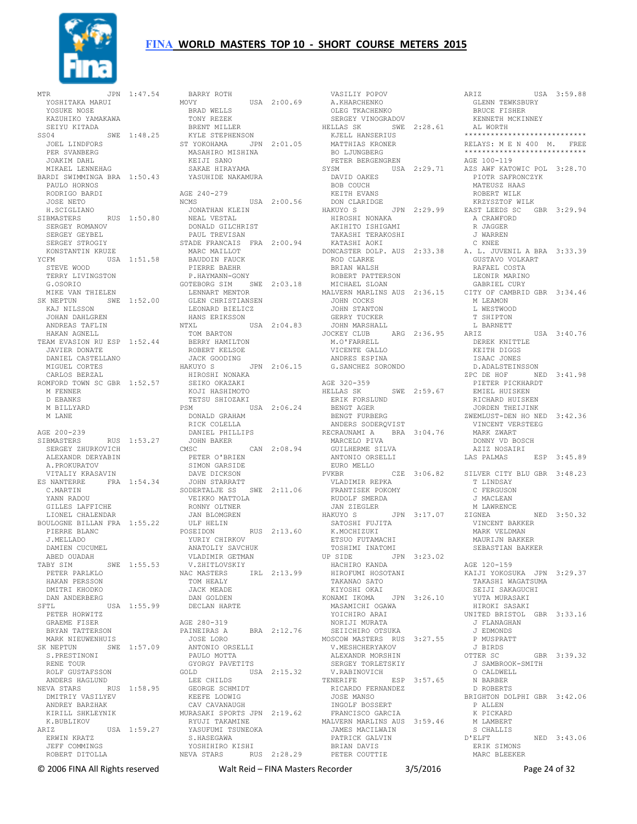

MTR JPN 1:47.54 YOSHITAKA MARUI YOSUKE NOSE KAZUHIKO YAMAKAWA SEIYU KITADA SS04 SWE 1:48.25 KYLE STEPHENSON JOEL LINDFORS PER SVANBERG JOAKIM DAHL MIKAEL LENNEHAG BARDI SWIMMINGA BRA 1:50.43 PAULO HORNOS RODRIGO BARDI JOSE NETO H.SCIGLIANO SIBMASTERS RUS 1:50.80 JONATHAN KLEIN NEAL VESTAL SERGEY ROMANOV SERGEY GEYBEL SERGEY STROGIY<br>KONSTANTIN KRUZE KONSTANTIN KRUZE YCFM USA 1:51.58 STEVE WOOD TERRY LIVINGSTON G.OSORIO MIKE VAN THIELEN SK NEPTUN SWE 1:52.00 KAJ NILSSON JOHAN DAHLGREN ANDREAS TAFLIN HAKAN AGNELL TEAM EVASION RU ESP 1:52 44 JAVIER DONATE DANIEL CASTELLANO MIGUEL CORTES CARLOS BERZAL ROMFORD TOWN SC GBR 1:52.57 M FENNER D EBANKS M BILLYARD M LANE AGE 200-239 SIBMASTERS RUS 1:53.27 JOHN BAKI<br>SERGEY ZHURKOVICH CMSC CMSC NEWSTAP SERGEY ZHURKOVICH ALEXANDR DERYABIN A.PROKURATOV VITALIY KRASAVIN ES NANTERRE FRA 1:54.34 C.MARTIN JOHN STARRATT SODERTALJE SS SWE 2:11.06 YANN RADOU GILLES LAFFICHE LIONEL CHALENDAR BOULOGNE BILLAN FRA 1:55.22 PIERRE BLANC ULF HELIN J.MELLADO DAMIEN CUCUMEL ABED OUADAH TABY SIM SWE 1:55.53 PETER PARLKLO HAKAN PERSSON DMITRI KHODKO DAN ANDERBERG SFTL USA 1:55.99 PETER HORWITZ GRAEME FISER GRAFFE 1101.<br>BRYAN TATTERSON MARK NIEUWENHUIS SK NEPTUN SWE 1:57.09 S.PRESTINONI RENE TOUR ROLF GUSTAFSSON GOLD ANDERS HAGLUND NEVA STARS RUS 1:58.95 DMITRIY VASILYEV ANDREY BARZHAK KIRILL SHKLEYNIK K.BUBLIKOV ARIZ USA 1:59.27 ERWIN KRATZ JEFF COMMINGS ROBERT DITOLLA

BARRY ROTH<br>MOVY USA 2:00.69 BRAD WELLS TONY REZEK BRENT MILLER ST YOKOHAMA JPN 2:01.05 MASAHIRO MISHINA KEIJI SANO SAKAE HIRAYAMA YASUHIDE NAKAMURA AGE 240-279<br>NCMS --------------USA 2:00.56 DONALD GILCHRIST PAUL TREVISAN STADE FRANCAIS FRA 2:00.94 MARC MAILLOT BAUDOIN FAUCK PIERRE BAEHR P.HAYMANN-GONY GOTEBORG SIM SWE 2:03.18 LENNART MENTOR GLEN CHRISTIANSEN LEONARD BIELICZ HANS ERIKSSON NTXL USA 2:04.83 TOM BARTON BERRY HAMILTON ROBERT KELSOE JACK GOODING HAKUYO S JPN 2:06.15 HIROSHI NONAKA SEIKO OKAZAKI KOJI HASHIMOTO TETSU SHIOZAKI PSM USA 2:06.24 DONALD GRAHAM RICK COLELLA DANIEL PHILLIPS JOHN BAKER CMSC CAN 2:08.94 PETER O'BRIEN SIMON GARSIDE DAVE DICKSON VEIKKO MATTOLA RONNY OLTNER JAN BLOMGREN POSEIDON RUS 2:13.60 SATOSHI FUJITA K.MOCHIZUKI ETSUO FUTAMACHI TOSHIMI INATOMI YURIY CHIRKOV ANATOLIY SAVCHUK VLADIMIR GETMAN V.ZHITLOVSKIY NAC MASTERS IRL 2:13.99 TOM HEALY JACK MEADE DAN GOLDEN DECLAN HARTE AGE 280-319 BRA 2:12.76 JOSE LORO ANTONIO ORSELLI PAULO MOTTA<br>GYORGY PAVETITS GYORGY PAVETITS GOLD USA 2:15.32 LEE CHILDS GEORGE SCHMIDT KEEFE LODWIG CAV CAVANAUGH MURASAKI SPORTS JPN 2:19.62 RYUJI TAKAMINE<br>YASUFUMI TSUNEOKA<br>S.HASEGAWA<br>YOSHIHIRO KISHI NEVA STARS RUS 2:28.29 PETER COUTTIE

 VASILIY POPOV A.KHARCHENKO OLEG TKACHENKO<br>SERGEY VINOGRADOV SERGEY VINOGRADOV HELLAS SK SWE 2:28.61 KENNETH MCKINNEY AL WORTH KJELL HANSERIUS MATTHIAS KRONER BO LJUNGBERG PETER BERGENGREN DAVID OAKES BOB COUCH KEITH EVANS DON CLARIDGE<br>HAKUYO S JPN 2:29.99 HIROSHI NONAKA AKIHITO ISHIGAMI TAKASHI TERAKOSHI KATASHI AOKI ROD CLARKE BRIAN WALSH ROBERT PATTERSON MICHAEL SLOAN MALVERN MARLINS AUS 2:36.15 JOHN COCKS JOHN STANTON GERRY TUCKER JOHN MARSHALL JOCKEY CLUB ARG 2:36.95 ARIZ M.O'FARRELL VICENTE GALLO ANDRES ESPINA G.SANCHEZ SORONDO AGE 320-359 HELLAS SK SWE 2:59.67 ERIK FORSLUND BENGT AGER BENGT FURBERG ANDERS SODERQVIST RECRAUNAMI A BRA 3:04.76 MARCELO PIVA GUILHERME SILVA ANTONIO ORSELLI EURO MELLO<br>PVKBR VLADIMIR REPKA FRANTISEK POKOMY RUDOLF SMERDA JAN ZIEGLER MERRINCE HAKUYO SUPN 3:17.07 MERRINCE UP SIDE JPN 3:23.02 HACHIRO KANDA HIROFUMI HOSOTANI TAKANAO SATO KIYOSHI OKAI KONAMI IKOMA JPN 3:26.10 MASAMICHI OGAWA YOICHIRO ARAI NORIJI MURATA SEIICHIRO OTSUKA MOSCOW MASTERS RUS 3:27.55 V.MESHCHERYAKOV P MUSPRATT J BIRDS ALEXANDR MORSHIN SERGEY TORLETSKIY V.RABINOVICH TENERIFE ESP 3:57.65 RICARDO FERNANDEZ JOSE MANSO ->------- FERNANDE<br>JOSE MANSO<br>INGOLF BOSSERT<br>-- FRANCISCO GARCIA MALVERN MARLINS AUS 3:59.46 JAMES MACILWAIN PATRICK GALVIN BRIAN DAVIS

SYSM USA 2:29.71 AZS AWF KATOWIC POL 3:28.70 DONCASTER DOLP. AUS 2:33.38 A. L. JUVENIL A BRA 3:33.39 PVKBR CZE 3:06.82 SILVER CITY BLU GBR 3:48.23 ARIZ USA 3:59.88 US<br>GLENN TEWKSBURY<br>DRILL BRUCE FISHER \*\*\*\*\*\*\*\*\*\*\*\*\*\*\*\*\*\*\*\*\*\*\*\*\*\*\*\* RELAYS: M E N 400 M. FREE \*\*\*\*\*\*\*\*\*\*\*\*\*\*\*\*\*\*\*\*\*\*\*\*\*\*\*\* AGE 100-119 PIOTR SAFRONCZYK MATEUSZ HAAS ROBERT WILK KRZYSZTOF WILK EAST LEEDS SC GBR 3:29.94 A CRAWFORD R JAGGER J WARREN C KNEE GUSTAVO VOLKART RAFAEL COSTA LEONIR MARINO GABRIEL CURY CITY OF CAMBRID GBR 3:34.46 M LEAMON L WESTWOOD T SHIPTON L BARNETT  $USA = 3:40.76$  DEREK KNITTLE KEITH DIGGS ISAAC JONES D.ADALSTEINSSON ZPC DE HOF NED 3:41.98 PIETER PICKHARDT EMIEL HUISKEN RICHARD HUISKEN JORDEN THEIJINK ZWEMLUST-DEN HO NED 3:42.36 VINCENT VERSTEEG MARK ZWART DONNY VD BOSCH AZIZ NOSAIRI LAS PALMAS T LINDSAY C FERGUSON J MACLEAN NED 3:50.32 VINCENT BAKKER MARK VELDMAN MAURIJN BAKKER SEBASTIAN BAKKER AGE 120-159 KAIJI YOKOSUKA JPN 3:29.37 TAKASHI WAGATSUMA SEIJI SAKAGUCHI YUTA MURASAKI HIROKI SASAKI UNITED BRISTOL GBR 3:33.16 J FLANAGHAN J EDMONDS OTTER SC GBR 3:39.32 J SAMBROOK-SMITH O CALDWELL N BARBER D ROBERTS BRIGHTON DOLPHI GBR 3:42.06 P ALLEN K PICKARD M LAMBERT S CHALLIS<br>D'ELFT NED 3:43.06 ERIK SIMONS MARC BLEEKER

© 2006 FINA All Rights reserved Walt Reid – FINA Masters Recorder 3/5/2016 Page 24 of 32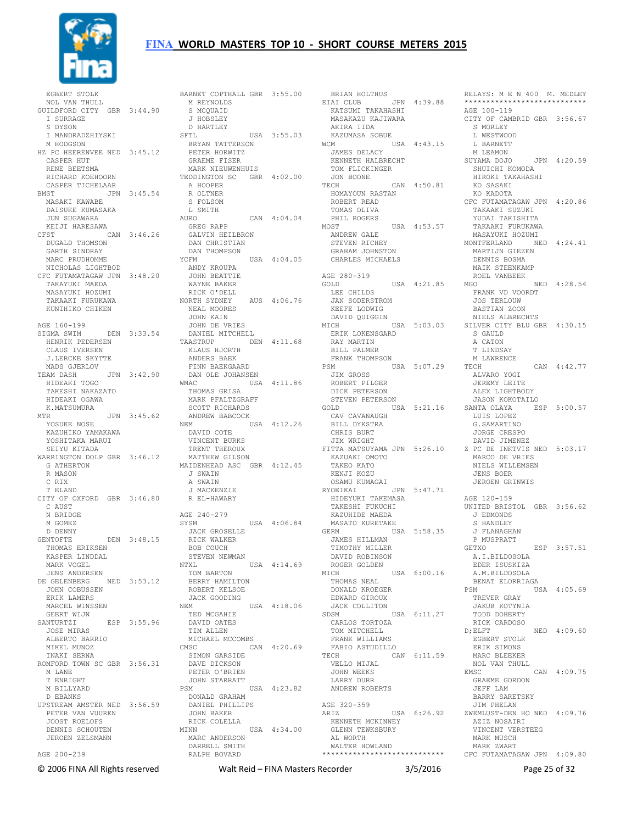

 EGBERT STOLK NOL VAN THULL GUILDFORD CITY GBR 3:44.90 I SURRAGE S DYSON I MANDRADZHIYSKI M HODGSON HZ PC HEERENVEE NED 3:45.12 CASPER HUT RENE BEETSMA RICHARD KOEHOORN CASPER TICHELAAR BMST JPN 3:45.54 MASAKI KAWABE DAISUKE KUMASAKA JUN SUGAWARA KEIJI HARESAWA CFST CAN 3:46.26 DUGALD THOMSON GARTH SINDRAY MARC PRUDHOMME NICHOLAS LIGHTBOD CFC FUTAMATAGAW JPN 3:48.20 TAKAYUKI MAEDA MASAYUKI HOZUMI TAKAAKI FURUKAWA KUNIHIKO CHIKEN AGE 160-199 SIGMA SWIM DEN 3:33.54 HENRIK PEDERSEN CLAUS IVERSEN J.LERCKE SKYTTE MADS GJERLOV<br>TEAM DASH JPN 3:42.90 TEAM DASH JPN 3:42.90 HIDEAKI TOGO TAKESHI NAKAZATO HIDEAKI OGAWA K.MATSUMURA MTR JPN 3:45.62 YOSUKE NOSE KAZUHIKO YAMAKAWA YOSHITAKA MARUI SEIYU KITADA WARRINGTON DOLP GBR 3:46.12 G ATHERTON R MASON C RIX T ELAND CITY OF OXFORD GBR 3:46.80 C AUST N BRIDGE M GOMEZ D DENNY GENTOFTE DEN 3:48.15 THOMAS ERIKSEN KASPER LINDDAL MARK VOGEL. JENS ANDERSEN DE GELENBERG NED 3:53.12 JOHN COBUSSEN ERIK LAMERS MARCEL WINSSEN GEERT WIJN<br>SANTURTZI ESP 3:55.96 JOSE MIRAS ALBERTO BARRIO MIKEL MUNOZ INAKI SERNA ROMFORD TOWN SC GBR 3:56.31 SIMON GARSIDE DAVE DICKSON M LANE T ENRIGHT M RTLLYARD D EBANKS UPSTREAM AMSTER NED 3:56.59 DONALD GRAHAM DANIEL PHILLIPS PETER VAN VUUREN JOOST ROELOFS DENNIS SCHOUTEN JEROEN ZELSMANN AGE 200-239

BARNET COPTHALL GBR 3:55.00 M REYNOLDS S MCQUAID J HOBSLEY D HARTLEY SFTL USA 3:55.03 BRYAN TATTERSON PETER HORWITZ GRAEME FISER MARK NIEUWENHUIS TEDDINGTON SC GBR 4:02.00 A HOOPER R OLTNER S FOLSOM L SMITH<br>AURO AURO CAN 4:04.04 GREG RAPP GALVIN HEILBRON DAN CHRISTIAN DAN THOMPSON<br>YCFM USA 4:04.05 ANDY KROUPA JOHN BEATTIE WAYNE BAKER RICK O'DELL<br>NORTH SYDNEY AUS 4:06.76 NEAL MOORES JOHN KAIN JOHN DE VRIES DANIEL MITCHELL TAASTRUP DEN 4:11.68 KLAUS HJORTH ANDERS BAEK FINN BAEKGAARD DAN OLE JOHANSEN WMAC USA 4:11.86 THOMAS GRISA MARK PFALTZGRAFF SCOTT RICHARDS ANDREW BABCOCK NEM USA 4:12.26 DAVID COTE VINCENT BURKS TRENT THEROUX MATTHEW GILSON MAIDENHEAD ASC GBR 4:12.45 J SWAIN A SWAIN J MACKENZIE R EL-HAWARY AGE 240-279<br>SYSM SYSM USA 4:06.84 JACK GROSELLE RICK WALKER BOB COUCH STEVEN NEWMAN NTXL USA 4:14.69 TOM BARTON BERRY HAMILTON ROBERT KELSOE JACK GOODING<br>NEM NEM USA 4:18.06 TED MCGAHIE DAVID OATES TIM ALLEN MICHAEL MCCOMBS CMSC CAN 4:20.69 PETER O'BRIEN JOHN STARRATT PSM USA 4:23.82 JOHN BAKER RICK COLELLA MINN USA 4:34.00 MARC ANDERSON DARRELL SMITH RALPH BOVARD

© 2006 FINA All Rights reserved Walt Reid – FINA Masters Recorder 3/5/2016 Page 25 of 32 BRIAN HOLTHUS EIAI CLUB JPN 4:39.88 KATSUMI TAKAHASHI MASAKAZU KAJIWARA AKIRA IIDA KAZUMASA SOBUE WCM USA 4:43.15 JAMES DELACY KENNETH HALBRECHT TOM FLICKINGER JON BOONE<br>TECH CAN 4:50.81 HOMAYOUN RASTAN ROBERT READ TOMAS OLIVA PHIL ROGERS MOST USA 4:53.57 ANDREW GALE STEVEN RICHEY GRAHAM JOHNSTON CHARLES MICHAELS AGE 280-319 GOLD USA 4:21.85 LEE CHILDS JAN SODERSTROM KEEFE LODWIG DAVID QUIGGIN MICH USA 5:03.03 ERIK LOKENSGARD RAY MARTIN BILL PALMER FRANK THOMPSON PSM USA 5:07.29 JIM GROSS ROBERT PILGER DICK PETERSON STEVEN PETERSON USA 5:21.16 SANTA OLAYA CAV CAVANAUGH BILL DYKSTRA CHRIS BURT JIM WRIGHT KAZUAKI OMOTO TAKEO KATO KENJI KOZU OSAMU KUMAGAI<br>RYOEIKAI<br>HIDEYUKI TAKEMASA<br>TAKESHI FUKUCHI<br>KAZUHIDE MAEDA MASATO KURETAKE GERM USA 5:58.35 JAMES HILLMAN USINA<br>JAMES HILLMAN<br>TIMOTHY MILLER DAVID ROBINSON ROGER GOLDEN<br>MICH USA 6:00.16<br>THOMAS NEAL لمسلسلة للمسلسلة المسلسلة المسلسلة المسلسلة المسلسلة المسلسلة المسلسلة المسلسلة المسلسلة التي يتمتز المسلسلة ا<br>المسلسلة المسلسلة المسلسلة المسلسلة المسلسلة المسلسلة المسلسلة المسلسلة المسلسلة المسلسلة المسلسلة المسلسلة ا<br> DONALD AROEGER<br>EDWARD GIROUX<br>IL SIL SOLLITON JACK COLLITON USA 6:11.27 USA<br>CARLOS TORTOZA<br>MOM MILITARE TOM MITCHELL FRANK WILLIAMS<br>FABIO ASTUDILLO FABIO ASTUDILLO TECH CAN 6:11.59 VELLO MIJAL JOHN WEEKS LARRY DURR LAKKI DUKK<br>ANDREW ROBERTS AGE 320-359<br>ARIZ ARIZ USA 6:26.92 KENNETH MCKINNEY GLENN TEWKSBURY AL WORTH WALTER HOWLAND

FITTA MATSUYAMA JPN 5:26.10 Z PC DE INKTVIS NED 5:03.17 \*\*\*\*\*\*\*\*\*\*\*\*\*\*\*\*\*\*\*\*\*\*\*\*\*\*\*\* CFC FUTAMATAGAW JPN 4:09.80 RELAYS: M E N 400 M. MEDLEY \*\*\*\*\*\*\*\*\*\*\*\*\*\*\*\*\*\*\*\*\*\*\*\*\*\*\*\* AGE 100-119 CITY OF CAMBRID GBR 3:56.67 S MORLEY L WESTWOOD L BARNETT M LEAMON JPN 4:20.59 SHUICHI KOMODA HIROKI TAKAHASHI KO SASAKI KO KADOTA CFC FUTAMATAGAW JPN 4:20.86 TAKAAKI SUZUKI YUDAI TAKISHITA TAKAAKI FURUKAWA MASAYUKI HOZUMI MONTFERLAND NED 4:24.41 MARTIJN GIEZEN DENNIS BOSMA MAIK STEENKAMP ROEL VANBEEK NED 4:28.54 FRANK VD VOORDT JOS TERLOUW BASTIAN ZOON NIELS ALBRECHTS SILVER CITY BLU GBR 4:30.15 S GAULD A CATON T LINDSAY M LAWRENCE<br>TECH  $CAN$  4:42.77 ALVARO YOGI JEREMY LEITE ALEX LIGHTBODY JASON KOKOTAILO ESP 5:00.57 LUIS LOPEZ G.SAMARTINO JORGE CRESPO DAVID JIMENEZ MARCO DE VRIES NIELS WILLEMSEN JENS BOER JEROEN GRINWIS AGE 120-159 UNITED BRISTOL GBR 3:56.62 J EDMONDS S HANDLEY<br>J FLANAGHAN<br>P MUSPRATT 5:00.00<br>P MUSPRATT<br>GETXO ESP 3:57.51 A.I.BILDOSOLA EDER ISUSKIZA A.M.BILDOSOLA BENAT ELORRIAGA USA 4:05.69 TREVER GRAY JAKUB KOTYNIA TODD DOHERTY RICK CARDOSO<br>D;ELFT  $NED$  4:09.60 EGBERT STOLK ERIK SIMONS MARC BLEEKER NOL VAN THULL EMSC CAN 4:09.75 GRAEME GORDON JEFF LAM BARRY SARETSKY JIM PHELAN ZWEMLUST-DEN HO NED 4:09.76 AZIZ NOSAIRI VINCENT VERSTEEG MARK MUSCH MARK ZWART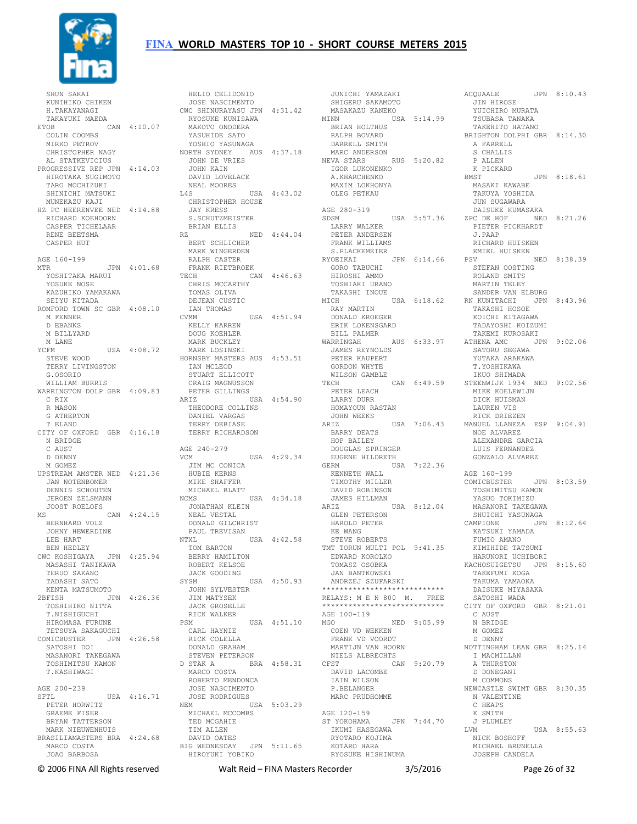

 SHUN SAKAI KUNIHIKO CHIKEN H.TAKAYANAGI TAKAYUKI MAEDA ETOB CAN 4:10.07 COLIN COOMBS MIRKO PETROV CHRISTOPHER NAGY AL STATKEVICIUS PROGRESSIVE REP JPN 4:14.03 HIROTAKA SUGIMOTO TARO MOCHIZUKI SHINICHI MATSUKI MUNEKAZU KAJI HZ PC HEERENVEE NED 4:14.88 RICHARD KOEHOORN CASPER TICHELAAR RENE BEETSMA CASPER HUT AGE 160-199 AGE 100 1999<br>MTR JPN 4:01.68 YOSHITAKA MARUI YOSUKE NOSE KAZUHIKO YAMAKAWA SEIYU KITADA ROMFORD TOWN SC GBR 4:08.10 M FENNER D EBANKS M BILLYARD M LANE YCFM USA 4:08.72 STEVE WOOD TERRY LIVINGSTON G.OSORIO WILLIAM BURRIS WARRINGTON DOLP GBR 4:09.83 C RIX R MASON G ATHERTON T ELAND CITY OF OXFORD GBR 4:16.18 N BRIDGE C AUST D DENNY M GOMEZ UPSTREAM AMSTER NED 4:21.36 JAN NOTENBOMER DENNIS SCHOUTEN JEROEN ZELSMANN JOOST ROELOFS MS CAN 4:24.15 BERNHARD VOLZ JOHNY HEWERDINE LEE HART BEN HEDLEY CWC KOSHIGAYA JPN 4:25.94 MU NUUHILUTI.<br>MASASHI TANIKAWA TERUO SAKANO TADASHI SATO KENTA MATSUMOTO 2BFISH JPN 4:26.36 TOSHIHIKO NITTA T.NISHIGUCHI HIROMASA FURUNE TETSUYA SAKAGUCHI COMICBUSTER JPN 4:26.58 SATOSHI DOI MASANORI TAKEGAWA TOSHIMITSU KAMON T.KASHIWAGI AGE 200-239 SFTL USA 4:16.71 PETER HORWITZ 'IL<br>PETER HORWITZ<br>GRAEME FISER BRYAN TATTERSON MARK NIEUWENHUIS BRASILIAMASTERS BRA 4:24.68 MARCO COSTA JOAO BARBOSA

 HELIO CELIDONIO JOSE NASCIMENTO CWC SHINURAYASU JPN 4:31.42 RYOSUKE KUNISAWA MAKOTO ONODERA YASUHIDE SATO YOSHIO YASUNAGA NORTH SYDNEY AUS 4:37.18 JOHN DE VRIES JOHN KAIN DAVID LOVELACE NEAL MOORES EAL MOORES<br>
L4S USA 4:43.02 CHRISTOPHER HOUSE JAY KRESS S.SCHUTZMEISTER BRIAN ELLIS RZ NED 4:44.04 BERT SCHLICHER MARK WINGERDEN RALPH CASTER FRANK RIETBROEK TECH CAN 4:46.63 CHRIS MCCARTHY TOMAS OLIVA TOMAS OLIVA<br>DEJEAN CUSTIC IAN THOMAS CVMM USA 4:51.94 RAY MARTIN DONALD KROEGER KELLY KARREN DOUG KOEHLER MARK BUCKLEY MARK LOSINSKI HORNSBY MASTERS AUS 4:53.51 IAN MCLEOD STUART ELLICOTT CRAIG MAGNUSSON PETER GILLINGS ARIZ USA 4:54.90 THEODORE COLLINS DANIEL VARGAS TERRY DEBIASE TERRY RICHARDSON AGE 240-279 VCM USA 4:29.34 JIM MC CONICA HUBIE KERNS MIKE SHAFFER MICHAEL BLATT NCMS USA 4:34.18<br>
JONATHAN KLEIN<br>
NEAL VESTAL<br>
DONALD GILCHRIST<br>
PAUL TREVISAN<br>
NTXL USA 4:42.58 TOM BARTON BERRY HAMILTON ROBERT KELSOE JACK GOODING<br>SYSM SYSM USA 4:50.93 JOHN SYLVESTER JIM MATYSEK JACK GROSELLE RICK WALKER RICK WALKER<br>PSM USA 4:51.10 CARL HAYNIE RICK COLELLA DONALD GRAHAM STEVEN PETERSON D STAK A BRA 4:58.31 NIELS ALBRECHTS CFST CAN 9:20.79 I MACMILLAN A THURSTON MARCO COSTA ROBERTO MENDONCA JOSE NASCIMENTO JOSE RODRIGUES NEM USA 5:03.29 MICHAEL MCCOMBS TED MCGAHIE TIM ALLEN DAVID OATES BIG WEDNESDAY JPN 5:11.65 HIROYUKI YOBIKO KOTARO HARA RYOSUKE HISHINUMA

JUNICHI YAMAZAKI<br>SHIGERU SAKAMOTO<br>MASAKAZU KANEKO<br>MINN<br>BRIAN HOLTHUS<br>RALPH BOVARD DARRELL SMITH DARRELL SMITH<br>MARC ANDERSON NEVA STARS RUS 5:20.82 IGOR LUKONENKO A.KHARCHENKO MAXIM LOKHONYA OLEG PETKAU AGE 280-319 SDSM USA 5:57.36 LARRY WALKER PETER ANDERSEN FRANK WILLIAMS S.PLACKEMEIER RYOEIKAI JPN 6:14.66<br>GORO TABUCHI<br>HIROSHI AMMO<br>TOSHIAKI URANO TAKASHI INOUE<br>MICH ERIK LOKENSGARD --<br>BILL PALMER<br>WARRINGAH WARRINGAH AUS 6:33.97 JAMES REYNOLDS PETER KAUPERT GORDON WHYTE WILSON GAMBLE PETER LEACH LARRY DURR HOMAYOUN RASTAN JOHN WEEKS BARRY DEATS HOP BAILEY DOUGLAS SPRINGER EUGENE HILDRETH GERM USA 7:22.36 KENNETH WALL TIMOTHY MILLER DAVID ROBINSON<br>
JAMES HILLMAN<br>
ARIZ<br>
GLEN PETERSON<br>
HAROLD PETER<br>
KE WANG<br>
STEVE ROBERTS AN USA 4:42.58 STEVE ROBERTS<br>TMT TORUN MULTI POL 9:41.35 JAN BANTKOWSKI ANDRZEJ SZUFARSKI \*\*\*\*\*\*\*\*\*\*\*\*\*\*\*\*\*\*\*\*\*\*\*\*\*\*\*\*\*\*\*\*\* RELAYS: M E N 800 M. FREE<br>\*\*\*\*\*\*\*\*\*\*\*\*\*\*\*\*\*\*\*\*\*\*\*\*\*\*\*\*\*\*\* \*\*\*\*\*\*\*\*\*\*\*\*\*\*\*\*\*\*\*\*\*\*\*\*\*\*\*\* AGE 100-119 MGO NED 9:05.99 COEN VD WEKKEN FRANK VD VOORDT MARTIJN VAN HOORN DAVID LACOMBE IAIN WILSON P.BELANGER MARC PRUDHOMME AGE 120-159 ST YOKOHAMA JPN 7:44.70 IKUMI HASEGAWA RYOTARO KOJIMA

MICH USA 6:18.62 RN KUNITACHI JPN 8:43.96 TECH CAN 6:49.59 STEENWIJK 1934 NED 9:02.56 ARIZ USA 7:06.43 MANUEL LLANEZA ESP 9:04.91 EDWARD KOROLKO TOMASZ OSOBKA HARUNORI UCHIBORI KACHOSUIGETSU JPN 8:15.60 ACQUAALE JPN 8:10.43<br>
JIN HIROSE<br>
YUICHIRO MURATA<br>
TSUBASA TANAKA<br>
TAKEHITO HATANO<br>BRIGHTON DOLPHI GBR 8:14.30 A FARRELL S CHALLIS P ALLEN K PICKARD BMST JPN 8:18.61 MASAKI KAWABE TAKUYA YOSHIDA JUN SUGAWARA DAISUKE KUMASAKA ZPC DE HOF NED 8:21.26 PIETER PICKHARDT PIETER PICKHARDT<br>J.PAAP RICHARD HUISKEN EMIEL HUISKEN<br>PSV NED 8:38.39 STEFAN OOSTING ROLAND SMITS MARTIN TELEY SANDER VAN ELBURG TAKASHI HOSOE KOICHI KITAGAWA TADAYOSHI KOIZUMI TAKEMI KUROSAKI AUS 6:33.97 ATHENA AMC JPN 9:02.06 SATORU SEGAWA YUTAKA ARAKAWA T.YOSHIKAWA IKUO SHIMADA MIKE KOELEWIJN DICK HUISMAN LAUREN VIS RICK DRIEZEN NOE ALVAREZ ALEXANDRE GARCIA LUIS FERNANDEZ GONZALO ALVAREZ AGE 160-199 COMICBUSTER JPN 8:03.59<br>
TOSHIMITSU KAMON<br>
YASUO TOKIMIZU<br>
MASANORI TAKEGAWA<br>
SHUICHI YASUNAGA<br>
CAMPIONE JPN 8:12.64<br>
KATSUKI YAMADA<br>
FUMIO AMANO KIMIHIDE TATSUMI TAKEFUMI KOGA TAKUMA YAMAOKA DAISUKE MIYASAKA SATOSHI WADA CITY OF OXFORD GBR 8:21.01 C AUST N BRIDGE M GOMEZ D DENNY NOTTINGHAM LEAN GBR 8:25.14 D DONEGANI M COMMONS NEWCASTLE SWIMT GBR 8:30.35 N VALENTINE C HEAPS K SMITH J PLUMLEY LVM USA 8:55.63 NICK BOSHOFF MICHAEL BRUNELLA JOSEPH CANDELA

© 2006 FINA All Rights reserved Walt Reid – FINA Masters Recorder 3/5/2016 Page 26 of 32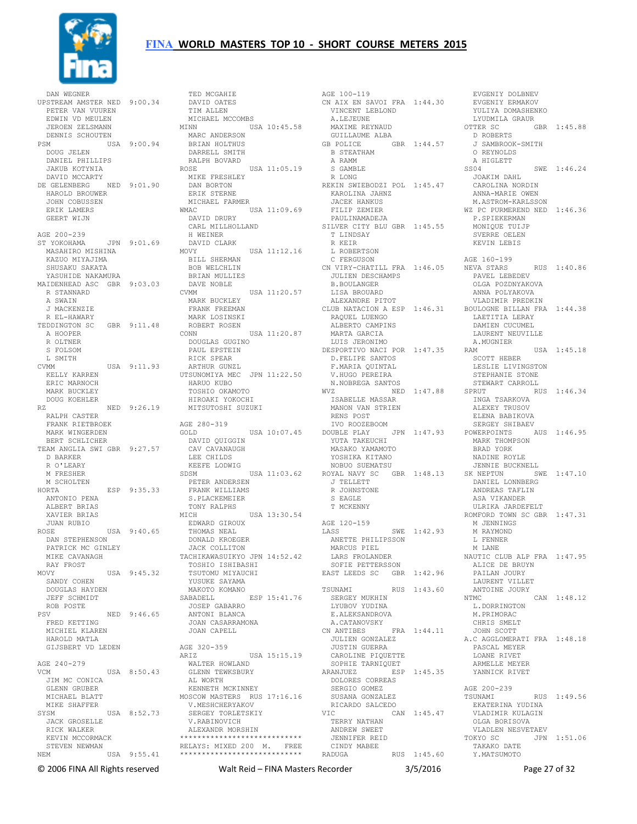

 DAN WEGNER UPSTREAM AMSTER NED 9:00.34 PETER VAN VUUREN EDWIN VD MEULEN JEROEN ZELSMANN DENNIS SCHOUTEN USA 9:00.94 DOUG JELEN DANIEL PHILLIPS JAKUB KOTYNIA DAVID MCCARTY DE GELENBERG NED 9:01.90 HAROLD BROUWER JOHN COBUSSEN ERIK LAMERS GEERT WIJN AGE 200-239 ST YOKOHAMA JPN 9:01.69 MASAHIRO MISHINA KAZUO MIYAJIMA SHUSAKU SAKATA YASUHIDE NAKAMURA MAIDENHEAD ASC GBR 9:03.03 R STANNARD A SWAIN J MACKENZIE R EL-HAWARY TEDDINGTON SC GBR 9:11.48 A HOOPER R OLTNER S FOLSOM L SMITH CVMM USA 9:11.93 KELLY KARREN ERIC MARNOCH MARK BUCKLEY DOUG KOEHLER RZ NED 9:26.19 RALPH CASTER FRANK RIETBROEK MARK WINGERDEN BERT SCHLICHER TEAM ANGLIA SWI GBR 9:27.57 D BARKER R O'LEARY M FRESHER M SCHOLTEN HORTA ESP 9:35.33 ANTONIO PENA ALBERT BRIAS XAVIER BRIAS JUAN RUBIO ROSE USA 9:40.65 DAN STEPHENSON PATRICK MC GINLEY MIKE CAVANAGH RAY FROST<br>MOVY USA 9:45.32<br>SANDY COHEN<br>DOUGLAS HAYDEN JEFF SCHMIDT ROB POSTE PSV NED 9:46.65 FRED KETTING MICHIEL KLAREN HAROLD MATLA GIJSBERT VD LEDEN AGE 240-279 VCM USA 8:50.43 JIM MC CONICA GLENN GRUBER MICHAEL BLATT MIKE SHAFFER SYSM USA 8:52.73 JACK GROSELLE RICK WALKER KICK WADNER<br>KEVIN MCCORMACK STEVEN NEWMAN NEM USA 9:55.41 \*\*\*\*\*\*\*\*\*\*\*\*\*\*\*\*\*\*\*\*\*\*\*\*\*\*\*\*

DAVID OATES TIM ALLEN MICHAEL MCCOMBS<br>MINN USA USA 10:45.58 MARC ANDERSON BRIAN HOLTHUS DARRELL SMITH RALPH BOVARD<br>OSE USA 11:05.19 ROSE USA 11:05.19 MIKE FRESHLEY DAN BORTON ERIK STERNE MICHAEL FARMER WMAC USA 11:09.69<br>DAVID DRURY DAVID DRURY CARL MILLHOLLAND H WEINER DAVID CLARK<br>MOVY USA 11:12.16 BILL SHERMAN BOB WELCHLIN BRIAN MULLIES DAVE NOBLE CVMM USA 11:20.57 MARK BUCKLEY FRANK FREEMAN MARK LOSINSKI ROBERT ROSEN CONN USA 11:20.87 DOUGLAS GUGINO PAUL EPSTEIN RICK SPEAR ARTHUR GUNZL UTSUNOMIYA MEC JPN 11:22.50 V.I<br>
HARUO KUBO N.I<br>
TOCULO OKAMOTO NVZ HARUO KUBO TOSHIO OKAMOTO HIROAKI YOKOCHI MITSUTOSHI SUZUKI AGE 280-319 GOLD USA 10:07.45 DOUBLE PLAY JPN 1:47.93 YUTA TAKEUCHI POWERPOINTS AUS 1:46.95 MARK THOMPSON DAVID QUIGGIN CAV CAVANAUGH LEE CHILDS KEEFE LODWIG SDSM USA 11:03.62 PETER ANDERSEN FRANK WILLIAMS S.PLACKEMEIER TONY RALPHS MICH USA 13:30.54 EDWARD GIROUX THOMAS NEAL DONALD KROEGER JACK COLLITON TACHIKAWASUIKYO JPN 14:52.42 TOSHIO ISHIBASHI TSUTOMU MIYAUCHI YUSUKE SAYAMA MAKOTO KOMANO SABADELL ESP 15:41.76 JOSEP GABARRO ANTONI BLANCA JOAN CASARRAMONA JOAN CAPELL AGE 320-359<br>ARIZ AGE 320-359<br>ARIZ USA 15:15.19<br>- WALTER HOWLAND WALTER HOWLAND GLENN TEWKSBURY ARANJUEZ ESP 1:45.35 AL WORTH KENNETH MCKINNEY MOSCOW MASTERS RUS 17:16.16<br>V.MESHCHERYAKOV<br>SEBOEV MODILERY V.MESHCHERYAKOV SERGEY TORLETSKIY V.RABINOVICH ALEXANDR MORSHIN \*\*\*\*\*\*\*\*\*\*\*\*\*\*\*\*\*\*\*\*\*\*\*\*\*\*\*\* RELAYS: MIXED 200 M. FREE

TED MCGAHIE

AGE 100-119 CN AIX EN SAVOI FRA 1:44.30 EVGENIY ERMAKOV VINCENT LEBLOND A.LEJEUNE MAXIME REYNAUD GUILLAUME ALBA  $GBR$  1:44.57 B STEATHAM A RAMM S GAMBLE R LONG REKIN SWIEBODZI POL 1:45.47 KAROLINA JAHNZ JACEK HANKUS FILIP ZEMIER<br>PILIP ZEMIER PAULINAMADEJA SILVER CITY BLU GBR 1:45.55 T LINDSAY R KEIR L ROBERTSON C FERGUSON CN VIRY-CHATILL FRA 1:46.05 NEVA STARS JULIEN DESCHAMPS B.BOULANGER LISA BROUARD ALEXANDRE PITOT CLUB NATACION A ESP 1:46.31 BOULOGNE BILLAN FRA 1:44.38 RAQUEL LUENGO ALBERTO CAMPINS ALDERIU CAMPIN<br>MARTA GARCIA LUIS JERONIMO DESPORTIVO NACI POR 1:47.35 D.FELIPE SANTOS F.MARIA QUINTAL V.HUGO PEREIRA N.NOBREGA SANTOS  $NED$  1:47.88 SPRUT ISABELLE MASSAR MANON VAN STRIEN RENS POST IVO ROOZEBOOM MASAKO YAMAMOTO YOSHIKA KITANO NOBUO SUEMATSU ROYAL NAVY SC GBR 1:48.13 SK NEPTUN SWE 1:47.10 J TELLETT R JOHNSTONE S EAGLE T MCKENNY AGE 120-159 AGE 120-109<br>LASS SWE 1:42.93 ANETTE PHILIPSSON MARCUS PIEL LARS FROLANDER SOFIE PETTERSSON EAST LEEDS SC GBR 1:42.96 TSUNAMI RUS 1:43.60 SERGEY MUKHIN<br>LYUBOV YUDINA E.ALEKSANDROVA A.CATANOVSKY CN ANTIBES FRA 1:44.11 JULIEN GONZALEZ JUSTIN GUERRA CAROLINE PIQUETTE SOPHIE TARNIQUET DOLORES CORREAS SERGIO GOMEZ SUSANA GONZALEZ RICARDO SALCEDO<br>VIC CA CAN 1:45.47 TERRY NATHAN ANDREW SWEET JENNIFER REID CINDY MABEE RADUGA RUS 1:45.60 Y.MATSUMOTO

 EVGENIY DOLBNEV YULIYA DOMASHENKO LYUDMILA GRAUR OTTER SC GBR 1:45.88  $D$  ROBERTS J SAMBROOK-SMITH O REYNOLDS A HIGLETT SS04 SWE 1:46.24 JOAKIM DAHL CAROLINA NORDIN ANNA-MARIE OWEN M.ASTROM-KARLSSON WZ PC PURMEREND NED 1:46.36 P.SPIEKERMAN MONIQUE TUIJP SVERRE OELEN KEVIN LEBIS AGE 160-199 RUS 1:40.86 PAVEL LEBEDEV OLGA POZDNYAKOVA ANNA POLYAKOVA VLADIMIR PREDKIN LAETITIA LERAY DAMIEN CUCUMEL LAURENT NEUVILLE A.MUGNIER  $USA = 1:45.18$  SCOTT HEBER LESLIE LIVINGSTON STEPHANIE STONE STEWART CARROLL RUS 1:46.34 INGA TSARKOVA<br>\*\*\*\*\*\*\* ALEXEY TRUSOV ELENA BABIKOVA SERGEY SHIBAEV BRAD YORK NADINE ROYLE JENNIE BUCKNELL DANIEL LONNBERG ANDREAS TAFLIN ASA VIKANDER ULRIKA JARDEFELT ROMFORD TOWN SC GBR 1:47.31 M JENNINGS M RAYMOND L FENNER M LANE NAUTIC CLUB ALP FRA 1:47.95 ALICE DE BRUYN PAILAN JOURY LAURENT VILLET ANTOINE JOURY NTMC CAN 1:48.12 L.DORRINGTON M.PRIMORAC CHRIS SMELT JOHN SCOTT A.C AGGLOMERATI FRA 1:48.18 PASCAL MEYER LOANE RIVET ARMELLE MEYER YANNICK RIVET AGE 200-239 TSUNAMI RUS 1:49.56 EKATERINA YUDINA VLADIMIR KULAGIN OLGA BORISOVA VLADLEN NESVETAEV<br>TOKYO SC JPN JPN 1:51.06 TAKAKO DATE

© 2006 FINA All Rights reserved Walt Reid – FINA Masters Recorder 3/5/2016 Page 27 of 32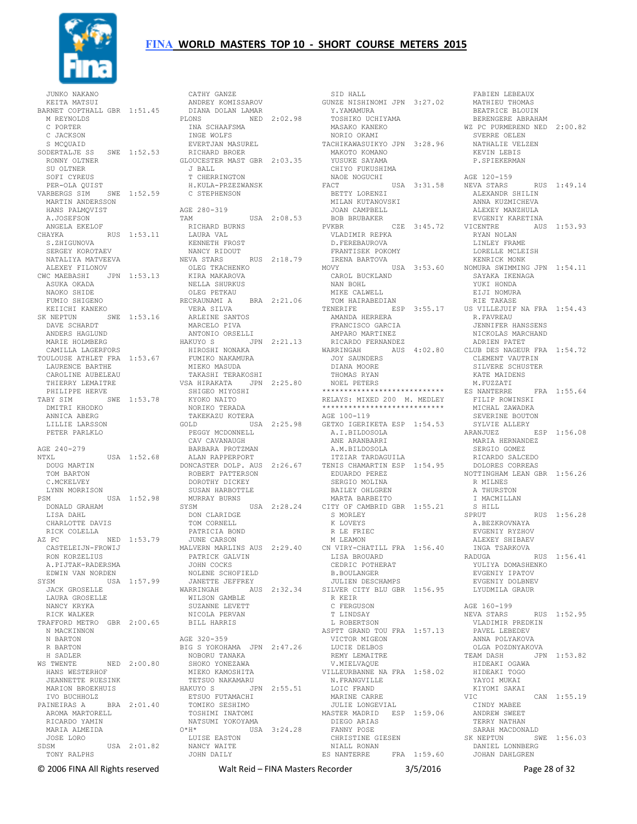

 JUNKO NAKANO KEITA MATSUI BARNET COPTHALL GBR 1:51.45 M REYNOLDS C PORTER C JACKSON S MCOUAID SODERTALJE SS SWE 1:52.53 RONNY OLTNER SU OLTNER SOFIER-OLA QUIST<br>PER-OLA QUIST<br>ARREDOC I PER-OLA QUIST VARBERGS SIM SWE 1:52.59 H.KULA-PRZEZWANSK C STEPHENSON MARTIN ANDERSSON HANS PALMQVIST A.JOSEFSON ANGELA EKELOF CHAYKA RUS 1:53.11 S.ZHIGUNOVA SERGEY KOROTAEV NATALIYA MATVEEVA ALEXEY FILONOV CWC MAEBASHI JPN 1:53.13 ASUKA OKADA NAOKO SHIDE<br>FUMIO SHIGENO FUMIO SHIGENO KEIICHI KANEKO SK NEPTUN SWE 1:53.16 DAVE SCHARDT ANDERS HAGLUND MARIE HOLMBERG CAMILLA LAGERFORS TOULOUSE ATHLET FRA 1:53.67 LAURENCE BARTHE CAROLINE BAKTHE<br>CAROLINE AUBELEAU<br>THILES THIERRY LEMAITRE PHILIPPE HERVE TABY SIM SWE 1:53.78 SHIGEO MIYOSHI KYOKO NAITO DMITRI KHODKO ANNICA ABERG LILLIE LARSSON PETER PARLKLO AGE 240-279 NTXL USA 1:52.68 DOUG MARTIN TOM BARTON C.MCKELVEY LYNN MORRISON PSM USA 1:52.98 DONALD GRAHAM LISA DAHL CHARLOTTE DAVIS AZ PC NED 1:53.79 CASTELEIJN-FROWIJ RON KORZELIUS<br>
A.PIJTAK-RADERSMA<br>EDWIN VAN NORDEN<br>SYSM<br>
JACK GROSELLE<br>
USA 1:57.99 NANCY KRYKA RICK WALKER TRAFFORD METRO GBR 2:00.65 N MACKINNON N BARTON R BARTON H SADLER WS TWENTE NED 2:00.80 HANS WESTERHOF JEANNETTE RUESINK MARION BROEKHUIS IVO BUCHHOLZ PAINEIRAS A BRA 2:01.40 AROMA MARTORELL TOSHIMI INATOMI RICARDO YAMIN<br>MARIA ALMEIDA MARIA ALMEIDA JOSE LORO SDSM USA 2:01.82 TONY RALPHS

RICK COLELLA **EXELLA PATRICIA BOND**<br>Z PC MED 1:53.79 JUNE CARSON MERIMON MERAMON<br>CASTELEIJN-FROWIJ MALVERN MARLINS AUS 2:29.40 CN VIRY-CHATILL FRA 1:56.40 LAURA GROSELLE WILSON GAMBLE R KEIR CATHY GANZE ANDREY KOMISSAROV DIANA DOLAN LAMAR PLONS NED 2:02.98 INA SCHAAFSMA TOSHIKO UCHIYAMA MASAKO KANEKO INGE WOLFS EVERTJAN MASUREL RICHARD BROER GLOUCESTER MAST GBR 2:03.35 J BALL<br>J BALL T CHERRINGTON AGE 280-319 TAM USA 2:08.53 RICHARD BURNS LAURA VAL KENNETH FROST NANCY RIDOUT<br>NEVA STARS RUS 2:18.79 OLEG TKACHENKO KIRA MAKAROVA NELLA SHURKUS OLEG PETKAU RECRAUNAMI A BRA 2:21.06 VERA SILVA ARLEINE SANTOS MARCELO PIVA ANTONIO ORSELLI HAKUYO S JPN 2:21.13 HIROSHI NONAKA FUMIKO NAKAMURA MIEKO MASUDA TAKASHI TERAKOSHI VSA HIRAKATA JPN 2:25.80 NORIKO TERADA TAKEKAZU KOTERA GOLD USA 2:25.98 GETXO IGERIKETA ESP 1:54.53 PEGGY MCDONNELL CAV CAVANAUGH BARBARA PROTZMAN ALAN RAPPERPORT DONCASTER DOLP. AUS 2:26.67 ITZIAR TARDAGUILA TENIS CHAMARTIN ESP 1:54.95 ROBERT PATTERSON DOROTHY DICKEY SUSAN HARBOTTLE MURRAY BURNS SYSM USA 2:28.24 DON CLARIDGE TOM CORNELL PATRICIA BOND JUNE CARSON MALVERN MARLINS AUS 2:29.40 PATRICK GALVIN<br>JOHN COCKS<br>NOLENE SCHOFIELD<br>JANETTE JEFFREY<br>WARRINGAH AUS 2:32.34 SUZANNE LEVETT NICOLA PERVAN BILL HARRIS AGE 320-359 BIG S YOKOHAMA JPN 2:47.26 NOBORU TANAKA SHOKO YONEZAWA MIEKO KAMOSHITA TETSUO NAKAMARU<br>HAKUYO S JPN 2:55.51<br>ETSUO FUTAMACHI<br>TOMIKO SESHIMO NATSUMI YOKOYAMA O\*H\* USA 3:24.28 LUISE EASTON NANCY WAITE JOHN DAILY

 SID HALL GUNZE NISHINOMI JPN 3:27.02 Y.YAMAMURA NORIO OKAMI TACHIKAWASUIKYO JPN 3:28.96 MAKOTO KOMANO YUSUKE SAYAMA CHIYO FUKUSHIMA NAOE NOGUCHI FACT USA 3:31.58 BETTY LORENZI MILAN KUTANOVSKI JOAN CAMPBELL BOB BRUBAKER PVKBR CZE 3:45.72 VICENTRE VLADIMIR REPKA D.FEREBAUROVA FRANTISEK POKOMY IRENA BARTOVA MOVY USA 3:53.60 NOMURA SWIMMING JPN 1:54.11 CAROL BUCKLAND NAN BOHL MIKE CALWELL TOM HAIRABEDIAN TENERIFE ESP 3:55.17 US VILLEJUIF NA FRA 1:54.43 AMANDA HERRERA FRANCISCO GARCIA AMPARO MARTINEZ RICARDO FERNANDEZ WARRINGAH AUS 4:02.80 JOY SAUNDERS DIANA MOORE THOMAS RYAN NOEL PETERS \*\*\*\*\*\*\*\*\*\*\*\*\*\*\*\*\*\*\*\*\*\*\*\*\*\*\*\* RELAYS: MIXED 200 M. MEDLEY \*\*\*\*\*\*\*\*\*\*\*\*\*\*\*\*\*\*\*\*\*\*\*\*\*\*\*\* AGE 100-119 A.I.BILDOSOLA ANE ARANBARRI A.M.BILDOSOLA<br>TTZIAR TARDAGUILA EDUARDO PEREZ SERGIO MOLINA BAILEY OHLGREN MARTA BARBEITO USA 2:28.24 CITY OF CAMBRID GBR 1:55.21 S MORLEY K LOVEYS R LE FRIEC M LEAMON CN VIRY-CHATILL FRA 1:56.40 LISA BROUARD CEDRIC POTHERAT B.BOULANGER JULIEN DESCHAMPS SILVER CITY BLU GBR 1:56.95 R KEIR<br>C FERGUSON T LINDSAY L ROBERTSON ASPTT GRAND TOU FRA 1:57.13 VICTOR MIGEON LUCIE DELBOS REMY LEMAITRE V.MIELVAQUE VILLEURBANNE NA FRA 1:58.02 HIDEAKI OGAWA HIDEAKI TOGO N.FRANGVILLE LOIC FRAND MARINE CARRE JULIE LONGEVIAL MASTER MADRID ESP 1:59.06 CINDY MABEE ANDREW SWEET DIEGO ARIAS FANNY POSE CHRISTINE GIESEN NIALL RONAN ES NANTERRE FRA 1:59.60 JOHAN DAHLGREN

 FABIEN LEBEAUX MATHIEU THOMAS BEATRICE BLOUIN BERENGERE ABRAHAM WZ PC PURMEREND NED 2:00.82 SVERRE OELEN NATHALIE VELZEN KEVIN LEBIS KEVIN LEBIS<br>P.SPIEKERMAN AGE 120-159 RUS 1:49.14 ALEXANDR SHILIN ANNA KUZMICHEVA ALEXEY MANZHULA EVGENIY KARETINA AUS 1:53.93 RYAN NOLAN LINLEY FRAME LORELLE MCLEISH KENRICK MONK SAYAKA IKENAGA YUKI HONDA EIJI NOMURA RIE TAKASE US VILLEJUIF NA FRA 1:54.43 R.FAVREAU JENNIFER HANSSENS NICKOLAS MARCHAND ADRIEN PATET CLUB DES NAGEUR FRA 1:54.72 CLEMENT VAUTRIN SILVERE SCHUSTER KATE MAIDENS M.FUZZATI ES NANTERRE FRA 1:55.64 FILIP ROWINSKI<br>MTOVIC MICHAL ZAWADKA SEVERINE BOUTON SYLVIE ALLERY ARANJUEZ ESP 1:56.08 MARIA HERNANDEZ SERGIO GOMEZ RICARDO SALCEDO DOLORES CORREAS NOTTINGHAM LEAN GBR 1:56.26 R MILNES A THURSTON I MACMILLAN S HILL SPRUT RUS 1:56.28 A.BEZKROVNAYA EVGENIY RYZHOV ALEXEY SHIBAEV INGA TSARKOVA RADUGA RUS 1:56.41<br>YULIYA DOMASHENKO<br>EVGENIY IPATOV<br>EVGENIY DOLBNEV<br>LYUDMILA GRAUR AGE 160-199 NEVA STARS RUS 1:52.95 VLADIMIR PREDKIN PAVEL LEBEDEV ANNA POLYAKOVA OLGA POZDNYAKOVA TEAM DASH JPN 1:53.82 YAYOI MUKAI KIYOMI SAKAI VIC CAN 1:55.19 TERRY NATHAN SARAH MACDONALD<br>K NEPTUN SWE 1.56 03 SK NEPTUN SWE 1:56.03 DANIEL LONNBERG

© 2006 FINA All Rights reserved Walt Reid – FINA Masters Recorder 3/5/2016 Page 28 of 32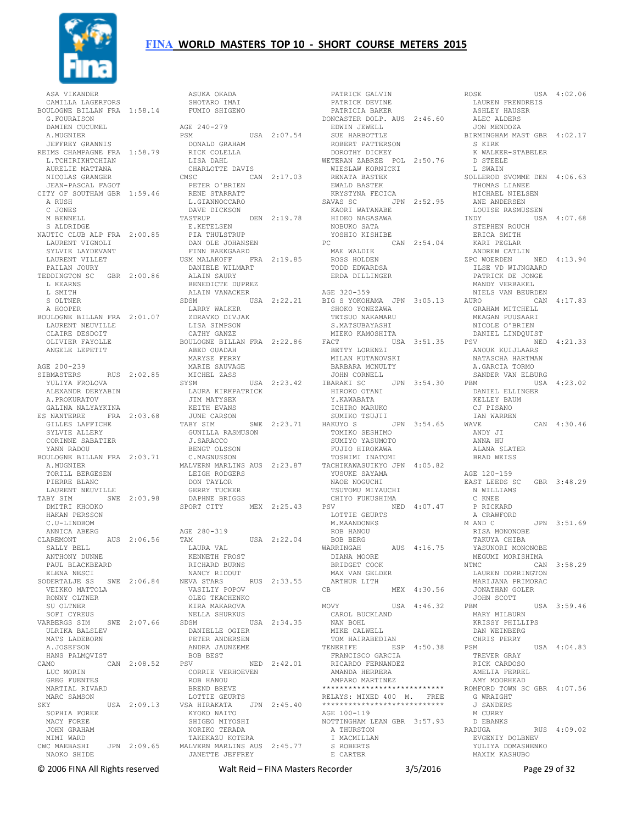

 ASA VIKANDER CAMILLA LAGERFORS BOULOGNE BILLAN FRA 1:58.14 G.FOURAISON DAMIEN CUCUMEL A.MUGNIER JEFFREY GRANNIS REIMS CHAMPAGNE FRA 1:58.79 L.TCHIRIKHTCHIAN AURELIE MATTANA NICOLAS GRANGER JEAN-PASCAL FAGOT CITY OF SOUTHAM GBR 1:59.46 A RUSH C JONES M BENNELL S ALDRIDGE NAUTIC CLUB ALP FRA 2:00.85 LAURENT VIGNOLI SYLVIE LAYDEVANT LAURENT VILLET PAILAN JOURY TEDDINGTON SC GBR 2:00.86 L KEARNS L SMITH S OLTNER A HOOPER BOULOGNE BILLAN FRA 2:01.07 LARRY WALKER ZDRAVKO DIVJAK LAURENT NEUVILLE CLAIRE DESDOIT OLIVIER FAYOLLE ANGELE LEPETIT AGE 200-239 SIBMASTERS RUS 2:02.85 YULIYA FROLOVA ALEXANDR DERYABIN A.PROKURATOV<br>GALINA NALYAYKINA<br>ES NANTERRE FRA 2:03.68<br>GILLES LAFFICHE<br>SYLVIE ALLERY CORINNE SABATIER YANN RADOU BOULOGNE BILLAN FRA 2:03.71 A.MUGNIER TORILL BERGESEN PIERRE BLANC LAURENT NEUVILLE TABY SIM SWE 2:03.98 DMITRI KHODKO HAKAN PERSSON C.U-LINDBOM ANNICA ABERG CLAREMONT AUS 2:06.56 TAM<br>SALLY BELL CLAIR LAT SALLY BELL ANTHONY DUNNE PAUL BLACKBEARD ELENA NESCI SODERTALJE SS SWE 2:06.84 VEIKKO MATTOLA RONNY OLTNER SU OLTNER SOFI CYREUS VARBERGS SIM SWE 2:07.66 ULRIKA BALSLEV ULRIKA BALSLEV<br>MATS LADEBORN A.JOSEFSON HANS PALMQVIST CAMO CAN 2:08.52 BOB BEST PSV NED 2:42.01 LUC MORIN GREG FUENTES MARTIAL RIVARD MARC SAMSON SKY USA 2:09.13 VSA HIRAKATA JPN 2:45.40 SOPHIA FOREE MACY FOREE JOHN GRAHAM MIMI WARD CWC MAEBASHI JPN 2:09.65 NAOKO SHIDE

 ASUKA OKADA SHOTARO IMAI FUMIO SHIGENO AGE 240-279<br>PSM USA 2:07.54 DONALD GRAHAM RICK COLELLA LISA DAHL CHARLOTTE DAVIS CMSC CAN 2:17.03 PETER O'BRIEN RENE STARRATT L.GIANNOCCARO DAVE DICKSON<br>TASTRUP DEN 2:19.78 TASTRUP DEN 2:19.78 E.KETELSEN PIA THULSTRUP DAN OLE JOHANSEN FINN BAEKGAARD USM MALAKOFF FRA 2:19.85 DANIELE WILMART ALAIN SAURY ALAIN SAURY<br>BENEDICTE DUPREZ ALAIN VANACKER SDSM USA 2:22.21 BIG S YOKOHAMA JPN 3:05.13 AURO CAN 4:17.83 LISA SIMPSON CATHY GANZE BOULOGNE BILLAN FRA 2:22.86 ABED OUADAH MARYSE FERRY MARIE SAUVAGE MICHEL ZASS PERSON USA 2:23.42 USA 2:23.42 USA 2:23.42 EBARAKI SC LAURA KIRKPATRICK JIM MATYSEK KEITH EVANS JUNE CARSON TABY SIM SWE 2:23.71 GUNILLA RASMUSON<br>GUNILLA RASMUSON<br>J SARACCO J.SARACCO BENGT OLSSON C.MAGNUSSON MALVERN MARLINS AUS 2:23.87 TACHIKAWASUIKYO JPN 4:05.82 LEIGH RODGERS DON TAYLOR GERRY TUCKER DAPHNE BRIGGS SPORT CITY MEX 2:25.43 PSV AGE 280-319 TAM USA 2:22.04 LAURA VAL KENNETH FROST<br>
RICHARD BURNS<br>
NANCY RIDOUT<br>NEVA STARS RUS 2:33.55<br>
VASILIY POPOV OLEG TKACHENKO KIRA MAKAROVA NELLA SHURKUS SDSM USA 2:34.35 DANIELLE OGIER PETER ANDERSEN ANDRA JAUNZEME CORRIE VERHOEVEN ROB HANOU BREND BREVE LOTTIE GEURTS KYOKO NAITO SHIGEO MIYOSHI NORIKO TERADA<br>TAKEKAZU KOTERA TAKEKAZU KOTERA MALVERN MARLINS AUS 2:45.77 JANETTE JEFFREY

 PATRICK GALVIN PATRICK DEVINE PATRICIA BAKER DONCASTER DOLP. AUS 2:46.60 EDWIN JEWELL SUE HARBOTTLE ROBERT PATTERSON DOROTHY DICKEY WETERAN ZABRZE POL 2:50.76 KRYSTYNA FECICA SAVAS SC JPN 2:52.95 KAORI WATANABE NOBUKO SATA YOSHIO KISHIBE  $CAN 2:54.04$  MAE WALDIE ROSS HOLDEN TODD EDWARDSA ERDA DILLINGER AGE 320-359 SHOKO YONEZAWA TETSUO NAKAMARU S.MATSUBAYASHI MIEKO KAMOSHITA BETTY LORENZI MILAN KUTANOVSKI BARBARA MCNULTY<br>JOHN CORNELL JOHN CORNELL IBARAKI SC JPN 3:54.30 HIROKO OTANI Y.KAWABATA ICHIRO MARUKO SUMIKO TSUJII JPN 3:54.65 WAVE TOMIKO SESHIMO SUMIYO YASUMOTO FUJIO HIROKAWA TOSHIMI INATOMI YUSUKE SAYAMA NAOE NOGUCHI TSUTOMU MIYAUCHI CHIYO FUKUSHIMA PSV NED 4:07.47 LOTTIE GEURTS M.MAANDONKS ROB HANOU -<br>BOB BERG<br>WARRINGAH AUS 4:16.75 DIANA MOORE BRIDGET COOK MAX VAN GELDER ARTHUR LITH CB MEX 4:30.56 MOVY USA 4:46.32 CAROL BUCKLAND NAN BOHL MIKE CALWELL TOM HAIRABEDIAN TENERIFE ESP 4:50.38 PSM FRANCISCO GARCIA RICARDO FERNANDEZ AMANDA HERRERA AMPARO MARTINEZ \*\*\*\*\*\*\*\*\*\*\*\*\*\*\*\*\*\*\*\*\*\*\*\*\*\*\*\* RELAYS: MIXED 400 M. FREE \*\*\*\*\*\*\*\*\*\*\*\*\*\*\*\*\*\*\*\*\*\*\*\*\*\*\*\* AGE 100-119 NOTTINGHAM LEAN GBR 3:57.93 A THURSTON I MACMILLAN S ROBERTS E CARTER

 WIESLAW KORNICKI RENATA BASTEK EWALD BASTEK SOLLEROD SVOMME DEN 4:06.63 THOMAS LIANEE HIDEO NAGASAWA LOUISE RASMUSSEN INDY USA 4:07.68 FACT USA 3:51.35 PSV NED 4:21.33 ROSE USA 4:02.06 LAUREN FRENDREIS ASHLEY HAUSER ALEC ALDERS JON MENDOZA BIRMINGHAM MAST GBR 4:02.17 S KIRK<br>K WALKER-STABELER D STEELE L SWAIN MICHAEL NIELSEN ANE ANDERSEN STEPHEN ROUCH ERICA SMITH KARI PEGLAR ANDREW CATLIN ZPC WOERDEN NED 4:13.94 ILSE VD WIJNGAARD PATRICK DE JONGE MANDY VERBAKEL NIELS VAN BEURDEN GRAHAM MITCHELL MEAGAN PUUSAARI NICOLE O'BRIEN DANIEL LINDQUIST ANOUK KUIJLAARS NATASCHA HARTMAN A.GARCIA TORMO SANDER VAN ELBURG<br>PBM USA 4:23.02<br>DANIEL ELLINGER KELLEY BAUM CJ PISANO IAN WARREN CAN 4:30.46 ANDY JI ANNA HU ALANA SLATER BRAD WEISS AGE 120-159 EAST LEEDS SC GBR 3:48.29 N WILLIAMS C KNEE P RICKARD A CRAWFORD M AND C JPN 3:51.69 RISA MONONOBE TAKUYA CHIBA YASUNORI MONONOBE MEGUMI MORISHIMA NTMC CAN 3:58.29 LAUREN DORRINGTON MARIJANA PRIMORAC JONATHAN GOLER JOHN SCOTT<br>PBM  $USA = 3:59.46$ MARY MILBURN KRISSY PHILLIPS DAN WEINBERG CHRIS PERRY  $IISA$   $4:04.83$  TREVER GRAY RICK CARDOSO AMELIA FERREL AMY MOORHEAD ROMFORD TOWN SC GBR 4:07.56 G WRAIGHT J SANDERS M CURRY D EBANKS RADUGA RUS  $4:09.02$  EVGENIY DOLBNEV YULIYA DOMASHENKO MAXIM KASHUBO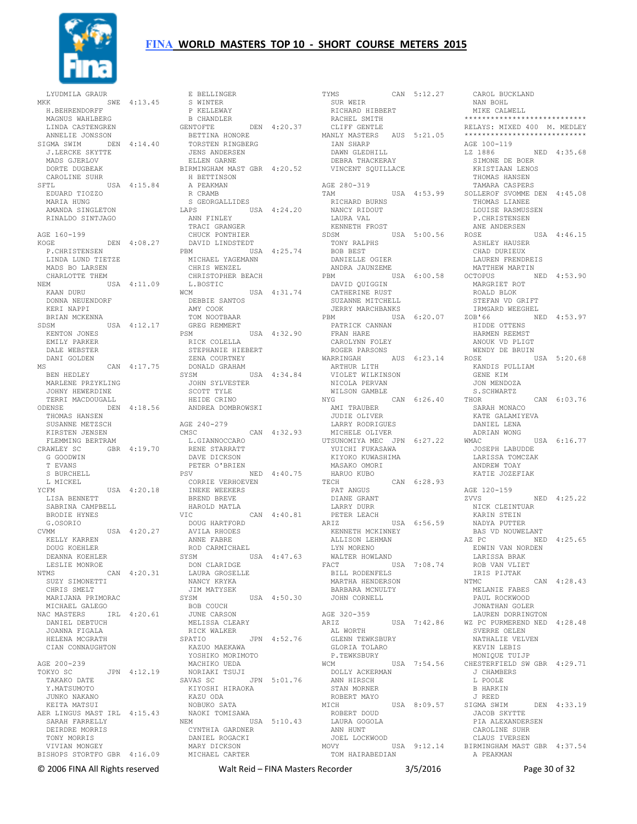

LYUDMILA GRAUR MKK SWE 4:13.45 S WINTER P KELLEWAY H.BEHRENDORFF MAGNUS WAHLBERG LINDA CASTENGREN ANNELIE JONSSON SIGMA SWIM DEN 4:14.40 J.LERCKE SKYTTE MADS GJERLOV DORTE DUGBEAK CAROLINE SUHR SFTL USA 4:15.84 EDUARD TIOZZO MARIA HUNG AMANDA SINGLETON RINALDO SINTJAGO AGE 160-199 KOGE DEN 4:08.27 P.CHRISTENSEN LINDA LUND TIETZE MADS BO LARSEN CHARLOTTE THEM NEM USA 4:11.09 KAAN DURU DONNA NEUENDORF KERI NAPPI BRIAN MCKENNA SDSM USA 4:12.17 KENTON JONES EMILY PARKER DALE WEBSTER DANI GOLDEN MS CAN  $4:17.75$ <br>BEN HEDLEY BEN HEDLEY MARLENE PRZYKLING JOHNY HEWERDINE TERRI MACDOUGALL ODENSE DEN 4:18.56 ANDREA DOMBROWSKI THOMAS HANSEN SUSANNE METZSCH KIRSTEN JENSEN FLEMMING BERTRAM CRAWLEY SC GBR 4:19.70 G GOODWIN T EVANS S BURCHELL L MICKEL YCFM USA 4:20.18 LISA BENNETT SABRINA CAMPBELL BRODIE HYNES G.OSORIO CVMM USA 4:20.27 KELLY KARREN DOUG KOEHLER DEANNA KOEHLER LESLIE MONROE NTMS CAN 4:20.31 SUZY SIMONETTI CHRIS SMELT MARIJANA PRIMORAC MICHAEL GALEGO NAC MASTERS IRL 4:20.61 DANIEL DEBTUCH JOANNA FIGALA HELENA MCGRATH CIAN CONNAUGHTON AGE 200-239 TOKYO SC JPN 4:12.19 TAKAKO DATE Y.MATSUMOTO JUNKO NAKANO KEITA MATSUI AER LINGUS MAST IRL 4:15.43 SARAH FARRELLY DEIRDRE MORRIS TONY MORRIS<br>VIVIAN MONGEY VIVIAN MONGEY BISHOPS STORTFO GBR 4:16.09 MARY DICKSON MICHAEL CARTER

 E BELLINGER B CHANDLER GENTOFTE DEN 4:20.37 BETTINA HONORE TORSTEN RINGBERG JENS ANDERSEN ELLEN GARNE BIRMINGHAM MAST GBR 4:20.52 H BETTINSON A PEAKMAN R CRAMB S GEORGALLIDES<br>LAPS USA USA 4:24.20 ANN FINLEY TRACI GRANGER CHUCK PONTHIER DAVID LINDSTEDT PBM USA 4:25.74 MICHAEL YAGEMANN CHRIS WENZEL CHRISTOPHER BEACH L.BOSTIC WCM USA 4:31.74 DEBBIE SANTOS AMY COOK TOM NOOTBAAR GREG REMMERT PSM USA 4:32.90 RICK COLELLA STEPHANIE HIEBERT ZENA COURTNEY DONALD GRAHAM SYSM USA 4:34.84 JOHN SYLVESTER SCOTT TYLE HEIDE CRINO AGE 240-279 )<br>CAN 4:32.93 L.GIANNOCCARO RENE STARRATT DAVE DICKSON PETER O'BRIEN<br>PSV NED 4:40.75 CORRIE VERHOEVEN INEKE WEEKERS BREND BREVE HAROLD MATLA<br>VIC CAN 4:40.81 VIC CAN 4:40.81 DOUG HARTFORD AVILA RHODES ANNE FABRE ROD CARMICHAEL SYSM USA 4:47.63 DON CLARIDGE LAURA GROSELLE NANCY KRYKA JIM MATYSEK SYSM USA 4:50.30 BOB COUCH JUNE CARSON MELISSA CLEARY RICK WALKER SPATIO JPN 4:52.76 KAZUO MAEKAWA YOSHIKO MORIMOTO MACHIKO UEDA NORIAKI TSUJI SAVAS SC JPN 5:01.76 KIYOSHI HIRAOKA KAZU ODA NOBUKO SATA NAOKI TOMISAWA<br>NEM U USA 5:10.43 CYNTHIA GARDNER DANIEL ROGACKI

TYMS CAN 5:12.27 CAROL BUCKLAND NAN BOHL SUR WEIR ALLAND HIBBERT<br>RICHARD HIBBERT RACHEL SMITH CLIFF GENTLE MANLY MASTERS AUS 5:21.05 IAN SHARP<br>IAN SHARP<br>Drog DAWN GLEDHILL DEBRA THACKERAY VINCENT SQUILLACE AGE 280-319 TAM USA 4:53.99 RICHARD BURNS NANCY RIDOUT LAURA VAL KENNETH FROST SDSM USA 5:00.56 TONY RALPHS BOB BEST DANIELLE OGIER ANDRA JAUNZEME USA 6:00.58 DAVID QUIGGIN CATHERINE RUST SUZANNE MITCHELL JERRY MARCHBANKS PBM USA 6:20.07 ZOB'66 NED 4:53.97 PATRICK CANNAN FRAN HARE CAROLYNN FOLEY ROGER PARSONS WARRINGAH AUS 6:23.14 ARTHUR LITH VIOLET WILKINSON NICOLA PERVAN WILSON GAMBLE NYG CAN 6:26.40 THOR AMI TRAUBER JUDIE OLIVER LARRY RODRIGUES MICHELE OLIVER UTSUNOMIYA MEC JPN 6:27.22 YUICHI FUKASAWA KIYOKO KUWASHIMA MASAKO OMORI HARUO KUBO TECH CAN 6:28.93 PAT ANGUS DIANE GRANT LARRY DURR PETER LEACH ARIZ USA 6:56.59 KENNETH MCKINNEY ALLISON LEHMAN LYN MORENO WALTER HOWLAND FACT USA 7:08.74 BILL RODENFELS MARTHA HENDERSON BARBARA MCNULTY JOHN CORNELL AGE 320-359<br>ARIZ USA 7:42.86 AL WORTH GLENN TEWKSBURY GLORIA TOLARO P.TEWKSBURY WCM USA 7:54.56 DOLLY ACKERMAN ANN HIRSCH STAN MORNER ROBERT MAYO<br>MICH MICH USA 8:09.57 SIGMA SWIM DEN 4:33.19 ROBERT DOUD LAURA GOGOLA ANN HUNT JOEL LOCKWOOD MOVY USA 9:12.14 BIRMINGHAM MAST GBR 4:37.54 TOM HAIRABEDIAN

 MIKE CALWELL \*\*\*\*\*\*\*\*\*\*\*\*\*\*\*\*\*\*\*\*\*\*\*\*\*\*\*\* RELAYS: MIXED 400 M. MEDLEY \*\*\*\*\*\*\*\*\*\*\*\*\*\*\*\*\*\*\*\*\*\*\*\*\*\*\*\* AGE 100-119 LZ 1886 NED 4:35.68 SIMONE DE BOER KRISTIAAN LENOS THOMAS HANSEN TAMARA CASPERS SOLLEROF SVOMME DEN 4:45.08 THOMAS LIANEE LOUISE RASMUSSEN P.CHRISTENSEN ANE ANDERSEN ROSE USA 4:46.15 ASHLEY HAUSER CHAD DURIEUX LAUREN FRENDREIS MATTHEW MARTIN<br>OCTOPUS N NED 4:53.90 MARGRIET ROT ROALD BLOK STEFAN VD GRIFT IRMGARD WEEGHEL HIDDE OTTENS HARMEN REEMST ANOUK VD PLIGT WENDY DE BRUIN ROSE USA 5:20.68 KANDIS PULLIAM GENE KIM JON MENDOZA S.SCHWARTZ CAN 6:03.76 SARAH MONACO KATE GALAMIYEVA DANIEL LENA ADRIAN WONG<br>WMAC USA 6:16.77 JOSEPH LABUDDE LARISSA TOMCZAK ANDREW TOAY KATIE JOZEFIAK AGE 120-159 ZVVS NED 4:25.22 NICK CLEINTUAR KARIN STEIN NADYA PUTTER BAS VD NOUWELANT AZ PC NED 4:25.65 EDWIN VAN NORDEN LARISSA BRAK ROB VAN VLIET IRIS PIJTAK NTMC CAN 4:28.43 MELANIE FABES PAUL ROCKWOOD JONATHAN GOLER LAUREN DORRINGTON WZ PC PURMEREND NED 4:28.48 SVERRE OELEN NATHALIE VELVEN KEVIN LEBIS MONIQUE TUIJP CHESTERFIELD SW GBR 4:29.71 J CHAMBERS L POOLE B HARKIN J REED JACOB SKYTTE PIA ALEXANDERSEN CAROLINE SUHR CLAUS IVERSEN A PEAKMAN

© 2006 FINA All Rights reserved Walt Reid – FINA Masters Recorder 3/5/2016 Page 30 of 32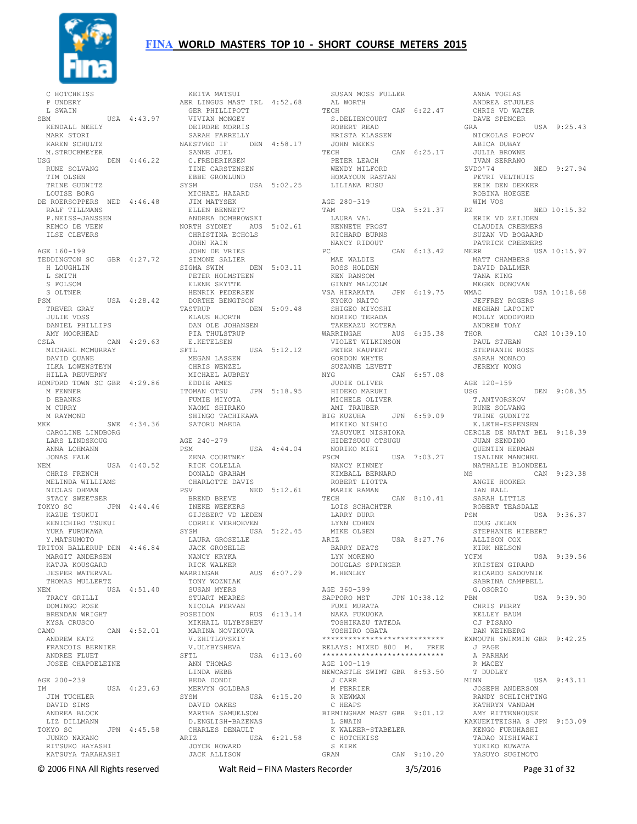

 C HOTCHKISS P UNDERY L SWAIN SBM USA 4:43.97 KENDALL NEELY MARK STORI KAREN SCHULTZ M.STRUCKMEYER<br>USG DEN 4:46.22 RUNE SOLVANG TIM OLSEN TRINE GUDNITZ LOUISE BORG DE ROERSOPPERS NED 4:46.48 RALF TILLMANS P.NEISS-JANSSEN REMCO DE VEEN ILSE CLEVERS AGE 160-199 TEDDINGTON SC GBR 4:27.72 H LOUGHLIN L SMITH S FOLSOM S OLTNER PSM USA 4:28.42 TREVER GRAY JULIE VOSS DANIEL PHILLIPS AMY MOORHEAD CSLA CAN 4:29.63 MICHAEL MCMURRAY DAVID QUANE ILKA LOWENSTEYN HILLA REUVERNY ROMFORD TOWN SC GBR 4:29.86 M FENNER D EBANKS M CURRY M RAYMOND MKK SWE 4:34.36 CAROLINE LINDBORG LARS LINDSKOUG ANNA LOHMANN JONAS FALK NEM USA 4:40.52 CHRIS FRENCH MELINDA WILLIAMS NICLAS OHMAN STACY SWEETSER TOKYO SC JPN 4:44.46 KAZUE TSUKUI KENICHIRO TSUKUI YUKA FURUKAWA Y.MATSUMOTO TRITON BALLERUP DEN 4:46.84 MARGIT ANDERSEN KATJA KOUSGARD JESPER WATERVAL THOMAS MULLERTZ NEM USA 4:51.40 TRACY GRILLI DOMINGO ROSE BRENDAN WRIGHT KYSA CRUSCO CAMO CAN 4:52.01 ANDREW KATZ FRANCOIS BERNIER ANDREE FLUET JOSEE CHAPDELEINE AGE 200-239 IM USA 4:23.63 JIM TUCHLER DAVID SIMS ANDREA BLOCK LIZ DILLMANN TOKYO SC JPN 4:45.58 JUNKO NAKANO JUNKO NAKANO<br>RITSUKO HAYASHI KATSUYA TAKAHASHI

 KEITA MATSUI AER LINGUS MAST IRL 4:52.68 GER PHILLIPOTT VIVIAN MONGEY DEIRDRE MORRIS SARAH FARRELLY NAESTVED IF DEN 4:58.17 SANNE JUEL C.FREDERIKSEN TINE CARSTENSEN EBBE GRONLUND SYSM USA 5:02.25 MICHAEL HAZARD JIM MATYSEK ELLEN BENNETT ANDREA DOMBROWSKI NORTH SYDNEY AUS 5:02.61 CHRISTINA ECHOLS JOHN KAIN JOHN DE VRIES SIMONE SALIER SIGMA SWIM DEN 5:03.11 PETER HOLMSTEEN ELENE SKYTTE HENRIK PEDERSEN<br>DORTHE BENGTSON DORTHE BENGTSON TASTRUP DEN 5:09.48 KLAUS HJORTH DAN OLE JOHANSEN PIA THULSTRUP E.KETELSEN<br>SFTL USA 5:12.12 MEGAN LASSEN CHRIS WENZEL MICHAEL AUBREY EDDIE AMES ITOMAN OTSU JPN 5:18.95 FUMIE MIYOTA NAOMI SHIRAKO SHINGO TACHIKAWA SATORU MAEDA AGE 240-279 PSM USA 4:44.04 ZENA COURTNEY RICK COLELLA DONALD GRAHAM CHARLOTTE DAVIS<br>PSV NED 5:12.61 PSV NED 5:12.61 BREND BREVE INEKE WEEKERS GIJSBERT VD LEDEN CORRIE VERHOEVEN SYSM USA 5:22.45 LAURA GROSELLE JACK GROSELLE NANCY KRYKA RICK WALKER<br>WARRINGAH WARRINGAH AUS 6:07.29 TONY WOZNIAK SUSAN MYERS STUART MEARES NICOLA PERVAN<br>POSEIDON I RUS 6:13.14 MIKHAIL ULYBYSHEV MARINA NOVIKOVA V.ZHITLOVSKIY V.ULYBYSHEVA SFTL USA 6:13.60  $\frac{1}{2}$ ANN THOMAS LINDA WEBB BEDA DONDI MERVYN GOLDBAS SYSM USA 6:15.20 DAVID OAKES MARTHA SAMUELSON D.ENGLISH-BAZENAS CHARLES DENAULT<br>ARIZ USA ARIZ USA 6:21.58 JOYCE HOWARD JACK ALLISON

 SUSAN MOSS FULLER AL WORTH TECH CAN 6:22.47 CHRIS VD WATER S.DELIENCOURT ROBERT READ KRISTA KLASSEN<br>JOHN WEEKS JOHN WEEKS<br>TECH CAN 6:25.17<br>
PETER LEACH<br>
WENDY MILFORD<br>
HOMAYOUN RASTAN HOMAYOUN RASTAN<br>LILIANA RUSU AGE 280-319 TAM USA 5:21.37 LAURA VAL KENNETH FROST RICHARD BURNS NANCY RIDOUT PC CAN 6:13.42 MAE WALDIE ROSS HOLDEN KEN RANSOM GINNY MALCOLM VSA HIRAKATA JPN 6:19.75 KYOKO NAITO SHIGEO MIYOSHI SHIGEO MIYOSHI<br>NORIKO TERADA TAKEKAZU KOTERA WARRINGAH AUS 6:35.38 VIOLET WILKINSON PETER KAUPERT GORDON WHYTE SUZANNE LEVETT<br>NYG NYG CAN 6:57.08 JUDIE OLIVER HIDEKO MARUKI MICHELE OLIVER AMI TRAUBER BIG KUZUHA JPN 6:59.09 MIKIKO NISHIO THE INTERNATIONAL PROPERTY IN THE MAGNITUM OF THE MAGNITUM OF THE MAGNITUM OF THE MAGNITUM OF THE MAGNITUM OF THE MAGNITUM OF THE MAGNITUM OF THE MAGNITUM OF THE MAGNITUM OF THE MAGNITUM OF THE MAGNITUM OF THE MAGNITUM OF HIDETSUGU OTSUGU<br>NORIKO MIKI NORIKO MIKI PSCM USA 7:03.27 NANCY KINNEY KIMBALL BERNARD ROBERT LIOTTA MARIE RAMAN TECH CAN 8:10.41 LOIS SCHACHTER LARRY DURR LYNN COHEN MIKE OLSEN ARIZ USA 8:27.76 ....<br>BARRY DEATS LYN MORENO DOUGLAS SPRINGER M.HENLEY AGE 360-399 SAPPORO MST JPN 10:38.12 FUMI MURATA NAKA FUKUOKA TOSHIKAZU TATEDA YOSHIRO OBATA \*\*\*\*\*\*\*\*\*\*\*\*\*\*\*\*\*\*\*\*\*\*\* RELAYS: MIXED 800 M. FREE \*\*\*\*\*\*\*\*\*\*\*\*\*\*\*\*\*\*\*\*\*\*\*\*\*\*\*\* AGE 100-119 NEWCASTLE SWIMT GBR 8:53.50 J CARR M FERRIER R NEWMAN C HEAPS BIRMINGHAM MAST GBR 9:01.12 L SWAIN<br>K WALKER-STABELER<br>C HOTCHKISS<br>S KIRK CAN 9:10.20

ANDREA STJULES DAVE SPENCER GRA USA 9:25.43 NICKOLAS POPOV ABICA DUBAY JULIA BROWNE IVAN SERRANO ZVDO'74 NED 9:27.94 PETRI VELTHUIS ERIK DEN DEKKER ROBINA HOEGEE WIM VOS RZ NED  $10:15.32$  ERIK VD ZEIJDEN CLAUDIA CREEMERS SUZAN VD BOGAARD PATRICK CREEMERS MERR USA 10:15.97 MATT CHAMBERS DAVID DALLMER TANA KING MEGEN DONOVAN<br>WMAC USA 10:18.68 JEFFREY ROGERS MEGHAN LAPOINT MOLLY WOODFORD ANDREW TOAY  $CAN 10:39.10$  PAUL STJEAN STEPHANIE ROSS SARAH MONACO JEREMY WONG AGE 120-159 USG DEN 9:08.35 T.ANTVORSKOV RUNE SOLVANG TRINE GUDNITZ K.LETH-ESPENSEN CERCLE DE NATAT BEL 9:18.39 JUAN SENDINO QUENTIN HERMAN ISALINE MANCHEL NATHALIE BLONDEEL CAN 9:23.38 ANGIE HOOKER IAN BALL SARAH LITTLE ROBERT TEASDALE PSM USA 9:36.37 DOUG JELEN STEPHANIE HIEBERT ALLISON COX KIRK NELSON YCFM USA 9:39.56 KRISTEN GIRARD RICARDO SADOVNIK SABRINA CAMPBELL G.OSORIO PBM USA 9:39.90 CHRIS PERRY KELLEY BAUM CJ PISANO DAN WEINBERG EXMOUTH SWIMMIN GBR 9:42.25 J PAGE A PARHAM R MACEY T DUDLEY MINN USA 9:43.11 JOSEPH ANDERSON RANDY SCHLICHTING KATHRYN VANDAM AMY RITTENHOUSE KAKUEKITEISHA S JPN 9:53.09 KENGO FURUHASHI TADAO NISHIWAKI YUKIKO KUWATA YASUYO SUGIMOTO

ANNA TOGIAS

© 2006 FINA All Rights reserved Walt Reid – FINA Masters Recorder 3/5/2016 Page 31 of 32